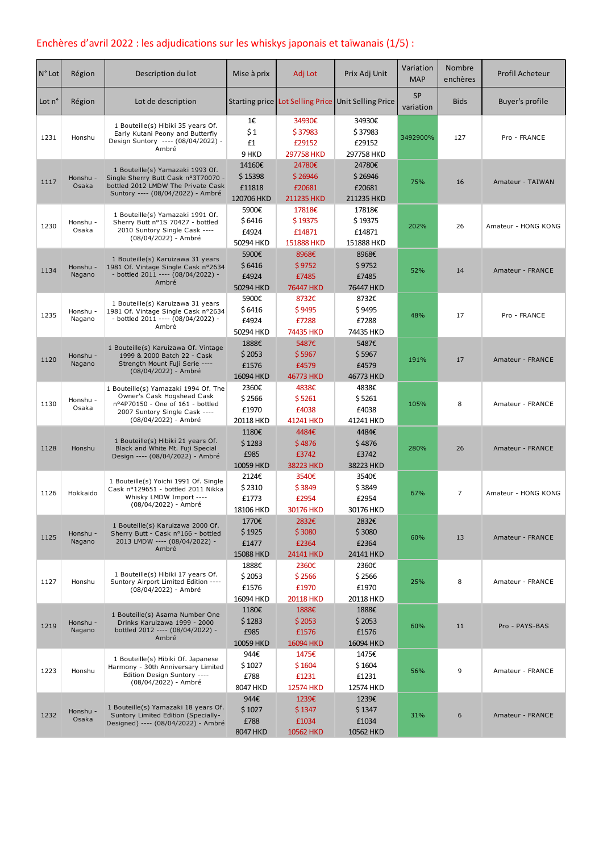# Enchères d'avril 2022 : les adjudications sur les whiskys japonais et taïwanais (1/5) :

| $N°$ Lot | Région             | Description du lot                                                                                                                                              | Mise à prix                               | Adj Lot                                      | Prix Adj Unit                                       | Variation<br><b>MAP</b> | Nombre<br>enchères | Profil Acheteur     |
|----------|--------------------|-----------------------------------------------------------------------------------------------------------------------------------------------------------------|-------------------------------------------|----------------------------------------------|-----------------------------------------------------|-------------------------|--------------------|---------------------|
| Lot n°   | Région             | Lot de description                                                                                                                                              |                                           |                                              | Starting price Lot Selling Price Unit Selling Price | <b>SP</b><br>variation  | <b>Bids</b>        | Buyer's profile     |
| 1231     | Honshu             | 1 Bouteille(s) Hibiki 35 years Of.<br>Early Kutani Peony and Butterfly<br>Design Suntory ---- (08/04/2022) -<br>Ambré                                           | 1€<br>\$1<br>£1<br>9 HKD                  | 34930€<br>\$37983<br>£29152<br>297758 HKD    | 34930€<br>\$37983<br>£29152<br>297758 HKD           | 3492900%                | 127                | Pro - FRANCE        |
| 1117     | Honshu -<br>Osaka  | 1 Bouteille(s) Yamazaki 1993 Of.<br>Single Sherry Butt Cask nº3T70070 -<br>bottled 2012 LMDW The Private Cask<br>Suntory ---- (08/04/2022) - Ambré              | 14160€<br>\$15398<br>£11818<br>120706 HKD | 24780€<br>\$26946<br>£20681<br>211235 HKD    | 24780€<br>\$26946<br>£20681<br>211235 HKD           | 75%                     | 16                 | Amateur - TAIWAN    |
| 1230     | Honshu -<br>Osaka  | 1 Bouteille(s) Yamazaki 1991 Of.<br>Sherry Butt nº1S 70427 - bottled<br>2010 Suntory Single Cask ----<br>(08/04/2022) - Ambré                                   | 5900€<br>\$6416<br>£4924<br>50294 HKD     | 17818€<br>\$19375<br>£14871<br>151888 HKD    | 17818€<br>\$19375<br>£14871<br>151888 HKD           | 202%                    | 26                 | Amateur - HONG KONG |
| 1134     | Honshu -<br>Nagano | 1 Bouteille(s) Karuizawa 31 years<br>1981 Of. Vintage Single Cask n°2634<br>- bottled 2011 ---- (08/04/2022) -<br>Ambré                                         | 5900€<br>\$6416<br>£4924<br>50294 HKD     | 8968€<br>\$9752<br>£7485<br>76447 HKD        | 8968€<br>\$9752<br>£7485<br>76447 HKD               | 52%                     | 14                 | Amateur - FRANCE    |
| 1235     | Honshu -<br>Nagano | 1 Bouteille(s) Karuizawa 31 years<br>1981 Of. Vintage Single Cask n°2634<br>- bottled 2011 ---- (08/04/2022) -<br>Ambré                                         | 5900€<br>\$6416<br>£4924<br>50294 HKD     | 8732€<br>\$9495<br>£7288<br>74435 HKD        | 8732€<br>\$9495<br>£7288<br>74435 HKD               | 48%                     | 17                 | Pro - FRANCE        |
| 1120     | Honshu -<br>Nagano | 1 Bouteille(s) Karuizawa Of. Vintage<br>1999 & 2000 Batch 22 - Cask<br>Strength Mount Fuji Serie ----<br>(08/04/2022) - Ambré                                   | 1888€<br>\$2053<br>£1576<br>16094 HKD     | 5487€<br>\$5967<br>£4579<br>46773 HKD        | 5487€<br>\$5967<br>£4579<br>46773 HKD               | 191%                    | 17                 | Amateur - FRANCE    |
| 1130     | Honshu -<br>Osaka  | 1 Bouteille(s) Yamazaki 1994 Of. The<br>Owner's Cask Hogshead Cask<br>nº4P70150 - One of 161 - bottled<br>2007 Suntory Single Cask ----<br>(08/04/2022) - Ambré | 2360€<br>\$2566<br>£1970<br>20118 HKD     | 4838€<br>\$5261<br>£4038<br>41241 HKD        | 4838€<br>\$5261<br>£4038<br>41241 HKD               | 105%                    | 8                  | Amateur - FRANCE    |
| 1128     | Honshu             | 1 Bouteille(s) Hibiki 21 years Of.<br>Black and White Mt. Fuji Special<br>Design ---- (08/04/2022) - Ambré                                                      | 1180€<br>\$1283<br>£985<br>10059 HKD      | 4484€<br>\$4876<br>£3742<br>38223 HKD        | 4484€<br>\$4876<br>£3742<br>38223 HKD               | 280%                    | 26                 | Amateur - FRANCE    |
| 1126     | Hokkaido           | 1 Bouteille(s) Yoichi 1991 Of. Single<br>Cask nº129651 - bottled 2011 Nikka<br>Whisky LMDW Import ----<br>(08/04/2022) - Ambré                                  | 2124€<br>\$2310<br>£1773<br>18106 HKD     | 3540€<br>\$3849<br>£2954<br>30176 HKD        | 3540€<br>\$3849<br>£2954<br>30176 HKD               | 67%                     | $\overline{7}$     | Amateur - HONG KONG |
| 1125     | Honshu -<br>Nagano | 1 Bouteille(s) Karuizawa 2000 Of.<br>Sherry Butt - Cask n°166 - bottled<br>2013 LMDW ---- (08/04/2022) -<br>Ambré                                               | 1770€<br>\$1925<br>£1477<br>15088 HKD     | 2832€<br>\$3080<br>£2364<br>24141 HKD        | 2832€<br>\$3080<br>£2364<br>24141 HKD               | 60%                     | 13                 | Amateur - FRANCE    |
| 1127     | Honshu             | 1 Bouteille(s) Hibiki 17 years Of.<br>Suntory Airport Limited Edition ----<br>(08/04/2022) - Ambré                                                              | 1888€<br>\$2053<br>£1576<br>16094 HKD     | 2360€<br>\$2566<br>£1970<br><b>20118 HKD</b> | 2360€<br>\$2566<br>£1970<br>20118 HKD               | 25%                     | 8                  | Amateur - FRANCE    |
| 1219     | Honshu -<br>Nagano | 1 Bouteille(s) Asama Number One<br>Drinks Karuizawa 1999 - 2000<br>bottled 2012 ---- (08/04/2022) -<br>Ambré                                                    | 1180€<br>\$1283<br>£985<br>10059 HKD      | 1888€<br>\$2053<br>£1576<br>16094 HKD        | 1888€<br>\$2053<br>£1576<br>16094 HKD               | 60%                     | 11                 | Pro - PAYS-BAS      |
| 1223     | Honshu             | 1 Bouteille(s) Hibiki Of. Japanese<br>Harmony - 30th Anniversary Limited<br>Edition Design Suntory ----<br>(08/04/2022) - Ambré                                 | 944€<br>\$1027<br>£788<br>8047 HKD        | 1475€<br>\$1604<br>£1231<br>12574 HKD        | 1475€<br>\$1604<br>£1231<br>12574 HKD               | 56%                     | 9                  | Amateur - FRANCE    |
| 1232     | Honshu -<br>Osaka  | 1 Bouteille(s) Yamazaki 18 years Of.<br>Suntory Limited Edition (Specially-<br>Designed) ---- (08/04/2022) - Ambré                                              | 944€<br>\$1027<br>£788<br>8047 HKD        | 1239€<br>\$1347<br>£1034<br>10562 HKD        | 1239€<br>\$1347<br>£1034<br>10562 HKD               | 31%                     | 6                  | Amateur - FRANCE    |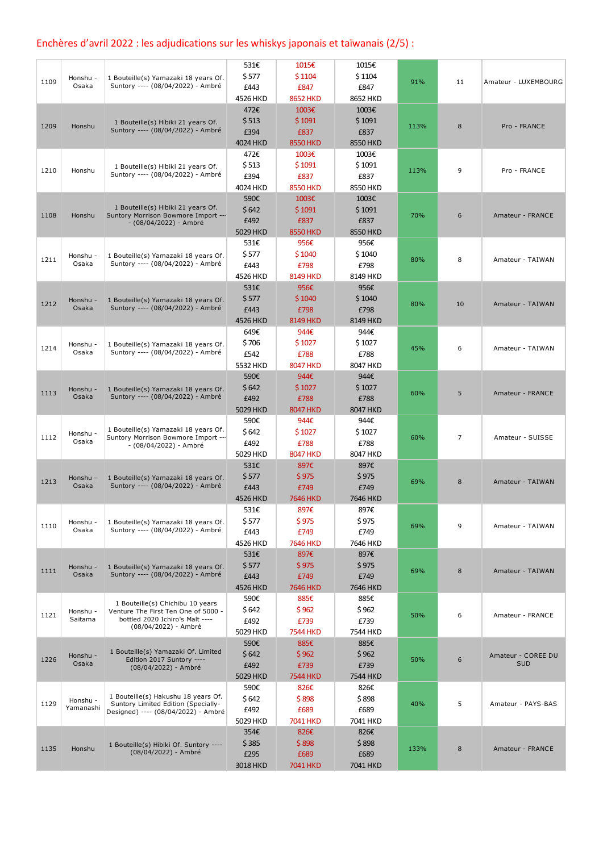## Enchères d'avril 2022 : les adjudications sur les whiskys japonais et taïwanais (2/5) :

|      |                     |                                                                            | 531€     | 1015€           | 1015€    |      |                |                      |
|------|---------------------|----------------------------------------------------------------------------|----------|-----------------|----------|------|----------------|----------------------|
|      | Honshu -            | 1 Bouteille(s) Yamazaki 18 years Of.                                       | \$577    | \$1104          | \$1104   |      |                |                      |
| 1109 | Osaka               | Suntory ---- (08/04/2022) - Ambré                                          | £443     | £847            | £847     | 91%  | 11             | Amateur - LUXEMBOURG |
|      |                     |                                                                            | 4526 HKD | <b>8652 HKD</b> | 8652 HKD |      |                |                      |
|      |                     |                                                                            |          |                 |          |      |                |                      |
|      |                     |                                                                            | 472€     | 1003€           | 1003€    |      |                |                      |
| 1209 | Honshu              | 1 Bouteille(s) Hibiki 21 years Of.<br>Suntory ---- (08/04/2022) - Ambré    | \$513    | \$1091          | \$1091   | 113% | 8              | Pro - FRANCE         |
|      |                     |                                                                            | £394     | £837            | £837     |      |                |                      |
|      |                     |                                                                            | 4024 HKD | <b>8550 HKD</b> | 8550 HKD |      |                |                      |
|      |                     |                                                                            | 472€     | 1003€           | 1003€    |      |                |                      |
|      |                     | 1 Bouteille(s) Hibiki 21 years Of.                                         | \$513    | \$1091          | \$1091   |      | 9              |                      |
| 1210 | Honshu              | Suntory ---- (08/04/2022) - Ambré                                          | £394     | £837            | £837     | 113% |                | Pro - FRANCE         |
|      |                     |                                                                            | 4024 HKD | <b>8550 HKD</b> | 8550 HKD |      |                |                      |
|      |                     |                                                                            | 590€     | 1003€           | 1003€    |      |                |                      |
|      |                     | 1 Bouteille(s) Hibiki 21 years Of.                                         | \$642    | \$1091          | \$1091   |      |                |                      |
| 1108 | Honshu              | Suntory Morrison Bowmore Import ---                                        | £492     | £837            | £837     | 70%  | 6              | Amateur - FRANCE     |
|      |                     | - (08/04/2022) - Ambré                                                     | 5029 HKD | <b>8550 HKD</b> | 8550 HKD |      |                |                      |
|      |                     |                                                                            |          |                 |          |      |                |                      |
|      |                     |                                                                            | 531€     | 956€            | 956€     |      |                |                      |
| 1211 | Honshu -            | 1 Bouteille(s) Yamazaki 18 years Of.                                       | \$577    | \$1040          | \$1040   | 80%  | 8              | Amateur - TAIWAN     |
|      | Osaka               | Suntory ---- (08/04/2022) - Ambré                                          | £443     | £798            | £798     |      |                |                      |
|      |                     |                                                                            | 4526 HKD | <b>8149 HKD</b> | 8149 HKD |      |                |                      |
|      |                     |                                                                            | 531€     | 956€            | 956€     |      |                |                      |
|      | Honshu -            | 1 Bouteille(s) Yamazaki 18 years Of.                                       | \$577    | \$1040          | \$1040   |      |                |                      |
| 1212 | Osaka               | Suntory ---- (08/04/2022) - Ambré                                          | £443     | £798            | £798     | 80%  | 10             | Amateur - TAIWAN     |
|      |                     |                                                                            | 4526 HKD | <b>8149 HKD</b> | 8149 HKD |      |                |                      |
|      |                     |                                                                            | 649€     | 944€            | 944€     |      |                |                      |
|      |                     |                                                                            | \$706    | \$1027          | \$1027   |      |                |                      |
| 1214 | Honshu -<br>Osaka   | 1 Bouteille(s) Yamazaki 18 years Of.<br>Suntory ---- (08/04/2022) - Ambré  |          | £788            |          | 45%  | 6              | Amateur - TAIWAN     |
|      |                     |                                                                            | £542     |                 | £788     |      |                |                      |
|      |                     |                                                                            | 5532 HKD | <b>8047 HKD</b> | 8047 HKD |      |                |                      |
|      |                     |                                                                            | 590€     | 944€            | 944€     |      |                |                      |
| 1113 | Honshu              | 1 Bouteille(s) Yamazaki 18 years Of.                                       | \$642    | \$1027          | \$1027   | 60%  | 5              | Amateur - FRANCE     |
|      | Osaka               | Suntory ---- (08/04/2022) - Ambré                                          | £492     | £788            | £788     |      |                |                      |
|      |                     |                                                                            | 5029 HKD | <b>8047 HKD</b> | 8047 HKD |      |                |                      |
|      |                     |                                                                            | 590€     | 944€            | 944€     |      |                |                      |
|      | Honshu -            | 1 Bouteille(s) Yamazaki 18 years Of.                                       | \$642    | \$1027          | \$1027   |      |                |                      |
| 1112 | Osaka               | Suntory Morrison Bowmore Import ---<br>- (08/04/2022) - Ambré              | £492     | £788            | £788     | 60%  | $\overline{7}$ | Amateur - SUISSE     |
|      |                     |                                                                            | 5029 HKD | <b>8047 HKD</b> | 8047 HKD |      |                |                      |
|      |                     |                                                                            | 531€     | 897€            | 897€     |      |                |                      |
|      |                     |                                                                            | \$577    | \$975           | \$975    |      |                |                      |
| 1213 | Honshu -<br>Osaka   | 1 Bouteille(s) Yamazaki 18 years Of.<br>Suntory ---- (08/04/2022) - Ambré  |          |                 |          | 69%  | 8              | Amateur - TAIWAN     |
|      |                     |                                                                            | £443     | £749            | £749     |      |                |                      |
|      |                     |                                                                            | 4526 HKD | 7646 HKD        | 7646 HKD |      |                |                      |
|      |                     |                                                                            | 531€     | 897€            | 897€     |      |                |                      |
| 1110 | Honshu -            | 1 Bouteille(s) Yamazaki 18 years Of.                                       | \$577    | \$975           | \$975    | 69%  | 9              | Amateur - TAIWAN     |
|      | Osaka               | Suntory ---- (08/04/2022) - Ambré                                          | £443     | £749            | £749     |      |                |                      |
|      |                     |                                                                            | 4526 HKD | 7646 HKD        | 7646 HKD |      |                |                      |
|      |                     |                                                                            | 531€     | 897€            | 897€     |      |                |                      |
|      | Honshu -            | 1 Bouteille(s) Yamazaki 18 years Of.                                       | \$577    | \$975           | \$975    |      |                |                      |
| 1111 | Osaka               | Suntory ---- (08/04/2022) - Ambré                                          | £443     | £749            | £749     | 69%  | 8              | Amateur - TAIWAN     |
|      |                     |                                                                            | 4526 HKD | 7646 HKD        | 7646 HKD |      |                |                      |
|      |                     |                                                                            | 590€     | 885€            | 885€     |      |                |                      |
|      |                     | 1 Bouteille(s) Chichibu 10 years                                           | \$642    | \$962           | \$962    |      |                |                      |
| 1121 | Honshu -<br>Saitama | Venture The First Ten One of 5000 -<br>bottled 2020 Ichiro's Malt ----     |          |                 |          | 50%  | 6              | Amateur - FRANCE     |
|      |                     | (08/04/2022) - Ambré                                                       | £492     | £739            | £739     |      |                |                      |
|      |                     |                                                                            | 5029 HKD | <b>7544 HKD</b> | 7544 HKD |      |                |                      |
|      |                     |                                                                            | 590€     | 885€            | 885€     |      |                |                      |
| 1226 | Honshu -            | 1 Bouteille(s) Yamazaki Of. Limited<br>Edition 2017 Suntory ----           | \$642    | \$962           | \$962    | 50%  | 6              | Amateur - COREE DU   |
|      | Osaka               | (08/04/2022) - Ambré                                                       | £492     | £739            | £739     |      |                | <b>SUD</b>           |
|      |                     |                                                                            | 5029 HKD | <b>7544 HKD</b> | 7544 HKD |      |                |                      |
|      |                     |                                                                            | 590€     | 826€            | 826€     |      |                |                      |
|      | Honshu -            | 1 Bouteille(s) Hakushu 18 years Of.                                        | \$642    | \$898           | \$898    |      |                |                      |
| 1129 | Yamanashi           | Suntory Limited Edition (Specially-<br>Designed) ---- (08/04/2022) - Ambré | £492     | £689            | £689     | 40%  | 5              | Amateur - PAYS-BAS   |
|      |                     |                                                                            | 5029 HKD | 7041 HKD        | 7041 HKD |      |                |                      |
|      |                     |                                                                            | 354€     | 826€            | 826€     |      |                |                      |
|      |                     |                                                                            | \$385    | \$898           | \$898    |      |                |                      |
| 1135 | Honshu              | 1 Bouteille(s) Hibiki Of. Suntory ----<br>(08/04/2022) - Ambré             |          |                 |          | 133% | 8              | Amateur - FRANCE     |
|      |                     |                                                                            | £295     | £689            | £689     |      |                |                      |
|      |                     |                                                                            | 3018 HKD | 7041 HKD        | 7041 HKD |      |                |                      |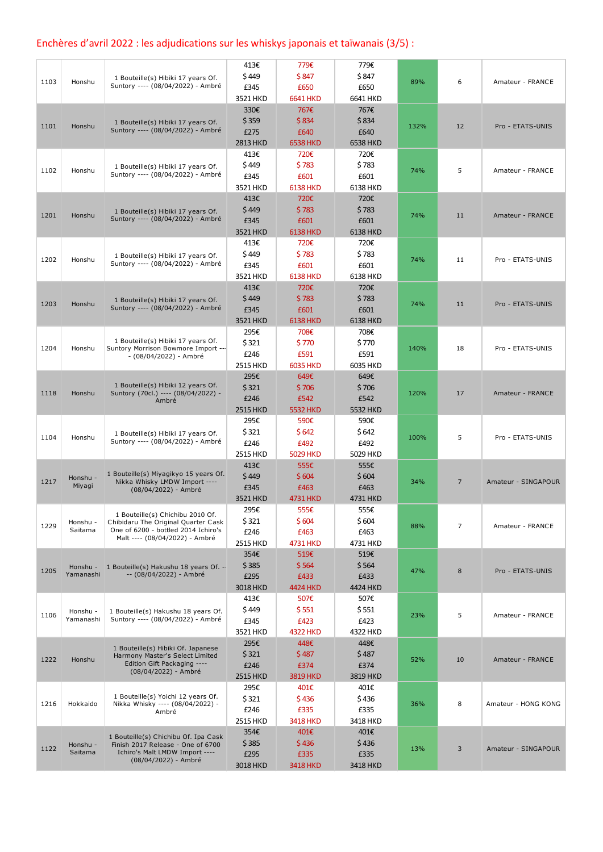## Enchères d'avril 2022 : les adjudications sur les whiskys japonais et taïwanais (3/5) :

| \$449<br>\$847<br>\$847<br>1 Bouteille(s) Hibiki 17 years Of.<br>6<br>1103<br>Honshu<br>89%<br>Amateur - FRANCE<br>Suntory ---- (08/04/2022) - Ambré<br>£650<br>£345<br>£650<br>3521 HKD<br>6641 HKD<br>6641 HKD<br>767€<br>330€<br>767€<br>\$359<br>\$834<br>\$834<br>1 Bouteille(s) Hibiki 17 years Of.<br>12<br>1101<br>Honshu<br>132%<br>Pro - ETATS-UNIS<br>Suntory ---- (08/04/2022) - Ambré<br>£275<br>£640<br>£640<br><b>6538 HKD</b><br>6538 HKD<br>2813 HKD<br>413€<br>720€<br>720€<br>\$449<br>\$783<br>\$783<br>1 Bouteille(s) Hibiki 17 years Of.<br>5<br>1102<br>74%<br>Amateur - FRANCE<br>Honshu<br>Suntory ---- (08/04/2022) - Ambré<br>£345<br>£601<br>£601<br><b>6138 HKD</b><br>6138 HKD<br>3521 HKD<br>720€<br>413€<br>720€<br>\$783<br>\$449<br>\$783<br>1 Bouteille(s) Hibiki 17 years Of.<br>1201<br>Honshu<br>74%<br>11<br>Amateur - FRANCE<br>Suntory ---- (08/04/2022) - Ambré<br>£345<br>£601<br>£601<br>3521 HKD<br><b>6138 HKD</b><br>6138 HKD<br>413€<br>720€<br>720€<br>\$449<br>\$783<br>\$783<br>1 Bouteille(s) Hibiki 17 years Of.<br>1202<br>Honshu<br>74%<br>11<br>Pro - ETATS-UNIS<br>Suntory ---- (08/04/2022) - Ambré<br>£345<br>£601<br>£601<br>3521 HKD<br><b>6138 HKD</b><br>6138 HKD<br>413€<br>720€<br>720€<br>\$449<br>\$783<br>\$783<br>1 Bouteille(s) Hibiki 17 years Of.<br>1203<br>74%<br>11<br>Honshu<br>Pro - ETATS-UNIS<br>Suntory ---- (08/04/2022) - Ambré<br>£345<br>£601<br>£601<br><b>6138 HKD</b><br>6138 HKD<br>3521 HKD<br>295€<br>708€<br>708€<br>1 Bouteille(s) Hibiki 17 years Of.<br>\$321<br>\$770<br>\$770<br>1204<br>Honshu<br>Suntory Morrison Bowmore Import ---<br>140%<br>18<br>Pro - ETATS-UNIS<br>£591<br>£591<br>£246<br>- (08/04/2022) - Ambré<br>2515 HKD<br><b>6035 HKD</b><br>6035 HKD<br>295€<br>649€<br>649€<br>1 Bouteille(s) Hibiki 12 years Of.<br>\$321<br>\$706<br>\$706<br>1118<br>Honshu<br>Suntory (70cl.) ---- (08/04/2022) -<br>120%<br>17<br>Amateur - FRANCE<br>£246<br>£542<br>£542<br>Ambré<br>2515 HKD<br>5532 HKD<br>5532 HKD<br>295€<br>590€<br>590€<br>\$321<br>\$642<br>\$642<br>1 Bouteille(s) Hibiki 17 years Of.<br>1104<br>5<br>100%<br>Pro - ETATS-UNIS<br>Honshu<br>Suntory ---- (08/04/2022) - Ambré<br>£246<br>£492<br>£492<br>5029 HKD<br>2515 HKD<br>5029 HKD<br>413€<br>555€<br>555€<br>1 Bouteille(s) Miyagikyo 15 years Of.<br>\$449<br>\$604<br>\$604<br>Honshu -<br>$\overline{7}$<br>1217<br>Nikka Whisky LMDW Import ----<br>34%<br>Miyagi<br>£345<br>£463<br>£463<br>(08/04/2022) - Ambré<br>4731 HKD<br>4731 HKD<br>3521 HKD<br>295€<br>555€<br>555€<br>1 Bouteille(s) Chichibu 2010 Of.<br>\$321<br>\$604<br>\$604<br>Honshu -<br>Chibidaru The Original Quarter Cask<br>1229<br>7<br>88%<br>Amateur - FRANCE<br>Saitama<br>One of 6200 - bottled 2014 Ichiro's<br>£246<br>£463<br>£463<br>Malt ---- (08/04/2022) - Ambré<br>2515 HKD<br>4731 HKD<br>4731 HKD<br>354€<br>519€<br>519€<br>\$385<br>\$564<br>\$564<br>1 Bouteille(s) Hakushu 18 years Of. --<br>Honshu -<br>1205<br>8<br>47%<br>Pro - ETATS-UNIS<br>Yamanashi<br>-- (08/04/2022) - Ambré<br>£295<br>£433<br>£433<br>3018 HKD<br>4424 HKD<br>4424 HKD<br>413€<br>507€<br>507€<br>\$449<br>\$551<br>\$551<br>Honshu -<br>1 Bouteille(s) Hakushu 18 years Of.<br>5<br>1106<br>23%<br>Amateur - FRANCE<br>Yamanashi<br>Suntory ---- (08/04/2022) - Ambré<br>£423<br>£345<br>£423<br><b>4322 HKD</b><br>4322 HKD<br>3521 HKD<br>295€<br>448€<br>448€<br>1 Bouteille(s) Hibiki Of. Japanese<br>\$321<br>\$487<br>\$487<br>Harmony Master's Select Limited |      |          |                                   | 413€     | 779€            | 779€     |     |    |                     |
|-------------------------------------------------------------------------------------------------------------------------------------------------------------------------------------------------------------------------------------------------------------------------------------------------------------------------------------------------------------------------------------------------------------------------------------------------------------------------------------------------------------------------------------------------------------------------------------------------------------------------------------------------------------------------------------------------------------------------------------------------------------------------------------------------------------------------------------------------------------------------------------------------------------------------------------------------------------------------------------------------------------------------------------------------------------------------------------------------------------------------------------------------------------------------------------------------------------------------------------------------------------------------------------------------------------------------------------------------------------------------------------------------------------------------------------------------------------------------------------------------------------------------------------------------------------------------------------------------------------------------------------------------------------------------------------------------------------------------------------------------------------------------------------------------------------------------------------------------------------------------------------------------------------------------------------------------------------------------------------------------------------------------------------------------------------------------------------------------------------------------------------------------------------------------------------------------------------------------------------------------------------------------------------------------------------------------------------------------------------------------------------------------------------------------------------------------------------------------------------------------------------------------------------------------------------------------------------------------------------------------------------------------------------------------------------------------------------------------------------------------------------------------------------------------------------------------------------------------------------------------------------------------------------------------------------------------------------------------------------------------------------------------------------------------------------------------------------------------------------------------------------------------------------------------------------------------------------------------------------------------------------------------------------------------------------------------------------------------------------------------------------------------------------------------------------------------------------------------------------------------------------------------------------------|------|----------|-----------------------------------|----------|-----------------|----------|-----|----|---------------------|
|                                                                                                                                                                                                                                                                                                                                                                                                                                                                                                                                                                                                                                                                                                                                                                                                                                                                                                                                                                                                                                                                                                                                                                                                                                                                                                                                                                                                                                                                                                                                                                                                                                                                                                                                                                                                                                                                                                                                                                                                                                                                                                                                                                                                                                                                                                                                                                                                                                                                                                                                                                                                                                                                                                                                                                                                                                                                                                                                                                                                                                                                                                                                                                                                                                                                                                                                                                                                                                                                                                                                           |      |          |                                   |          |                 |          |     |    |                     |
|                                                                                                                                                                                                                                                                                                                                                                                                                                                                                                                                                                                                                                                                                                                                                                                                                                                                                                                                                                                                                                                                                                                                                                                                                                                                                                                                                                                                                                                                                                                                                                                                                                                                                                                                                                                                                                                                                                                                                                                                                                                                                                                                                                                                                                                                                                                                                                                                                                                                                                                                                                                                                                                                                                                                                                                                                                                                                                                                                                                                                                                                                                                                                                                                                                                                                                                                                                                                                                                                                                                                           |      |          |                                   |          |                 |          |     |    |                     |
|                                                                                                                                                                                                                                                                                                                                                                                                                                                                                                                                                                                                                                                                                                                                                                                                                                                                                                                                                                                                                                                                                                                                                                                                                                                                                                                                                                                                                                                                                                                                                                                                                                                                                                                                                                                                                                                                                                                                                                                                                                                                                                                                                                                                                                                                                                                                                                                                                                                                                                                                                                                                                                                                                                                                                                                                                                                                                                                                                                                                                                                                                                                                                                                                                                                                                                                                                                                                                                                                                                                                           |      |          |                                   |          |                 |          |     |    |                     |
|                                                                                                                                                                                                                                                                                                                                                                                                                                                                                                                                                                                                                                                                                                                                                                                                                                                                                                                                                                                                                                                                                                                                                                                                                                                                                                                                                                                                                                                                                                                                                                                                                                                                                                                                                                                                                                                                                                                                                                                                                                                                                                                                                                                                                                                                                                                                                                                                                                                                                                                                                                                                                                                                                                                                                                                                                                                                                                                                                                                                                                                                                                                                                                                                                                                                                                                                                                                                                                                                                                                                           |      |          |                                   |          |                 |          |     |    |                     |
|                                                                                                                                                                                                                                                                                                                                                                                                                                                                                                                                                                                                                                                                                                                                                                                                                                                                                                                                                                                                                                                                                                                                                                                                                                                                                                                                                                                                                                                                                                                                                                                                                                                                                                                                                                                                                                                                                                                                                                                                                                                                                                                                                                                                                                                                                                                                                                                                                                                                                                                                                                                                                                                                                                                                                                                                                                                                                                                                                                                                                                                                                                                                                                                                                                                                                                                                                                                                                                                                                                                                           |      |          |                                   |          |                 |          |     |    |                     |
|                                                                                                                                                                                                                                                                                                                                                                                                                                                                                                                                                                                                                                                                                                                                                                                                                                                                                                                                                                                                                                                                                                                                                                                                                                                                                                                                                                                                                                                                                                                                                                                                                                                                                                                                                                                                                                                                                                                                                                                                                                                                                                                                                                                                                                                                                                                                                                                                                                                                                                                                                                                                                                                                                                                                                                                                                                                                                                                                                                                                                                                                                                                                                                                                                                                                                                                                                                                                                                                                                                                                           |      |          |                                   |          |                 |          |     |    |                     |
|                                                                                                                                                                                                                                                                                                                                                                                                                                                                                                                                                                                                                                                                                                                                                                                                                                                                                                                                                                                                                                                                                                                                                                                                                                                                                                                                                                                                                                                                                                                                                                                                                                                                                                                                                                                                                                                                                                                                                                                                                                                                                                                                                                                                                                                                                                                                                                                                                                                                                                                                                                                                                                                                                                                                                                                                                                                                                                                                                                                                                                                                                                                                                                                                                                                                                                                                                                                                                                                                                                                                           |      |          |                                   |          |                 |          |     |    |                     |
|                                                                                                                                                                                                                                                                                                                                                                                                                                                                                                                                                                                                                                                                                                                                                                                                                                                                                                                                                                                                                                                                                                                                                                                                                                                                                                                                                                                                                                                                                                                                                                                                                                                                                                                                                                                                                                                                                                                                                                                                                                                                                                                                                                                                                                                                                                                                                                                                                                                                                                                                                                                                                                                                                                                                                                                                                                                                                                                                                                                                                                                                                                                                                                                                                                                                                                                                                                                                                                                                                                                                           |      |          |                                   |          |                 |          |     |    |                     |
|                                                                                                                                                                                                                                                                                                                                                                                                                                                                                                                                                                                                                                                                                                                                                                                                                                                                                                                                                                                                                                                                                                                                                                                                                                                                                                                                                                                                                                                                                                                                                                                                                                                                                                                                                                                                                                                                                                                                                                                                                                                                                                                                                                                                                                                                                                                                                                                                                                                                                                                                                                                                                                                                                                                                                                                                                                                                                                                                                                                                                                                                                                                                                                                                                                                                                                                                                                                                                                                                                                                                           |      |          |                                   |          |                 |          |     |    |                     |
|                                                                                                                                                                                                                                                                                                                                                                                                                                                                                                                                                                                                                                                                                                                                                                                                                                                                                                                                                                                                                                                                                                                                                                                                                                                                                                                                                                                                                                                                                                                                                                                                                                                                                                                                                                                                                                                                                                                                                                                                                                                                                                                                                                                                                                                                                                                                                                                                                                                                                                                                                                                                                                                                                                                                                                                                                                                                                                                                                                                                                                                                                                                                                                                                                                                                                                                                                                                                                                                                                                                                           |      |          |                                   |          |                 |          |     |    |                     |
|                                                                                                                                                                                                                                                                                                                                                                                                                                                                                                                                                                                                                                                                                                                                                                                                                                                                                                                                                                                                                                                                                                                                                                                                                                                                                                                                                                                                                                                                                                                                                                                                                                                                                                                                                                                                                                                                                                                                                                                                                                                                                                                                                                                                                                                                                                                                                                                                                                                                                                                                                                                                                                                                                                                                                                                                                                                                                                                                                                                                                                                                                                                                                                                                                                                                                                                                                                                                                                                                                                                                           |      |          |                                   |          |                 |          |     |    |                     |
|                                                                                                                                                                                                                                                                                                                                                                                                                                                                                                                                                                                                                                                                                                                                                                                                                                                                                                                                                                                                                                                                                                                                                                                                                                                                                                                                                                                                                                                                                                                                                                                                                                                                                                                                                                                                                                                                                                                                                                                                                                                                                                                                                                                                                                                                                                                                                                                                                                                                                                                                                                                                                                                                                                                                                                                                                                                                                                                                                                                                                                                                                                                                                                                                                                                                                                                                                                                                                                                                                                                                           |      |          |                                   |          |                 |          |     |    |                     |
|                                                                                                                                                                                                                                                                                                                                                                                                                                                                                                                                                                                                                                                                                                                                                                                                                                                                                                                                                                                                                                                                                                                                                                                                                                                                                                                                                                                                                                                                                                                                                                                                                                                                                                                                                                                                                                                                                                                                                                                                                                                                                                                                                                                                                                                                                                                                                                                                                                                                                                                                                                                                                                                                                                                                                                                                                                                                                                                                                                                                                                                                                                                                                                                                                                                                                                                                                                                                                                                                                                                                           |      |          |                                   |          |                 |          |     |    |                     |
|                                                                                                                                                                                                                                                                                                                                                                                                                                                                                                                                                                                                                                                                                                                                                                                                                                                                                                                                                                                                                                                                                                                                                                                                                                                                                                                                                                                                                                                                                                                                                                                                                                                                                                                                                                                                                                                                                                                                                                                                                                                                                                                                                                                                                                                                                                                                                                                                                                                                                                                                                                                                                                                                                                                                                                                                                                                                                                                                                                                                                                                                                                                                                                                                                                                                                                                                                                                                                                                                                                                                           |      |          |                                   |          |                 |          |     |    |                     |
|                                                                                                                                                                                                                                                                                                                                                                                                                                                                                                                                                                                                                                                                                                                                                                                                                                                                                                                                                                                                                                                                                                                                                                                                                                                                                                                                                                                                                                                                                                                                                                                                                                                                                                                                                                                                                                                                                                                                                                                                                                                                                                                                                                                                                                                                                                                                                                                                                                                                                                                                                                                                                                                                                                                                                                                                                                                                                                                                                                                                                                                                                                                                                                                                                                                                                                                                                                                                                                                                                                                                           |      |          |                                   |          |                 |          |     |    |                     |
|                                                                                                                                                                                                                                                                                                                                                                                                                                                                                                                                                                                                                                                                                                                                                                                                                                                                                                                                                                                                                                                                                                                                                                                                                                                                                                                                                                                                                                                                                                                                                                                                                                                                                                                                                                                                                                                                                                                                                                                                                                                                                                                                                                                                                                                                                                                                                                                                                                                                                                                                                                                                                                                                                                                                                                                                                                                                                                                                                                                                                                                                                                                                                                                                                                                                                                                                                                                                                                                                                                                                           |      |          |                                   |          |                 |          |     |    |                     |
|                                                                                                                                                                                                                                                                                                                                                                                                                                                                                                                                                                                                                                                                                                                                                                                                                                                                                                                                                                                                                                                                                                                                                                                                                                                                                                                                                                                                                                                                                                                                                                                                                                                                                                                                                                                                                                                                                                                                                                                                                                                                                                                                                                                                                                                                                                                                                                                                                                                                                                                                                                                                                                                                                                                                                                                                                                                                                                                                                                                                                                                                                                                                                                                                                                                                                                                                                                                                                                                                                                                                           |      |          |                                   |          |                 |          |     |    |                     |
|                                                                                                                                                                                                                                                                                                                                                                                                                                                                                                                                                                                                                                                                                                                                                                                                                                                                                                                                                                                                                                                                                                                                                                                                                                                                                                                                                                                                                                                                                                                                                                                                                                                                                                                                                                                                                                                                                                                                                                                                                                                                                                                                                                                                                                                                                                                                                                                                                                                                                                                                                                                                                                                                                                                                                                                                                                                                                                                                                                                                                                                                                                                                                                                                                                                                                                                                                                                                                                                                                                                                           |      |          |                                   |          |                 |          |     |    |                     |
|                                                                                                                                                                                                                                                                                                                                                                                                                                                                                                                                                                                                                                                                                                                                                                                                                                                                                                                                                                                                                                                                                                                                                                                                                                                                                                                                                                                                                                                                                                                                                                                                                                                                                                                                                                                                                                                                                                                                                                                                                                                                                                                                                                                                                                                                                                                                                                                                                                                                                                                                                                                                                                                                                                                                                                                                                                                                                                                                                                                                                                                                                                                                                                                                                                                                                                                                                                                                                                                                                                                                           |      |          |                                   |          |                 |          |     |    |                     |
|                                                                                                                                                                                                                                                                                                                                                                                                                                                                                                                                                                                                                                                                                                                                                                                                                                                                                                                                                                                                                                                                                                                                                                                                                                                                                                                                                                                                                                                                                                                                                                                                                                                                                                                                                                                                                                                                                                                                                                                                                                                                                                                                                                                                                                                                                                                                                                                                                                                                                                                                                                                                                                                                                                                                                                                                                                                                                                                                                                                                                                                                                                                                                                                                                                                                                                                                                                                                                                                                                                                                           |      |          |                                   |          |                 |          |     |    |                     |
|                                                                                                                                                                                                                                                                                                                                                                                                                                                                                                                                                                                                                                                                                                                                                                                                                                                                                                                                                                                                                                                                                                                                                                                                                                                                                                                                                                                                                                                                                                                                                                                                                                                                                                                                                                                                                                                                                                                                                                                                                                                                                                                                                                                                                                                                                                                                                                                                                                                                                                                                                                                                                                                                                                                                                                                                                                                                                                                                                                                                                                                                                                                                                                                                                                                                                                                                                                                                                                                                                                                                           |      |          |                                   |          |                 |          |     |    |                     |
|                                                                                                                                                                                                                                                                                                                                                                                                                                                                                                                                                                                                                                                                                                                                                                                                                                                                                                                                                                                                                                                                                                                                                                                                                                                                                                                                                                                                                                                                                                                                                                                                                                                                                                                                                                                                                                                                                                                                                                                                                                                                                                                                                                                                                                                                                                                                                                                                                                                                                                                                                                                                                                                                                                                                                                                                                                                                                                                                                                                                                                                                                                                                                                                                                                                                                                                                                                                                                                                                                                                                           |      |          |                                   |          |                 |          |     |    |                     |
|                                                                                                                                                                                                                                                                                                                                                                                                                                                                                                                                                                                                                                                                                                                                                                                                                                                                                                                                                                                                                                                                                                                                                                                                                                                                                                                                                                                                                                                                                                                                                                                                                                                                                                                                                                                                                                                                                                                                                                                                                                                                                                                                                                                                                                                                                                                                                                                                                                                                                                                                                                                                                                                                                                                                                                                                                                                                                                                                                                                                                                                                                                                                                                                                                                                                                                                                                                                                                                                                                                                                           |      |          |                                   |          |                 |          |     |    |                     |
|                                                                                                                                                                                                                                                                                                                                                                                                                                                                                                                                                                                                                                                                                                                                                                                                                                                                                                                                                                                                                                                                                                                                                                                                                                                                                                                                                                                                                                                                                                                                                                                                                                                                                                                                                                                                                                                                                                                                                                                                                                                                                                                                                                                                                                                                                                                                                                                                                                                                                                                                                                                                                                                                                                                                                                                                                                                                                                                                                                                                                                                                                                                                                                                                                                                                                                                                                                                                                                                                                                                                           |      |          |                                   |          |                 |          |     |    |                     |
|                                                                                                                                                                                                                                                                                                                                                                                                                                                                                                                                                                                                                                                                                                                                                                                                                                                                                                                                                                                                                                                                                                                                                                                                                                                                                                                                                                                                                                                                                                                                                                                                                                                                                                                                                                                                                                                                                                                                                                                                                                                                                                                                                                                                                                                                                                                                                                                                                                                                                                                                                                                                                                                                                                                                                                                                                                                                                                                                                                                                                                                                                                                                                                                                                                                                                                                                                                                                                                                                                                                                           |      |          |                                   |          |                 |          |     |    |                     |
|                                                                                                                                                                                                                                                                                                                                                                                                                                                                                                                                                                                                                                                                                                                                                                                                                                                                                                                                                                                                                                                                                                                                                                                                                                                                                                                                                                                                                                                                                                                                                                                                                                                                                                                                                                                                                                                                                                                                                                                                                                                                                                                                                                                                                                                                                                                                                                                                                                                                                                                                                                                                                                                                                                                                                                                                                                                                                                                                                                                                                                                                                                                                                                                                                                                                                                                                                                                                                                                                                                                                           |      |          |                                   |          |                 |          |     |    |                     |
|                                                                                                                                                                                                                                                                                                                                                                                                                                                                                                                                                                                                                                                                                                                                                                                                                                                                                                                                                                                                                                                                                                                                                                                                                                                                                                                                                                                                                                                                                                                                                                                                                                                                                                                                                                                                                                                                                                                                                                                                                                                                                                                                                                                                                                                                                                                                                                                                                                                                                                                                                                                                                                                                                                                                                                                                                                                                                                                                                                                                                                                                                                                                                                                                                                                                                                                                                                                                                                                                                                                                           |      |          |                                   |          |                 |          |     |    |                     |
|                                                                                                                                                                                                                                                                                                                                                                                                                                                                                                                                                                                                                                                                                                                                                                                                                                                                                                                                                                                                                                                                                                                                                                                                                                                                                                                                                                                                                                                                                                                                                                                                                                                                                                                                                                                                                                                                                                                                                                                                                                                                                                                                                                                                                                                                                                                                                                                                                                                                                                                                                                                                                                                                                                                                                                                                                                                                                                                                                                                                                                                                                                                                                                                                                                                                                                                                                                                                                                                                                                                                           |      |          |                                   |          |                 |          |     |    |                     |
|                                                                                                                                                                                                                                                                                                                                                                                                                                                                                                                                                                                                                                                                                                                                                                                                                                                                                                                                                                                                                                                                                                                                                                                                                                                                                                                                                                                                                                                                                                                                                                                                                                                                                                                                                                                                                                                                                                                                                                                                                                                                                                                                                                                                                                                                                                                                                                                                                                                                                                                                                                                                                                                                                                                                                                                                                                                                                                                                                                                                                                                                                                                                                                                                                                                                                                                                                                                                                                                                                                                                           |      |          |                                   |          |                 |          |     |    |                     |
|                                                                                                                                                                                                                                                                                                                                                                                                                                                                                                                                                                                                                                                                                                                                                                                                                                                                                                                                                                                                                                                                                                                                                                                                                                                                                                                                                                                                                                                                                                                                                                                                                                                                                                                                                                                                                                                                                                                                                                                                                                                                                                                                                                                                                                                                                                                                                                                                                                                                                                                                                                                                                                                                                                                                                                                                                                                                                                                                                                                                                                                                                                                                                                                                                                                                                                                                                                                                                                                                                                                                           |      |          |                                   |          |                 |          |     |    |                     |
|                                                                                                                                                                                                                                                                                                                                                                                                                                                                                                                                                                                                                                                                                                                                                                                                                                                                                                                                                                                                                                                                                                                                                                                                                                                                                                                                                                                                                                                                                                                                                                                                                                                                                                                                                                                                                                                                                                                                                                                                                                                                                                                                                                                                                                                                                                                                                                                                                                                                                                                                                                                                                                                                                                                                                                                                                                                                                                                                                                                                                                                                                                                                                                                                                                                                                                                                                                                                                                                                                                                                           |      |          |                                   |          |                 |          |     |    |                     |
|                                                                                                                                                                                                                                                                                                                                                                                                                                                                                                                                                                                                                                                                                                                                                                                                                                                                                                                                                                                                                                                                                                                                                                                                                                                                                                                                                                                                                                                                                                                                                                                                                                                                                                                                                                                                                                                                                                                                                                                                                                                                                                                                                                                                                                                                                                                                                                                                                                                                                                                                                                                                                                                                                                                                                                                                                                                                                                                                                                                                                                                                                                                                                                                                                                                                                                                                                                                                                                                                                                                                           |      |          |                                   |          |                 |          |     |    |                     |
|                                                                                                                                                                                                                                                                                                                                                                                                                                                                                                                                                                                                                                                                                                                                                                                                                                                                                                                                                                                                                                                                                                                                                                                                                                                                                                                                                                                                                                                                                                                                                                                                                                                                                                                                                                                                                                                                                                                                                                                                                                                                                                                                                                                                                                                                                                                                                                                                                                                                                                                                                                                                                                                                                                                                                                                                                                                                                                                                                                                                                                                                                                                                                                                                                                                                                                                                                                                                                                                                                                                                           |      |          |                                   |          |                 |          |     |    |                     |
|                                                                                                                                                                                                                                                                                                                                                                                                                                                                                                                                                                                                                                                                                                                                                                                                                                                                                                                                                                                                                                                                                                                                                                                                                                                                                                                                                                                                                                                                                                                                                                                                                                                                                                                                                                                                                                                                                                                                                                                                                                                                                                                                                                                                                                                                                                                                                                                                                                                                                                                                                                                                                                                                                                                                                                                                                                                                                                                                                                                                                                                                                                                                                                                                                                                                                                                                                                                                                                                                                                                                           |      |          |                                   |          |                 |          |     |    |                     |
|                                                                                                                                                                                                                                                                                                                                                                                                                                                                                                                                                                                                                                                                                                                                                                                                                                                                                                                                                                                                                                                                                                                                                                                                                                                                                                                                                                                                                                                                                                                                                                                                                                                                                                                                                                                                                                                                                                                                                                                                                                                                                                                                                                                                                                                                                                                                                                                                                                                                                                                                                                                                                                                                                                                                                                                                                                                                                                                                                                                                                                                                                                                                                                                                                                                                                                                                                                                                                                                                                                                                           |      |          |                                   |          |                 |          |     |    |                     |
|                                                                                                                                                                                                                                                                                                                                                                                                                                                                                                                                                                                                                                                                                                                                                                                                                                                                                                                                                                                                                                                                                                                                                                                                                                                                                                                                                                                                                                                                                                                                                                                                                                                                                                                                                                                                                                                                                                                                                                                                                                                                                                                                                                                                                                                                                                                                                                                                                                                                                                                                                                                                                                                                                                                                                                                                                                                                                                                                                                                                                                                                                                                                                                                                                                                                                                                                                                                                                                                                                                                                           |      |          |                                   |          |                 |          |     |    |                     |
|                                                                                                                                                                                                                                                                                                                                                                                                                                                                                                                                                                                                                                                                                                                                                                                                                                                                                                                                                                                                                                                                                                                                                                                                                                                                                                                                                                                                                                                                                                                                                                                                                                                                                                                                                                                                                                                                                                                                                                                                                                                                                                                                                                                                                                                                                                                                                                                                                                                                                                                                                                                                                                                                                                                                                                                                                                                                                                                                                                                                                                                                                                                                                                                                                                                                                                                                                                                                                                                                                                                                           |      |          |                                   |          |                 |          |     |    |                     |
|                                                                                                                                                                                                                                                                                                                                                                                                                                                                                                                                                                                                                                                                                                                                                                                                                                                                                                                                                                                                                                                                                                                                                                                                                                                                                                                                                                                                                                                                                                                                                                                                                                                                                                                                                                                                                                                                                                                                                                                                                                                                                                                                                                                                                                                                                                                                                                                                                                                                                                                                                                                                                                                                                                                                                                                                                                                                                                                                                                                                                                                                                                                                                                                                                                                                                                                                                                                                                                                                                                                                           |      |          |                                   |          |                 |          |     |    |                     |
|                                                                                                                                                                                                                                                                                                                                                                                                                                                                                                                                                                                                                                                                                                                                                                                                                                                                                                                                                                                                                                                                                                                                                                                                                                                                                                                                                                                                                                                                                                                                                                                                                                                                                                                                                                                                                                                                                                                                                                                                                                                                                                                                                                                                                                                                                                                                                                                                                                                                                                                                                                                                                                                                                                                                                                                                                                                                                                                                                                                                                                                                                                                                                                                                                                                                                                                                                                                                                                                                                                                                           |      |          |                                   |          |                 |          |     |    |                     |
|                                                                                                                                                                                                                                                                                                                                                                                                                                                                                                                                                                                                                                                                                                                                                                                                                                                                                                                                                                                                                                                                                                                                                                                                                                                                                                                                                                                                                                                                                                                                                                                                                                                                                                                                                                                                                                                                                                                                                                                                                                                                                                                                                                                                                                                                                                                                                                                                                                                                                                                                                                                                                                                                                                                                                                                                                                                                                                                                                                                                                                                                                                                                                                                                                                                                                                                                                                                                                                                                                                                                           |      |          |                                   |          |                 |          |     |    | Amateur - SINGAPOUR |
|                                                                                                                                                                                                                                                                                                                                                                                                                                                                                                                                                                                                                                                                                                                                                                                                                                                                                                                                                                                                                                                                                                                                                                                                                                                                                                                                                                                                                                                                                                                                                                                                                                                                                                                                                                                                                                                                                                                                                                                                                                                                                                                                                                                                                                                                                                                                                                                                                                                                                                                                                                                                                                                                                                                                                                                                                                                                                                                                                                                                                                                                                                                                                                                                                                                                                                                                                                                                                                                                                                                                           |      |          |                                   |          |                 |          |     |    |                     |
|                                                                                                                                                                                                                                                                                                                                                                                                                                                                                                                                                                                                                                                                                                                                                                                                                                                                                                                                                                                                                                                                                                                                                                                                                                                                                                                                                                                                                                                                                                                                                                                                                                                                                                                                                                                                                                                                                                                                                                                                                                                                                                                                                                                                                                                                                                                                                                                                                                                                                                                                                                                                                                                                                                                                                                                                                                                                                                                                                                                                                                                                                                                                                                                                                                                                                                                                                                                                                                                                                                                                           |      |          |                                   |          |                 |          |     |    |                     |
|                                                                                                                                                                                                                                                                                                                                                                                                                                                                                                                                                                                                                                                                                                                                                                                                                                                                                                                                                                                                                                                                                                                                                                                                                                                                                                                                                                                                                                                                                                                                                                                                                                                                                                                                                                                                                                                                                                                                                                                                                                                                                                                                                                                                                                                                                                                                                                                                                                                                                                                                                                                                                                                                                                                                                                                                                                                                                                                                                                                                                                                                                                                                                                                                                                                                                                                                                                                                                                                                                                                                           |      |          |                                   |          |                 |          |     |    |                     |
|                                                                                                                                                                                                                                                                                                                                                                                                                                                                                                                                                                                                                                                                                                                                                                                                                                                                                                                                                                                                                                                                                                                                                                                                                                                                                                                                                                                                                                                                                                                                                                                                                                                                                                                                                                                                                                                                                                                                                                                                                                                                                                                                                                                                                                                                                                                                                                                                                                                                                                                                                                                                                                                                                                                                                                                                                                                                                                                                                                                                                                                                                                                                                                                                                                                                                                                                                                                                                                                                                                                                           |      |          |                                   |          |                 |          |     |    |                     |
|                                                                                                                                                                                                                                                                                                                                                                                                                                                                                                                                                                                                                                                                                                                                                                                                                                                                                                                                                                                                                                                                                                                                                                                                                                                                                                                                                                                                                                                                                                                                                                                                                                                                                                                                                                                                                                                                                                                                                                                                                                                                                                                                                                                                                                                                                                                                                                                                                                                                                                                                                                                                                                                                                                                                                                                                                                                                                                                                                                                                                                                                                                                                                                                                                                                                                                                                                                                                                                                                                                                                           |      |          |                                   |          |                 |          |     |    |                     |
|                                                                                                                                                                                                                                                                                                                                                                                                                                                                                                                                                                                                                                                                                                                                                                                                                                                                                                                                                                                                                                                                                                                                                                                                                                                                                                                                                                                                                                                                                                                                                                                                                                                                                                                                                                                                                                                                                                                                                                                                                                                                                                                                                                                                                                                                                                                                                                                                                                                                                                                                                                                                                                                                                                                                                                                                                                                                                                                                                                                                                                                                                                                                                                                                                                                                                                                                                                                                                                                                                                                                           |      |          |                                   |          |                 |          |     |    |                     |
|                                                                                                                                                                                                                                                                                                                                                                                                                                                                                                                                                                                                                                                                                                                                                                                                                                                                                                                                                                                                                                                                                                                                                                                                                                                                                                                                                                                                                                                                                                                                                                                                                                                                                                                                                                                                                                                                                                                                                                                                                                                                                                                                                                                                                                                                                                                                                                                                                                                                                                                                                                                                                                                                                                                                                                                                                                                                                                                                                                                                                                                                                                                                                                                                                                                                                                                                                                                                                                                                                                                                           |      |          |                                   |          |                 |          |     |    |                     |
|                                                                                                                                                                                                                                                                                                                                                                                                                                                                                                                                                                                                                                                                                                                                                                                                                                                                                                                                                                                                                                                                                                                                                                                                                                                                                                                                                                                                                                                                                                                                                                                                                                                                                                                                                                                                                                                                                                                                                                                                                                                                                                                                                                                                                                                                                                                                                                                                                                                                                                                                                                                                                                                                                                                                                                                                                                                                                                                                                                                                                                                                                                                                                                                                                                                                                                                                                                                                                                                                                                                                           |      |          |                                   |          |                 |          |     |    |                     |
|                                                                                                                                                                                                                                                                                                                                                                                                                                                                                                                                                                                                                                                                                                                                                                                                                                                                                                                                                                                                                                                                                                                                                                                                                                                                                                                                                                                                                                                                                                                                                                                                                                                                                                                                                                                                                                                                                                                                                                                                                                                                                                                                                                                                                                                                                                                                                                                                                                                                                                                                                                                                                                                                                                                                                                                                                                                                                                                                                                                                                                                                                                                                                                                                                                                                                                                                                                                                                                                                                                                                           |      |          |                                   |          |                 |          |     |    |                     |
|                                                                                                                                                                                                                                                                                                                                                                                                                                                                                                                                                                                                                                                                                                                                                                                                                                                                                                                                                                                                                                                                                                                                                                                                                                                                                                                                                                                                                                                                                                                                                                                                                                                                                                                                                                                                                                                                                                                                                                                                                                                                                                                                                                                                                                                                                                                                                                                                                                                                                                                                                                                                                                                                                                                                                                                                                                                                                                                                                                                                                                                                                                                                                                                                                                                                                                                                                                                                                                                                                                                                           |      |          |                                   |          |                 |          |     |    |                     |
|                                                                                                                                                                                                                                                                                                                                                                                                                                                                                                                                                                                                                                                                                                                                                                                                                                                                                                                                                                                                                                                                                                                                                                                                                                                                                                                                                                                                                                                                                                                                                                                                                                                                                                                                                                                                                                                                                                                                                                                                                                                                                                                                                                                                                                                                                                                                                                                                                                                                                                                                                                                                                                                                                                                                                                                                                                                                                                                                                                                                                                                                                                                                                                                                                                                                                                                                                                                                                                                                                                                                           |      |          |                                   |          |                 |          |     |    |                     |
|                                                                                                                                                                                                                                                                                                                                                                                                                                                                                                                                                                                                                                                                                                                                                                                                                                                                                                                                                                                                                                                                                                                                                                                                                                                                                                                                                                                                                                                                                                                                                                                                                                                                                                                                                                                                                                                                                                                                                                                                                                                                                                                                                                                                                                                                                                                                                                                                                                                                                                                                                                                                                                                                                                                                                                                                                                                                                                                                                                                                                                                                                                                                                                                                                                                                                                                                                                                                                                                                                                                                           |      |          |                                   |          |                 |          |     |    |                     |
|                                                                                                                                                                                                                                                                                                                                                                                                                                                                                                                                                                                                                                                                                                                                                                                                                                                                                                                                                                                                                                                                                                                                                                                                                                                                                                                                                                                                                                                                                                                                                                                                                                                                                                                                                                                                                                                                                                                                                                                                                                                                                                                                                                                                                                                                                                                                                                                                                                                                                                                                                                                                                                                                                                                                                                                                                                                                                                                                                                                                                                                                                                                                                                                                                                                                                                                                                                                                                                                                                                                                           |      |          |                                   |          |                 |          |     |    |                     |
|                                                                                                                                                                                                                                                                                                                                                                                                                                                                                                                                                                                                                                                                                                                                                                                                                                                                                                                                                                                                                                                                                                                                                                                                                                                                                                                                                                                                                                                                                                                                                                                                                                                                                                                                                                                                                                                                                                                                                                                                                                                                                                                                                                                                                                                                                                                                                                                                                                                                                                                                                                                                                                                                                                                                                                                                                                                                                                                                                                                                                                                                                                                                                                                                                                                                                                                                                                                                                                                                                                                                           |      |          |                                   |          |                 |          |     |    |                     |
|                                                                                                                                                                                                                                                                                                                                                                                                                                                                                                                                                                                                                                                                                                                                                                                                                                                                                                                                                                                                                                                                                                                                                                                                                                                                                                                                                                                                                                                                                                                                                                                                                                                                                                                                                                                                                                                                                                                                                                                                                                                                                                                                                                                                                                                                                                                                                                                                                                                                                                                                                                                                                                                                                                                                                                                                                                                                                                                                                                                                                                                                                                                                                                                                                                                                                                                                                                                                                                                                                                                                           |      |          |                                   |          |                 |          |     |    |                     |
|                                                                                                                                                                                                                                                                                                                                                                                                                                                                                                                                                                                                                                                                                                                                                                                                                                                                                                                                                                                                                                                                                                                                                                                                                                                                                                                                                                                                                                                                                                                                                                                                                                                                                                                                                                                                                                                                                                                                                                                                                                                                                                                                                                                                                                                                                                                                                                                                                                                                                                                                                                                                                                                                                                                                                                                                                                                                                                                                                                                                                                                                                                                                                                                                                                                                                                                                                                                                                                                                                                                                           |      |          |                                   |          |                 |          |     |    |                     |
| Edition Gift Packaging ----                                                                                                                                                                                                                                                                                                                                                                                                                                                                                                                                                                                                                                                                                                                                                                                                                                                                                                                                                                                                                                                                                                                                                                                                                                                                                                                                                                                                                                                                                                                                                                                                                                                                                                                                                                                                                                                                                                                                                                                                                                                                                                                                                                                                                                                                                                                                                                                                                                                                                                                                                                                                                                                                                                                                                                                                                                                                                                                                                                                                                                                                                                                                                                                                                                                                                                                                                                                                                                                                                                               | 1222 | Honshu   |                                   |          |                 |          | 52% | 10 | Amateur - FRANCE    |
| £246<br>£374<br>£374<br>(08/04/2022) - Ambré                                                                                                                                                                                                                                                                                                                                                                                                                                                                                                                                                                                                                                                                                                                                                                                                                                                                                                                                                                                                                                                                                                                                                                                                                                                                                                                                                                                                                                                                                                                                                                                                                                                                                                                                                                                                                                                                                                                                                                                                                                                                                                                                                                                                                                                                                                                                                                                                                                                                                                                                                                                                                                                                                                                                                                                                                                                                                                                                                                                                                                                                                                                                                                                                                                                                                                                                                                                                                                                                                              |      |          |                                   |          |                 |          |     |    |                     |
| 2515 HKD<br>3819 HKD<br>3819 HKD                                                                                                                                                                                                                                                                                                                                                                                                                                                                                                                                                                                                                                                                                                                                                                                                                                                                                                                                                                                                                                                                                                                                                                                                                                                                                                                                                                                                                                                                                                                                                                                                                                                                                                                                                                                                                                                                                                                                                                                                                                                                                                                                                                                                                                                                                                                                                                                                                                                                                                                                                                                                                                                                                                                                                                                                                                                                                                                                                                                                                                                                                                                                                                                                                                                                                                                                                                                                                                                                                                          |      |          |                                   |          |                 |          |     |    |                     |
|                                                                                                                                                                                                                                                                                                                                                                                                                                                                                                                                                                                                                                                                                                                                                                                                                                                                                                                                                                                                                                                                                                                                                                                                                                                                                                                                                                                                                                                                                                                                                                                                                                                                                                                                                                                                                                                                                                                                                                                                                                                                                                                                                                                                                                                                                                                                                                                                                                                                                                                                                                                                                                                                                                                                                                                                                                                                                                                                                                                                                                                                                                                                                                                                                                                                                                                                                                                                                                                                                                                                           |      |          |                                   | 295€     | 401€            | 401€     |     |    |                     |
|                                                                                                                                                                                                                                                                                                                                                                                                                                                                                                                                                                                                                                                                                                                                                                                                                                                                                                                                                                                                                                                                                                                                                                                                                                                                                                                                                                                                                                                                                                                                                                                                                                                                                                                                                                                                                                                                                                                                                                                                                                                                                                                                                                                                                                                                                                                                                                                                                                                                                                                                                                                                                                                                                                                                                                                                                                                                                                                                                                                                                                                                                                                                                                                                                                                                                                                                                                                                                                                                                                                                           |      |          |                                   | \$321    | \$436           | \$436    |     |    |                     |
| 1 Bouteille(s) Yoichi 12 years Of.                                                                                                                                                                                                                                                                                                                                                                                                                                                                                                                                                                                                                                                                                                                                                                                                                                                                                                                                                                                                                                                                                                                                                                                                                                                                                                                                                                                                                                                                                                                                                                                                                                                                                                                                                                                                                                                                                                                                                                                                                                                                                                                                                                                                                                                                                                                                                                                                                                                                                                                                                                                                                                                                                                                                                                                                                                                                                                                                                                                                                                                                                                                                                                                                                                                                                                                                                                                                                                                                                                        |      |          | Ambré                             | £246     | £335            | £335     |     |    |                     |
| 8<br>1216<br>Hokkaido<br>Nikka Whisky ---- (08/04/2022) -<br>36%<br>Amateur - HONG KONG                                                                                                                                                                                                                                                                                                                                                                                                                                                                                                                                                                                                                                                                                                                                                                                                                                                                                                                                                                                                                                                                                                                                                                                                                                                                                                                                                                                                                                                                                                                                                                                                                                                                                                                                                                                                                                                                                                                                                                                                                                                                                                                                                                                                                                                                                                                                                                                                                                                                                                                                                                                                                                                                                                                                                                                                                                                                                                                                                                                                                                                                                                                                                                                                                                                                                                                                                                                                                                                   |      |          |                                   | 2515 HKD | <b>3418 HKD</b> | 3418 HKD |     |    |                     |
|                                                                                                                                                                                                                                                                                                                                                                                                                                                                                                                                                                                                                                                                                                                                                                                                                                                                                                                                                                                                                                                                                                                                                                                                                                                                                                                                                                                                                                                                                                                                                                                                                                                                                                                                                                                                                                                                                                                                                                                                                                                                                                                                                                                                                                                                                                                                                                                                                                                                                                                                                                                                                                                                                                                                                                                                                                                                                                                                                                                                                                                                                                                                                                                                                                                                                                                                                                                                                                                                                                                                           |      |          |                                   | 354€     | 401€            | 401€     |     |    |                     |
|                                                                                                                                                                                                                                                                                                                                                                                                                                                                                                                                                                                                                                                                                                                                                                                                                                                                                                                                                                                                                                                                                                                                                                                                                                                                                                                                                                                                                                                                                                                                                                                                                                                                                                                                                                                                                                                                                                                                                                                                                                                                                                                                                                                                                                                                                                                                                                                                                                                                                                                                                                                                                                                                                                                                                                                                                                                                                                                                                                                                                                                                                                                                                                                                                                                                                                                                                                                                                                                                                                                                           |      | Honshu - | Finish 2017 Release - One of 6700 | \$385    | \$436           | \$436    |     |    |                     |
| 1 Bouteille(s) Chichibu Of. Ipa Cask                                                                                                                                                                                                                                                                                                                                                                                                                                                                                                                                                                                                                                                                                                                                                                                                                                                                                                                                                                                                                                                                                                                                                                                                                                                                                                                                                                                                                                                                                                                                                                                                                                                                                                                                                                                                                                                                                                                                                                                                                                                                                                                                                                                                                                                                                                                                                                                                                                                                                                                                                                                                                                                                                                                                                                                                                                                                                                                                                                                                                                                                                                                                                                                                                                                                                                                                                                                                                                                                                                      |      | Saitama  | Ichiro's Malt LMDW Import ----    | £295     | £335            | £335     |     |    |                     |
| 3<br>1122<br>13%<br>Amateur - SINGAPOUR                                                                                                                                                                                                                                                                                                                                                                                                                                                                                                                                                                                                                                                                                                                                                                                                                                                                                                                                                                                                                                                                                                                                                                                                                                                                                                                                                                                                                                                                                                                                                                                                                                                                                                                                                                                                                                                                                                                                                                                                                                                                                                                                                                                                                                                                                                                                                                                                                                                                                                                                                                                                                                                                                                                                                                                                                                                                                                                                                                                                                                                                                                                                                                                                                                                                                                                                                                                                                                                                                                   |      |          | (08/04/2022) - Ambré              | 3018 HKD | 3418 HKD        | 3418 HKD |     |    |                     |
|                                                                                                                                                                                                                                                                                                                                                                                                                                                                                                                                                                                                                                                                                                                                                                                                                                                                                                                                                                                                                                                                                                                                                                                                                                                                                                                                                                                                                                                                                                                                                                                                                                                                                                                                                                                                                                                                                                                                                                                                                                                                                                                                                                                                                                                                                                                                                                                                                                                                                                                                                                                                                                                                                                                                                                                                                                                                                                                                                                                                                                                                                                                                                                                                                                                                                                                                                                                                                                                                                                                                           |      |          |                                   |          |                 |          |     |    |                     |
|                                                                                                                                                                                                                                                                                                                                                                                                                                                                                                                                                                                                                                                                                                                                                                                                                                                                                                                                                                                                                                                                                                                                                                                                                                                                                                                                                                                                                                                                                                                                                                                                                                                                                                                                                                                                                                                                                                                                                                                                                                                                                                                                                                                                                                                                                                                                                                                                                                                                                                                                                                                                                                                                                                                                                                                                                                                                                                                                                                                                                                                                                                                                                                                                                                                                                                                                                                                                                                                                                                                                           |      |          |                                   |          |                 |          |     |    |                     |
|                                                                                                                                                                                                                                                                                                                                                                                                                                                                                                                                                                                                                                                                                                                                                                                                                                                                                                                                                                                                                                                                                                                                                                                                                                                                                                                                                                                                                                                                                                                                                                                                                                                                                                                                                                                                                                                                                                                                                                                                                                                                                                                                                                                                                                                                                                                                                                                                                                                                                                                                                                                                                                                                                                                                                                                                                                                                                                                                                                                                                                                                                                                                                                                                                                                                                                                                                                                                                                                                                                                                           |      |          |                                   |          |                 |          |     |    |                     |
|                                                                                                                                                                                                                                                                                                                                                                                                                                                                                                                                                                                                                                                                                                                                                                                                                                                                                                                                                                                                                                                                                                                                                                                                                                                                                                                                                                                                                                                                                                                                                                                                                                                                                                                                                                                                                                                                                                                                                                                                                                                                                                                                                                                                                                                                                                                                                                                                                                                                                                                                                                                                                                                                                                                                                                                                                                                                                                                                                                                                                                                                                                                                                                                                                                                                                                                                                                                                                                                                                                                                           |      |          |                                   |          |                 |          |     |    |                     |
|                                                                                                                                                                                                                                                                                                                                                                                                                                                                                                                                                                                                                                                                                                                                                                                                                                                                                                                                                                                                                                                                                                                                                                                                                                                                                                                                                                                                                                                                                                                                                                                                                                                                                                                                                                                                                                                                                                                                                                                                                                                                                                                                                                                                                                                                                                                                                                                                                                                                                                                                                                                                                                                                                                                                                                                                                                                                                                                                                                                                                                                                                                                                                                                                                                                                                                                                                                                                                                                                                                                                           |      |          |                                   |          |                 |          |     |    |                     |
|                                                                                                                                                                                                                                                                                                                                                                                                                                                                                                                                                                                                                                                                                                                                                                                                                                                                                                                                                                                                                                                                                                                                                                                                                                                                                                                                                                                                                                                                                                                                                                                                                                                                                                                                                                                                                                                                                                                                                                                                                                                                                                                                                                                                                                                                                                                                                                                                                                                                                                                                                                                                                                                                                                                                                                                                                                                                                                                                                                                                                                                                                                                                                                                                                                                                                                                                                                                                                                                                                                                                           |      |          |                                   |          |                 |          |     |    |                     |
|                                                                                                                                                                                                                                                                                                                                                                                                                                                                                                                                                                                                                                                                                                                                                                                                                                                                                                                                                                                                                                                                                                                                                                                                                                                                                                                                                                                                                                                                                                                                                                                                                                                                                                                                                                                                                                                                                                                                                                                                                                                                                                                                                                                                                                                                                                                                                                                                                                                                                                                                                                                                                                                                                                                                                                                                                                                                                                                                                                                                                                                                                                                                                                                                                                                                                                                                                                                                                                                                                                                                           |      |          |                                   |          |                 |          |     |    |                     |
|                                                                                                                                                                                                                                                                                                                                                                                                                                                                                                                                                                                                                                                                                                                                                                                                                                                                                                                                                                                                                                                                                                                                                                                                                                                                                                                                                                                                                                                                                                                                                                                                                                                                                                                                                                                                                                                                                                                                                                                                                                                                                                                                                                                                                                                                                                                                                                                                                                                                                                                                                                                                                                                                                                                                                                                                                                                                                                                                                                                                                                                                                                                                                                                                                                                                                                                                                                                                                                                                                                                                           |      |          |                                   |          |                 |          |     |    |                     |
|                                                                                                                                                                                                                                                                                                                                                                                                                                                                                                                                                                                                                                                                                                                                                                                                                                                                                                                                                                                                                                                                                                                                                                                                                                                                                                                                                                                                                                                                                                                                                                                                                                                                                                                                                                                                                                                                                                                                                                                                                                                                                                                                                                                                                                                                                                                                                                                                                                                                                                                                                                                                                                                                                                                                                                                                                                                                                                                                                                                                                                                                                                                                                                                                                                                                                                                                                                                                                                                                                                                                           |      |          |                                   |          |                 |          |     |    |                     |
|                                                                                                                                                                                                                                                                                                                                                                                                                                                                                                                                                                                                                                                                                                                                                                                                                                                                                                                                                                                                                                                                                                                                                                                                                                                                                                                                                                                                                                                                                                                                                                                                                                                                                                                                                                                                                                                                                                                                                                                                                                                                                                                                                                                                                                                                                                                                                                                                                                                                                                                                                                                                                                                                                                                                                                                                                                                                                                                                                                                                                                                                                                                                                                                                                                                                                                                                                                                                                                                                                                                                           |      |          |                                   |          |                 |          |     |    |                     |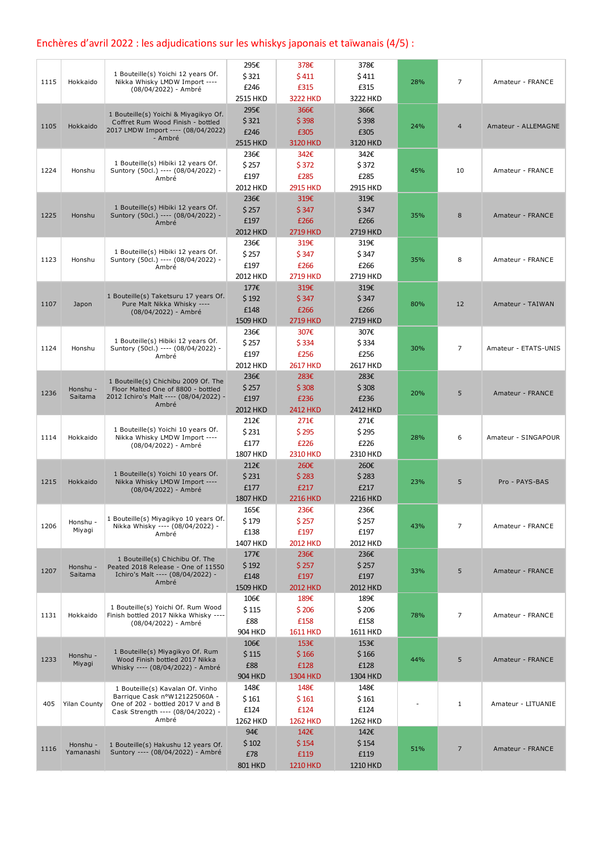## Enchères d'avril 2022 : les adjudications sur les whiskys japonais et taïwanais (4/5) :

|      |                     |                                                                           | 295€            | 378€            | 378€            |     |                |                      |
|------|---------------------|---------------------------------------------------------------------------|-----------------|-----------------|-----------------|-----|----------------|----------------------|
|      |                     | 1 Bouteille(s) Yoichi 12 years Of.                                        | \$321           | \$411           | \$411           |     |                |                      |
| 1115 | Hokkaido            | Nikka Whisky LMDW Import ----                                             | £246            | £315            | £315            | 28% | $\overline{7}$ | Amateur - FRANCE     |
|      |                     | (08/04/2022) - Ambré                                                      | 2515 HKD        | <b>3222 HKD</b> | 3222 HKD        |     |                |                      |
|      |                     |                                                                           | 295€            | 366€            | 366€            |     |                |                      |
|      |                     | 1 Bouteille(s) Yoichi & Miyagikyo Of.                                     | \$321           |                 | \$398           |     |                |                      |
| 1105 | Hokkaido            | Coffret Rum Wood Finish - bottled<br>2017 LMDW Import ---- (08/04/2022)   |                 | \$398           |                 | 24% | $\overline{4}$ | Amateur - ALLEMAGNE  |
|      |                     | - Ambré                                                                   | £246            | £305            | £305            |     |                |                      |
|      |                     |                                                                           | 2515 HKD        | 3120 HKD        | 3120 HKD        |     |                |                      |
|      |                     |                                                                           | 236€            | 342€            | 342€            |     |                |                      |
| 1224 | Honshu              | 1 Bouteille(s) Hibiki 12 years Of.<br>Suntory (50cl.) ---- (08/04/2022) - | \$257           | \$372           | \$372           | 45% | 10             | Amateur - FRANCE     |
|      |                     | Ambré                                                                     | £197            | £285            | £285            |     |                |                      |
|      |                     |                                                                           | 2012 HKD        | <b>2915 HKD</b> | 2915 HKD        |     |                |                      |
|      |                     |                                                                           | 236€            | 319€            | 319€            |     |                |                      |
|      |                     | 1 Bouteille(s) Hibiki 12 years Of.                                        | \$257           | \$347           | \$347           |     |                |                      |
| 1225 | Honshu              | Suntory (50cl.) ---- (08/04/2022) -<br>Ambré                              | £197            | £266            | £266            | 35% | 8              | Amateur - FRANCE     |
|      |                     |                                                                           | 2012 HKD        | <b>2719 HKD</b> | 2719 HKD        |     |                |                      |
|      |                     |                                                                           | 236€            | 319€            | 319€            |     |                |                      |
|      |                     | 1 Bouteille(s) Hibiki 12 years Of.                                        | \$257           | \$347           | \$347           |     |                |                      |
| 1123 | Honshu              | Suntory (50cl.) ---- (08/04/2022) -                                       | £197            | £266            | £266            | 35% | 8              | Amateur - FRANCE     |
|      |                     | Ambré                                                                     | 2012 HKD        | <b>2719 HKD</b> | 2719 HKD        |     |                |                      |
|      |                     |                                                                           |                 |                 |                 |     |                |                      |
|      |                     | 1 Bouteille(s) Taketsuru 17 years Of.                                     | 177€            | 319€            | 319€            |     |                |                      |
| 1107 | Japon               | Pure Malt Nikka Whisky ----                                               | \$192           | \$347           | \$347           | 80% | 12             | Amateur - TAIWAN     |
|      |                     | (08/04/2022) - Ambré                                                      | £148            | £266            | £266            |     |                |                      |
|      |                     |                                                                           | 1509 HKD        | <b>2719 HKD</b> | <b>2719 HKD</b> |     |                |                      |
|      |                     |                                                                           | 236€            | 307€            | 307€            |     |                |                      |
| 1124 | Honshu              | 1 Bouteille(s) Hibiki 12 years Of.<br>Suntory (50cl.) ---- (08/04/2022) - | \$257           | \$334           | \$334           | 30% | $\overline{7}$ | Amateur - ETATS-UNIS |
|      |                     | Ambré                                                                     | £197            | £256            | £256            |     |                |                      |
|      |                     |                                                                           | 2012 HKD        | <b>2617 HKD</b> | 2617 HKD        |     |                |                      |
|      |                     | 1 Bouteille(s) Chichibu 2009 Of. The                                      | 236€            | 283€            | 283€            |     |                |                      |
|      | Honshu -            | Floor Malted One of 8800 - bottled                                        | \$257           | \$308           | \$308           |     |                |                      |
| 1236 | Saitama             | 2012 Ichiro's Malt ---- (08/04/2022) -                                    | £197            | £236            | £236            | 20% | 5              | Amateur - FRANCE     |
|      |                     | Ambré                                                                     | 2012 HKD        | <b>2412 HKD</b> | 2412 HKD        |     |                |                      |
|      |                     |                                                                           | 212€            | 271€            | 271€            |     |                |                      |
|      |                     | 1 Bouteille(s) Yoichi 10 years Of.                                        | \$231           | \$295           | \$295           |     |                |                      |
| 1114 | Hokkaido            | Nikka Whisky LMDW Import ----                                             | £177            | £226            | £226            | 28% | 6              | Amateur - SINGAPOUR  |
|      |                     | (08/04/2022) - Ambré                                                      | 1807 HKD        | <b>2310 HKD</b> | 2310 HKD        |     |                |                      |
|      |                     |                                                                           | 212€            | 260€            | 260€            |     |                |                      |
|      |                     | 1 Bouteille(s) Yoichi 10 years Of.                                        | \$231           | \$283           | \$283           |     |                |                      |
| 1215 | Hokkaido            | Nikka Whisky LMDW Import ----                                             |                 |                 |                 | 23% | 5              | Pro - PAYS-BAS       |
|      |                     | (08/04/2022) - Ambré                                                      | £177            | £217            | £217            |     |                |                      |
|      |                     |                                                                           | <b>1807 HKD</b> | <b>2216 HKD</b> | <b>2216 HKD</b> |     |                |                      |
|      |                     | 1 Bouteille(s) Miyagikyo 10 years Of.                                     | 165€            | 236€            | 236€            |     |                |                      |
| 1206 | Honshu -            | Nikka Whisky ---- (08/04/2022) -                                          | \$179           | \$257           | \$ 257          | 43% | $\overline{7}$ | Amateur - FRANCE     |
|      | Miyagi              | Ambré                                                                     | £138            | £197            | £197            |     |                |                      |
|      |                     |                                                                           | 1407 HKD        | 2012 HKD        | 2012 HKD        |     |                |                      |
|      |                     | 1 Bouteille(s) Chichibu Of. The                                           | 177€            | 236€            | 236€            |     |                |                      |
| 1207 | Honshu -            | Peated 2018 Release - One of 11550                                        | \$192           | \$257           | \$257           | 33% | 5              | Amateur - FRANCE     |
|      | Saitama             | Ichiro's Malt ---- (08/04/2022) -                                         | £148            | £197            | £197            |     |                |                      |
|      |                     | Ambré                                                                     | 1509 HKD        | 2012 HKD        | 2012 HKD        |     |                |                      |
|      |                     |                                                                           | 106€            | 189€            | 189€            |     |                |                      |
|      |                     | 1 Bouteille(s) Yoichi Of. Rum Wood                                        | \$115           | \$206           | \$206           |     |                |                      |
| 1131 | Hokkaido            | Finish bottled 2017 Nikka Whisky ----<br>(08/04/2022) - Ambré             | £88             | £158            | £158            | 78% | 7              | Amateur - FRANCE     |
|      |                     |                                                                           | <b>904 HKD</b>  | <b>1611 HKD</b> | <b>1611 HKD</b> |     |                |                      |
|      |                     |                                                                           | 106€            | 153€            | 153€            |     |                |                      |
|      |                     | 1 Bouteille(s) Miyagikyo Of. Rum                                          | \$115           | \$166           | \$166           |     |                |                      |
| 1233 | Honshu -<br>Miyagi  | Wood Finish bottled 2017 Nikka                                            | £88             | £128            | £128            | 44% | 5              | Amateur - FRANCE     |
|      |                     | Whisky ---- (08/04/2022) - Ambré                                          |                 |                 |                 |     |                |                      |
|      |                     |                                                                           | <b>904 HKD</b>  | <b>1304 HKD</b> | 1304 HKD        |     |                |                      |
|      |                     | 1 Bouteille(s) Kavalan Of. Vinho<br>Barrique Cask n°W121225060A -         | 148€            | 148€            | 148€            |     |                |                      |
| 405  | <b>Yilan County</b> | One of 202 - bottled 2017 V and B                                         | \$161           | \$161           | \$161           |     | 1              | Amateur - LITUANIE   |
|      |                     | Cask Strength ---- (08/04/2022) -                                         | £124            | £124            | £124            |     |                |                      |
|      |                     | Ambré                                                                     | 1262 HKD        | <b>1262 HKD</b> | 1262 HKD        |     |                |                      |
|      |                     |                                                                           | 94€             | 142€            | 142€            |     |                |                      |
| 1116 | Honshu -            | 1 Bouteille(s) Hakushu 12 years Of.                                       | \$102           | \$154           | \$154           | 51% | $\overline{7}$ | Amateur - FRANCE     |
|      | Yamanashi           | Suntory ---- (08/04/2022) - Ambré                                         | £78             | £119            | £119            |     |                |                      |
|      |                     |                                                                           | <b>801 HKD</b>  | <b>1210 HKD</b> | 1210 HKD        |     |                |                      |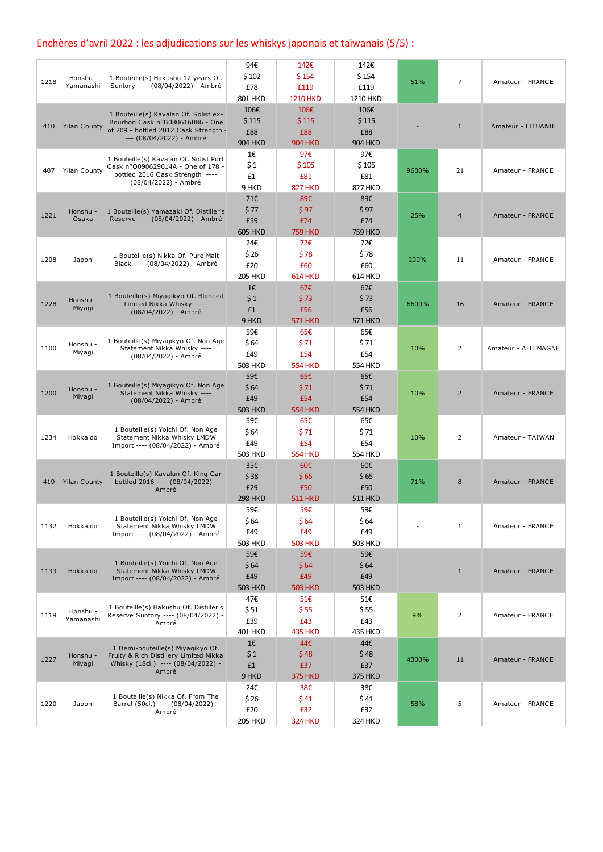## Enchères d'avril 2022 : les adjudications sur les whiskys japonais et taïwanais (5/5) :

| 1218 | Honshu -<br>Yamanashi | 1 Bouteille(s) Hakushu 12 years Of.<br>Suntory ---- (08/04/2022) - Ambré                                                                      | 94€<br>\$102<br>£78<br>801 HKD         | 142€<br>\$154<br>£119<br><b>1210 HKD</b>    | 142€<br>\$154<br>£119<br>1210 HKD      | 51%   | 7              | Amateur - FRANCE    |
|------|-----------------------|-----------------------------------------------------------------------------------------------------------------------------------------------|----------------------------------------|---------------------------------------------|----------------------------------------|-------|----------------|---------------------|
| 410  | <b>Yilan County</b>   | 1 Bouteille(s) Kavalan Of. Solist ex-<br>Bourbon Cask n°B080616086 - One<br>of 209 - bottled 2012 Cask Strength -<br>--- (08/04/2022) - Ambré | 106€<br>\$115<br>£88<br><b>904 HKD</b> | 106€<br>\$115<br>£88<br><b>904 HKD</b>      | 106€<br>\$115<br>£88<br><b>904 HKD</b> |       | $\mathbf{1}$   | Amateur - LITUANIE  |
| 407  | <b>Yilan County</b>   | 1 Bouteille(s) Kavalan Of. Solist Port<br>Cask nº 0090629014A - One of 178 -<br>bottled 2016 Cask Strength ----<br>(08/04/2022) - Ambré       | 1€<br>\$1<br>£1<br>9 HKD               | 97€<br>\$105<br>£81<br><b>827 HKD</b>       | 97€<br>\$105<br>£81<br><b>827 HKD</b>  | 9600% | 21             | Amateur - FRANCE    |
| 1221 | Honshu -<br>Osaka     | 1 Bouteille(s) Yamazaki Of. Distiller's<br>Reserve ---- (08/04/2022) - Ambré                                                                  | 71€<br>\$77<br>£59<br><b>605 HKD</b>   | 89€<br><b>S</b> 97<br>£74<br><b>759 HKD</b> | 89€<br>\$97<br>£74<br><b>759 HKD</b>   | 25%   | $\overline{4}$ | Amateur - FRANCE    |
| 1208 | Japon                 | 1 Bouteille(s) Nikka Of. Pure Malt<br>Black ---- (08/04/2022) - Ambré                                                                         | 24€<br>\$ 26<br>£20<br><b>205 HKD</b>  | 72€<br>\$78<br>£60<br><b>614 HKD</b>        | 72€<br>\$78<br>£60<br>614 HKD          | 200%  | 11             | Amateur - FRANCE    |
| 1228 | Honshu -<br>Miyagi    | 1 Bouteille(s) Miyagikyo Of. Blended<br>Limited Nikka Whisky ----<br>(08/04/2022) - Ambré                                                     | 1€<br>\$1<br>£1<br>9 HKD               | 67€<br>\$73<br>£56<br><b>571 HKD</b>        | 67€<br>\$73<br>£56<br><b>571 HKD</b>   | 6600% | 16             | Amateur - FRANCE    |
| 1100 | Honshu -<br>Miyagi    | 1 Bouteille(s) Miyagikyo Of. Non Age<br>Statement Nikka Whisky ----<br>(08/04/2022) - Ambré                                                   | 59€<br>\$64<br>£49<br><b>503 HKD</b>   | 65€<br>\$71<br>£54<br><b>554 HKD</b>        | 65€<br>\$71<br>£54<br><b>554 HKD</b>   | 10%   | $\overline{2}$ | Amateur - ALLEMAGNE |
| 1200 | Honshu -<br>Miyagi    | 1 Bouteille(s) Miyagikyo Of. Non Age<br>Statement Nikka Whisky ----<br>(08/04/2022) - Ambré                                                   | 59€<br>\$64<br>£49<br><b>503 HKD</b>   | 65€<br>\$71<br>£54<br><b>554 HKD</b>        | 65€<br>\$71<br>£54<br><b>554 HKD</b>   | 10%   | $\overline{2}$ | Amateur - FRANCE    |
| 1234 | Hokkaido              | 1 Bouteille(s) Yoichi Of. Non Age<br>Statement Nikka Whisky LMDW<br>Import ---- (08/04/2022) - Ambré                                          | 59€<br>\$ 64<br>£49<br><b>503 HKD</b>  | 65€<br>\$71<br>£54<br><b>554 HKD</b>        | 65€<br>\$71<br>£54<br><b>554 HKD</b>   | 10%   | 2              | Amateur - TAIWAN    |
| 419  | <b>Yilan County</b>   | 1 Bouteille(s) Kavalan Of. King Car<br>bottled 2016 ---- (08/04/2022) -<br>Ambré                                                              | 35€<br>\$38<br>£29<br><b>298 HKD</b>   | 60€<br>\$65<br>£50<br><b>511 HKD</b>        | 60€<br>\$65<br>£50<br><b>511 HKD</b>   | 71%   | 8              | Amateur - FRANCE    |
| 1132 | Hokkaido              | 1 Bouteille(s) Yoichi Of. Non Age<br>Statement Nikka Whisky LMDW<br>Import ---- (08/04/2022) - Ambré                                          | 59€<br>\$ 64<br>£49<br><b>503 HKD</b>  | 59€<br>\$64<br>£49<br><b>503 HKD</b>        | 59€<br>\$64<br>£49<br><b>503 HKD</b>   |       | $\mathbf{1}$   | Amateur - FRANCE    |
| 1133 | Hokkaido              | 1 Bouteille(s) Yoichi Of. Non Age<br>Statement Nikka Whisky LMDW<br>Import ---- (08/04/2022) - Ambré                                          | 59€<br>\$64<br>£49<br><b>503 HKD</b>   | 59€<br>\$64<br>£49<br><b>503 HKD</b>        | 59€<br>\$64<br>£49<br><b>503 HKD</b>   |       | $\mathbf{1}$   | Amateur - FRANCE    |
| 1119 | Honshu -<br>Yamanashi | 1 Bouteille(s) Hakushu Of. Distiller's<br>Reserve Suntory ---- (08/04/2022) -<br>Ambré                                                        | 47€<br>\$51<br>£39<br><b>401 HKD</b>   | 51€<br>\$55<br>£43<br><b>435 HKD</b>        | 51€<br>\$55<br>£43<br>435 HKD          | 9%    | $\overline{2}$ | Amateur - FRANCE    |
| 1227 | Honshu -<br>Miyagi    | 1 Demi-bouteille(s) Miyagikyo Of.<br>Fruity & Rich Distillery Limited Nikka<br>Whisky (18cl.) ---- (08/04/2022) -<br>Ambré                    | 1€<br>\$1<br>£1<br>9 HKD               | 44€<br>\$48<br>£37<br><b>375 HKD</b>        | 44€<br>\$48<br>£37<br><b>375 HKD</b>   | 4300% | 11             | Amateur - FRANCE    |
| 1220 | Japon                 | 1 Bouteille(s) Nikka Of. From The<br>Barrel (50cl.) ---- (08/04/2022) -<br>Ambré                                                              | 24€<br>\$26<br>£20<br><b>205 HKD</b>   | 38€<br>\$41<br>£32<br><b>324 HKD</b>        | 38€<br>\$41<br>£32<br><b>324 HKD</b>   | 58%   | 5              | Amateur - FRANCE    |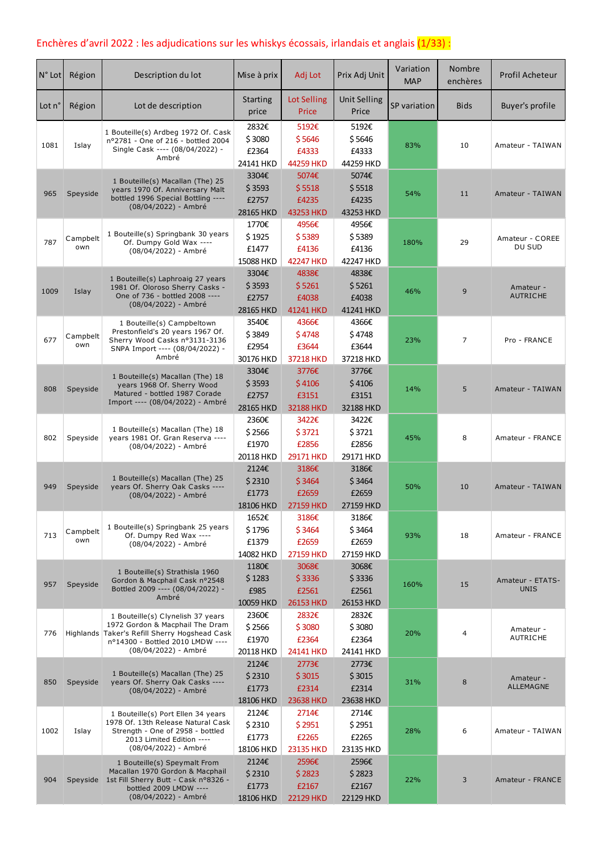## Enchères d'avril 2022 : les adjudications sur les whiskys écossais, irlandais et anglais  $(1/33)$  :

| $N°$ Lot | Région          | Description du lot                                                                                                                                                                | Mise à prix                           | Adj Lot                               | Prix Adj Unit                         | Variation<br><b>MAP</b> | <b>Nombre</b><br>enchères | Profil Acheteur                 |
|----------|-----------------|-----------------------------------------------------------------------------------------------------------------------------------------------------------------------------------|---------------------------------------|---------------------------------------|---------------------------------------|-------------------------|---------------------------|---------------------------------|
| Lot n°   | Région          | Lot de description                                                                                                                                                                | <b>Starting</b><br>price              | Lot Selling<br>Price                  | <b>Unit Selling</b><br>Price          | SP variation            | <b>Bids</b>               | Buyer's profile                 |
| 1081     | Islay           | 1 Bouteille(s) Ardbeg 1972 Of. Cask<br>nº2781 - One of 216 - bottled 2004<br>Single Cask ---- (08/04/2022) -<br>Ambré                                                             | 2832€<br>\$3080<br>£2364<br>24141 HKD | 5192€<br>\$5646<br>£4333<br>44259 HKD | 5192€<br>\$5646<br>£4333<br>44259 HKD | 83%                     | 10                        | Amateur - TAIWAN                |
| 965      | Speyside        | 1 Bouteille(s) Macallan (The) 25<br>years 1970 Of. Anniversary Malt<br>bottled 1996 Special Bottling ----<br>(08/04/2022) - Ambré                                                 | 3304€<br>\$3593<br>£2757<br>28165 HKD | 5074€<br>\$5518<br>£4235<br>43253 HKD | 5074€<br>\$5518<br>£4235<br>43253 HKD | 54%                     | 11                        | Amateur - TAIWAN                |
| 787      | Campbelt<br>own | 1 Bouteille(s) Springbank 30 years<br>Of. Dumpy Gold Wax ----<br>(08/04/2022) - Ambré                                                                                             | 1770€<br>\$1925<br>£1477<br>15088 HKD | 4956€<br>\$5389<br>£4136<br>42247 HKD | 4956€<br>\$5389<br>£4136<br>42247 HKD | 180%                    | 29                        | Amateur - COREE<br>DU SUD       |
| 1009     | Islay           | 1 Bouteille(s) Laphroaig 27 years<br>1981 Of. Oloroso Sherry Casks -<br>One of 736 - bottled 2008 ----<br>(08/04/2022) - Ambré                                                    | 3304€<br>\$3593<br>£2757<br>28165 HKD | 4838€<br>\$5261<br>£4038<br>41241 HKD | 4838€<br>\$5261<br>£4038<br>41241 HKD | 46%                     | 9                         | Amateur -<br><b>AUTRICHE</b>    |
| 677      | Campbelt<br>own | 1 Bouteille(s) Campbeltown<br>Prestonfield's 20 years 1967 Of.<br>Sherry Wood Casks nº3131-3136<br>SNPA Import ---- (08/04/2022) -<br>Ambré                                       | 3540€<br>\$3849<br>£2954<br>30176 HKD | 4366€<br>\$4748<br>£3644<br>37218 HKD | 4366€<br>\$4748<br>£3644<br>37218 HKD | 23%                     | $\overline{7}$            | Pro - FRANCE                    |
| 808      | Speyside        | 1 Bouteille(s) Macallan (The) 18<br>years 1968 Of. Sherry Wood<br>Matured - bottled 1987 Corade<br>Import ---- (08/04/2022) - Ambré                                               | 3304€<br>\$3593<br>£2757<br>28165 HKD | 3776€<br>\$4106<br>£3151<br>32188 HKD | 3776€<br>\$4106<br>£3151<br>32188 HKD | 14%                     | 5                         | Amateur - TAIWAN                |
| 802      | Speyside        | 1 Bouteille(s) Macallan (The) 18<br>years 1981 Of. Gran Reserva ----<br>(08/04/2022) - Ambré                                                                                      | 2360€<br>\$2566<br>£1970<br>20118 HKD | 3422€<br>\$3721<br>£2856<br>29171 HKD | 3422€<br>\$3721<br>£2856<br>29171 HKD | 45%                     | 8                         | Amateur - FRANCE                |
| 949      | Speyside        | 1 Bouteille(s) Macallan (The) 25<br>years Of. Sherry Oak Casks ----<br>(08/04/2022) - Ambré                                                                                       | 2124€<br>\$2310<br>£1773<br>18106 HKD | 3186€<br>\$3464<br>£2659<br>27159 HKD | 3186€<br>\$3464<br>£2659<br>27159 HKD | 50%                     | 10                        | Amateur - TAIWAN                |
| 713      | Campbelt<br>own | 1 Bouteille(s) Springbank 25 years<br>Of. Dumpy Red Wax ----<br>(08/04/2022) - Ambré                                                                                              | 1652€<br>\$1796<br>£1379<br>14082 HKD | 3186€<br>\$3464<br>£2659<br>27159 HKD | 3186€<br>\$3464<br>£2659<br>27159 HKD | 93%                     | 18                        | Amateur - FRANCE                |
| 957      | Speyside        | 1 Bouteille(s) Strathisla 1960<br>Gordon & Macphail Cask nº2548<br>Bottled 2009 ---- (08/04/2022) -<br>Ambré                                                                      | 1180€<br>\$1283<br>£985<br>10059 HKD  | 3068€<br>\$3336<br>£2561<br>26153 HKD | 3068€<br>\$3336<br>£2561<br>26153 HKD | 160%                    | 15                        | Amateur - ETATS-<br><b>UNIS</b> |
| 776      |                 | 1 Bouteille(s) Clynelish 37 years<br>1972 Gordon & Macphail The Dram<br>Highlands Taker's Refill Sherry Hogshead Cask<br>nº14300 - Bottled 2010 LMDW ----<br>(08/04/2022) - Ambré | 2360€<br>\$2566<br>£1970<br>20118 HKD | 2832€<br>\$3080<br>£2364<br>24141 HKD | 2832€<br>\$3080<br>£2364<br>24141 HKD | 20%                     | 4                         | Amateur -<br><b>AUTRICHE</b>    |
| 850      | Speyside        | 1 Bouteille(s) Macallan (The) 25<br>years Of. Sherry Oak Casks ----<br>(08/04/2022) - Ambré                                                                                       | 2124€<br>\$2310<br>£1773<br>18106 HKD | 2773€<br>\$3015<br>£2314<br>23638 HKD | 2773€<br>\$3015<br>£2314<br>23638 HKD | 31%                     | 8                         | Amateur -<br>ALLEMAGNE          |
| 1002     | Islay           | 1 Bouteille(s) Port Ellen 34 years<br>1978 Of. 13th Release Natural Cask<br>Strength - One of 2958 - bottled<br>2013 Limited Edition ----<br>(08/04/2022) - Ambré                 | 2124€<br>\$2310<br>£1773<br>18106 HKD | 2714€<br>\$2951<br>£2265<br>23135 HKD | 2714€<br>\$2951<br>£2265<br>23135 HKD | 28%                     | 6                         | Amateur - TAIWAN                |
| 904      |                 | 1 Bouteille(s) Speymalt From<br>Macallan 1970 Gordon & Macphail<br>Speyside 1st Fill Sherry Butt - Cask nº8326 -<br>bottled 2009 LMDW ----<br>(08/04/2022) - Ambré                | 2124€<br>\$2310<br>£1773<br>18106 HKD | 2596€<br>\$2823<br>£2167<br>22129 HKD | 2596€<br>\$2823<br>£2167<br>22129 HKD | 22%                     | 3                         | Amateur - FRANCE                |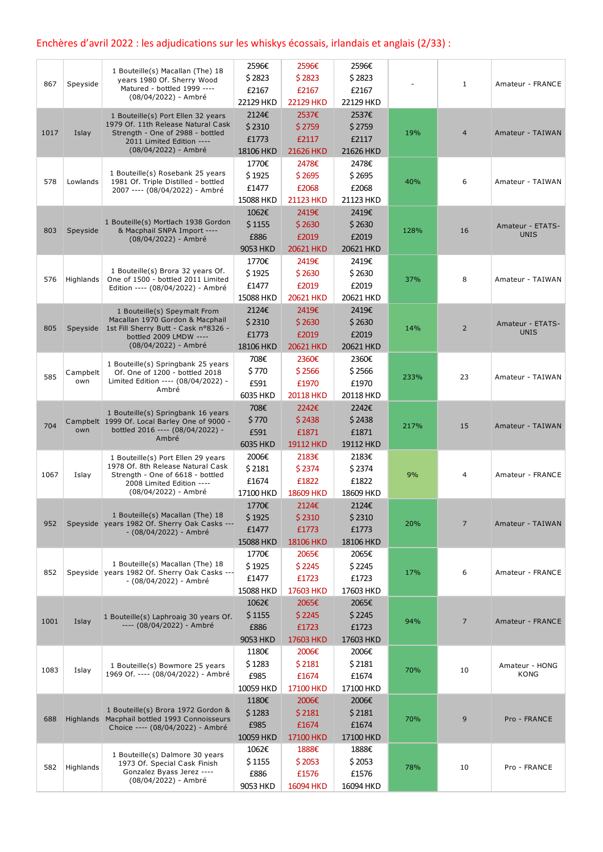# Enchères d'avril 2022 : les adjudications sur les whiskys écossais, irlandais et anglais (2/33) :

|      |                 |                                                                                  | 2596€     | 2596€     | 2596€     |      |                |                                 |
|------|-----------------|----------------------------------------------------------------------------------|-----------|-----------|-----------|------|----------------|---------------------------------|
|      |                 | 1 Bouteille(s) Macallan (The) 18<br>years 1980 Of. Sherry Wood                   | \$2823    | \$2823    | \$2823    |      |                |                                 |
| 867  | Speyside        | Matured - bottled 1999 ----                                                      | £2167     | £2167     | £2167     |      | $\mathbf{1}$   | Amateur - FRANCE                |
|      |                 | (08/04/2022) - Ambré                                                             | 22129 HKD | 22129 HKD | 22129 HKD |      |                |                                 |
|      |                 | 1 Bouteille(s) Port Ellen 32 years                                               | 2124€     | 2537€     | 2537€     |      |                |                                 |
|      |                 | 1979 Of. 11th Release Natural Cask                                               | \$2310    | \$2759    | \$2759    |      |                |                                 |
| 1017 | Islay           | Strength - One of 2988 - bottled                                                 | £1773     | £2117     | £2117     | 19%  | $\overline{4}$ | Amateur - TAIWAN                |
|      |                 | 2011 Limited Edition ----<br>(08/04/2022) - Ambré                                |           |           |           |      |                |                                 |
|      |                 |                                                                                  | 18106 HKD | 21626 HKD | 21626 HKD |      |                |                                 |
|      |                 | 1 Bouteille(s) Rosebank 25 years                                                 | 1770€     | 2478€     | 2478€     |      |                |                                 |
| 578  | Lowlands        | 1981 Of. Triple Distilled - bottled                                              | \$1925    | \$2695    | \$2695    | 40%  | 6              | Amateur - TAIWAN                |
|      |                 | 2007 ---- (08/04/2022) - Ambré                                                   | £1477     | £2068     | £2068     |      |                |                                 |
|      |                 |                                                                                  | 15088 HKD | 21123 HKD | 21123 HKD |      |                |                                 |
|      |                 |                                                                                  | 1062€     | 2419€     | 2419€     |      |                |                                 |
| 803  | Speyside        | 1 Bouteille(s) Mortlach 1938 Gordon<br>& Macphail SNPA Import ----               | \$1155    | \$2630    | \$2630    | 128% | 16             | Amateur - ETATS-                |
|      |                 | (08/04/2022) - Ambré                                                             | £886      | £2019     | £2019     |      |                | <b>UNIS</b>                     |
|      |                 |                                                                                  | 9053 HKD  | 20621 HKD | 20621 HKD |      |                |                                 |
|      |                 |                                                                                  | 1770€     | 2419€     | 2419€     |      |                |                                 |
|      |                 | 1 Bouteille(s) Brora 32 years Of.                                                | \$1925    | \$2630    | \$2630    |      |                |                                 |
| 576  | Highlands       | One of 1500 - bottled 2011 Limited<br>Edition ---- (08/04/2022) - Ambré          | £1477     | £2019     | £2019     | 37%  | 8              | Amateur - TAIWAN                |
|      |                 |                                                                                  | 15088 HKD | 20621 HKD | 20621 HKD |      |                |                                 |
|      |                 | 1 Bouteille(s) Speymalt From                                                     | 2124€     | 2419€     | 2419€     |      |                |                                 |
|      |                 | Macallan 1970 Gordon & Macphail                                                  | \$2310    | \$2630    | \$2630    |      |                |                                 |
| 805  |                 | Speyside 1st Fill Sherry Butt - Cask nº8326 -                                    | £1773     | £2019     | £2019     | 14%  | $\overline{2}$ | Amateur - ETATS-<br><b>UNIS</b> |
|      |                 | bottled 2009 LMDW ----<br>(08/04/2022) - Ambré                                   | 18106 HKD | 20621 HKD | 20621 HKD |      |                |                                 |
|      |                 |                                                                                  |           |           |           |      |                |                                 |
|      |                 | 1 Bouteille(s) Springbank 25 years                                               | 708€      | 2360€     | 2360€     |      |                |                                 |
| 585  | Campbelt<br>own | Of. One of 1200 - bottled 2018<br>Limited Edition ---- (08/04/2022) -            | \$770     | \$2566    | \$2566    | 233% | 23             | Amateur - TAIWAN                |
|      |                 | Ambré                                                                            | £591      | £1970     | £1970     |      |                |                                 |
|      |                 |                                                                                  | 6035 HKD  | 20118 HKD | 20118 HKD |      |                |                                 |
|      |                 | 1 Bouteille(s) Springbank 16 years                                               | 708€      | 2242€     | 2242€     |      |                |                                 |
| 704  |                 | Campbelt 1999 Of. Local Barley One of 9000 -                                     | \$770     | \$2438    | \$2438    | 217% | 15             | Amateur - TAIWAN                |
|      | own             | bottled 2016 ---- (08/04/2022) -<br>Ambré                                        | £591      | £1871     | £1871     |      |                |                                 |
|      |                 |                                                                                  | 6035 HKD  | 19112 HKD | 19112 HKD |      |                |                                 |
|      |                 | 1 Bouteille(s) Port Ellen 29 years                                               | 2006€     | 2183€     | 2183€     |      |                |                                 |
|      |                 | 1978 Of. 8th Release Natural Cask<br>Strength - One of 6618 - bottled            | \$2181    | \$2374    | \$2374    |      | 4              |                                 |
| 1067 | Islay           | 2008 Limited Edition ----                                                        | £1674     | £1822     | £1822     | 9%   |                | Amateur - FRANCE                |
|      |                 | (08/04/2022) - Ambré                                                             | 17100 HKD | 18609 HKD | 18609 HKD |      |                |                                 |
|      |                 |                                                                                  | 1770€     | 2124€     | 2124€     |      |                |                                 |
|      |                 | 1 Bouteille(s) Macallan (The) 18                                                 | \$1925    | \$2310    | \$2310    |      |                |                                 |
| 952  |                 | Speyside years 1982 Of. Sherry Oak Casks ---<br>- (08/04/2022) - Ambré           | £1477     | £1773     | £1773     | 20%  | 7              | Amateur - TAIWAN                |
|      |                 |                                                                                  | 15088 HKD | 18106 HKD | 18106 HKD |      |                |                                 |
|      |                 |                                                                                  | 1770€     | 2065€     | 2065€     |      |                |                                 |
|      |                 | 1 Bouteille(s) Macallan (The) 18                                                 | \$1925    | \$2245    | \$2245    |      |                |                                 |
| 852  |                 | Speyside   years 1982 Of. Sherry Oak Casks ---                                   | £1477     | £1723     | £1723     | 17%  | 6              | Amateur - FRANCE                |
|      |                 | - (08/04/2022) - Ambré                                                           | 15088 HKD | 17603 HKD | 17603 HKD |      |                |                                 |
|      |                 |                                                                                  |           |           |           |      |                |                                 |
|      |                 |                                                                                  | 1062€     | 2065€     | 2065€     |      |                |                                 |
| 1001 | Islay           | 1 Bouteille(s) Laphroaig 30 years Of.<br>---- (08/04/2022) - Ambré               | \$1155    | \$2245    | \$2245    | 94%  | $\overline{7}$ | Amateur - FRANCE                |
|      |                 |                                                                                  | £886      | £1723     | £1723     |      |                |                                 |
|      |                 |                                                                                  | 9053 HKD  | 17603 HKD | 17603 HKD |      |                |                                 |
|      |                 |                                                                                  | 1180€     | 2006€     | 2006€     |      |                |                                 |
| 1083 | Islay           | 1 Bouteille(s) Bowmore 25 years                                                  | \$1283    | \$2181    | \$2181    | 70%  | 10             | Amateur - HONG                  |
|      |                 | 1969 Of. ---- (08/04/2022) - Ambré                                               | £985      | £1674     | £1674     |      |                | <b>KONG</b>                     |
|      |                 |                                                                                  | 10059 HKD | 17100 HKD | 17100 HKD |      |                |                                 |
|      |                 |                                                                                  | 1180€     | 2006€     | 2006€     |      |                |                                 |
|      |                 | 1 Bouteille(s) Brora 1972 Gordon &                                               | \$1283    | \$2181    | \$2181    |      |                |                                 |
| 688  |                 | Highlands Macphail bottled 1993 Connoisseurs<br>Choice ---- (08/04/2022) - Ambré | £985      | £1674     | £1674     | 70%  | 9              | Pro - FRANCE                    |
|      |                 |                                                                                  | 10059 HKD | 17100 HKD | 17100 HKD |      |                |                                 |
|      |                 |                                                                                  | 1062€     | 1888€     | 1888€     |      |                |                                 |
|      |                 | 1 Bouteille(s) Dalmore 30 years<br>1973 Of. Special Cask Finish                  | \$1155    | \$2053    | \$2053    |      |                |                                 |
| 582  | Highlands       | Gonzalez Byass Jerez ----                                                        | £886      | £1576     | £1576     | 78%  | 10             | Pro - FRANCE                    |
|      |                 | (08/04/2022) - Ambré                                                             | 9053 HKD  | 16094 HKD | 16094 HKD |      |                |                                 |
|      |                 |                                                                                  |           |           |           |      |                |                                 |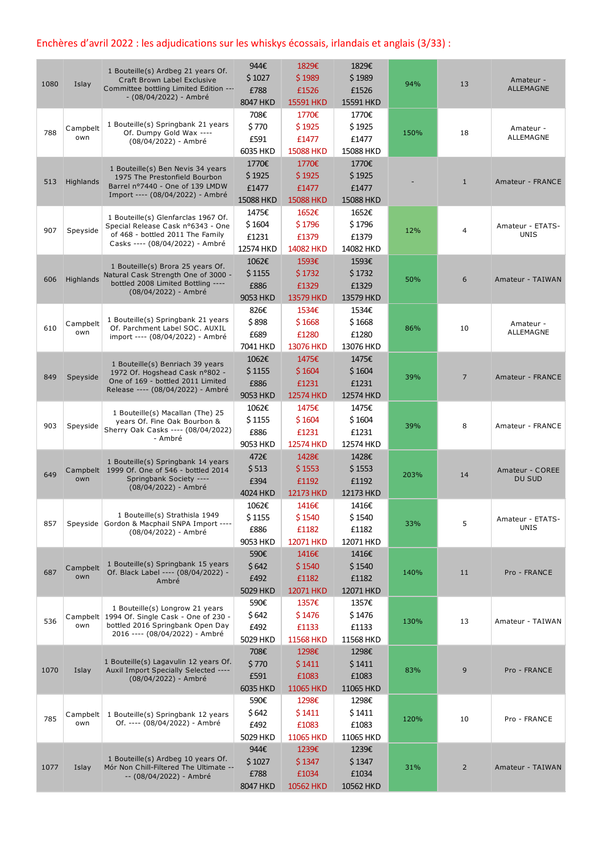## Enchères d'avril 2022 : les adjudications sur les whiskys écossais, irlandais et anglais (3/33) :

| 1080 | Islay           | 1 Bouteille(s) Ardbeg 21 years Of.<br>Craft Brown Label Exclusive<br>Committee bottling Limited Edition ---<br>- (08/04/2022) - Ambré                 | 944€<br>\$1027<br>£788<br>8047 HKD    | 1829€<br>\$1989<br>£1526<br>15591 HKD        | 1829€<br>\$1989<br>£1526<br>15591 HKD | 94%  | 13             | Amateur -<br>ALLEMAGNE          |
|------|-----------------|-------------------------------------------------------------------------------------------------------------------------------------------------------|---------------------------------------|----------------------------------------------|---------------------------------------|------|----------------|---------------------------------|
| 788  | Campbelt<br>own | 1 Bouteille(s) Springbank 21 years<br>Of. Dumpy Gold Wax ----<br>(08/04/2022) - Ambré                                                                 | 708€<br>\$770<br>£591<br>6035 HKD     | 1770€<br>\$1925<br>£1477<br><b>15088 HKD</b> | 1770€<br>\$1925<br>£1477<br>15088 HKD | 150% | 18             | Amateur -<br>ALLEMAGNE          |
| 513  | Highlands       | 1 Bouteille(s) Ben Nevis 34 years<br>1975 The Prestonfield Bourbon<br>Barrel nº7440 - One of 139 LMDW<br>Import ---- (08/04/2022) - Ambré             | 1770€<br>\$1925<br>£1477<br>15088 HKD | 1770€<br>\$1925<br>£1477<br>15088 HKD        | 1770€<br>\$1925<br>£1477<br>15088 HKD |      | $\mathbf{1}$   | Amateur - FRANCE                |
| 907  | Speyside        | 1 Bouteille(s) Glenfarclas 1967 Of.<br>Special Release Cask nº6343 - One<br>of 468 - bottled 2011 The Family<br>Casks ---- (08/04/2022) - Ambré       | 1475€<br>\$1604<br>£1231<br>12574 HKD | 1652€<br>\$1796<br>£1379<br>14082 HKD        | 1652€<br>\$1796<br>£1379<br>14082 HKD | 12%  | $\overline{4}$ | Amateur - ETATS-<br><b>UNIS</b> |
| 606  | Highlands       | 1 Bouteille(s) Brora 25 years Of.<br>Natural Cask Strength One of 3000 -<br>bottled 2008 Limited Bottling ----<br>(08/04/2022) - Ambré                | 1062€<br>\$1155<br>£886<br>9053 HKD   | 1593€<br>\$1732<br>£1329<br>13579 HKD        | 1593€<br>\$1732<br>£1329<br>13579 HKD | 50%  | 6              | Amateur - TAIWAN                |
| 610  | Campbelt<br>own | 1 Bouteille(s) Springbank 21 years<br>Of. Parchment Label SOC. AUXIL<br>import ---- (08/04/2022) - Ambré                                              | 826€<br>\$898<br>£689<br>7041 HKD     | 1534€<br>\$1668<br>£1280<br>13076 HKD        | 1534€<br>\$1668<br>£1280<br>13076 HKD | 86%  | 10             | Amateur -<br>ALLEMAGNE          |
| 849  | Speyside        | 1 Bouteille(s) Benriach 39 years<br>1972 Of. Hogshead Cask n°802 -<br>One of 169 - bottled 2011 Limited<br>Release ---- (08/04/2022) - Ambré          | 1062€<br>\$1155<br>£886<br>9053 HKD   | 1475€<br>\$1604<br>£1231<br>12574 HKD        | 1475€<br>\$1604<br>£1231<br>12574 HKD | 39%  | $\overline{7}$ | Amateur - FRANCE                |
| 903  | Speyside        | 1 Bouteille(s) Macallan (The) 25<br>years Of. Fine Oak Bourbon &<br>Sherry Oak Casks ---- (08/04/2022)<br>- Ambré                                     | 1062€<br>\$1155<br>£886<br>9053 HKD   | 1475€<br>\$1604<br>£1231<br>12574 HKD        | 1475€<br>\$1604<br>£1231<br>12574 HKD | 39%  | 8              | Amateur - FRANCE                |
| 649  | own             | 1 Bouteille(s) Springbank 14 years<br>Campbelt 1999 Of. One of 546 - bottled 2014<br>Springbank Society ----<br>(08/04/2022) - Ambré                  | 472€<br>\$513<br>£394<br>4024 HKD     | 1428€<br>\$1553<br>£1192<br>12173 HKD        | 1428€<br>\$1553<br>£1192<br>12173 HKD | 203% | 14             | Amateur - COREE<br>DU SUD       |
| 857  |                 | 1 Bouteille(s) Strathisla 1949<br>Speyside Gordon & Macphail SNPA Import ----<br>(08/04/2022) - Ambré                                                 | 1062€<br>\$1155<br>£886<br>9053 HKD   | 1416€<br>\$1540<br>£1182<br>12071 HKD        | 1416€<br>\$1540<br>£1182<br>12071 HKD | 33%  | 5              | Amateur - ETATS-<br><b>UNIS</b> |
| 687  | Campbelt<br>own | 1 Bouteille(s) Springbank 15 years<br>Of. Black Label ---- (08/04/2022) -<br>Ambré                                                                    | 590€<br>\$642<br>£492<br>5029 HKD     | 1416€<br>\$1540<br>£1182<br>12071 HKD        | 1416€<br>\$1540<br>£1182<br>12071 HKD | 140% | 11             | Pro - FRANCE                    |
| 536  | own             | 1 Bouteille(s) Longrow 21 years<br>Campbelt 1994 Of. Single Cask - One of 230 -<br>bottled 2016 Springbank Open Day<br>2016 ---- (08/04/2022) - Ambré | 590€<br>\$642<br>£492<br>5029 HKD     | 1357€<br>\$1476<br>£1133<br>11568 HKD        | 1357€<br>\$1476<br>£1133<br>11568 HKD | 130% | 13             | Amateur - TAIWAN                |
| 1070 | Islay           | 1 Bouteille(s) Lagavulin 12 years Of.<br>Auxil Import Specially Selected ----<br>(08/04/2022) - Ambré                                                 | 708€<br>\$770<br>£591<br>6035 HKD     | 1298€<br>\$1411<br>£1083<br>11065 HKD        | 1298€<br>\$1411<br>£1083<br>11065 HKD | 83%  | 9              | Pro - FRANCE                    |
| 785  | own             | Campbelt   1 Bouteille(s) Springbank 12 years<br>Of. ---- (08/04/2022) - Ambré                                                                        | 590€<br>\$642<br>£492<br>5029 HKD     | 1298€<br>\$1411<br>£1083<br>11065 HKD        | 1298€<br>\$1411<br>£1083<br>11065 HKD | 120% | 10             | Pro - FRANCE                    |
| 1077 | Islay           | 1 Bouteille(s) Ardbeg 10 years Of.<br>Mór Non Chill-Filtered The Ultimate --<br>-- (08/04/2022) - Ambré                                               | 944€<br>\$1027<br>£788<br>8047 HKD    | 1239€<br>\$1347<br>£1034<br>10562 HKD        | 1239€<br>\$1347<br>£1034<br>10562 HKD | 31%  | $\overline{2}$ | Amateur - TAIWAN                |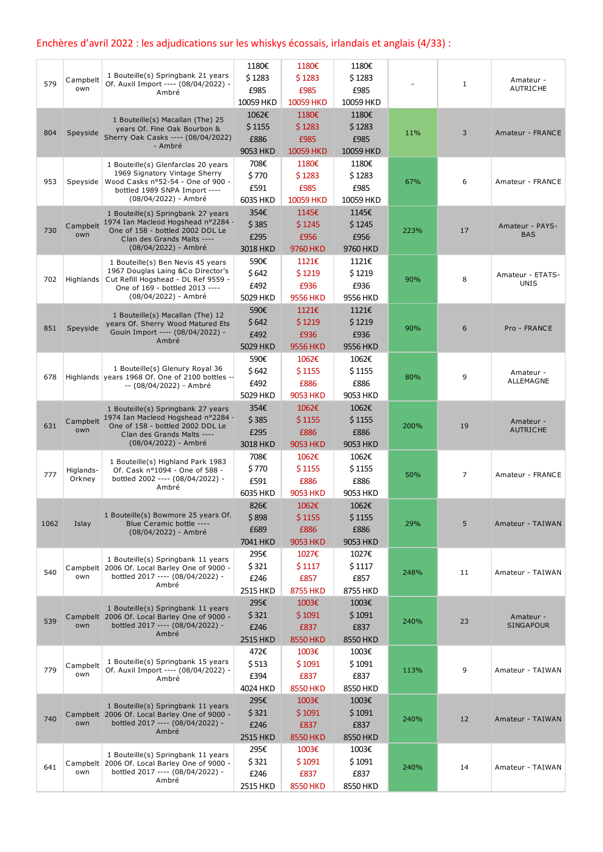# Enchères d'avril 2022 : les adjudications sur les whiskys écossais, irlandais et anglais (4/33) :

|      |                     |                                                                                      | 1180€           | 1180€           | 1180€     |      |             |                               |
|------|---------------------|--------------------------------------------------------------------------------------|-----------------|-----------------|-----------|------|-------------|-------------------------------|
|      | Campbelt            | 1 Bouteille(s) Springbank 21 years                                                   | \$1283          | \$1283          | \$1283    |      |             | Amateur -                     |
| 579  | own                 | Of. Auxil Import ---- (08/04/2022) -<br>Ambré                                        | £985            | £985            | £985      |      | $\mathbf 1$ | <b>AUTRICHE</b>               |
|      |                     |                                                                                      | 10059 HKD       | 10059 HKD       | 10059 HKD |      |             |                               |
|      |                     |                                                                                      | 1062€           | 1180€           | 1180€     |      |             |                               |
|      |                     | 1 Bouteille(s) Macallan (The) 25<br>years Of. Fine Oak Bourbon &                     | \$1155          | \$1283          | \$1283    |      |             |                               |
| 804  | Speyside            | Sherry Oak Casks ---- (08/04/2022)                                                   | £886            | £985            | £985      | 11%  | 3           | Amateur - FRANCE              |
|      |                     | - Ambré                                                                              | 9053 HKD        | 10059 HKD       | 10059 HKD |      |             |                               |
|      |                     |                                                                                      | 708€            | 1180€           | 1180€     |      |             |                               |
|      |                     | 1 Bouteille(s) Glenfarclas 20 years<br>1969 Signatory Vintage Sherry                 | \$770           | \$1283          | \$1283    |      |             |                               |
| 953  | Speyside            | Wood Casks nº52-54 - One of 900 -                                                    |                 |                 |           | 67%  | 6           | Amateur - FRANCE              |
|      |                     | bottled 1989 SNPA Import ----<br>(08/04/2022) - Ambré                                | £591            | £985            | £985      |      |             |                               |
|      |                     |                                                                                      | 6035 HKD        | 10059 HKD       | 10059 HKD |      |             |                               |
|      |                     | 1 Bouteille(s) Springbank 27 years<br>Campbelt 1974 Ian Macleod Hogshead n°2284      | 354€            | 1145€           | 1145€     |      |             |                               |
| 730  | own                 | One of 158 - bottled 2002 DDL Le                                                     | \$385           | \$1245          | \$1245    | 223% | 17          | Amateur - PAYS-<br><b>BAS</b> |
|      |                     | Clan des Grands Malts ----                                                           | £295            | £956            | £956      |      |             |                               |
|      |                     | (08/04/2022) - Ambré                                                                 | 3018 HKD        | 9760 HKD        | 9760 HKD  |      |             |                               |
|      |                     | 1 Bouteille(s) Ben Nevis 45 years                                                    | 590€            | 1121€           | 1121€     |      |             |                               |
| 702  |                     | 1967 Douglas Laing &Co Director's<br>Highlands   Cut Refill Hogshead - DL Ref 9559 - | \$642           | \$1219          | \$1219    | 90%  | 8           | Amateur - ETATS-              |
|      |                     | One of 169 - bottled 2013 ----                                                       | £492            | £936            | £936      |      |             | <b>UNIS</b>                   |
|      |                     | (08/04/2022) - Ambré                                                                 | 5029 HKD        | <b>9556 HKD</b> | 9556 HKD  |      |             |                               |
|      |                     | 1 Bouteille(s) Macallan (The) 12                                                     | 590€            | 1121€           | 1121€     |      |             |                               |
| 851  |                     | years Of. Sherry Wood Matured Ets                                                    | \$642           | \$1219          | \$1219    |      | 6           |                               |
|      | Speyside            | Gouin Import ---- (08/04/2022) -                                                     | £492            | £936            | £936      | 90%  |             | Pro - FRANCE                  |
|      |                     | Ambré                                                                                | 5029 HKD        | <b>9556 HKD</b> | 9556 HKD  |      |             |                               |
|      |                     |                                                                                      | 590€            | 1062€           | 1062€     |      |             |                               |
|      |                     | 1 Bouteille(s) Glenury Royal 36                                                      | \$642           | \$1155          | \$1155    |      |             | Amateur -                     |
| 678  |                     | Highlands years 1968 Of. One of 2100 bottles -<br>-- (08/04/2022) - Ambré            | £492            | £886            | £886      | 80%  | 9           | ALLEMAGNE                     |
|      |                     |                                                                                      | 5029 HKD        | <b>9053 HKD</b> | 9053 HKD  |      |             |                               |
|      |                     | 1 Bouteille(s) Springbank 27 years                                                   | 354€            | 1062€           | 1062€     |      |             |                               |
|      | Campbelt            | 1974 Ian Macleod Hogshead nº2284 -                                                   | \$385           | \$1155          | \$1155    |      |             |                               |
| 631  | own                 | One of 158 - bottled 2002 DDL Le                                                     | £295            | £886            | £886      | 200% | 19          | Amateur -<br><b>AUTRICHE</b>  |
|      |                     | Clan des Grands Malts ----<br>(08/04/2022) - Ambré                                   | 3018 HKD        | <b>9053 HKD</b> | 9053 HKD  |      |             |                               |
|      |                     |                                                                                      |                 |                 |           |      |             |                               |
|      |                     | 1 Bouteille(s) Highland Park 1983                                                    | 708€            | 1062€           | 1062€     |      |             |                               |
| 777  | Higlands-<br>Orkney | Of. Cask nº1094 - One of 588 -<br>bottled 2002 ---- (08/04/2022) -                   | \$770           | \$1155          | \$1155    | 50%  | 7           | Amateur - FRANCE              |
|      |                     | Ambré                                                                                | £591            | £886            | £886      |      |             |                               |
|      |                     |                                                                                      | 6035 HKD        | <b>9053 HKD</b> | 9053 HKD  |      |             |                               |
|      |                     | 1 Bouteille(s) Bowmore 25 years Of.                                                  | 826€            | 1062€           | 1062€     |      |             |                               |
| 1062 | Islay               | Blue Ceramic bottle ----                                                             | \$898           | \$1155          | \$1155    | 29%  | 5           | Amateur - TAIWAN              |
|      |                     | (08/04/2022) - Ambré                                                                 | £689            | £886            | £886      |      |             |                               |
|      |                     |                                                                                      | 7041 HKD        | <b>9053 HKD</b> | 9053 HKD  |      |             |                               |
|      |                     | 1 Bouteille(s) Springbank 11 years                                                   | 295€            | 1027€           | 1027€     |      |             |                               |
| 540  |                     | Campbelt 2006 Of. Local Barley One of 9000 -                                         | \$321           | \$1117          | \$1117    | 248% | 11          |                               |
|      | own                 | bottled 2017 ---- (08/04/2022) -                                                     | £246            | £857            | £857      |      |             | Amateur - TAIWAN              |
|      |                     | Ambré                                                                                | 2515 HKD        | <b>8755 HKD</b> | 8755 HKD  |      |             |                               |
|      |                     |                                                                                      | 295€            | 1003€           | 1003€     |      |             |                               |
|      |                     | 1 Bouteille(s) Springbank 11 years<br>Campbelt 2006 Of. Local Barley One of 9000 -   | \$321           | \$1091          | \$1091    |      |             | Amateur -                     |
| 539  | own                 | bottled 2017 ---- (08/04/2022) -                                                     | £246            | £837            | £837      | 240% | 23          | <b>SINGAPOUR</b>              |
|      |                     | Ambré                                                                                | <b>2515 HKD</b> | <b>8550 HKD</b> | 8550 HKD  |      |             |                               |
|      |                     |                                                                                      | 472€            | 1003€           | 1003€     |      |             |                               |
|      | Campbelt            | 1 Bouteille(s) Springbank 15 years                                                   | \$513           | \$1091          | \$1091    |      |             |                               |
| 779  | own                 | Of. Auxil Import ---- (08/04/2022) -                                                 | £394            | £837            | £837      | 113% | 9           | Amateur - TAIWAN              |
|      |                     | Ambré                                                                                | 4024 HKD        | <b>8550 HKD</b> | 8550 HKD  |      |             |                               |
|      |                     |                                                                                      | 295€            | 1003€           | 1003€     |      |             |                               |
|      |                     | 1 Bouteille(s) Springbank 11 years                                                   |                 |                 |           |      |             |                               |
| 740  | own                 | Campbelt 2006 Of. Local Barley One of 9000 -<br>bottled 2017 ---- (08/04/2022) -     | \$321           | \$1091          | \$1091    | 240% | 12          | Amateur - TAIWAN              |
|      |                     | Ambré                                                                                | £246            | £837            | £837      |      |             |                               |
|      |                     |                                                                                      | <b>2515 HKD</b> | <b>8550 HKD</b> | 8550 HKD  |      |             |                               |
|      |                     | 1 Bouteille(s) Springbank 11 years                                                   | 295€            | 1003€           | 1003€     |      |             |                               |
| 641  |                     | Campbelt 2006 Of. Local Barley One of 9000 -                                         | \$321           | \$1091          | \$1091    | 240% | 14          | Amateur - TAIWAN              |
|      | own                 | bottled 2017 ---- (08/04/2022) -<br>Ambré                                            | £246            | £837            | £837      |      |             |                               |
|      |                     |                                                                                      | 2515 HKD        | <b>8550 HKD</b> | 8550 HKD  |      |             |                               |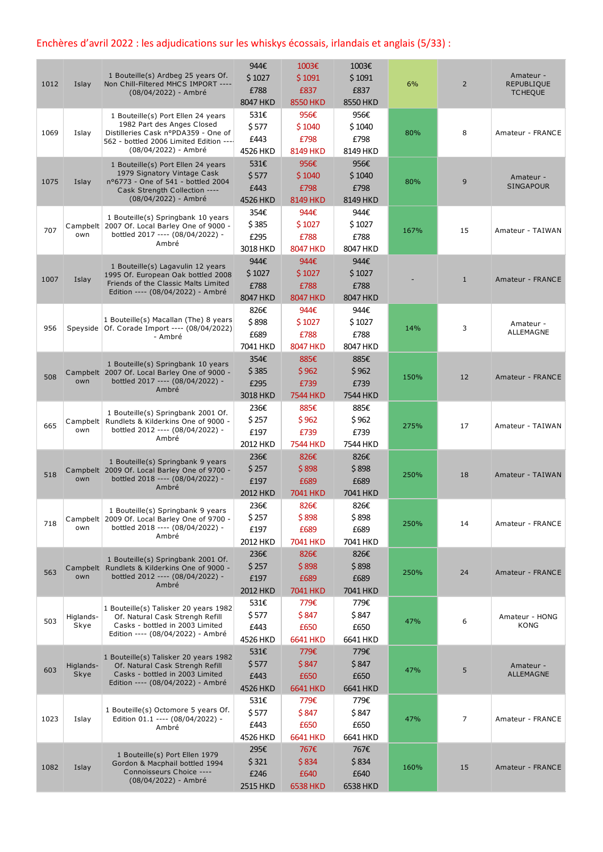## Enchères d'avril 2022 : les adjudications sur les whiskys écossais, irlandais et anglais (5/33) :

| 1012 | Islay             | 1 Bouteille(s) Ardbeg 25 years Of.<br>Non Chill-Filtered MHCS IMPORT ----<br>(08/04/2022) - Ambré                                                                          | 944€<br>\$1027<br>£788<br>8047 HKD       | 1003€<br>\$1091<br>£837<br><b>8550 HKD</b> | 1003€<br>\$1091<br>£837<br>8550 HKD | 6%   | $\overline{2}$ | Amateur -<br><b>REPUBLIQUE</b><br><b>TCHEQUE</b> |
|------|-------------------|----------------------------------------------------------------------------------------------------------------------------------------------------------------------------|------------------------------------------|--------------------------------------------|-------------------------------------|------|----------------|--------------------------------------------------|
| 1069 | Islay             | 1 Bouteille(s) Port Ellen 24 years<br>1982 Part des Anges Closed<br>Distilleries Cask nºPDA359 - One of<br>562 - bottled 2006 Limited Edition ----<br>(08/04/2022) - Ambré | 531€<br>\$577<br>£443<br>4526 HKD        | 956€<br>\$1040<br>£798<br><b>8149 HKD</b>  | 956€<br>\$1040<br>£798<br>8149 HKD  | 80%  | 8              | Amateur - FRANCE                                 |
| 1075 | Islay             | 1 Bouteille(s) Port Ellen 24 years<br>1979 Signatory Vintage Cask<br>nº6773 - One of 541 - bottled 2004<br>Cask Strength Collection ----<br>(08/04/2022) - Ambré           | 531€<br>\$577<br>£443<br>4526 HKD        | 956€<br>\$1040<br>£798<br><b>8149 HKD</b>  | 956€<br>\$1040<br>£798<br>8149 HKD  | 80%  | 9              | Amateur -<br><b>SINGAPOUR</b>                    |
| 707  | own               | 1 Bouteille(s) Springbank 10 years<br>Campbelt 2007 Of. Local Barley One of 9000 -<br>bottled 2017 ---- (08/04/2022) -<br>Ambré                                            | 354€<br>\$385<br>£295<br>3018 HKD        | 944€<br>\$1027<br>£788<br><b>8047 HKD</b>  | 944€<br>\$1027<br>£788<br>8047 HKD  | 167% | 15             | Amateur - TAIWAN                                 |
| 1007 | Islay             | 1 Bouteille(s) Lagavulin 12 years<br>1995 Of. European Oak bottled 2008<br>Friends of the Classic Malts Limited<br>Edition ---- (08/04/2022) - Ambré                       | 944€<br>\$1027<br>£788<br>8047 HKD       | 944€<br>\$1027<br>£788<br><b>8047 HKD</b>  | 944€<br>\$1027<br>£788<br>8047 HKD  |      | $\mathbf{1}$   | Amateur - FRANCE                                 |
| 956  |                   | 1 Bouteille(s) Macallan (The) 8 years<br>Speyside   Of. Corade Import ---- (08/04/2022)<br>- Ambré                                                                         | 826€<br>\$898<br>£689<br>7041 HKD        | 944€<br>\$1027<br>£788<br><b>8047 HKD</b>  | 944€<br>\$1027<br>£788<br>8047 HKD  | 14%  | 3              | Amateur -<br>ALLEMAGNE                           |
| 508  | own               | 1 Bouteille(s) Springbank 10 years<br>Campbelt 2007 Of. Local Barley One of 9000 -<br>bottled 2017 ---- (08/04/2022) -<br>Ambré                                            | 354€<br>\$385<br>£295<br>3018 HKD        | 885€<br>\$962<br>£739<br><b>7544 HKD</b>   | 885€<br>\$962<br>£739<br>7544 HKD   | 150% | 12             | Amateur - FRANCE                                 |
| 665  | own               | 1 Bouteille(s) Springbank 2001 Of.<br>Campbelt   Rundlets & Kilderkins One of 9000 -<br>bottled 2012 ---- (08/04/2022) -<br>Ambré                                          | 236€<br>\$257<br>£197<br>2012 HKD        | 885€<br>\$962<br>£739<br><b>7544 HKD</b>   | 885€<br>\$962<br>£739<br>7544 HKD   | 275% | 17             | Amateur - TAIWAN                                 |
| 518  | own               | 1 Bouteille(s) Springbank 9 years<br>Campbelt 2009 Of. Local Barley One of 9700 -<br>bottled 2018 ---- (08/04/2022) -<br>Ambré                                             | 236€<br>\$257<br>£197<br><b>2012 HKD</b> | 826€<br>\$898<br>£689<br>7041 HKD          | 826€<br>\$898<br>£689<br>7041 HKD   | 250% | 18             | Amateur - TAIWAN                                 |
| 718  | own               | 1 Bouteille(s) Springbank 9 years<br>Campbelt 2009 Of. Local Barley One of 9700 -<br>bottled 2018 ---- (08/04/2022) -<br>Ambré                                             | 236€<br>\$257<br>£197<br>2012 HKD        | 826€<br>\$898<br>£689<br><b>7041 HKD</b>   | 826€<br>\$898<br>£689<br>7041 HKD   | 250% | 14             | Amateur - FRANCE                                 |
| 563  | own               | 1 Bouteille(s) Springbank 2001 Of.<br>Campbelt Rundlets & Kilderkins One of 9000 -<br>bottled 2012 ---- (08/04/2022) -<br>Ambré                                            | 236€<br>\$257<br>£197<br>2012 HKD        | 826€<br>\$898<br>£689<br>7041 HKD          | 826€<br>\$898<br>£689<br>7041 HKD   | 250% | 24             | Amateur - FRANCE                                 |
| 503  | Higlands-<br>Skye | 1 Bouteille(s) Talisker 20 years 1982<br>Of. Natural Cask Strengh Refill<br>Casks - bottled in 2003 Limited<br>Edition ---- (08/04/2022) - Ambré                           | 531€<br>\$577<br>£443<br>4526 HKD        | 779€<br>\$847<br>£650<br><b>6641 HKD</b>   | 779€<br>\$847<br>£650<br>6641 HKD   | 47%  | 6              | Amateur - HONG<br><b>KONG</b>                    |
| 603  | Higlands-<br>Skye | 1 Bouteille(s) Talisker 20 years 1982<br>Of. Natural Cask Strengh Refill<br>Casks - bottled in 2003 Limited<br>Edition ---- (08/04/2022) - Ambré                           | 531€<br>\$577<br>£443<br>4526 HKD        | 779€<br>\$847<br>£650<br><b>6641 HKD</b>   | 779€<br>\$847<br>£650<br>6641 HKD   | 47%  | 5              | Amateur -<br>ALLEMAGNE                           |
| 1023 | Islay             | 1 Bouteille(s) Octomore 5 years Of.<br>Edition 01.1 ---- (08/04/2022) -<br>Ambré                                                                                           | 531€<br>\$577<br>£443<br>4526 HKD        | 779€<br>\$847<br>£650<br><b>6641 HKD</b>   | 779€<br>\$847<br>£650<br>6641 HKD   | 47%  | 7              | Amateur - FRANCE                                 |
| 1082 | Islay             | 1 Bouteille(s) Port Ellen 1979<br>Gordon & Macphail bottled 1994<br>Connoisseurs Choice ----<br>(08/04/2022) - Ambré                                                       | 295€<br>\$321<br>£246<br>2515 HKD        | 767€<br>\$834<br>£640<br><b>6538 HKD</b>   | 767€<br>\$834<br>£640<br>6538 HKD   | 160% | 15             | Amateur - FRANCE                                 |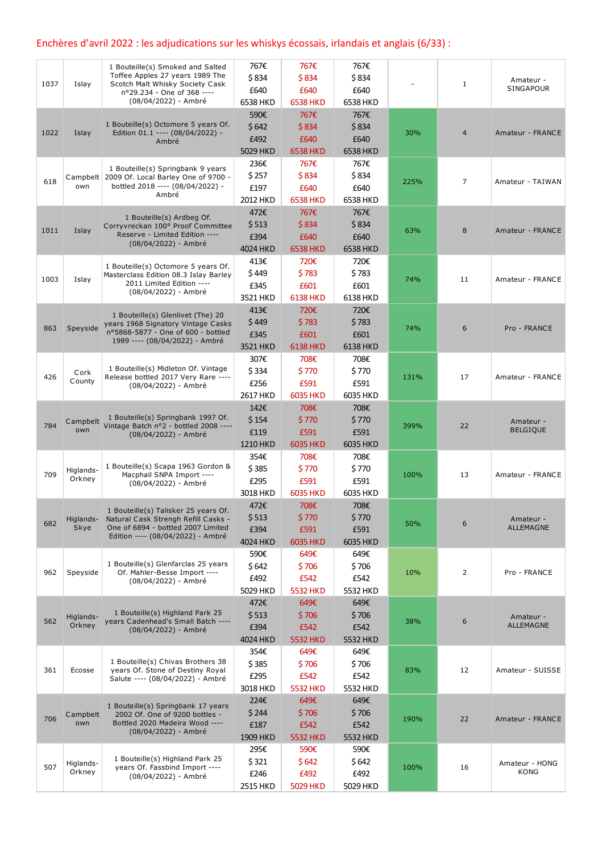### Enchères d'avril 2022 : les adjudications sur les whiskys écossais, irlandais et anglais (6/33) :

|      |                     | 1 Bouteille(s) Smoked and Salted                                                 | 767€     | 767€            | 767€     |      |                |                        |
|------|---------------------|----------------------------------------------------------------------------------|----------|-----------------|----------|------|----------------|------------------------|
|      |                     | Toffee Apples 27 years 1989 The                                                  | \$834    | \$834           | \$834    |      |                | Amateur -              |
| 1037 | Islay               | Scotch Malt Whisky Society Cask<br>nº29.234 - One of 368 ----                    | £640     | £640            | £640     |      | $\mathbf{1}$   | SINGAPOUR              |
|      |                     | (08/04/2022) - Ambré                                                             | 6538 HKD | <b>6538 HKD</b> | 6538 HKD |      |                |                        |
|      |                     |                                                                                  | 590€     | 767€            | 767€     |      |                |                        |
|      |                     | 1 Bouteille(s) Octomore 5 years Of.                                              | \$642    | \$834           | \$834    |      |                |                        |
| 1022 | Islay               | Edition 01.1 ---- (08/04/2022) -                                                 | £492     | £640            | £640     | 30%  | 4              | Amateur - FRANCE       |
|      |                     | Ambré                                                                            | 5029 HKD | <b>6538 HKD</b> | 6538 HKD |      |                |                        |
|      |                     |                                                                                  | 236€     | 767€            | 767€     |      |                |                        |
|      |                     | 1 Bouteille(s) Springbank 9 years                                                | \$257    | \$834           | \$834    |      |                |                        |
| 618  | own                 | Campbelt 2009 Of. Local Barley One of 9700 -<br>bottled 2018 ---- (08/04/2022) - |          |                 |          | 225% | 7              | Amateur - TAIWAN       |
|      |                     | Ambré                                                                            | £197     | £640            | £640     |      |                |                        |
|      |                     |                                                                                  | 2012 HKD | <b>6538 HKD</b> | 6538 HKD |      |                |                        |
|      |                     | 1 Bouteille(s) Ardbeg Of.                                                        | 472€     | 767€            | 767€     |      |                |                        |
| 1011 | Islay               | Corryvreckan 100° Proof Committee                                                | \$513    | \$834           | \$834    | 63%  | 8              | Amateur - FRANCE       |
|      |                     | Reserve - Limited Edition ----<br>(08/04/2022) - Ambré                           | £394     | £640            | £640     |      |                |                        |
|      |                     |                                                                                  | 4024 HKD | <b>6538 HKD</b> | 6538 HKD |      |                |                        |
|      |                     | 1 Bouteille(s) Octomore 5 years Of.                                              | 413€     | 720€            | 720€     |      |                |                        |
| 1003 | Islay               | Masterclass Edition 08.3 Islay Barley                                            | \$449    | \$783           | \$783    | 74%  | 11             | Amateur - FRANCE       |
|      |                     | 2011 Limited Edition ----                                                        | £345     | £601            | £601     |      |                |                        |
|      |                     | (08/04/2022) - Ambré                                                             | 3521 HKD | <b>6138 HKD</b> | 6138 HKD |      |                |                        |
|      |                     |                                                                                  | 413€     | 720€            | 720€     |      |                |                        |
|      |                     | 1 Bouteille(s) Glenlivet (The) 20<br>years 1968 Signatory Vintage Casks          | \$449    | \$783           | \$783    |      |                |                        |
| 863  | Speyside            | nº5868-5877 - One of 600 - bottled                                               | £345     | £601            | £601     | 74%  | 6              | Pro - FRANCE           |
|      |                     | 1989 ---- (08/04/2022) - Ambré                                                   | 3521 HKD | <b>6138 HKD</b> | 6138 HKD |      |                |                        |
|      |                     |                                                                                  | 307€     | 708€            | 708€     |      |                |                        |
|      |                     | 1 Bouteille(s) Midleton Of. Vintage                                              | \$334    | \$770           | \$770    |      |                |                        |
| 426  | Cork<br>County      | Release bottled 2017 Very Rare ----                                              | £256     | £591            | £591     | 131% | 17             | Amateur - FRANCE       |
|      |                     | (08/04/2022) - Ambré                                                             |          |                 | 6035 HKD |      |                |                        |
|      |                     |                                                                                  | 2617 HKD | 6035 HKD        |          |      |                |                        |
|      |                     | 1 Bouteille(s) Springbank 1997 Of.                                               | 142€     | 708€            | 708€     |      |                |                        |
| 784  |                     | Campbelt Vintage Batch nº2 - bottled 2008 ----                                   | \$154    | \$770           | \$770    | 399% | 22             | Amateur -              |
|      | own                 | (08/04/2022) - Ambré                                                             | £119     | £591            | £591     |      |                | <b>BELGIQUE</b>        |
|      |                     |                                                                                  | 1210 HKD | 6035 HKD        | 6035 HKD |      |                |                        |
|      |                     |                                                                                  | 354€     | 708€            | 708€     |      |                |                        |
| 709  | Higlands-           | 1 Bouteille(s) Scapa 1963 Gordon &<br>Macphail SNPA Import ----                  | \$385    | \$770           | \$770    | 100% | 13             | Amateur - FRANCE       |
|      | Orkney              | (08/04/2022) - Ambré                                                             | £295     | £591            | £591     |      |                |                        |
|      |                     |                                                                                  | 3018 HKD | 6035 HKD        | 6035 HKD |      |                |                        |
|      |                     | 1 Bouteille(s) Talisker 25 years Of.                                             | 472€     | 708€            | 708€     |      |                |                        |
|      | Higlands-           | Natural Cask Strengh Refill Casks -                                              | \$513    | \$770           | \$770    |      |                | Amateur -              |
| 682  | Skye                | One of 6894 - bottled 2007 Limited                                               | £394     | £591            | £591     | 50%  | 6              | ALLEMAGNE              |
|      |                     | Edition ---- (08/04/2022) - Ambré                                                | 4024 HKD | 6035 HKD        | 6035 HKD |      |                |                        |
|      |                     |                                                                                  | 590€     | 649€            | 649€     |      |                |                        |
|      |                     | 1 Bouteille(s) Glenfarclas 25 years                                              | \$642    | \$706           | \$706    |      |                |                        |
| 962  | Speyside            | Of. Mahler-Besse Import ----                                                     | £492     | £542            | £542     | 10%  | $\overline{2}$ | Pro - FRANCE           |
|      |                     | (08/04/2022) - Ambré                                                             | 5029 HKD | 5532 HKD        | 5532 HKD |      |                |                        |
|      |                     |                                                                                  | 472€     | 649€            | 649€     |      |                |                        |
|      |                     | 1 Bouteille(s) Highland Park 25                                                  | \$513    | \$706           | \$706    |      |                |                        |
| 562  | Higlands-<br>Orkney | years Cadenhead's Small Batch ----                                               |          |                 |          | 38%  | 6              | Amateur -<br>ALLEMAGNE |
|      |                     | (08/04/2022) - Ambré                                                             | £394     | £542            | £542     |      |                |                        |
|      |                     |                                                                                  | 4024 HKD | 5532 HKD        | 5532 HKD |      |                |                        |
|      |                     |                                                                                  | 354€     | 649€            | 649€     |      |                |                        |
| 361  | Ecosse              | 1 Bouteille(s) Chivas Brothers 38<br>years Of. Stone of Destiny Royal            | \$385    | \$706           | \$706    | 83%  | 12             | Amateur - SUISSE       |
|      |                     | Salute ---- (08/04/2022) - Ambré                                                 | £295     | £542            | £542     |      |                |                        |
|      |                     |                                                                                  | 3018 HKD | 5532 HKD        | 5532 HKD |      |                |                        |
|      |                     | 1 Bouteille(s) Springbank 17 years                                               | 224€     | 649€            | 649€     |      |                |                        |
| 706  | Campbelt            | 2002 Of. One of 9200 bottles -                                                   | \$244    | \$706           | \$706    |      |                |                        |
|      | own                 | Bottled 2020 Madeira Wood ----                                                   | £187     | £542            | £542     | 190% | 22             | Amateur - FRANCE       |
|      |                     | (08/04/2022) - Ambré                                                             | 1909 HKD | 5532 HKD        | 5532 HKD |      |                |                        |
|      |                     |                                                                                  | 295€     | 590€            | 590€     |      |                |                        |
|      | Higlands-           | 1 Bouteille(s) Highland Park 25                                                  | \$321    | \$642           | \$642    |      |                | Amateur - HONG         |
| 507  | Orkney              | years Of. Fassbind Import ----<br>(08/04/2022) - Ambré                           | £246     | £492            | £492     | 100% | 16             | <b>KONG</b>            |
|      |                     |                                                                                  | 2515 HKD | 5029 HKD        | 5029 HKD |      |                |                        |
|      |                     |                                                                                  |          |                 |          |      |                |                        |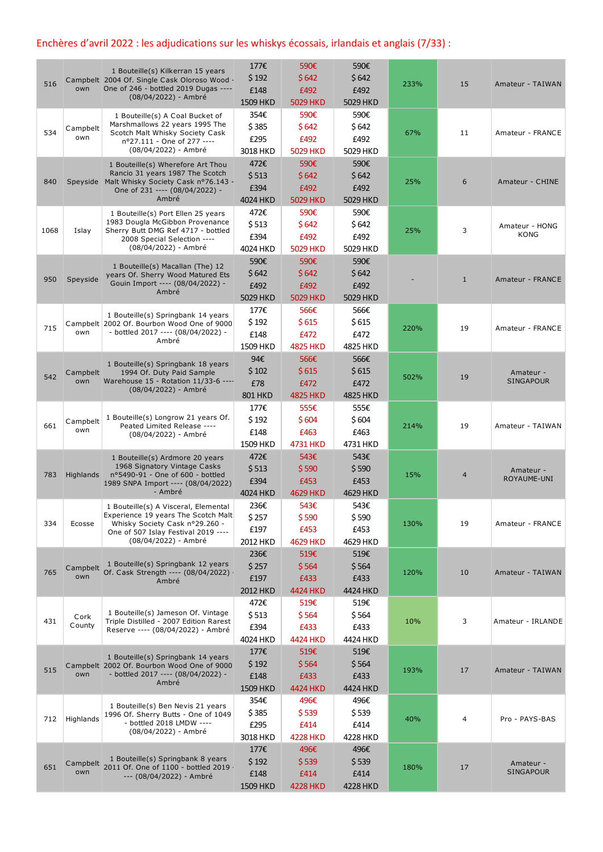## Enchères d'avril 2022 : les adjudications sur les whiskys écossais, irlandais et anglais (7/33) :

| 516  | own             | 1 Bouteille(s) Kilkerran 15 years<br>Campbelt 2004 Of. Single Cask Oloroso Wood -<br>One of 246 - bottled 2019 Dugas ----<br>(08/04/2022) - Ambré                            | 177€<br>\$192<br>£148<br>1509 HKD     | 590€<br>\$642<br>£492<br>5029 HKD        | 590€<br>\$642<br>£492<br>5029 HKD | 233% | 15             | Amateur - TAIWAN              |
|------|-----------------|------------------------------------------------------------------------------------------------------------------------------------------------------------------------------|---------------------------------------|------------------------------------------|-----------------------------------|------|----------------|-------------------------------|
| 534  | Campbelt<br>own | 1 Bouteille(s) A Coal Bucket of<br>Marshmallows 22 years 1995 The<br>Scotch Malt Whisky Society Cask<br>n°27.111 - One of 277 ----<br>(08/04/2022) - Ambré                   | 354€<br>\$385<br>£295<br>3018 HKD     | 590€<br>\$642<br>£492<br>5029 HKD        | 590€<br>\$642<br>£492<br>5029 HKD | 67%  | 11             | Amateur - FRANCE              |
| 840  |                 | 1 Bouteille(s) Wherefore Art Thou<br>Rancio 31 years 1987 The Scotch<br>Speyside Malt Whisky Society Cask nº76.143 -<br>One of 231 ---- (08/04/2022) -<br>Ambré              | 472€<br>\$513<br>£394<br>4024 HKD     | 590€<br>\$642<br>£492<br>5029 HKD        | 590€<br>\$642<br>£492<br>5029 HKD | 25%  | 6              | Amateur - CHINE               |
| 1068 | Islay           | 1 Bouteille(s) Port Ellen 25 years<br>1983 Dougla McGibbon Provenance<br>Sherry Butt DMG Ref 4717 - bottled<br>2008 Special Selection ----<br>(08/04/2022) - Ambré           | 472€<br>\$513<br>£394<br>4024 HKD     | 590€<br>\$642<br>£492<br>5029 HKD        | 590€<br>\$642<br>£492<br>5029 HKD | 25%  | 3              | Amateur - HONG<br><b>KONG</b> |
| 950  | Speyside        | 1 Bouteille(s) Macallan (The) 12<br>years Of. Sherry Wood Matured Ets<br>Gouin Import ---- (08/04/2022) -<br>Ambré                                                           | 590€<br>\$642<br>£492<br>5029 HKD     | 590€<br>\$642<br>£492<br>5029 HKD        | 590€<br>\$642<br>£492<br>5029 HKD |      | $\mathbf{1}$   | Amateur - FRANCE              |
| 715  | own             | 1 Bouteille(s) Springbank 14 years<br>Campbelt 2002 Of. Bourbon Wood One of 9000<br>- bottled 2017 ---- (08/04/2022) -<br>Ambré                                              | 177€<br>\$192<br>£148<br>1509 HKD     | 566€<br>\$615<br>£472<br><b>4825 HKD</b> | 566€<br>\$615<br>£472<br>4825 HKD | 220% | 19             | Amateur - FRANCE              |
| 542  | Campbelt<br>own | 1 Bouteille(s) Springbank 18 years<br>1994 Of. Duty Paid Sample<br>Warehouse 15 - Rotation 11/33-6 ----<br>(08/04/2022) - Ambré                                              | 94€<br>\$102<br>£78<br><b>801 HKD</b> | 566€<br>\$615<br>£472<br><b>4825 HKD</b> | 566€<br>\$615<br>£472<br>4825 HKD | 502% | 19             | Amateur -<br><b>SINGAPOUR</b> |
| 661  | Campbelt<br>own | 1 Bouteille(s) Longrow 21 years Of.<br>Peated Limited Release ----<br>(08/04/2022) - Ambré                                                                                   | 177€<br>\$192<br>£148<br>1509 HKD     | 555€<br>\$604<br>£463<br>4731 HKD        | 555€<br>\$604<br>£463<br>4731 HKD | 214% | 19             | Amateur - TAIWAN              |
| 783  | Highlands       | 1 Bouteille(s) Ardmore 20 years<br>1968 Signatory Vintage Casks<br>nº5490-91 - One of 600 - bottled<br>1989 SNPA Import ---- (08/04/2022)<br>- Ambré                         | 472€<br>\$513<br>£394<br>4024 HKD     | 543€<br>\$590<br>£453<br>4629 HKD        | 543€<br>\$590<br>£453<br>4629 HKD | 15%  | $\overline{4}$ | Amateur -<br>ROYAUME-UNI      |
| 334  | Ecosse          | 1 Bouteille(s) A Visceral, Elemental<br>Experience 19 years The Scotch Malt<br>Whisky Society Cask nº29.260 -<br>One of 507 Islay Festival 2019 ----<br>(08/04/2022) - Ambré | 236€<br>\$257<br>£197<br>2012 HKD     | 543€<br>\$590<br>£453<br>4629 HKD        | 543€<br>\$590<br>£453<br>4629 HKD | 130% | 19             | Amateur - FRANCE              |
| 765  | Campbelt<br>own | 1 Bouteille(s) Springbank 12 years<br>Of. Cask Strength ---- (08/04/2022) -<br>Ambré                                                                                         | 236€<br>\$257<br>£197<br>2012 HKD     | 519€<br>\$564<br>£433<br>4424 HKD        | 519€<br>\$564<br>£433<br>4424 HKD | 120% | 10             | Amateur - TAIWAN              |
| 431  | Cork<br>County  | 1 Bouteille(s) Jameson Of. Vintage<br>Triple Distilled - 2007 Edition Rarest<br>Reserve ---- (08/04/2022) - Ambré                                                            | 472€<br>\$513<br>£394<br>4024 HKD     | 519€<br>\$564<br>£433<br>4424 HKD        | 519€<br>\$564<br>£433<br>4424 HKD | 10%  | 3              | Amateur - IRLANDE             |
| 515  | own             | 1 Bouteille(s) Springbank 14 years<br>Campbelt 2002 Of. Bourbon Wood One of 9000<br>- bottled 2017 ---- (08/04/2022) -<br>Ambré                                              | 177€<br>\$192<br>£148<br>1509 HKD     | 519€<br>\$564<br>£433<br>4424 HKD        | 519€<br>\$564<br>£433<br>4424 HKD | 193% | 17             | Amateur - TAIWAN              |
| 712  | Highlands       | 1 Bouteille(s) Ben Nevis 21 years<br>1996 Of. Sherry Butts - One of 1049<br>- bottled 2018 LMDW ----<br>(08/04/2022) - Ambré                                                 | 354€<br>\$385<br>£295<br>3018 HKD     | 496€<br>\$539<br>£414<br><b>4228 HKD</b> | 496€<br>\$539<br>£414<br>4228 HKD | 40%  | 4              | Pro - PAYS-BAS                |
| 651  | Campbelt<br>own | 1 Bouteille(s) Springbank 8 years<br>2011 Of. One of 1100 - bottled 2019 -<br>--- (08/04/2022) - Ambré                                                                       | 177€<br>\$192<br>£148<br>1509 HKD     | 496€<br>\$539<br>£414<br><b>4228 HKD</b> | 496€<br>\$539<br>£414<br>4228 HKD | 180% | 17             | Amateur -<br><b>SINGAPOUR</b> |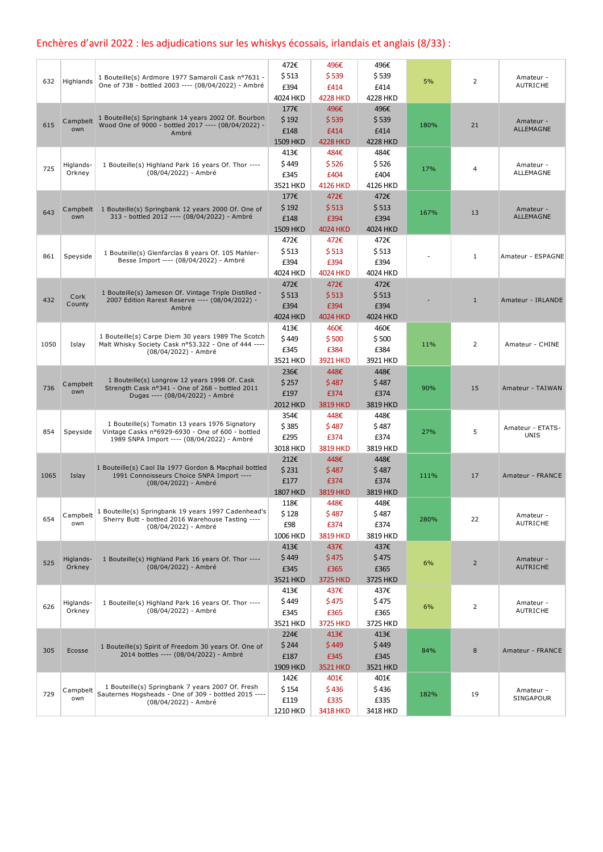# Enchères d'avril 2022 : les adjudications sur les whiskys écossais, irlandais et anglais (8/33) :

| 632  | Highlands           | 1 Bouteille(s) Ardmore 1977 Samaroli Cask nº7631 -<br>One of 738 - bottled 2003 ---- (08/04/2022) - Ambré                                        | 472€<br>\$513<br>£394<br>4024 HKD        | 496€<br>\$539<br>£414<br><b>4228 HKD</b> | 496€<br>\$539<br>£414<br>4228 HKD        | 5%   | 2              | Amateur -<br><b>AUTRICHE</b>    |
|------|---------------------|--------------------------------------------------------------------------------------------------------------------------------------------------|------------------------------------------|------------------------------------------|------------------------------------------|------|----------------|---------------------------------|
| 615  | Campbelt<br>own     | 1 Bouteille(s) Springbank 14 years 2002 Of. Bourbon<br>Wood One of 9000 - bottled 2017 ---- (08/04/2022) -<br>Ambré                              | 177€<br>\$192<br>£148<br>1509 HKD        | 496€<br>\$539<br>£414<br><b>4228 HKD</b> | 496€<br>\$539<br>£414<br><b>4228 HKD</b> | 180% | 21             | Amateur -<br><b>ALLEMAGNE</b>   |
| 725  | Higlands-<br>Orkney | 1 Bouteille(s) Highland Park 16 years Of. Thor ----<br>(08/04/2022) - Ambré                                                                      | 413€<br>\$449<br>£345<br>3521 HKD        | 484€<br>\$526<br>£404<br><b>4126 HKD</b> | 484€<br>\$526<br>£404<br>4126 HKD        | 17%  | 4              | Amateur -<br>ALLEMAGNE          |
| 643  | own                 | Campbelt 1 Bouteille(s) Springbank 12 years 2000 Of. One of<br>313 - bottled 2012 ---- (08/04/2022) - Ambré                                      | 177€<br>\$192<br>£148<br>1509 HKD        | 472€<br>\$513<br>£394<br><b>4024 HKD</b> | 472€<br>\$513<br>£394<br>4024 HKD        | 167% | 13             | Amateur -<br>ALLEMAGNE          |
| 861  | Speyside            | 1 Bouteille(s) Glenfarclas 8 years Of. 105 Mahler-<br>Besse Import ---- (08/04/2022) - Ambré                                                     | 472€<br>\$513<br>£394<br>4024 HKD        | 472€<br>\$513<br>£394<br><b>4024 HKD</b> | 472€<br>\$513<br>£394<br>4024 HKD        |      | $\mathbf{1}$   | Amateur - ESPAGNE               |
| 432  | Cork<br>County      | 1 Bouteille(s) Jameson Of. Vintage Triple Distilled -<br>2007 Edition Rarest Reserve ---- (08/04/2022) -<br>Ambré                                | 472€<br>\$513<br>£394<br>4024 HKD        | 472€<br>\$513<br>£394<br>4024 HKD        | 472€<br>\$513<br>£394<br>4024 HKD        |      | $\mathbf{1}$   | Amateur - IRLANDE               |
| 1050 | Islay               | 1 Bouteille(s) Carpe Diem 30 years 1989 The Scotch<br>Malt Whisky Society Cask nº53.322 - One of 444 ----<br>(08/04/2022) - Ambré                | 413€<br>\$449<br>£345<br>3521 HKD        | 460€<br>\$500<br>£384<br>3921 HKD        | 460€<br>\$500<br>£384<br>3921 HKD        | 11%  | 2              | Amateur - CHINE                 |
| 736  | Campbelt<br>own     | 1 Bouteille(s) Longrow 12 years 1998 Of. Cask<br>Strength Cask nº341 - One of 268 - bottled 2011<br>Dugas ---- (08/04/2022) - Ambré              | 236€<br>\$257<br>£197<br>2012 HKD        | 448€<br>\$487<br>£374<br><b>3819 HKD</b> | 448€<br>\$487<br>£374<br>3819 HKD        | 90%  | 15             | Amateur - TAIWAN                |
| 854  | Speyside            | 1 Bouteille(s) Tomatin 13 years 1976 Signatory<br>Vintage Casks nº6929-6930 - One of 600 - bottled<br>1989 SNPA Import ---- (08/04/2022) - Ambré | 354€<br>\$385<br>£295<br>3018 HKD        | 448€<br>\$487<br>£374<br><b>3819 HKD</b> | 448€<br>\$487<br>£374<br>3819 HKD        | 27%  | 5              | Amateur - ETATS-<br><b>UNIS</b> |
| 1065 | Islay               | 1 Bouteille(s) Caol Ila 1977 Gordon & Macphail bottled<br>1991 Connoisseurs Choice SNPA Import ----<br>(08/04/2022) - Ambré                      | 212€<br>\$231<br>£177<br><b>1807 HKD</b> | 448€<br>\$487<br>£374<br><b>3819 HKD</b> | 448€<br>\$487<br>£374<br>3819 HKD        | 111% | 17             | Amateur - FRANCE                |
| 654  | Campbelt<br>own     | 1 Bouteille(s) Springbank 19 years 1997 Cadenhead's<br>Sherry Butt - bottled 2016 Warehouse Tasting ----<br>(08/04/2022) - Ambré                 | 118€<br>\$128<br>£98<br>1006 HKD         | 448€<br>\$487<br>£374<br><b>3819 HKD</b> | 448€<br>\$487<br>£374<br>3819 HKD        | 280% | 22             | Amateur -<br>AUTRICHE           |
| 525  | Higlands-<br>Orkney | 1 Bouteille(s) Highland Park 16 years Of. Thor ----<br>(08/04/2022) - Ambré                                                                      | 413€<br>\$449<br>£345<br>3521 HKD        | 437€<br>\$475<br>£365<br>3725 HKD        | 437€<br>\$475<br>£365<br>3725 HKD        | 6%   | $\overline{2}$ | Amateur -<br><b>AUTRICHE</b>    |
| 626  | Higlands-<br>Orkney | 1 Bouteille(s) Highland Park 16 years Of. Thor ----<br>(08/04/2022) - Ambré                                                                      | 413€<br>\$449<br>£345<br>3521 HKD        | 437€<br>\$475<br>£365<br>3725 HKD        | 437€<br>\$475<br>£365<br>3725 HKD        | 6%   | 2              | Amateur -<br>AUTRICHE           |
| 305  | Ecosse              | 1 Bouteille(s) Spirit of Freedom 30 years Of. One of<br>2014 bottles ---- (08/04/2022) - Ambré                                                   | 224€<br>\$244<br>£187<br>1909 HKD        | 413€<br>\$449<br>£345<br>3521 HKD        | 413€<br>\$449<br>£345<br>3521 HKD        | 84%  | 8              | Amateur - FRANCE                |
| 729  | Campbelt<br>own     | 1 Bouteille(s) Springbank 7 years 2007 Of. Fresh<br>Sauternes Hogsheads - One of 309 - bottled 2015 ----<br>(08/04/2022) - Ambré                 | 142€<br>\$154<br>£119<br>1210 HKD        | 401€<br>\$436<br>£335<br><b>3418 HKD</b> | 401€<br>\$436<br>£335<br>3418 HKD        | 182% | 19             | Amateur -<br>SINGAPOUR          |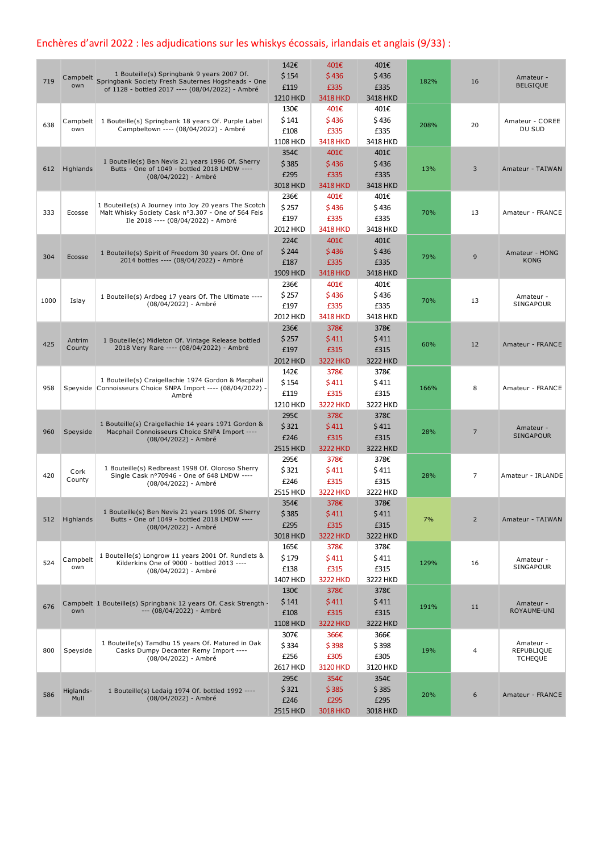### Enchères d'avril 2022 : les adjudications sur les whiskys écossais, irlandais et anglais (9/33) :

|      |                |                                                                                                           | 142€            | 401€            | 401€     |      |                |                               |
|------|----------------|-----------------------------------------------------------------------------------------------------------|-----------------|-----------------|----------|------|----------------|-------------------------------|
| 719  |                | 1 Bouteille(s) Springbank 9 years 2007 Of.<br>Campbelt Springbank Society Fresh Sauternes Hogsheads - One | \$154           | \$436           | \$436    | 182% | 16             | Amateur -                     |
|      |                | of 1128 - bottled 2017 ---- (08/04/2022) - Ambré                                                          | £119            | £335            | £335     |      |                | <b>BELGIQUE</b>               |
|      |                |                                                                                                           | 1210 HKD        | <b>3418 HKD</b> | 3418 HKD |      |                |                               |
|      |                |                                                                                                           | 130€            | 401€            | 401€     |      |                |                               |
| 638  | Campbelt       | 1 Bouteille(s) Springbank 18 years Of. Purple Label                                                       | \$141           | \$436           | \$436    |      | 20             | Amateur - COREE               |
|      | own            | Campbeltown ---- (08/04/2022) - Ambré                                                                     | £108            | £335            | £335     | 208% |                | DU SUD                        |
|      |                |                                                                                                           | 1108 HKD        | <b>3418 HKD</b> | 3418 HKD |      |                |                               |
|      |                |                                                                                                           | 354€            | 401€            | 401€     |      |                |                               |
|      |                | 1 Bouteille(s) Ben Nevis 21 years 1996 Of. Sherry                                                         | \$385           | \$436           | \$436    |      |                |                               |
| 612  | Highlands      | Butts - One of 1049 - bottled 2018 LMDW ----<br>(08/04/2022) - Ambré                                      | £295            | £335            | £335     | 13%  | 3              | Amateur - TAIWAN              |
|      |                |                                                                                                           | 3018 HKD        | <b>3418 HKD</b> | 3418 HKD |      |                |                               |
|      |                |                                                                                                           | 236€            | 401€            | 401€     |      |                |                               |
|      |                | 1 Bouteille(s) A Journey into Joy 20 years The Scotch                                                     | \$257           | \$436           | \$436    |      |                |                               |
| 333  | Ecosse         | Malt Whisky Society Cask nº3.307 - One of 564 Feis                                                        | £197            | £335            | £335     | 70%  | 13             | Amateur - FRANCE              |
|      |                | Ile 2018 ---- (08/04/2022) - Ambré                                                                        | 2012 HKD        | <b>3418 HKD</b> | 3418 HKD |      |                |                               |
|      |                |                                                                                                           |                 |                 | 401€     |      |                |                               |
|      |                |                                                                                                           | 224€            | 401€            |          |      |                |                               |
| 304  | Ecosse         | 1 Bouteille(s) Spirit of Freedom 30 years Of. One of<br>2014 bottles ---- (08/04/2022) - Ambré            | \$244           | \$436           | \$436    | 79%  | 9              | Amateur - HONG<br><b>KONG</b> |
|      |                |                                                                                                           | £187            | £335            | £335     |      |                |                               |
|      |                |                                                                                                           | 1909 HKD        | <b>3418 HKD</b> | 3418 HKD |      |                |                               |
|      |                |                                                                                                           | 236€            | 401€            | 401€     |      |                |                               |
| 1000 | Islay          | 1 Bouteille(s) Ardbeg 17 years Of. The Ultimate ----                                                      | \$ 257          | \$436           | \$436    | 70%  | 13             | Amateur -                     |
|      |                | (08/04/2022) - Ambré                                                                                      | £197            | £335            | £335     |      |                | SINGAPOUR                     |
|      |                |                                                                                                           | 2012 HKD        | <b>3418 HKD</b> | 3418 HKD |      |                |                               |
|      |                |                                                                                                           | 236€            | 378€            | 378€     |      |                |                               |
| 425  | Antrim         | 1 Bouteille(s) Midleton Of. Vintage Release bottled                                                       | \$257           | \$411           | \$411    | 60%  | 12             | Amateur - FRANCE              |
|      | County         | 2018 Very Rare ---- (08/04/2022) - Ambré                                                                  | £197            | £315            | £315     |      |                |                               |
|      |                |                                                                                                           | 2012 HKD        | <b>3222 HKD</b> | 3222 HKD |      |                |                               |
|      |                |                                                                                                           | 142€            | 378€            | 378€     |      |                |                               |
|      |                | 1 Bouteille(s) Craigellachie 1974 Gordon & Macphail                                                       | \$154           | \$411           | \$411    |      |                |                               |
| 958  |                | Speyside Connoisseurs Choice SNPA Import ---- (08/04/2022) -<br>Ambré                                     | £119            | £315            | £315     | 166% | 8              | Amateur - FRANCE              |
|      |                |                                                                                                           | 1210 HKD        | <b>3222 HKD</b> | 3222 HKD |      |                |                               |
|      |                |                                                                                                           | 295€            | 378€            | 378€     |      |                |                               |
|      |                | 1 Bouteille(s) Craigellachie 14 years 1971 Gordon &                                                       | \$321           | \$411           | \$411    |      |                | Amateur -                     |
| 960  | Speyside       | Macphail Connoisseurs Choice SNPA Import ----<br>(08/04/2022) - Ambré                                     | £246            | £315            | £315     | 28%  | 7              | <b>SINGAPOUR</b>              |
|      |                |                                                                                                           | 2515 HKD        | <b>3222 HKD</b> | 3222 HKD |      |                |                               |
|      |                |                                                                                                           | 295€            | 378€            | 378€     |      |                |                               |
|      |                | 1 Bouteille(s) Redbreast 1998 Of. Oloroso Sherry                                                          | \$321           | \$411           | \$411    |      |                |                               |
| 420  | Cork<br>County | Single Cask nº70946 - One of 648 LMDW ----                                                                | £246            | £315            | £315     | 28%  | 7              | Amateur - IRLANDE             |
|      |                | (08/04/2022) - Ambré                                                                                      |                 | <b>3222 HKD</b> |          |      |                |                               |
|      |                |                                                                                                           | 2515 HKD        |                 | 3222 HKD |      |                |                               |
|      |                | 1 Bouteille(s) Ben Nevis 21 years 1996 Of. Sherry                                                         | 354€            | 378€            | 378€     |      |                |                               |
| 512  | Highlands      | Butts - One of 1049 - bottled 2018 LMDW ----                                                              | \$385           | \$411           | \$411    | 7%   | $\overline{2}$ | Amateur - TAIWAN              |
|      |                | (08/04/2022) - Ambré                                                                                      | £295            | £315            | £315     |      |                |                               |
|      |                |                                                                                                           | 3018 HKD        | <b>3222 HKD</b> | 3222 HKD |      |                |                               |
|      |                |                                                                                                           | 165€            | 378€            | 378€     |      |                |                               |
| 524  | Campbelt       | 1 Bouteille(s) Longrow 11 years 2001 Of. Rundlets &<br>Kilderkins One of 9000 - bottled 2013 ----         | \$179           | \$411           | \$411    | 129% | 16             | Amateur -                     |
|      | own            | (08/04/2022) - Ambré                                                                                      | £138            | £315            | £315     |      |                | SINGAPOUR                     |
|      |                |                                                                                                           | 1407 HKD        | <b>3222 HKD</b> | 3222 HKD |      |                |                               |
|      |                |                                                                                                           | 130€            | 378€            | 378€     |      |                |                               |
| 676  |                | Campbelt 1 Bouteille(s) Springbank 12 years Of. Cask Strength -                                           | \$141           | \$411           | \$411    | 191% | 11             | Amateur -                     |
|      | own            | --- (08/04/2022) - Ambré                                                                                  | £108            | £315            | £315     |      |                | ROYAUME-UNI                   |
|      |                |                                                                                                           | <b>1108 HKD</b> | <b>3222 HKD</b> | 3222 HKD |      |                |                               |
|      |                |                                                                                                           | 307€            | 366€            | 366€     |      |                |                               |
|      |                | 1 Bouteille(s) Tamdhu 15 years Of. Matured in Oak                                                         | \$334           | \$398           | \$398    |      |                | Amateur -                     |
| 800  | Speyside       | Casks Dumpy Decanter Remy Import ----<br>(08/04/2022) - Ambré                                             | £256            | £305            | £305     | 19%  | 4              | REPUBLIQUE<br><b>TCHEQUE</b>  |
|      |                |                                                                                                           | 2617 HKD        | <b>3120 HKD</b> | 3120 HKD |      |                |                               |
|      |                |                                                                                                           | 295€            | 354€            | 354€     |      |                |                               |
|      | Higlands-      | 1 Bouteille(s) Ledaig 1974 Of. bottled 1992 ----                                                          | \$321           | \$385           | \$385    |      |                |                               |
| 586  | Mull           | (08/04/2022) - Ambré                                                                                      | £246            | £295            | £295     | 20%  | 6              | Amateur - FRANCE              |
|      |                |                                                                                                           | 2515 HKD        | <b>3018 HKD</b> | 3018 HKD |      |                |                               |
|      |                |                                                                                                           |                 |                 |          |      |                |                               |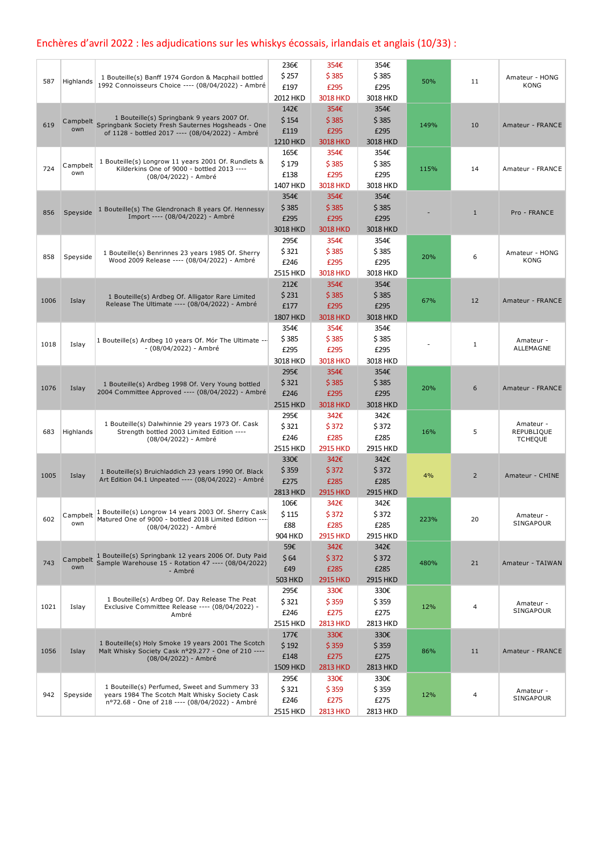# Enchères d'avril 2022 : les adjudications sur les whiskys écossais, irlandais et anglais (10/33) :

|      |           |                                                                                                              | 236€            | 354€            | 354€     |      |                |                              |
|------|-----------|--------------------------------------------------------------------------------------------------------------|-----------------|-----------------|----------|------|----------------|------------------------------|
| 587  | Highlands | 1 Bouteille(s) Banff 1974 Gordon & Macphail bottled                                                          | \$257           | \$385           | \$385    | 50%  | 11             | Amateur - HONG               |
|      |           | 1992 Connoisseurs Choice ---- (08/04/2022) - Ambré                                                           | £197            | £295            | £295     |      |                | <b>KONG</b>                  |
|      |           |                                                                                                              | 2012 HKD        | <b>3018 HKD</b> | 3018 HKD |      |                |                              |
|      |           |                                                                                                              | 142€            | 354€            | 354€     |      |                |                              |
| 619  | Campbelt  | 1 Bouteille(s) Springbank 9 years 2007 Of.<br>Springbank Society Fresh Sauternes Hogsheads - One             | \$154           | \$385           | \$385    | 149% | 10             | Amateur - FRANCE             |
|      | own       | of 1128 - bottled 2017 ---- (08/04/2022) - Ambré                                                             | £119            | £295            | £295     |      |                |                              |
|      |           |                                                                                                              | 1210 HKD        | <b>3018 HKD</b> | 3018 HKD |      |                |                              |
|      |           |                                                                                                              | 165€            | 354€            | 354€     |      |                |                              |
| 724  | Campbelt  | 1 Bouteille(s) Longrow 11 years 2001 Of. Rundlets &<br>Kilderkins One of 9000 - bottled 2013 ----            | \$179           | \$385           | \$385    | 115% | 14             | Amateur - FRANCE             |
|      | own       | (08/04/2022) - Ambré                                                                                         | £138            | £295            | £295     |      |                |                              |
|      |           |                                                                                                              | 1407 HKD        | <b>3018 HKD</b> | 3018 HKD |      |                |                              |
|      |           |                                                                                                              | 354€            | 354€            | 354€     |      |                |                              |
| 856  | Speyside  | 1 Bouteille(s) The Glendronach 8 years Of. Hennessy                                                          | \$385           | \$385           | \$385    |      | $\mathbf{1}$   | Pro - FRANCE                 |
|      |           | Import ---- (08/04/2022) - Ambré                                                                             | £295            | £295            | £295     |      |                |                              |
|      |           |                                                                                                              | 3018 HKD        | <b>3018 HKD</b> | 3018 HKD |      |                |                              |
|      |           |                                                                                                              | 295€            | 354€            | 354€     |      |                |                              |
| 858  | Speyside  | 1 Bouteille(s) Benrinnes 23 years 1985 Of. Sherry                                                            | \$321           | \$385           | \$385    | 20%  | 6              | Amateur - HONG               |
|      |           | Wood 2009 Release ---- (08/04/2022) - Ambré                                                                  | £246            | £295            | £295     |      |                | <b>KONG</b>                  |
|      |           |                                                                                                              | 2515 HKD        | <b>3018 HKD</b> | 3018 HKD |      |                |                              |
|      |           |                                                                                                              | 212€            | 354€            | 354€     |      |                |                              |
| 1006 | Islay     | 1 Bouteille(s) Ardbeg Of. Alligator Rare Limited                                                             | \$231           | \$385           | \$385    | 67%  | 12             | Amateur - FRANCE             |
|      |           | Release The Ultimate ---- (08/04/2022) - Ambré                                                               | £177            | £295            | £295     |      |                |                              |
|      |           |                                                                                                              | <b>1807 HKD</b> | <b>3018 HKD</b> | 3018 HKD |      |                |                              |
|      |           |                                                                                                              | 354€            | 354€            | 354€     |      |                |                              |
| 1018 | Islay     | 1 Bouteille(s) Ardbeg 10 years Of. Mór The Ultimate --                                                       | \$385           | \$385           | \$385    |      | 1              | Amateur -                    |
|      |           | - (08/04/2022) - Ambré                                                                                       | £295            | £295            | £295     |      |                | ALLEMAGNE                    |
|      |           |                                                                                                              | 3018 HKD        | <b>3018 HKD</b> | 3018 HKD |      |                |                              |
|      |           |                                                                                                              | 295€            | 354€            | 354€     |      |                |                              |
|      |           | 1 Bouteille(s) Ardbeg 1998 Of. Very Young bottled                                                            | \$321           | \$385           | \$385    |      |                |                              |
| 1076 | Islay     | 2004 Committee Approved ---- (08/04/2022) - Ambré                                                            | £246            | £295            | £295     | 20%  | 6              | Amateur - FRANCE             |
|      |           |                                                                                                              | 2515 HKD        | <b>3018 HKD</b> | 3018 HKD |      |                |                              |
|      |           |                                                                                                              | 295€            | 342€            | 342€     |      |                |                              |
|      |           | 1 Bouteille(s) Dalwhinnie 29 years 1973 Of. Cask                                                             | \$321           | \$372           | \$372    |      |                | Amateur -                    |
| 683  | Highlands | Strength bottled 2003 Limited Edition ----<br>(08/04/2022) - Ambré                                           | £246            | £285            | £285     | 16%  | 5              | REPUBLIQUE<br><b>TCHEQUE</b> |
|      |           |                                                                                                              | 2515 HKD        | <b>2915 HKD</b> | 2915 HKD |      |                |                              |
|      |           |                                                                                                              | 330€            | 342€            | 342€     |      |                |                              |
|      |           | 1 Bouteille(s) Bruichladdich 23 years 1990 Of. Black                                                         | \$359           | \$372           | \$372    | 4%   |                |                              |
| 1005 | Islay     | Art Edition 04.1 Unpeated ---- (08/04/2022) - Ambré                                                          | £275            | £285            | £285     |      | $\overline{2}$ | Amateur - CHINE              |
|      |           |                                                                                                              | 2813 HKD        | <b>2915 HKD</b> | 2915 HKD |      |                |                              |
|      |           |                                                                                                              | 106€            | 342€            | 342€     |      |                |                              |
|      | Campbelt  | 1 Bouteille(s) Longrow 14 years 2003 Of. Sherry Cask                                                         | \$115           | \$372           | \$372    |      |                | Amateur -                    |
| 602  | own       | Matured One of 9000 - bottled 2018 Limited Edition ----<br>(08/04/2022) - Ambré                              | £88             | £285            | £285     | 223% | 20             | SINGAPOUR                    |
|      |           |                                                                                                              | 904 HKD         | <b>2915 HKD</b> | 2915 HKD |      |                |                              |
|      |           |                                                                                                              | 59€             | 342€            | 342€     |      |                |                              |
|      | Campbelt  | 1 Bouteille(s) Springbank 12 years 2006 Of. Duty Paid<br>Sample Warehouse 15 - Rotation 47 ---- (08/04/2022) | \$64            | \$372           | \$372    |      |                |                              |
| 743  | own       | - Ambré                                                                                                      | £49             | £285            | £285     | 480% | 21             | Amateur - TAIWAN             |
|      |           |                                                                                                              | <b>503 HKD</b>  | <b>2915 HKD</b> | 2915 HKD |      |                |                              |
|      |           |                                                                                                              | 295€            | 330€            | 330€     |      |                |                              |
|      |           | 1 Bouteille(s) Ardbeg Of. Day Release The Peat                                                               | \$321           | \$359           | \$359    |      |                | Amateur -                    |
| 1021 | Islay     | Exclusive Committee Release ---- (08/04/2022) -<br>Ambré                                                     | £246            | £275            | £275     | 12%  | 4              | SINGAPOUR                    |
|      |           |                                                                                                              | 2515 HKD        | <b>2813 HKD</b> | 2813 HKD |      |                |                              |
|      |           |                                                                                                              | 177€            | 330€            | 330€     |      |                |                              |
|      |           | 1 Bouteille(s) Holy Smoke 19 years 2001 The Scotch                                                           | \$192           | \$359           | \$359    |      |                |                              |
| 1056 | Islay     | Malt Whisky Society Cask nº29.277 - One of 210 ----<br>(08/04/2022) - Ambré                                  | £148            | £275            | £275     | 86%  | 11             | Amateur - FRANCE             |
|      |           |                                                                                                              | 1509 HKD        | <b>2813 HKD</b> | 2813 HKD |      |                |                              |
|      |           |                                                                                                              | 295€            | 330€            | 330€     |      |                |                              |
|      |           | 1 Bouteille(s) Perfumed, Sweet and Summery 33                                                                | \$321           | \$359           | \$359    |      |                | Amateur -                    |
| 942  | Speyside  | years 1984 The Scotch Malt Whisky Society Cask<br>nº72.68 - One of 218 ---- (08/04/2022) - Ambré             | £246            | £275            | £275     | 12%  | 4              | SINGAPOUR                    |
|      |           |                                                                                                              | 2515 HKD        | <b>2813 HKD</b> | 2813 HKD |      |                |                              |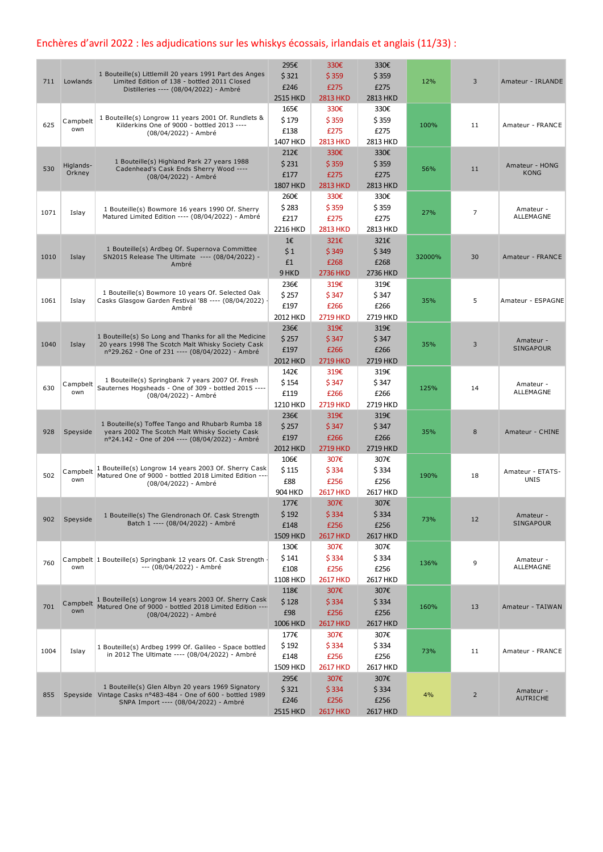# Enchères d'avril 2022 : les adjudications sur les whiskys écossais, irlandais et anglais (11/33) :

|      |                 |                                                                                                                 | 295€            | 330€            | 330€     |        |                |                               |
|------|-----------------|-----------------------------------------------------------------------------------------------------------------|-----------------|-----------------|----------|--------|----------------|-------------------------------|
| 711  | Lowlands        | 1 Bouteille(s) Littlemill 20 years 1991 Part des Anges<br>Limited Edition of 138 - bottled 2011 Closed          | \$321           | \$359           | \$359    | 12%    | 3              | Amateur - IRLANDE             |
|      |                 | Distilleries ---- (08/04/2022) - Ambré                                                                          | £246            | £275            | £275     |        |                |                               |
|      |                 |                                                                                                                 | <b>2515 HKD</b> | <b>2813 HKD</b> | 2813 HKD |        |                |                               |
|      |                 |                                                                                                                 | 165€            | 330€            | 330€     |        |                |                               |
| 625  | Campbelt        | 1 Bouteille(s) Longrow 11 years 2001 Of. Rundlets &                                                             | \$179           | \$359           | \$359    |        | 11             |                               |
|      | own             | Kilderkins One of 9000 - bottled 2013 ----<br>(08/04/2022) - Ambré                                              | £138            | £275            | £275     | 100%   |                | Amateur - FRANCE              |
|      |                 |                                                                                                                 | 1407 HKD        | <b>2813 HKD</b> | 2813 HKD |        |                |                               |
|      |                 |                                                                                                                 | 212€            | 330€            | 330€     |        |                |                               |
|      | Higlands-       | 1 Bouteille(s) Highland Park 27 years 1988                                                                      | \$231           | \$359           | \$359    |        |                | Amateur - HONG                |
| 530  | Orkney          | Cadenhead's Cask Ends Sherry Wood ----<br>(08/04/2022) - Ambré                                                  | £177            | £275            | £275     | 56%    | 11             | KONG                          |
|      |                 |                                                                                                                 | <b>1807 HKD</b> | <b>2813 HKD</b> | 2813 HKD |        |                |                               |
|      |                 |                                                                                                                 | 260€            | 330€            | 330€     |        |                |                               |
|      |                 | 1 Bouteille(s) Bowmore 16 years 1990 Of. Sherry                                                                 | \$283           | \$359           | \$359    |        |                | Amateur -                     |
| 1071 | Islay           | Matured Limited Edition ---- (08/04/2022) - Ambré                                                               | £217            | £275            | £275     | 27%    | 7              | ALLEMAGNE                     |
|      |                 |                                                                                                                 | 2216 HKD        | <b>2813 HKD</b> | 2813 HKD |        |                |                               |
|      |                 |                                                                                                                 | 1€              | 321€            | 321€     |        |                |                               |
|      |                 | 1 Bouteille(s) Ardbeg Of. Supernova Committee                                                                   | \$1             | \$349           |          |        |                |                               |
| 1010 | Islay           | SN2015 Release The Ultimate ---- (08/04/2022) -                                                                 |                 |                 | \$349    | 32000% | 30             | Amateur - FRANCE              |
|      |                 | Ambré                                                                                                           | £1              | £268            | £268     |        |                |                               |
|      |                 |                                                                                                                 | 9 HKD           | <b>2736 HKD</b> | 2736 HKD |        |                |                               |
|      |                 |                                                                                                                 | 236€            | 319€            | 319€     |        |                |                               |
| 1061 | Islay           | 1 Bouteille(s) Bowmore 10 years Of. Selected Oak<br>Casks Glasgow Garden Festival '88 ---- (08/04/2022)         | \$ 257          | \$347           | \$347    | 35%    | 5              | Amateur - ESPAGNE             |
|      |                 | Ambré                                                                                                           | £197            | £266            | £266     |        |                |                               |
|      |                 |                                                                                                                 | 2012 HKD        | <b>2719 HKD</b> | 2719 HKD |        |                |                               |
|      |                 |                                                                                                                 | 236€            | 319€            | 319€     |        |                |                               |
| 1040 | Islay           | 1 Bouteille(s) So Long and Thanks for all the Medicine<br>20 years 1998 The Scotch Malt Whisky Society Cask     | \$257           | \$347           | \$347    | 35%    | 3              | Amateur -                     |
|      |                 | nº29.262 - One of 231 ---- (08/04/2022) - Ambré                                                                 | £197            | £266            | £266     |        |                | <b>SINGAPOUR</b>              |
|      |                 |                                                                                                                 | 2012 HKD        | <b>2719 HKD</b> | 2719 HKD |        |                |                               |
|      |                 |                                                                                                                 | 142€            | 319€            | 319€     |        |                |                               |
|      | Campbelt        | 1 Bouteille(s) Springbank 7 years 2007 Of. Fresh                                                                | \$154           | \$347           | \$347    |        |                | Amateur -                     |
| 630  | own             | Sauternes Hogsheads - One of 309 - bottled 2015 ----<br>(08/04/2022) - Ambré                                    | £119            | £266            | £266     | 125%   | 14             | ALLEMAGNE                     |
|      |                 |                                                                                                                 | 1210 HKD        | <b>2719 HKD</b> | 2719 HKD |        |                |                               |
|      |                 |                                                                                                                 | 236€            | 319€            | 319€     |        |                |                               |
|      |                 | 1 Bouteille(s) Toffee Tango and Rhubarb Rumba 18                                                                | \$257           | \$347           | \$347    |        |                |                               |
| 928  | Speyside        | years 2002 The Scotch Malt Whisky Society Cask<br>nº24.142 - One of 204 ---- (08/04/2022) - Ambré               | £197            | £266            | £266     | 35%    | 8              | Amateur - CHINE               |
|      |                 |                                                                                                                 | 2012 HKD        | <b>2719 HKD</b> | 2719 HKD |        |                |                               |
|      |                 |                                                                                                                 | 106€            | 307€            | 307€     |        |                |                               |
|      |                 | 1 Bouteille(s) Longrow 14 years 2003 Of. Sherry Cask                                                            | \$115           | \$334           | \$334    |        |                |                               |
| 502  | Campbelt<br>own | Matured One of 9000 - bottled 2018 Limited Edition ----                                                         | £88             | £256            | £256     | 190%   | 18             | Amateur - ETATS-<br>UNIS      |
|      |                 | (08/04/2022) - Ambré                                                                                            | 904 HKD         | <b>2617 HKD</b> | 2617 HKD |        |                |                               |
|      |                 |                                                                                                                 |                 | 307€            |          |        |                |                               |
|      |                 |                                                                                                                 | 177€            |                 | 307€     |        |                |                               |
| 902  | Speyside        | 1 Bouteille(s) The Glendronach Of. Cask Strength<br>Batch 1 ---- (08/04/2022) - Ambré                           | \$192           | \$334           | \$334    | 73%    | 12             | Amateur -<br><b>SINGAPOUR</b> |
|      |                 |                                                                                                                 | £148            | £256            | £256     |        |                |                               |
|      |                 |                                                                                                                 | 1509 HKD        | <b>2617 HKD</b> | 2617 HKD |        |                |                               |
|      |                 |                                                                                                                 | 130€            | 307€            | 307€     |        |                |                               |
| 760  |                 | Campbelt 1 Bouteille(s) Springbank 12 years Of. Cask Strength                                                   | \$141           | \$334           | \$334    | 136%   | 9              | Amateur -                     |
|      | own             | --- (08/04/2022) - Ambré                                                                                        | £108            | £256            | £256     |        |                | ALLEMAGNE                     |
|      |                 |                                                                                                                 | 1108 HKD        | <b>2617 HKD</b> | 2617 HKD |        |                |                               |
|      |                 |                                                                                                                 | 118€            | 307€            | 307€     |        |                |                               |
| 701  | Campbelt        | 1 Bouteille(s) Longrow 14 years 2003 Of. Sherry Cask<br>Matured One of 9000 - bottled 2018 Limited Edition ---- | \$128           | \$334           | \$334    | 160%   | 13             | Amateur - TAIWAN              |
|      | own             | (08/04/2022) - Ambré                                                                                            | £98             | £256            | £256     |        |                |                               |
|      |                 |                                                                                                                 | 1006 HKD        | <b>2617 HKD</b> | 2617 HKD |        |                |                               |
|      |                 |                                                                                                                 | 177€            | 307€            | 307€     |        |                |                               |
|      |                 | 1 Bouteille(s) Ardbeg 1999 Of. Galileo - Space bottled                                                          | \$192           | \$334           | \$334    |        |                |                               |
| 1004 | Islay           | in 2012 The Ultimate ---- (08/04/2022) - Ambré                                                                  | £148            | £256            | £256     | 73%    | 11             | Amateur - FRANCE              |
|      |                 |                                                                                                                 | 1509 HKD        | <b>2617 HKD</b> | 2617 HKD |        |                |                               |
|      |                 |                                                                                                                 | 295€            | 307€            | 307€     |        |                |                               |
|      |                 | 1 Bouteille(s) Glen Albyn 20 years 1969 Signatory                                                               | \$321           | \$334           | \$334    |        |                | Amateur -                     |
| 855  |                 | Speyside Vintage Casks nº483-484 - One of 600 - bottled 1989<br>SNPA Import ---- (08/04/2022) - Ambré           | £246            | £256            | £256     | 4%     | $\overline{2}$ | <b>AUTRICHE</b>               |
|      |                 |                                                                                                                 | 2515 HKD        | <b>2617 HKD</b> | 2617 HKD |        |                |                               |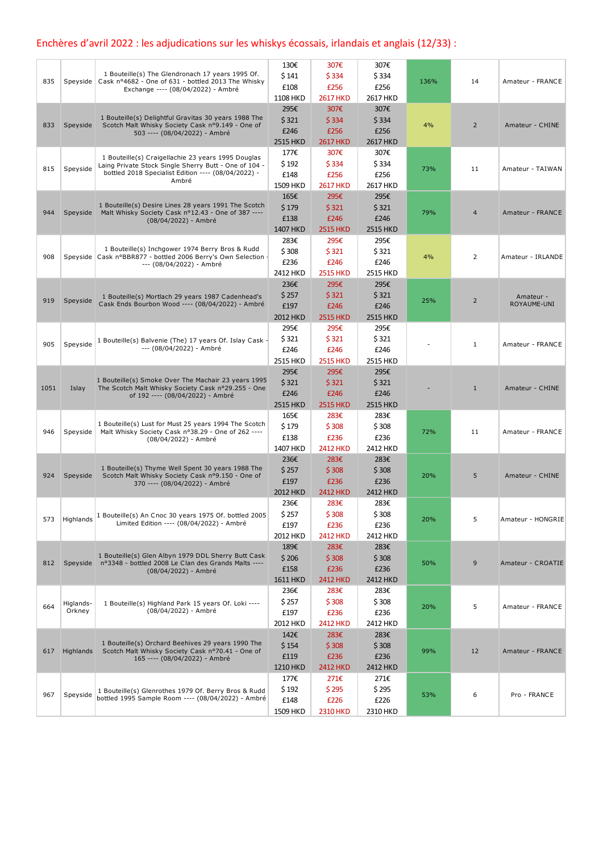# Enchères d'avril 2022 : les adjudications sur les whiskys écossais, irlandais et anglais (12/33) :

|      |           | 1 Bouteille(s) The Glendronach 17 years 1995 Of.                                                             | 130€            | 307€            | 307€            |      |                |                          |
|------|-----------|--------------------------------------------------------------------------------------------------------------|-----------------|-----------------|-----------------|------|----------------|--------------------------|
| 835  |           | Speyside   Cask nº4682 - One of 631 - bottled 2013 The Whisky                                                | \$141           | \$334           | \$334           | 136% | 14             | Amateur - FRANCE         |
|      |           | Exchange ---- (08/04/2022) - Ambré                                                                           | £108            | £256            | £256            |      |                |                          |
|      |           |                                                                                                              | 1108 HKD        | <b>2617 HKD</b> | 2617 HKD        |      |                |                          |
|      |           |                                                                                                              | 295€            | 307€            | 307€            |      |                |                          |
| 833  | Speyside  | 1 Bouteille(s) Delightful Gravitas 30 years 1988 The<br>Scotch Malt Whisky Society Cask nº9.149 - One of     | \$321           | \$334           | \$334           | 4%   | 2              | Amateur - CHINE          |
|      |           | 503 ---- (08/04/2022) - Ambré                                                                                | £246            | £256            | £256            |      |                |                          |
|      |           |                                                                                                              | 2515 HKD        | <b>2617 HKD</b> | 2617 HKD        |      |                |                          |
|      |           |                                                                                                              | 177€            | 307€            | 307€            |      |                |                          |
|      |           | 1 Bouteille(s) Craigellachie 23 years 1995 Douglas                                                           | \$192           | \$334           | \$334           |      |                |                          |
| 815  | Speyside  | Laing Private Stock Single Sherry Butt - One of 104 -<br>bottled 2018 Specialist Edition ---- (08/04/2022) - | £148            | £256            | £256            | 73%  | 11             | Amateur - TAIWAN         |
|      |           | Ambré                                                                                                        |                 |                 |                 |      |                |                          |
|      |           |                                                                                                              | 1509 HKD        | <b>2617 HKD</b> | 2617 HKD        |      |                |                          |
|      |           | 1 Bouteille(s) Desire Lines 28 years 1991 The Scotch                                                         | 165€            | 295€            | 295€            |      |                |                          |
| 944  |           | Speyside Malt Whisky Society Cask nº12.43 - One of 387 ----                                                  | \$179           | \$321           | \$321           | 79%  | $\overline{4}$ | Amateur - FRANCE         |
|      |           | (08/04/2022) - Ambré                                                                                         | £138            | £246            | £246            |      |                |                          |
|      |           |                                                                                                              | 1407 HKD        | <b>2515 HKD</b> | <b>2515 HKD</b> |      |                |                          |
|      |           |                                                                                                              | 283€            | 295€            | 295€            |      |                |                          |
|      |           | 1 Bouteille(s) Inchgower 1974 Berry Bros & Rudd                                                              | \$308           | \$321           | \$321           |      |                |                          |
| 908  |           | Speyside   Cask nºBBR877 - bottled 2006 Berry's Own Selection -<br>--- (08/04/2022) - Ambré                  | £236            | £246            | £246            | 4%   | 2              | Amateur - IRLANDE        |
|      |           |                                                                                                              | 2412 HKD        | <b>2515 HKD</b> | 2515 HKD        |      |                |                          |
|      |           |                                                                                                              | 236€            | 295€            | 295€            |      |                |                          |
|      |           |                                                                                                              | \$257           | \$321           | \$321           |      |                |                          |
| 919  | Speyside  | 1 Bouteille(s) Mortlach 29 years 1987 Cadenhead's<br>Cask Ends Bourbon Wood ---- (08/04/2022) - Ambré        | £197            | £246            | £246            | 25%  | $\overline{2}$ | Amateur -<br>ROYAUME-UNI |
|      |           |                                                                                                              |                 |                 |                 |      |                |                          |
|      |           |                                                                                                              | 2012 HKD        | <b>2515 HKD</b> | 2515 HKD        |      |                |                          |
|      |           |                                                                                                              | 295€            | 295€            | 295€            |      |                |                          |
| 905  | Speyside  | 1 Bouteille(s) Balvenie (The) 17 years Of. Islay Cask -                                                      | \$321           | \$321           | \$321           |      | $\mathbf{1}$   | Amateur - FRANCE         |
|      |           | --- (08/04/2022) - Ambré                                                                                     | £246            | £246            | £246            |      |                |                          |
|      |           |                                                                                                              | 2515 HKD        | <b>2515 HKD</b> | 2515 HKD        |      |                |                          |
|      |           |                                                                                                              | 295€            | 295€            | 295€            |      |                |                          |
|      |           | 1 Bouteille(s) Smoke Over The Machair 23 years 1995                                                          | \$321           | \$321           | \$321           |      |                |                          |
| 1051 | Islay     | The Scotch Malt Whisky Society Cask nº29.255 - One<br>of 192 ---- (08/04/2022) - Ambré                       | £246            | £246            | £246            |      | $\mathbf{1}$   | Amateur - CHINE          |
|      |           |                                                                                                              | 2515 HKD        | <b>2515 HKD</b> | 2515 HKD        |      |                |                          |
|      |           |                                                                                                              | 165€            | 283€            | 283€            |      |                |                          |
|      |           | 1 Bouteille(s) Lust for Must 25 years 1994 The Scotch                                                        | \$179           | \$308           | \$308           |      |                |                          |
| 946  | Speyside  | Malt Whisky Society Cask nº38.29 - One of 262 ----                                                           |                 |                 |                 | 72%  | 11             | Amateur - FRANCE         |
|      |           | (08/04/2022) - Ambré                                                                                         | £138            | £236            | £236            |      |                |                          |
|      |           |                                                                                                              | 1407 HKD        | <b>2412 HKD</b> | 2412 HKD        |      |                |                          |
|      |           | 1 Bouteille(s) Thyme Well Spent 30 years 1988 The                                                            | 236€            | 283€            | 283€            |      |                |                          |
| 924  | Speyside  | Scotch Malt Whisky Society Cask nº9.150 - One of                                                             | \$ 257          | \$308           | \$308           | 20%  | 5              | Amateur - CHINE          |
|      |           | 370 ---- (08/04/2022) - Ambré                                                                                | £197            | £236            | £236            |      |                |                          |
|      |           |                                                                                                              | 2012 HKD        | <b>2412 HKD</b> | 2412 HKD        |      |                |                          |
|      |           |                                                                                                              | 236€            | 283€            | 283€            |      |                |                          |
|      |           | 1 Bouteille(s) An Cnoc 30 years 1975 Of. bottled 2005                                                        | \$ 257          | \$308           | \$308           |      |                |                          |
| 573  | Highlands | Limited Edition ---- (08/04/2022) - Ambré                                                                    | £197            | £236            | £236            | 20%  | 5              | Amateur - HONGRIE        |
|      |           |                                                                                                              | 2012 HKD        | <b>2412 HKD</b> | 2412 HKD        |      |                |                          |
|      |           |                                                                                                              | 189€            | 283€            | 283€            |      |                |                          |
|      |           | 1 Bouteille(s) Glen Albyn 1979 DDL Sherry Butt Cask                                                          | \$206           | \$308           | \$308           |      |                |                          |
| 812  |           | Speyside nº3348 - bottled 2008 Le Clan des Grands Malts ----                                                 |                 | £236            | £236            | 50%  | 9              | Amateur - CROATIE        |
|      |           | (08/04/2022) - Ambré                                                                                         | £158            |                 |                 |      |                |                          |
|      |           |                                                                                                              | <b>1611 HKD</b> | <b>2412 HKD</b> | 2412 HKD        |      |                |                          |
|      |           |                                                                                                              | 236€            | 283€            | 283€            |      |                |                          |
| 664  | Higlands- | 1 Bouteille(s) Highland Park 15 years Of. Loki ----                                                          | \$ 257          | \$308           | \$308           | 20%  | 5              | Amateur - FRANCE         |
|      | Orkney    | (08/04/2022) - Ambré                                                                                         | £197            | £236            | £236            |      |                |                          |
|      |           |                                                                                                              | 2012 HKD        | <b>2412 HKD</b> | 2412 HKD        |      |                |                          |
|      |           |                                                                                                              | 142€            | 283€            | 283€            |      |                |                          |
|      |           | 1 Bouteille(s) Orchard Beehives 29 years 1990 The                                                            | \$154           | \$308           | \$308           |      |                |                          |
| 617  | Highlands | Scotch Malt Whisky Society Cask nº70.41 - One of<br>165 ---- (08/04/2022) - Ambré                            | £119            | £236            | £236            | 99%  | 12             | Amateur - FRANCE         |
|      |           |                                                                                                              | 1210 HKD        | <b>2412 HKD</b> | <b>2412 HKD</b> |      |                |                          |
|      |           |                                                                                                              | 177€            | 271€            | 271€            |      |                |                          |
|      |           |                                                                                                              | \$192           | \$295           | \$295           |      |                |                          |
| 967  | Speyside  | 1 Bouteille(s) Glenrothes 1979 Of. Berry Bros & Rudd<br>bottled 1995 Sample Room ---- (08/04/2022) - Ambré   |                 |                 |                 | 53%  | 6              | Pro - FRANCE             |
|      |           |                                                                                                              | £148            | £226            | £226            |      |                |                          |
|      |           |                                                                                                              | 1509 HKD        | <b>2310 HKD</b> | 2310 HKD        |      |                |                          |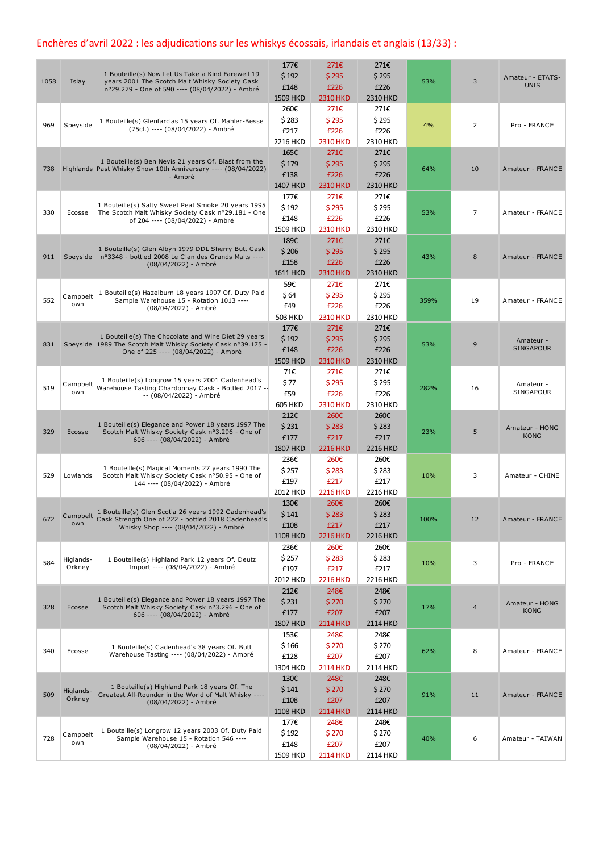## Enchères d'avril 2022 : les adjudications sur les whiskys écossais, irlandais et anglais (13/33) :

| 1058 | Islay     | 1 Bouteille(s) Now Let Us Take a Kind Farewell 19<br>years 2001 The Scotch Malt Whisky Society Cask<br>nº29.279 - One of 590 ---- (08/04/2022) - Ambré | 177€<br>\$192<br>£148 | 271€<br>\$295<br>£226   | 271€<br>\$295<br>£226 | 53%  | 3  | Amateur - ETATS-<br><b>UNIS</b> |
|------|-----------|--------------------------------------------------------------------------------------------------------------------------------------------------------|-----------------------|-------------------------|-----------------------|------|----|---------------------------------|
|      |           |                                                                                                                                                        | 1509 HKD              | <b>2310 HKD</b>         | 2310 HKD              |      |    |                                 |
|      |           |                                                                                                                                                        | 260€                  | 271€                    | 271€                  |      |    |                                 |
|      |           | 1 Bouteille(s) Glenfarclas 15 years Of. Mahler-Besse                                                                                                   | \$283                 | \$295                   | \$295                 |      |    |                                 |
| 969  | Speyside  | (75cl.) ---- (08/04/2022) - Ambré                                                                                                                      | £217                  | £226                    | £226                  | 4%   | 2  | Pro - FRANCE                    |
|      |           |                                                                                                                                                        | 2216 HKD              | <b>2310 HKD</b>         | 2310 HKD              |      |    |                                 |
|      |           |                                                                                                                                                        | 165€                  | 271€                    | 271€                  |      |    |                                 |
|      |           | 1 Bouteille(s) Ben Nevis 21 years Of. Blast from the                                                                                                   | \$179                 | \$295                   | \$295                 |      |    |                                 |
| 738  |           | Highlands Past Whisky Show 10th Anniversary ---- (08/04/2022)<br>- Ambré                                                                               | £138                  | £226                    | £226                  | 64%  | 10 | Amateur - FRANCE                |
|      |           |                                                                                                                                                        | 1407 HKD              | <b>2310 HKD</b>         | 2310 HKD              |      |    |                                 |
|      |           |                                                                                                                                                        | 177€                  | 271€                    | 271€                  |      |    |                                 |
| 330  | Ecosse    | 1 Bouteille(s) Salty Sweet Peat Smoke 20 years 1995                                                                                                    | \$192                 | \$295                   | \$295                 | 53%  | 7  |                                 |
|      |           | The Scotch Malt Whisky Society Cask nº29.181 - One<br>of 204 ---- (08/04/2022) - Ambré                                                                 | £148                  | £226                    | £226                  |      |    | Amateur - FRANCE                |
|      |           |                                                                                                                                                        | 1509 HKD              | <b>2310 HKD</b>         | 2310 HKD              |      |    |                                 |
|      |           |                                                                                                                                                        | 189€                  | 271€                    | 271€                  |      |    |                                 |
| 911  |           | 1 Bouteille(s) Glen Albyn 1979 DDL Sherry Butt Cask<br>Speyside nº3348 - bottled 2008 Le Clan des Grands Malts ----                                    | \$206                 | \$295                   | \$295                 | 43%  | 8  | Amateur - FRANCE                |
|      |           | (08/04/2022) - Ambré                                                                                                                                   | £158                  | £226                    | £226                  |      |    |                                 |
|      |           |                                                                                                                                                        | 1611 HKD              | <b>2310 HKD</b>         | 2310 HKD              |      |    |                                 |
|      |           |                                                                                                                                                        | 59€                   | 271€                    | 271€                  |      |    |                                 |
| 552  | Campbelt  | 1 Bouteille(s) Hazelburn 18 years 1997 Of. Duty Paid<br>Sample Warehouse 15 - Rotation 1013 ----                                                       | \$64                  | \$295                   | \$295                 | 359% | 19 | Amateur - FRANCE                |
|      | own       | (08/04/2022) - Ambré                                                                                                                                   | £49                   | £226                    | £226                  |      |    |                                 |
|      |           |                                                                                                                                                        | 503 HKD               | <b>2310 HKD</b>         | 2310 HKD              |      |    |                                 |
|      |           |                                                                                                                                                        | 177€                  | 271€                    | 271€                  |      |    |                                 |
| 831  |           | 1 Bouteille(s) The Chocolate and Wine Diet 29 years<br>Speyside 1989 The Scotch Malt Whisky Society Cask nº39.175 -                                    | \$192                 | \$295                   | \$295                 | 53%  | 9  | Amateur -                       |
|      |           | One of 225 ---- (08/04/2022) - Ambré                                                                                                                   | £148                  | £226                    | £226                  |      |    | <b>SINGAPOUR</b>                |
|      |           |                                                                                                                                                        | 1509 HKD              | <b>2310 HKD</b>         | 2310 HKD              |      |    |                                 |
|      |           |                                                                                                                                                        | 71€                   | 271€                    | 271€                  |      |    |                                 |
| 519  | Campbelt  | 1 Bouteille(s) Longrow 15 years 2001 Cadenhead's<br>Warehouse Tasting Chardonnay Cask - Bottled 2017 --                                                | \$77                  | \$295                   | \$295                 |      | 16 | Amateur -                       |
|      | own       | -- (08/04/2022) - Ambré                                                                                                                                | £59                   | £226                    | £226                  | 282% |    | SINGAPOUR                       |
|      |           |                                                                                                                                                        | <b>605 HKD</b>        | <b>2310 HKD</b>         | 2310 HKD              |      |    |                                 |
|      |           |                                                                                                                                                        | 212€                  | 260€                    | 260€                  |      |    |                                 |
| 329  | Ecosse    | 1 Bouteille(s) Elegance and Power 18 years 1997 The<br>Scotch Malt Whisky Society Cask nº3.296 - One of                                                | \$231                 | \$283                   | \$283                 | 23%  | 5  | Amateur - HONG                  |
|      |           | 606 ---- (08/04/2022) - Ambré                                                                                                                          | £177                  | £217                    | £217                  |      |    | <b>KONG</b>                     |
|      |           |                                                                                                                                                        | <b>1807 HKD</b>       | <b>2216 HKD</b>         | 2216 HKD              |      |    |                                 |
|      |           |                                                                                                                                                        | 236€                  | 260€                    | 260€                  |      |    |                                 |
| 529  | Lowlands  | 1 Bouteille(s) Magical Moments 27 years 1990 The<br>Scotch Malt Whisky Society Cask nº50.95 - One of                                                   | \$257                 | \$283                   | \$283                 | 10%  | 3  | Amateur - CHINE                 |
|      |           | 144 ---- (08/04/2022) - Ambré                                                                                                                          | £197                  | £217                    | £217                  |      |    |                                 |
|      |           |                                                                                                                                                        | 2012 HKD              | <b>2216 HKD</b>         | 2216 HKD              |      |    |                                 |
|      |           |                                                                                                                                                        | 130€                  | 260€                    | 260€                  |      |    |                                 |
| 672  |           | Campbelt 1 Bouteille(s) Glen Scotia 26 years 1992 Cadenhead's<br>Cask Strength One of 222 - bottled 2018 Cadenhead's                                   | $$141$                | \$283                   | \$283                 | 100% | 12 | Amateur - FRANCE                |
|      | own       | Whisky Shop ---- (08/04/2022) - Ambré                                                                                                                  | £108                  | £217                    | £217                  |      |    |                                 |
|      |           |                                                                                                                                                        | <b>1108 HKD</b>       | <b>2216 HKD</b>         | <b>2216 HKD</b>       |      |    |                                 |
|      |           |                                                                                                                                                        | 236€                  | 260€                    | 260€                  |      |    |                                 |
| 584  | Higlands- | 1 Bouteille(s) Highland Park 12 years Of. Deutz                                                                                                        | \$257                 | \$283                   | \$283                 | 10%  | 3  | Pro - FRANCE                    |
|      | Orkney    | Import ---- (08/04/2022) - Ambré                                                                                                                       | £197                  | £217                    | £217                  |      |    |                                 |
|      |           |                                                                                                                                                        | 2012 HKD              | <b>2216 HKD</b>         | 2216 HKD              |      |    |                                 |
|      |           |                                                                                                                                                        | 212€                  | 248€                    | 248€                  |      |    |                                 |
| 328  | Ecosse    | 1 Bouteille(s) Elegance and Power 18 years 1997 The<br>Scotch Malt Whisky Society Cask nº3.296 - One of                                                | \$231                 | \$270                   | \$270                 | 17%  | 4  | Amateur - HONG                  |
|      |           | 606 ---- (08/04/2022) - Ambré                                                                                                                          | £177                  | £207                    | £207                  |      |    | <b>KONG</b>                     |
|      |           |                                                                                                                                                        | <b>1807 HKD</b>       | <b>2114 HKD</b>         | 2114 HKD              |      |    |                                 |
|      |           |                                                                                                                                                        | 153€                  | 248€                    | 248€                  |      |    |                                 |
| 340  | Ecosse    | 1 Bouteille(s) Cadenhead's 38 years Of. Butt                                                                                                           | \$166                 | \$270                   | \$270                 | 62%  | 8  | Amateur - FRANCE                |
|      |           | Warehouse Tasting ---- (08/04/2022) - Ambré                                                                                                            | £128                  | £207                    | £207                  |      |    |                                 |
|      |           |                                                                                                                                                        | 1304 HKD              | <b>2114 HKD</b>         | 2114 HKD              |      |    |                                 |
|      |           |                                                                                                                                                        | 130€                  | 248€                    | 248€                  |      |    |                                 |
| 509  | Higlands- | 1 Bouteille(s) Highland Park 18 years Of. The<br>Greatest All-Rounder in the World of Malt Whisky ----                                                 | \$141                 | \$270                   | \$270                 | 91%  | 11 | Amateur - FRANCE                |
|      | Orkney    | (08/04/2022) - Ambré                                                                                                                                   | £108                  | £207                    | £207                  |      |    |                                 |
|      |           |                                                                                                                                                        | <b>1108 HKD</b>       | <b>2114 HKD</b>         | 2114 HKD              |      |    |                                 |
|      |           |                                                                                                                                                        | 177€                  | 248€                    | 248€                  |      |    |                                 |
|      |           |                                                                                                                                                        |                       |                         |                       |      |    |                                 |
| 728  | Campbelt  | 1 Bouteille(s) Longrow 12 years 2003 Of. Duty Paid<br>Sample Warehouse 15 - Rotation 546 ----                                                          | \$192                 | \$270                   | \$270                 | 40%  | 6  | Amateur - TAIWAN                |
|      | own       | (08/04/2022) - Ambré                                                                                                                                   | £148<br>1509 HKD      | £207<br><b>2114 HKD</b> | £207<br>2114 HKD      |      |    |                                 |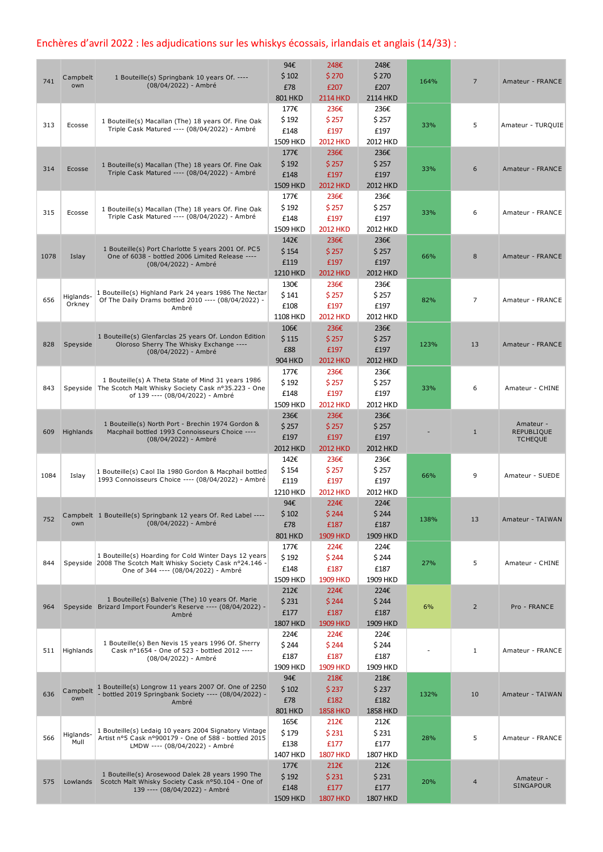## Enchères d'avril 2022 : les adjudications sur les whiskys écossais, irlandais et anglais (14/33) :

|      |                     |                                                                                                                       | 94€                     | 248€                    | 248€                    |      |                |                        |
|------|---------------------|-----------------------------------------------------------------------------------------------------------------------|-------------------------|-------------------------|-------------------------|------|----------------|------------------------|
| 741  | Campbelt<br>own     | 1 Bouteille(s) Springbank 10 years Of. ----<br>(08/04/2022) - Ambré                                                   | \$102                   | \$270                   | \$270                   | 164% | $\overline{7}$ | Amateur - FRANCE       |
|      |                     |                                                                                                                       | £78                     | £207                    | £207                    |      |                |                        |
|      |                     |                                                                                                                       | <b>801 HKD</b><br>177€  | <b>2114 HKD</b><br>236€ | 2114 HKD<br>236€        |      |                |                        |
|      |                     |                                                                                                                       | \$192                   | \$257                   | \$257                   |      |                |                        |
| 313  | Ecosse              | 1 Bouteille(s) Macallan (The) 18 years Of. Fine Oak<br>Triple Cask Matured ---- (08/04/2022) - Ambré                  | £148                    | £197                    | £197                    | 33%  | 5              | Amateur - TURQUIE      |
|      |                     |                                                                                                                       | 1509 HKD                | <b>2012 HKD</b>         | 2012 HKD                |      |                |                        |
|      |                     |                                                                                                                       | 177€                    | 236€                    | 236€                    |      |                |                        |
|      |                     | 1 Bouteille(s) Macallan (The) 18 years Of. Fine Oak                                                                   | \$192                   | \$257                   | \$257                   |      |                |                        |
| 314  | Ecosse              | Triple Cask Matured ---- (08/04/2022) - Ambré                                                                         | £148                    | £197                    | £197                    | 33%  | 6              | Amateur - FRANCE       |
|      |                     |                                                                                                                       | 1509 HKD                | <b>2012 HKD</b>         | 2012 HKD                |      |                |                        |
|      |                     |                                                                                                                       | 177€                    | 236€                    | 236€                    |      |                |                        |
| 315  | Ecosse              | 1 Bouteille(s) Macallan (The) 18 years Of. Fine Oak                                                                   | \$192                   | \$257                   | \$257                   | 33%  | 6              | Amateur - FRANCE       |
|      |                     | Triple Cask Matured ---- (08/04/2022) - Ambré                                                                         | £148                    | £197                    | £197                    |      |                |                        |
|      |                     |                                                                                                                       | 1509 HKD                | <b>2012 HKD</b>         | 2012 HKD                |      |                |                        |
|      |                     | 1 Bouteille(s) Port Charlotte 5 years 2001 Of. PC5                                                                    | 142€                    | 236€                    | 236€                    |      |                |                        |
| 1078 | Islay               | One of 6038 - bottled 2006 Limited Release ----                                                                       | \$154                   | \$257                   | \$257                   | 66%  | 8              | Amateur - FRANCE       |
|      |                     | (08/04/2022) - Ambré                                                                                                  | £119<br><b>1210 HKD</b> | £197<br><b>2012 HKD</b> | £197<br>2012 HKD        |      |                |                        |
|      |                     |                                                                                                                       | 130€                    | 236€                    | 236€                    |      |                |                        |
|      |                     | 1 Bouteille(s) Highland Park 24 years 1986 The Nectar                                                                 | \$141                   | \$257                   | \$257                   |      |                |                        |
| 656  | Higlands-<br>Orkney | Of The Daily Drams bottled 2010 ---- (08/04/2022) -<br>Ambré                                                          | £108                    | £197                    | £197                    | 82%  | 7              | Amateur - FRANCE       |
|      |                     |                                                                                                                       | 1108 HKD                | <b>2012 HKD</b>         | 2012 HKD                |      |                |                        |
|      |                     |                                                                                                                       | 106€                    | 236€                    | 236€                    |      |                |                        |
|      |                     | 1 Bouteille(s) Glenfarclas 25 years Of. London Edition                                                                | \$115                   | \$257                   | \$257                   |      |                |                        |
| 828  | Speyside            | Oloroso Sherry The Whisky Exchange ----<br>(08/04/2022) - Ambré                                                       | £88                     | £197                    | £197                    | 123% | 13             | Amateur - FRANCE       |
|      |                     |                                                                                                                       | <b>904 HKD</b>          | <b>2012 HKD</b>         | 2012 HKD                |      |                |                        |
|      |                     |                                                                                                                       | 177€                    | 236€                    | 236€                    |      |                |                        |
| 843  |                     | 1 Bouteille(s) A Theta State of Mind 31 years 1986<br>Speyside   The Scotch Malt Whisky Society Cask nº35.223 - One   | \$192                   | \$257                   | \$257                   | 33%  | 6              | Amateur - CHINE        |
|      |                     | of 139 ---- (08/04/2022) - Ambré                                                                                      | £148                    | £197                    | £197                    |      |                |                        |
|      |                     |                                                                                                                       | 1509 HKD                | <b>2012 HKD</b>         | 2012 HKD                |      |                |                        |
|      |                     | 1 Bouteille(s) North Port - Brechin 1974 Gordon &                                                                     | 236€                    | 236€                    | 236€                    |      |                | Amateur -              |
| 609  | Highlands           | Macphail bottled 1993 Connoisseurs Choice ----                                                                        | \$257                   | \$257                   | \$257                   |      | $\mathbf{1}$   | <b>REPUBLIQUE</b>      |
|      |                     | (08/04/2022) - Ambré                                                                                                  | £197                    | £197                    | £197                    |      |                | <b>TCHEQUE</b>         |
|      |                     |                                                                                                                       | 2012 HKD<br>142€        | <b>2012 HKD</b><br>236€ | 2012 HKD<br>236€        |      |                |                        |
|      |                     |                                                                                                                       | \$154                   | \$257                   | \$257                   |      |                |                        |
| 1084 | Islay               | 1 Bouteille(s) Caol Ila 1980 Gordon & Macphail bottled<br>1993 Connoisseurs Choice ---- (08/04/2022) - Ambré          | £119                    | £197                    | £197                    | 66%  | 9              | Amateur - SUEDE        |
|      |                     |                                                                                                                       | 1210 HKD                | <b>2012 HKD</b>         | 2012 HKD                |      |                |                        |
|      |                     |                                                                                                                       | 94€                     | 224€                    | 224€                    |      |                |                        |
|      |                     | Campbelt 1 Bouteille(s) Springbank 12 years Of. Red Label ----                                                        | \$102                   | \$244                   | \$244                   |      |                |                        |
| 752  | own                 | (08/04/2022) - Ambré                                                                                                  | £78                     | £187                    | £187                    | 138% | 13             | Amateur - TAIWAN       |
|      |                     |                                                                                                                       | <b>801 HKD</b>          | <b>1909 HKD</b>         | 1909 HKD                |      |                |                        |
|      |                     |                                                                                                                       | 177€                    | 224€                    | 224€                    |      |                |                        |
| 844  |                     | 1 Bouteille(s) Hoarding for Cold Winter Days 12 years<br>Speyside 2008 The Scotch Malt Whisky Society Cask nº24.146 - | \$192                   | \$244                   | \$244                   | 27%  | 5              | Amateur - CHINE        |
|      |                     | One of 344 ---- (08/04/2022) - Ambré                                                                                  | £148                    | £187                    | £187                    |      |                |                        |
|      |                     |                                                                                                                       | 1509 HKD                | <b>1909 HKD</b>         | 1909 HKD                |      |                |                        |
|      |                     | 1 Bouteille(s) Balvenie (The) 10 years Of. Marie                                                                      | 212€                    | 224€                    | 224€                    |      |                |                        |
| 964  |                     | Speyside Brizard Import Founder's Reserve ---- (08/04/2022) -                                                         | \$231                   | \$244                   | \$244                   | 6%   | $\overline{2}$ | Pro - FRANCE           |
|      |                     | Ambré                                                                                                                 | £177<br><b>1807 HKD</b> | £187<br><b>1909 HKD</b> | £187<br>1909 HKD        |      |                |                        |
|      |                     |                                                                                                                       | 224€                    | 224€                    | 224€                    |      |                |                        |
|      |                     | 1 Bouteille(s) Ben Nevis 15 years 1996 Of. Sherry                                                                     | \$244                   | \$244                   | \$244                   |      |                |                        |
| 511  | Highlands           | Cask nº1654 - One of 523 - bottled 2012 ----<br>(08/04/2022) - Ambré                                                  | £187                    | £187                    | £187                    |      | $\mathbf{1}$   | Amateur - FRANCE       |
|      |                     |                                                                                                                       | 1909 HKD                | <b>1909 HKD</b>         | 1909 HKD                |      |                |                        |
|      |                     |                                                                                                                       | 94€                     | 218€                    | 218€                    |      |                |                        |
|      | Campbelt            | 1 Bouteille(s) Longrow 11 years 2007 Of. One of 2250                                                                  | \$102                   | \$237                   | \$237                   |      |                |                        |
| 636  | own                 | - bottled 2019 Springbank Society ---- (08/04/2022) -<br>Ambré                                                        | £78                     | £182                    | £182                    | 132% | 10             | Amateur - TAIWAN       |
|      |                     |                                                                                                                       | <b>801 HKD</b>          | <b>1858 HKD</b>         | 1858 HKD                |      |                |                        |
|      |                     |                                                                                                                       | 165€                    | 212€                    | 212€                    |      |                |                        |
| 566  | Higlands-           | 1 Bouteille(s) Ledaig 10 years 2004 Signatory Vintage<br>Artist n°5 Cask n°900179 - One of 588 - bottled 2015         | \$179                   | \$231                   | \$231                   | 28%  | 5              | Amateur - FRANCE       |
|      | Mull                | LMDW ---- (08/04/2022) - Ambré                                                                                        | £138                    | £177                    | £177                    |      |                |                        |
|      |                     |                                                                                                                       | 1407 HKD                | <b>1807 HKD</b>         | 1807 HKD                |      |                |                        |
|      |                     | 1 Bouteille(s) Arosewood Dalek 28 years 1990 The                                                                      | 177€                    | 212€                    | 212€                    |      |                |                        |
| 575  | Lowlands            | Scotch Malt Whisky Society Cask nº50.104 - One of                                                                     | \$192                   | \$231                   | \$231                   | 20%  | 4              | Amateur -<br>SINGAPOUR |
|      |                     | 139 ---- (08/04/2022) - Ambré                                                                                         | £148<br>1509 HKD        | £177<br><b>1807 HKD</b> | £177<br><b>1807 HKD</b> |      |                |                        |
|      |                     |                                                                                                                       |                         |                         |                         |      |                |                        |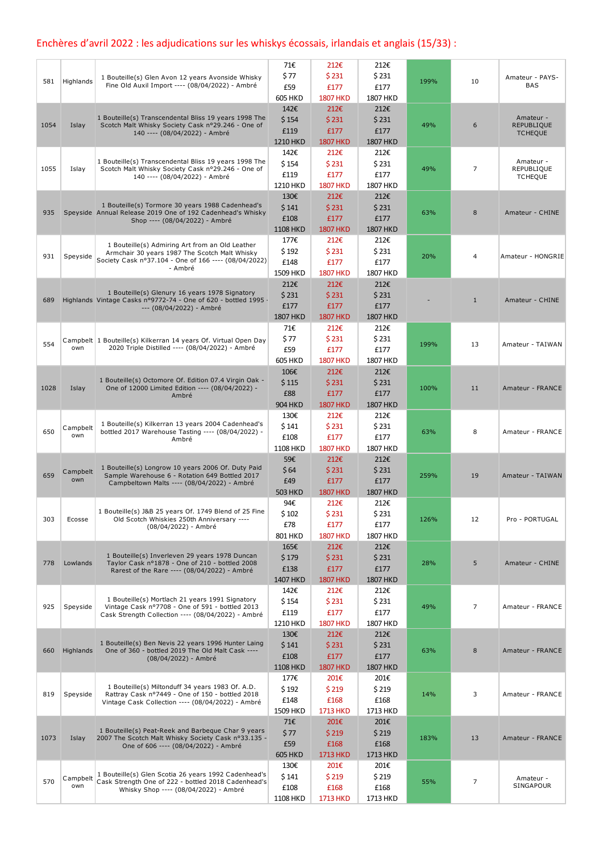## Enchères d'avril 2022 : les adjudications sur les whiskys écossais, irlandais et anglais (15/33) :

|      |                 |                                                                                                                    | 71€             | 212€            | 212€            |      |                |                                     |
|------|-----------------|--------------------------------------------------------------------------------------------------------------------|-----------------|-----------------|-----------------|------|----------------|-------------------------------------|
|      |                 | 1 Bouteille(s) Glen Avon 12 years Avonside Whisky                                                                  | \$77            | \$231           | \$231           |      |                | Amateur - PAYS-                     |
| 581  | Highlands       | Fine Old Auxil Import ---- (08/04/2022) - Ambré                                                                    | £59             | £177            | £177            | 199% | 10             | <b>BAS</b>                          |
|      |                 |                                                                                                                    | <b>605 HKD</b>  | <b>1807 HKD</b> | 1807 HKD        |      |                |                                     |
|      |                 |                                                                                                                    | 142€            | 212€            | 212€            |      |                |                                     |
|      |                 | 1 Bouteille(s) Transcendental Bliss 19 years 1998 The                                                              | \$154           | \$231           | \$231           |      |                | Amateur -                           |
| 1054 | Islay           | Scotch Malt Whisky Society Cask nº29.246 - One of<br>140 ---- (08/04/2022) - Ambré                                 | £119            | £177            | £177            | 49%  | 6              | <b>REPUBLIQUE</b><br><b>TCHEQUE</b> |
|      |                 |                                                                                                                    | 1210 HKD        | <b>1807 HKD</b> | <b>1807 HKD</b> |      |                |                                     |
|      |                 |                                                                                                                    | 142€            | 212€            | 212€            |      |                |                                     |
|      |                 | 1 Bouteille(s) Transcendental Bliss 19 years 1998 The                                                              | \$154           | \$231           | \$231           |      |                | Amateur -                           |
| 1055 | Islay           | Scotch Malt Whisky Society Cask nº29.246 - One of                                                                  | £119            | £177            | £177            | 49%  | 7              | REPUBLIQUE                          |
|      |                 | 140 ---- (08/04/2022) - Ambré                                                                                      | 1210 HKD        | <b>1807 HKD</b> | 1807 HKD        |      |                | <b>TCHEQUE</b>                      |
|      |                 |                                                                                                                    | 130€            | 212€            | 212€            |      |                |                                     |
|      |                 | 1 Bouteille(s) Tormore 30 years 1988 Cadenhead's                                                                   | \$141           | \$231           | \$231           |      |                |                                     |
| 935  |                 | Speyside Annual Release 2019 One of 192 Cadenhead's Whisky                                                         | £108            | £177            | £177            | 63%  | 8              | Amateur - CHINE                     |
|      |                 | Shop ---- (08/04/2022) - Ambré                                                                                     | <b>1108 HKD</b> | <b>1807 HKD</b> | <b>1807 HKD</b> |      |                |                                     |
|      |                 |                                                                                                                    | 177€            | 212€            | 212€            |      |                |                                     |
|      |                 | 1 Bouteille(s) Admiring Art from an Old Leather                                                                    | \$192           | \$231           | \$231           |      |                |                                     |
| 931  | Speyside        | Armchair 30 years 1987 The Scotch Malt Whisky<br>Society Cask nº37.104 - One of 166 ---- (08/04/2022)              | £148            | £177            | £177            | 20%  | $\overline{4}$ | Amateur - HONGRIE                   |
|      |                 | - Ambré                                                                                                            | 1509 HKD        | <b>1807 HKD</b> | 1807 HKD        |      |                |                                     |
|      |                 |                                                                                                                    | 212€            | 212€            | 212€            |      |                |                                     |
|      |                 | 1 Bouteille(s) Glenury 16 years 1978 Signatory                                                                     | \$231           | \$231           | \$231           |      |                |                                     |
| 689  |                 | Highlands Vintage Casks nº9772-74 - One of 620 - bottled 1995 -                                                    | £177            | £177            | £177            |      | $\mathbf{1}$   | Amateur - CHINE                     |
|      |                 | --- (08/04/2022) - Ambré                                                                                           | 1807 HKD        |                 |                 |      |                |                                     |
|      |                 |                                                                                                                    |                 | <b>1807 HKD</b> | <b>1807 HKD</b> |      |                |                                     |
|      |                 |                                                                                                                    | 71€             | 212€            | 212€            |      |                |                                     |
| 554  | own             | Campbelt 1 Bouteille(s) Kilkerran 14 years Of. Virtual Open Day<br>2020 Triple Distilled ---- (08/04/2022) - Ambré | \$77            | \$231           | \$231           | 199% | 13             | Amateur - TAIWAN                    |
|      |                 |                                                                                                                    | £59             | £177            | £177            |      |                |                                     |
|      |                 |                                                                                                                    | <b>605 HKD</b>  | <b>1807 HKD</b> | 1807 HKD        |      |                |                                     |
|      |                 | 1 Bouteille(s) Octomore Of. Edition 07.4 Virgin Oak -                                                              | 106€            | 212€            | 212€            |      |                |                                     |
| 1028 | Islay           | One of 12000 Limited Edition ---- (08/04/2022) -                                                                   | \$115           | \$231           | \$231           | 100% | 11             | Amateur - FRANCE                    |
|      |                 | Ambré                                                                                                              | £88             | £177            | £177            |      |                |                                     |
|      |                 |                                                                                                                    | <b>904 HKD</b>  | <b>1807 HKD</b> | <b>1807 HKD</b> |      |                |                                     |
|      |                 | 1 Bouteille(s) Kilkerran 13 years 2004 Cadenhead's                                                                 | 130€            | 212€            | 212€            |      |                |                                     |
| 650  | Campbelt<br>own | bottled 2017 Warehouse Tasting ---- (08/04/2022) -                                                                 | \$141           | \$231           | \$231           | 63%  | 8              | Amateur - FRANCE                    |
|      |                 | Ambré                                                                                                              | £108            | £177            | £177            |      |                |                                     |
|      |                 |                                                                                                                    | 1108 HKD        | <b>1807 HKD</b> | 1807 HKD        |      |                |                                     |
|      |                 | 1 Bouteille(s) Longrow 10 years 2006 Of. Duty Paid                                                                 | 59€             | 212€            | 212€            |      |                |                                     |
| 659  | Campbelt<br>own | Sample Warehouse 6 - Rotation 649 Bottled 2017                                                                     | \$64            | \$231           | \$231           | 259% | 19             | Amateur - TAIWAN                    |
|      |                 | Campbeltown Malts ---- (08/04/2022) - Ambré                                                                        | £49             | £177            | £177            |      |                |                                     |
|      |                 |                                                                                                                    | <b>503 HKD</b>  | <b>1807 HKD</b> | <b>1807 HKD</b> |      |                |                                     |
|      |                 | 1 Bouteille(s) J&B 25 years Of. 1749 Blend of 25 Fine                                                              | 94€             | 212€            | 212€            |      |                |                                     |
| 303  | Ecosse          | Old Scotch Whiskies 250th Anniversary ----                                                                         | \$102           | \$231           | \$231           | 126% | 12             | Pro - PORTUGAL                      |
|      |                 | (08/04/2022) - Ambré                                                                                               | £78             | £177            | £177            |      |                |                                     |
|      |                 |                                                                                                                    | 801 HKD         | <b>1807 HKD</b> | 1807 HKD        |      |                |                                     |
|      |                 | 1 Bouteille(s) Inverleven 29 years 1978 Duncan                                                                     | 165€            | 212€            | 212€            |      |                |                                     |
| 778  | Lowlands        | Taylor Cask nº1878 - One of 210 - bottled 2008                                                                     | \$179           | \$231           | \$231           | 28%  | 5              | Amateur - CHINE                     |
|      |                 | Rarest of the Rare ---- (08/04/2022) - Ambré                                                                       | £138            | £177            | £177            |      |                |                                     |
|      |                 |                                                                                                                    | 1407 HKD        | <b>1807 HKD</b> | <b>1807 HKD</b> |      |                |                                     |
|      |                 | 1 Bouteille(s) Mortlach 21 years 1991 Signatory                                                                    | 142€            | 212€            | 212€            |      |                |                                     |
| 925  | Speyside        | Vintage Cask nº7708 - One of 591 - bottled 2013                                                                    | \$154           | \$231           | \$231           | 49%  | $\overline{7}$ | Amateur - FRANCE                    |
|      |                 | Cask Strength Collection ---- (08/04/2022) - Ambré                                                                 | £119            | £177            | £177            |      |                |                                     |
|      |                 |                                                                                                                    | 1210 HKD        | <b>1807 HKD</b> | 1807 HKD        |      |                |                                     |
|      |                 | 1 Bouteille(s) Ben Nevis 22 years 1996 Hunter Laing                                                                | 130€            | 212€            | 212€            |      |                |                                     |
| 660  | Highlands       | One of 360 - bottled 2019 The Old Malt Cask ----                                                                   | \$141           | \$231           | \$231           | 63%  | 8              | Amateur - FRANCE                    |
|      |                 | (08/04/2022) - Ambré                                                                                               | £108            | £177            | £177            |      |                |                                     |
|      |                 |                                                                                                                    | <b>1108 HKD</b> | <b>1807 HKD</b> | <b>1807 HKD</b> |      |                |                                     |
|      |                 | 1 Bouteille(s) Miltonduff 34 years 1983 Of. A.D.                                                                   | 177€            | 201€            | 201€            |      |                |                                     |
| 819  | Speyside        | Rattray Cask nº7449 - One of 150 - bottled 2018                                                                    | \$192           | \$219           | \$219           | 14%  | 3              | Amateur - FRANCE                    |
|      |                 | Vintage Cask Collection ---- (08/04/2022) - Ambré                                                                  | £148            | £168            | £168            |      |                |                                     |
|      |                 |                                                                                                                    | 1509 HKD        | <b>1713 HKD</b> | 1713 HKD        |      |                |                                     |
|      |                 | 1 Bouteille(s) Peat-Reek and Barbeque Char 9 years                                                                 | 71€             | 201€            | 201€            |      |                |                                     |
| 1073 | Islay           | 2007 The Scotch Malt Whisky Society Cask nº33.135 -                                                                | \$77            | \$219           | \$219           | 183% | 13             | Amateur - FRANCE                    |
|      |                 | One of 606 ---- (08/04/2022) - Ambré                                                                               | £59             | £168            | £168            |      |                |                                     |
|      |                 |                                                                                                                    | <b>605 HKD</b>  | 1713 HKD        | 1713 HKD        |      |                |                                     |
|      |                 | 1 Bouteille(s) Glen Scotia 26 years 1992 Cadenhead's                                                               | 130€            | 201€            | 201€            |      |                |                                     |
| 570  | Campbelt        | Cask Strength One of 222 - bottled 2018 Cadenhead's                                                                | \$141           | \$219           | \$219           | 55%  | 7              | Amateur -                           |
|      | own             | Whisky Shop ---- (08/04/2022) - Ambré                                                                              | £108            | £168            | £168            |      |                | SINGAPOUR                           |
|      |                 |                                                                                                                    | 1108 HKD        | 1713 HKD        | 1713 HKD        |      |                |                                     |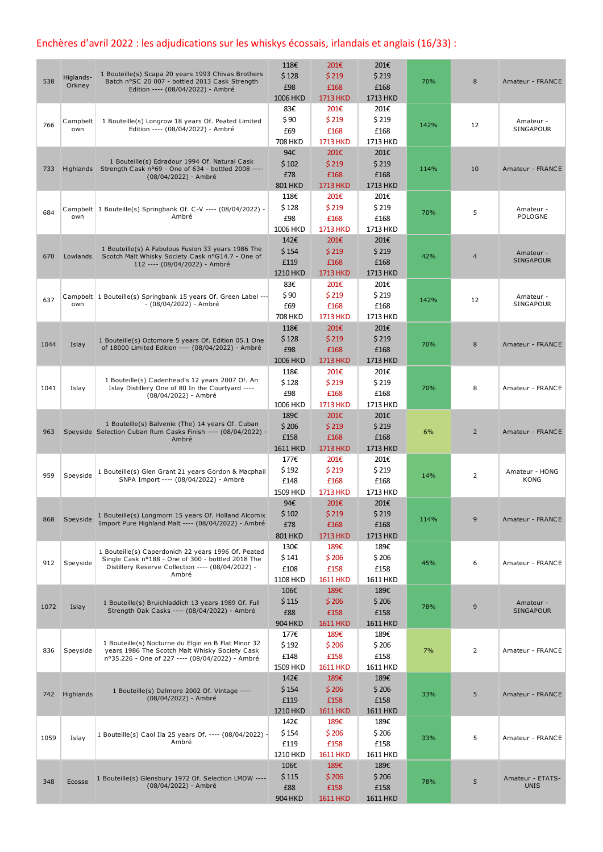## Enchères d'avril 2022 : les adjudications sur les whiskys écossais, irlandais et anglais (16/33) :

| 538  | Higlands-<br>Orkney | 1 Bouteille(s) Scapa 20 years 1993 Chivas Brothers<br>Batch n°SC 20 007 - bottled 2013 Cask Strength<br>Edition ---- (08/04/2022) - Ambré                              | 118€<br>\$128<br>£98<br><b>1006 HKD</b>  | 201€<br>\$219<br>£168<br>1713 HKD        | 201€<br>\$219<br>£168<br>1713 HKD        | 70%  | 8              | Amateur - FRANCE                |
|------|---------------------|------------------------------------------------------------------------------------------------------------------------------------------------------------------------|------------------------------------------|------------------------------------------|------------------------------------------|------|----------------|---------------------------------|
| 766  | Campbelt<br>own     | 1 Bouteille(s) Longrow 18 years Of. Peated Limited<br>Edition ---- (08/04/2022) - Ambré                                                                                | 83€<br>\$90<br>£69<br><b>708 HKD</b>     | 201€<br>\$219<br>£168<br>1713 HKD        | 201€<br>\$219<br>£168<br>1713 HKD        | 142% | 12             | Amateur -<br>SINGAPOUR          |
| 733  |                     | 1 Bouteille(s) Edradour 1994 Of. Natural Cask<br>Highlands Strength Cask n°69 - One of 634 - bottled 2008 ----<br>(08/04/2022) - Ambré                                 | 94€<br>\$102<br>£78<br><b>801 HKD</b>    | 201€<br>\$219<br>£168<br>1713 HKD        | 201€<br>\$219<br>£168<br>1713 HKD        | 114% | 10             | Amateur - FRANCE                |
| 684  | own                 | Campbelt   1 Bouteille(s) Springbank Of. C-V ---- (08/04/2022) -<br>Ambré                                                                                              | 118€<br>\$128<br>£98<br>1006 HKD         | 201€<br>\$219<br>£168<br>1713 HKD        | 201€<br>\$219<br>£168<br>1713 HKD        | 70%  | 5              | Amateur -<br>POLOGNE            |
| 670  | Lowlands            | 1 Bouteille(s) A Fabulous Fusion 33 years 1986 The<br>Scotch Malt Whisky Society Cask n°G14.7 - One of<br>112 ---- (08/04/2022) - Ambré                                | 142€<br>\$154<br>£119<br>1210 HKD        | 201€<br>\$219<br>£168<br>1713 HKD        | 201€<br>\$219<br>£168<br>1713 HKD        | 42%  | $\overline{4}$ | Amateur -<br><b>SINGAPOUR</b>   |
| 637  | own                 | Campbelt 1 Bouteille(s) Springbank 15 years Of. Green Label ---<br>- (08/04/2022) - Ambré                                                                              | 83€<br>\$90<br>£69<br><b>708 HKD</b>     | 201€<br>\$219<br>£168<br>1713 HKD        | 201€<br>\$219<br>£168<br>1713 HKD        | 142% | 12             | Amateur -<br>SINGAPOUR          |
| 1044 | Islay               | 1 Bouteille(s) Octomore 5 years Of. Edition 05.1 One<br>of 18000 Limited Edition ---- (08/04/2022) - Ambré                                                             | 118€<br>\$128<br>£98<br>1006 HKD         | 201€<br>\$219<br>£168<br>1713 HKD        | 201€<br>\$219<br>£168<br>1713 HKD        | 70%  | 8              | Amateur - FRANCE                |
| 1041 | Islay               | 1 Bouteille(s) Cadenhead's 12 years 2007 Of. An<br>Islay Distillery One of 80 In the Courtyard ----<br>(08/04/2022) - Ambré                                            | 118€<br>\$128<br>£98<br>1006 HKD         | 201€<br>\$219<br>£168<br>1713 HKD        | 201€<br>\$219<br>£168<br>1713 HKD        | 70%  | 8              | Amateur - FRANCE                |
| 963  |                     | 1 Bouteille(s) Balvenie (The) 14 years Of. Cuban<br>Speyside Selection Cuban Rum Casks Finish ---- (08/04/2022) -<br>Ambré                                             | 189€<br>\$206<br>£158<br><b>1611 HKD</b> | 201€<br>\$219<br>£168<br>1713 HKD        | 201€<br>\$219<br>£168<br>1713 HKD        | 6%   | $\overline{2}$ | Amateur - FRANCE                |
| 959  | Speyside            | 1 Bouteille(s) Glen Grant 21 years Gordon & Macphail<br>SNPA Import ---- (08/04/2022) - Ambré                                                                          | 177€<br>\$192<br>£148<br>1509 HKD        | 201€<br>\$219<br>£168<br><b>1713 HKD</b> | 201€<br>\$219<br>£168<br>1713 HKD        | 14%  | 2              | Amateur - HONG<br><b>KONG</b>   |
| 868  | Speyside            | 1 Bouteille(s) Longmorn 15 years Of. Holland Alcomix<br>Import Pure Highland Malt ---- (08/04/2022) - Ambré                                                            | 94€<br>\$102<br>£78<br><b>801 HKD</b>    | 201€<br>\$219<br>£168<br>1713 HKD        | 201€<br>\$219<br>£168<br>1713 HKD        | 114% | 9              | Amateur - FRANCE                |
| 912  | Speyside            | 1 Bouteille(s) Caperdonich 22 years 1996 Of. Peated<br>Single Cask nº188 - One of 300 - bottled 2018 The<br>Distillery Reserve Collection ---- (08/04/2022) -<br>Ambré | 130€<br>\$141<br>£108<br>1108 HKD        | 189€<br>\$206<br>£158<br><b>1611 HKD</b> | 189€<br>\$206<br>£158<br>1611 HKD        | 45%  | 6              | Amateur - FRANCE                |
| 1072 | Islay               | 1 Bouteille(s) Bruichladdich 13 years 1989 Of. Full<br>Strength Oak Casks ---- (08/04/2022) - Ambré                                                                    | 106€<br>\$115<br>£88<br><b>904 HKD</b>   | 189€<br>\$206<br>£158<br><b>1611 HKD</b> | 189€<br>\$206<br>£158<br><b>1611 HKD</b> | 78%  | 9              | Amateur -<br>SINGAPOUR          |
| 836  | Speyside            | 1 Bouteille(s) Nocturne du Elgin en B Flat Minor 32<br>years 1986 The Scotch Malt Whisky Society Cask<br>nº35.226 - One of 227 ---- (08/04/2022) - Ambré               | 177€<br>\$192<br>£148<br>1509 HKD        | 189€<br>\$206<br>£158<br><b>1611 HKD</b> | 189€<br>\$206<br>£158<br>1611 HKD        | 7%   | 2              | Amateur - FRANCE                |
|      | 742 Highlands       | 1 Bouteille(s) Dalmore 2002 Of. Vintage ----<br>(08/04/2022) - Ambré                                                                                                   | 142€<br>\$154<br>£119<br>1210 HKD        | 189€<br>\$206<br>£158<br><b>1611 HKD</b> | 189€<br>\$206<br>£158<br><b>1611 HKD</b> | 33%  | 5              | Amateur - FRANCE                |
| 1059 | Islay               | 1 Bouteille(s) Caol Ila 25 years Of. ---- (08/04/2022) -<br>Ambré                                                                                                      | 142€<br>\$154<br>£119<br>1210 HKD        | 189€<br>\$206<br>£158<br><b>1611 HKD</b> | 189€<br>\$206<br>£158<br>1611 HKD        | 33%  | 5              | Amateur - FRANCE                |
| 348  | Ecosse              | 1 Bouteille(s) Glensbury 1972 Of. Selection LMDW ----<br>(08/04/2022) - Ambré                                                                                          | 106€<br>\$115<br>£88<br><b>904 HKD</b>   | 189€<br>\$206<br>£158<br><b>1611 HKD</b> | 189€<br>\$206<br>£158<br><b>1611 HKD</b> | 78%  | 5              | Amateur - ETATS-<br><b>UNIS</b> |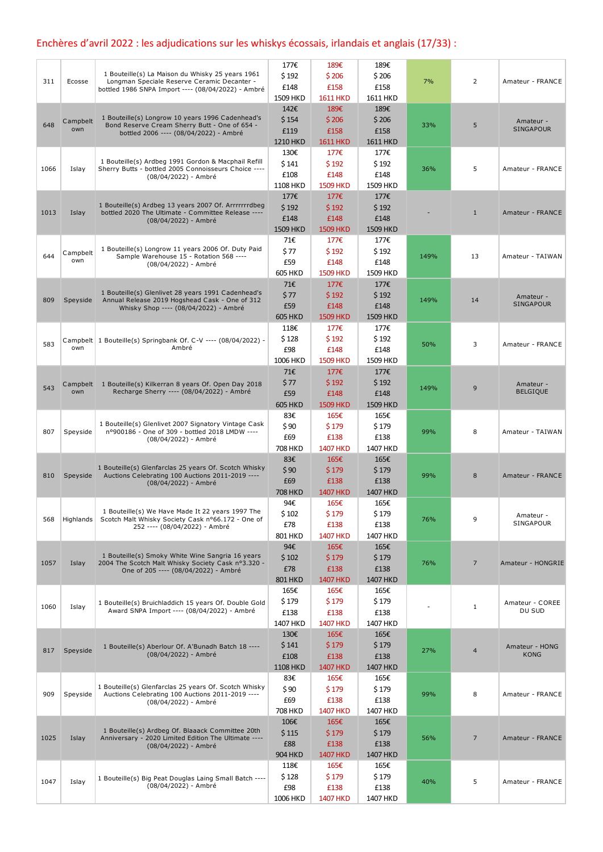## Enchères d'avril 2022 : les adjudications sur les whiskys écossais, irlandais et anglais (17/33) :

|      |                 |                                                                                                 | 177€            | 189€            | 189€          |      |                |                               |
|------|-----------------|-------------------------------------------------------------------------------------------------|-----------------|-----------------|---------------|------|----------------|-------------------------------|
| 311  | Ecosse          | 1 Bouteille(s) La Maison du Whisky 25 years 1961<br>Longman Speciale Reserve Ceramic Decanter - | \$192           | \$206           | \$206         | 7%   | $\overline{2}$ | Amateur - FRANCE              |
|      |                 | bottled 1986 SNPA Import ---- (08/04/2022) - Ambré                                              | £148            | £158            | £158          |      |                |                               |
|      |                 |                                                                                                 | 1509 HKD        | <b>1611 HKD</b> | 1611 HKD      |      |                |                               |
|      |                 | 1 Bouteille(s) Longrow 10 years 1996 Cadenhead's                                                | 142€            | 189€            | 189€          |      |                |                               |
| 648  | Campbelt        | Bond Reserve Cream Sherry Butt - One of 654 -                                                   | \$154           | \$206           | \$206         | 33%  | 5              | Amateur -                     |
|      | own             | bottled 2006 ---- (08/04/2022) - Ambré                                                          | £119            | £158            | £158          |      |                | <b>SINGAPOUR</b>              |
|      |                 |                                                                                                 | 1210 HKD        | <b>1611 HKD</b> | 1611 HKD      |      |                |                               |
|      |                 | 1 Bouteille(s) Ardbeg 1991 Gordon & Macphail Refill                                             | 130€            | 177€            | 177€          |      |                |                               |
| 1066 | Islay           | Sherry Butts - bottled 2005 Connoisseurs Choice ----                                            | \$141           | \$192           | \$192         | 36%  | 5              | Amateur - FRANCE              |
|      |                 | (08/04/2022) - Ambré                                                                            | £108            | £148            | £148          |      |                |                               |
|      |                 |                                                                                                 | 1108 HKD        | <b>1509 HKD</b> | 1509 HKD      |      |                |                               |
|      |                 | 1 Bouteille(s) Ardbeg 13 years 2007 Of. Arrrrrrrdbeg                                            | 177€            | 177€            | 177€          |      |                |                               |
| 1013 | Islay           | bottled 2020 The Ultimate - Committee Release ----                                              | \$192           | \$192           | \$192         |      | $\mathbf{1}$   | Amateur - FRANCE              |
|      |                 | (08/04/2022) - Ambré                                                                            | £148            | £148            | £148          |      |                |                               |
|      |                 |                                                                                                 | 1509 HKD        | <b>1509 HKD</b> | 1509 HKD      |      |                |                               |
|      |                 | 1 Bouteille(s) Longrow 11 years 2006 Of. Duty Paid                                              | 71€             | 177€            | 177€          |      |                |                               |
| 644  | Campbelt<br>own | Sample Warehouse 15 - Rotation 568 ----                                                         | \$77            | \$192           | \$192         | 149% | 13             | Amateur - TAIWAN              |
|      |                 | (08/04/2022) - Ambré                                                                            | £59             | £148            | £148          |      |                |                               |
|      |                 |                                                                                                 | <b>605 HKD</b>  | <b>1509 HKD</b> | 1509 HKD      |      |                |                               |
|      |                 | 1 Bouteille(s) Glenlivet 28 years 1991 Cadenhead's                                              | 71€             | 177€            | 177€          |      |                |                               |
| 809  | Speyside        | Annual Release 2019 Hogshead Cask - One of 312                                                  | \$77            | \$192           | \$192         | 149% | 14             | Amateur -<br><b>SINGAPOUR</b> |
|      |                 | Whisky Shop ---- (08/04/2022) - Ambré                                                           | £59             | £148            | £148          |      |                |                               |
|      |                 |                                                                                                 | <b>605 HKD</b>  | <b>1509 HKD</b> | 1509 HKD      |      |                |                               |
|      |                 |                                                                                                 | 118€            | 177€            | 177€          |      |                |                               |
| 583  | own             | Campbelt   1 Bouteille(s) Springbank Of. C-V ---- (08/04/2022) -<br>Ambré                       | \$128           | \$192           | \$192         | 50%  | 3              | Amateur - FRANCE              |
|      |                 |                                                                                                 | £98             | £148            | £148          |      |                |                               |
|      |                 |                                                                                                 | 1006 HKD        | <b>1509 HKD</b> | 1509 HKD      |      |                |                               |
|      |                 |                                                                                                 | 71€             | 177€            | 177€          |      |                |                               |
| 543  | Campbelt<br>own | 1 Bouteille(s) Kilkerran 8 years Of. Open Day 2018<br>Recharge Sherry ---- (08/04/2022) - Ambré | \$77            | \$192           | \$192         | 149% | 9              | Amateur -<br><b>BELGIQUE</b>  |
|      |                 |                                                                                                 | £59             | £148            | £148          |      |                |                               |
|      |                 |                                                                                                 | <b>605 HKD</b>  | <b>1509 HKD</b> | 1509 HKD      |      |                |                               |
|      |                 | 1 Bouteille(s) Glenlivet 2007 Signatory Vintage Cask                                            | 83€             | 165€            | 165€          |      |                |                               |
| 807  | Speyside        | nº900186 - One of 309 - bottled 2018 LMDW ----                                                  | \$90<br>£69     | \$179<br>£138   | \$179<br>£138 | 99%  | 8              | Amateur - TAIWAN              |
|      |                 | (08/04/2022) - Ambré                                                                            | 708 HKD         | <b>1407 HKD</b> | 1407 HKD      |      |                |                               |
|      |                 |                                                                                                 | 83€             | 165€            | 165€          |      |                |                               |
|      |                 | 1 Bouteille(s) Glenfarclas 25 years Of. Scotch Whisky                                           | \$90            | \$179           | \$179         |      |                |                               |
| 810  | Speyside        | Auctions Celebrating 100 Auctions 2011-2019 ----                                                | £69             | £138            | £138          | 99%  | 8              | Amateur - FRANCE              |
|      |                 | (08/04/2022) - Ambré                                                                            | <b>708 HKD</b>  | <b>1407 HKD</b> | 1407 HKD      |      |                |                               |
|      |                 |                                                                                                 | 94€             | 165€            | 165€          |      |                |                               |
|      |                 | 1 Bouteille(s) We Have Made It 22 years 1997 The                                                | \$102           | \$179           | \$179         |      |                |                               |
| 568  | Highlands       | Scotch Malt Whisky Society Cask nº66.172 - One of                                               | £78             | £138            | £138          | 76%  | 9              | Amateur -<br>SINGAPOUR        |
|      |                 | 252 ---- (08/04/2022) - Ambré                                                                   | 801 HKD         | <b>1407 HKD</b> | 1407 HKD      |      |                |                               |
|      |                 |                                                                                                 | 94€             | 165€            | 165€          |      |                |                               |
|      |                 | 1 Bouteille(s) Smoky White Wine Sangria 16 years                                                | \$102           | \$179           | \$179         |      |                |                               |
| 1057 | Islay           | 2004 The Scotch Malt Whisky Society Cask nº3.320 -                                              | £78             | £138            | £138          | 76%  | $\overline{7}$ | Amateur - HONGRIE             |
|      |                 | One of 205 ---- (08/04/2022) - Ambré                                                            | <b>801 HKD</b>  | <b>1407 HKD</b> | 1407 HKD      |      |                |                               |
|      |                 |                                                                                                 | 165€            | 165€            | 165€          |      |                |                               |
|      |                 | 1 Bouteille(s) Bruichladdich 15 years Of. Double Gold                                           | \$179           | \$179           | \$179         |      |                | Amateur - COREE               |
| 1060 | Islay           | Award SNPA Import ---- (08/04/2022) - Ambré                                                     | £138            | £138            | £138          |      | $\mathbf{1}$   | DU SUD                        |
|      |                 |                                                                                                 | 1407 HKD        | <b>1407 HKD</b> | 1407 HKD      |      |                |                               |
|      |                 |                                                                                                 | 130€            | 165€            | 165€          |      |                |                               |
|      |                 | 1 Bouteille(s) Aberlour Of. A'Bunadh Batch 18 ----                                              | \$141           | \$179           | \$179         |      |                | Amateur - HONG                |
| 817  | Speyside        | (08/04/2022) - Ambré                                                                            | £108            | £138            | £138          | 27%  | $\overline{4}$ | <b>KONG</b>                   |
|      |                 |                                                                                                 | <b>1108 HKD</b> | <b>1407 HKD</b> | 1407 HKD      |      |                |                               |
|      |                 |                                                                                                 | 83€             | 165€            | 165€          |      |                |                               |
|      |                 | 1 Bouteille(s) Glenfarclas 25 years Of. Scotch Whisky                                           | \$90            | \$179           | \$179         |      |                |                               |
| 909  | Speyside        | Auctions Celebrating 100 Auctions 2011-2019 ----<br>(08/04/2022) - Ambré                        | £69             | £138            | £138          | 99%  | 8              | Amateur - FRANCE              |
|      |                 |                                                                                                 | 708 HKD         | <b>1407 HKD</b> | 1407 HKD      |      |                |                               |
|      |                 |                                                                                                 | 106€            | 165€            | 165€          |      |                |                               |
|      |                 | 1 Bouteille(s) Ardbeg Of. Blaaack Committee 20th                                                | \$115           | \$179           | \$179         |      |                |                               |
| 1025 | Islay           | Anniversary - 2020 Limited Edition The Ultimate ----<br>(08/04/2022) - Ambré                    | £88             | £138            | £138          | 56%  | $\overline{7}$ | Amateur - FRANCE              |
|      |                 |                                                                                                 | <b>904 HKD</b>  | <b>1407 HKD</b> | 1407 HKD      |      |                |                               |
|      |                 |                                                                                                 | 118€            | 165€            | 165€          |      |                |                               |
|      |                 | 1 Bouteille(s) Big Peat Douglas Laing Small Batch ----                                          | \$128           | \$179           | \$179         |      |                |                               |
| 1047 | Islay           | (08/04/2022) - Ambré                                                                            | £98             | £138            | £138          | 40%  | 5              | Amateur - FRANCE              |
|      |                 |                                                                                                 | 1006 HKD        | <b>1407 HKD</b> | 1407 HKD      |      |                |                               |
|      |                 |                                                                                                 |                 |                 |               |      |                |                               |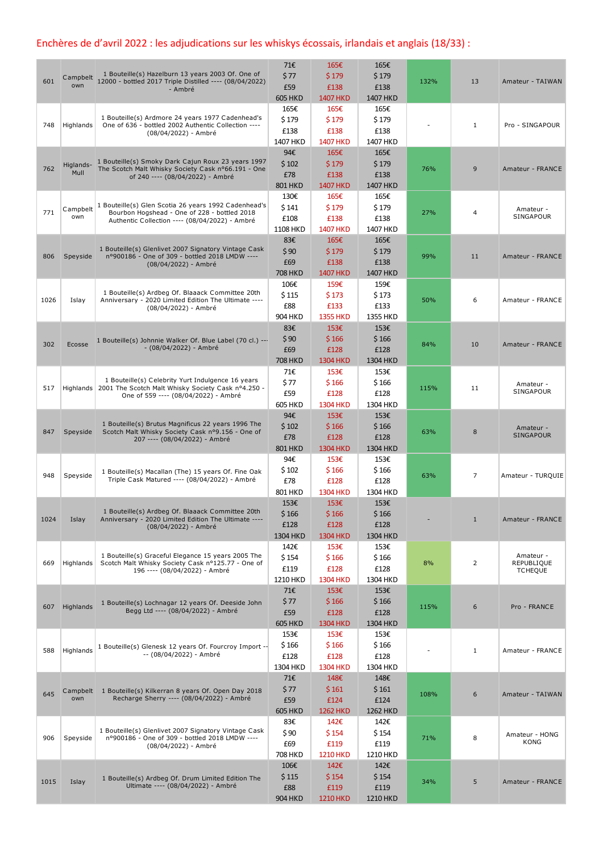## Enchères de d'avril 2022 : les adjudications sur les whiskys écossais, irlandais et anglais (18/33) :

| 601  | own               | 1 Bouteille(s) Hazelburn 13 years 2003 Of. One of<br>Campbelt 12000 - bottled 2017 Triple Distilled ---- (08/04/2022)<br>- Ambré                       | 71€<br>\$77<br>£59<br><b>605 HKD</b>   | 165€<br>\$179<br>£138<br><b>1407 HKD</b> | 165€<br>\$179<br>£138<br>1407 HKD | 132% | 13           | Amateur - TAIWAN                          |
|------|-------------------|--------------------------------------------------------------------------------------------------------------------------------------------------------|----------------------------------------|------------------------------------------|-----------------------------------|------|--------------|-------------------------------------------|
| 748  | Highlands         | 1 Bouteille(s) Ardmore 24 years 1977 Cadenhead's<br>One of 636 - bottled 2002 Authentic Collection ----<br>(08/04/2022) - Ambré                        | 165€<br>\$179<br>£138<br>1407 HKD      | 165€<br>\$179<br>£138<br><b>1407 HKD</b> | 165€<br>\$179<br>£138<br>1407 HKD |      | 1            | Pro - SINGAPOUR                           |
| 762  | Higlands-<br>Mull | 1 Bouteille(s) Smoky Dark Cajun Roux 23 years 1997<br>The Scotch Malt Whisky Society Cask nº66.191 - One<br>of 240 ---- (08/04/2022) - Ambré           | 94€<br>\$102<br>£78<br><b>801 HKD</b>  | 165€<br>\$179<br>£138<br><b>1407 HKD</b> | 165€<br>\$179<br>£138<br>1407 HKD | 76%  | 9            | Amateur - FRANCE                          |
| 771  | Campbelt<br>own   | 1 Bouteille(s) Glen Scotia 26 years 1992 Cadenhead's<br>Bourbon Hogshead - One of 228 - bottled 2018<br>Authentic Collection ---- (08/04/2022) - Ambré | 130€<br>\$141<br>£108<br>1108 HKD      | 165€<br>\$179<br>£138<br><b>1407 HKD</b> | 165€<br>\$179<br>£138<br>1407 HKD | 27%  | 4            | Amateur -<br>SINGAPOUR                    |
| 806  | Speyside          | 1 Bouteille(s) Glenlivet 2007 Signatory Vintage Cask<br>nº900186 - One of 309 - bottled 2018 LMDW ----<br>(08/04/2022) - Ambré                         | 83€<br>\$90<br>£69<br><b>708 HKD</b>   | 165€<br>\$179<br>£138<br><b>1407 HKD</b> | 165€<br>\$179<br>£138<br>1407 HKD | 99%  | 11           | Amateur - FRANCE                          |
| 1026 | Islay             | 1 Bouteille(s) Ardbeg Of. Blaaack Committee 20th<br>Anniversary - 2020 Limited Edition The Ultimate ----<br>(08/04/2022) - Ambré                       | 106€<br>\$115<br>£88<br>904 HKD        | 159€<br>\$173<br>£133<br><b>1355 HKD</b> | 159€<br>\$173<br>£133<br>1355 HKD | 50%  | 6            | Amateur - FRANCE                          |
| 302  | Ecosse            | 1 Bouteille(s) Johnnie Walker Of. Blue Label (70 cl.) ---<br>- (08/04/2022) - Ambré                                                                    | 83€<br>\$90<br>£69<br><b>708 HKD</b>   | 153€<br>\$166<br>£128<br><b>1304 HKD</b> | 153€<br>\$166<br>£128<br>1304 HKD | 84%  | 10           | Amateur - FRANCE                          |
| 517  | Highlands         | 1 Bouteille(s) Celebrity Yurt Indulgence 16 years<br>2001 The Scotch Malt Whisky Society Cask nº4.250 -<br>One of 559 ---- (08/04/2022) - Ambré        | 71€<br>\$77<br>£59<br><b>605 HKD</b>   | 153€<br>\$166<br>£128<br><b>1304 HKD</b> | 153€<br>\$166<br>£128<br>1304 HKD | 115% | 11           | Amateur -<br>SINGAPOUR                    |
| 847  | Speyside          | 1 Bouteille(s) Brutus Magnificus 22 years 1996 The<br>Scotch Malt Whisky Society Cask nº9.156 - One of<br>207 ---- (08/04/2022) - Ambré                | 94€<br>\$102<br>£78<br><b>801 HKD</b>  | 153€<br>\$166<br>£128<br><b>1304 HKD</b> | 153€<br>\$166<br>£128<br>1304 HKD | 63%  | 8            | Amateur -<br><b>SINGAPOUR</b>             |
| 948  | Speyside          | 1 Bouteille(s) Macallan (The) 15 years Of. Fine Oak<br>Triple Cask Matured ---- (08/04/2022) - Ambré                                                   | 94€<br>\$102<br>£78<br>801 HKD         | 153€<br>\$166<br>£128<br><b>1304 HKD</b> | 153€<br>\$166<br>£128<br>1304 HKD | 63%  | 7            | Amateur - TURQUIE                         |
| 1024 | Islay             | 1 Bouteille(s) Ardbeg Of. Blaaack Committee 20th<br>Anniversary - 2020 Limited Edition The Ultimate ----<br>(08/04/2022) - Ambré                       | 153€<br>\$166<br>£128<br>1304 HKD      | 153€<br>\$166<br>£128<br><b>1304 HKD</b> | 153€<br>\$166<br>£128<br>1304 HKD |      | $\mathbf{1}$ | Amateur - FRANCE                          |
| 669  | Highlands         | 1 Bouteille(s) Graceful Elegance 15 years 2005 The<br>Scotch Malt Whisky Society Cask nº125.77 - One of<br>196 ---- (08/04/2022) - Ambré               | 142€<br>\$154<br>£119<br>1210 HKD      | 153€<br>\$166<br>£128<br><b>1304 HKD</b> | 153€<br>\$166<br>£128<br>1304 HKD | 8%   | 2            | Amateur -<br>REPUBLIQUE<br><b>TCHEQUE</b> |
| 607  | Highlands         | 1 Bouteille(s) Lochnagar 12 years Of. Deeside John<br>Begg Ltd ---- (08/04/2022) - Ambré                                                               | 71€<br>\$77<br>£59<br><b>605 HKD</b>   | 153€<br>\$166<br>£128<br><b>1304 HKD</b> | 153€<br>\$166<br>£128<br>1304 HKD | 115% | 6            | Pro - FRANCE                              |
| 588  | Highlands         | 1 Bouteille(s) Glenesk 12 years Of. Fourcroy Import --<br>-- (08/04/2022) - Ambré                                                                      | 153€<br>\$166<br>£128<br>1304 HKD      | 153€<br>\$166<br>£128<br><b>1304 HKD</b> | 153€<br>\$166<br>£128<br>1304 HKD |      | $\mathbf{1}$ | Amateur - FRANCE                          |
| 645  | Campbelt<br>own   | 1 Bouteille(s) Kilkerran 8 years Of. Open Day 2018<br>Recharge Sherry ---- (08/04/2022) - Ambré                                                        | 71€<br>\$77<br>£59<br><b>605 HKD</b>   | 148€<br>\$161<br>£124<br><b>1262 HKD</b> | 148€<br>\$161<br>£124<br>1262 HKD | 108% | 6            | Amateur - TAIWAN                          |
| 906  | Speyside          | 1 Bouteille(s) Glenlivet 2007 Signatory Vintage Cask<br>nº900186 - One of 309 - bottled 2018 LMDW ----<br>(08/04/2022) - Ambré                         | 83€<br>\$90<br>£69<br><b>708 HKD</b>   | 142€<br>\$154<br>£119<br><b>1210 HKD</b> | 142€<br>\$154<br>£119<br>1210 HKD | 71%  | 8            | Amateur - HONG<br><b>KONG</b>             |
| 1015 | Islay             | 1 Bouteille(s) Ardbeg Of. Drum Limited Edition The<br>Ultimate ---- (08/04/2022) - Ambré                                                               | 106€<br>\$115<br>£88<br><b>904 HKD</b> | 142€<br>\$154<br>£119<br><b>1210 HKD</b> | 142€<br>\$154<br>£119<br>1210 HKD | 34%  | 5            | Amateur - FRANCE                          |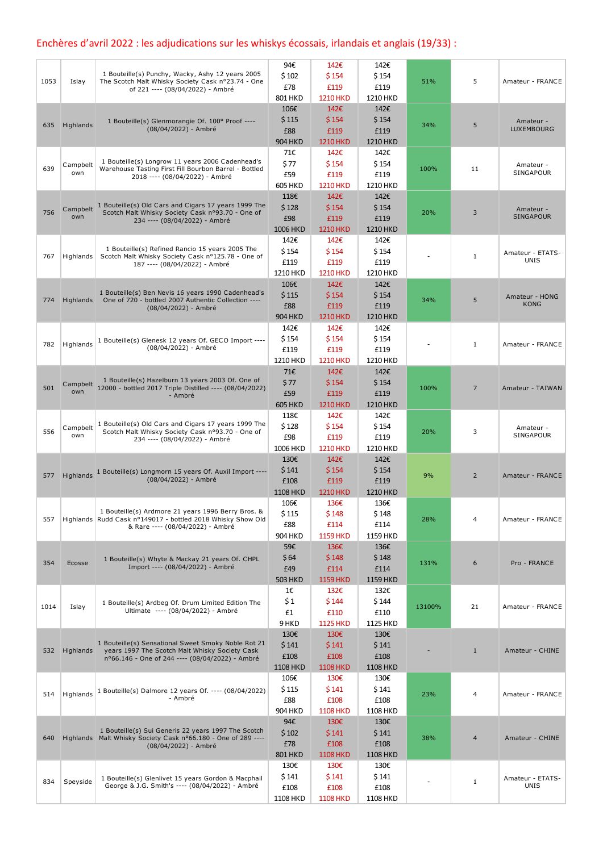## Enchères d'avril 2022 : les adjudications sur les whiskys écossais, irlandais et anglais (19/33) :

| 1 Bouteille(s) Punchy, Wacky, Ashy 12 years 2005<br>\$102<br>\$154<br>\$154<br>5<br>1053<br>51%<br>Islay<br>The Scotch Malt Whisky Society Cask nº23.74 - One<br>Amateur - FRANCE<br>£78<br>£119<br>£119<br>of 221 ---- (08/04/2022) - Ambré<br>801 HKD<br><b>1210 HKD</b><br>1210 HKD<br>142€<br>142€<br>106€<br>\$154<br>\$154<br>\$115<br>1 Bouteille(s) Glenmorangie Of. 100° Proof ----<br>Amateur -<br>5<br>635<br>Highlands<br>34%<br>(08/04/2022) - Ambré<br>LUXEMBOURG<br>£88<br>£119<br>£119<br><b>904 HKD</b><br><b>1210 HKD</b><br><b>1210 HKD</b><br>71€<br>142€<br>142€<br>1 Bouteille(s) Longrow 11 years 2006 Cadenhead's<br>\$77<br>\$154<br>\$154<br>Campbelt<br>Amateur -<br>639<br>Warehouse Tasting First Fill Bourbon Barrel - Bottled<br>100%<br>11<br>SINGAPOUR<br>own<br>£59<br>£119<br>£119<br>2018 ---- (08/04/2022) - Ambré<br><b>605 HKD</b><br>1210 HKD<br><b>1210 HKD</b><br>118€<br>142€<br>142€<br>1 Bouteille(s) Old Cars and Cigars 17 years 1999 The<br>\$154<br>\$128<br>\$154<br>Campbelt<br>Amateur -<br>756<br>Scotch Malt Whisky Society Cask nº93.70 - One of<br>20%<br>3<br><b>SINGAPOUR</b><br>own<br>£98<br>£119<br>£119<br>234 ---- (08/04/2022) - Ambré<br>1006 HKD<br><b>1210 HKD</b><br>1210 HKD<br>142€<br>142€<br>142€<br>1 Bouteille(s) Refined Rancio 15 years 2005 The<br>\$154<br>\$154<br>\$154<br>Amateur - ETATS-<br>Scotch Malt Whisky Society Cask nº125.78 - One of<br>767<br>Highlands<br>1<br><b>UNIS</b><br>£119<br>£119<br>£119<br>187 ---- (08/04/2022) - Ambré<br><b>1210 HKD</b><br>1210 HKD<br>1210 HKD<br>142€<br>142€<br>106€<br>1 Bouteille(s) Ben Nevis 16 years 1990 Cadenhead's<br>\$115<br>\$154<br>\$154<br>Amateur - HONG<br>One of 720 - bottled 2007 Authentic Collection ----<br>34%<br>5<br>774<br>Highlands<br><b>KONG</b><br>£88<br>£119<br>£119<br>(08/04/2022) - Ambré<br><b>904 HKD</b><br><b>1210 HKD</b><br>1210 HKD<br>142€<br>142€<br>142€<br>\$154<br>\$154<br>\$154<br>1 Bouteille(s) Glenesk 12 years Of. GECO Import ----<br>782<br>Highlands<br>1<br>Amateur - FRANCE<br>(08/04/2022) - Ambré<br>£119<br>£119<br>£119<br>1210 HKD<br><b>1210 HKD</b><br>1210 HKD<br>142€<br>142€<br>71€<br>1 Bouteille(s) Hazelburn 13 years 2003 Of. One of<br>\$77<br>\$154<br>\$154<br>Campbelt<br>12000 - bottled 2017 Triple Distilled ---- (08/04/2022)<br>501<br>100%<br>7<br>Amateur - TAIWAN<br>own<br>£59<br>£119<br>£119<br>- Ambré<br>1210 HKD<br><b>605 HKD</b><br><b>1210 HKD</b><br>118€<br>142€<br>142€<br>1 Bouteille(s) Old Cars and Cigars 17 years 1999 The<br>\$128<br>\$154<br>\$154<br>Campbelt<br>Amateur -<br>556<br>Scotch Malt Whisky Society Cask nº93.70 - One of<br>3<br>20%<br>SINGAPOUR<br>own<br>£98<br>£119<br>£119<br>234 ---- (08/04/2022) - Ambré<br>1006 HKD<br><b>1210 HKD</b><br>1210 HKD<br>142€<br>142€<br>130€<br>\$141<br>\$154<br>\$154<br>1 Bouteille(s) Longmorn 15 years Of. Auxil Import ----<br>Highlands<br>9%<br>577<br>$\overline{2}$<br>Amateur - FRANCE<br>(08/04/2022) - Ambré<br>£119<br>£108<br>£119<br>1210 HKD<br><b>1108 HKD</b><br><b>1210 HKD</b><br>136€<br>136€<br>106€<br>1 Bouteille(s) Ardmore 21 years 1996 Berry Bros. &<br><b>\$115</b><br>\$148<br>Ş 148<br>Highlands Rudd Cask nº149017 - bottled 2018 Whisky Show Old<br>28%<br>4<br>Amateur - FRANCE<br>557<br>£114<br>£88<br>£114<br>& Rare ---- (08/04/2022) - Ambré<br><b>904 HKD</b><br><b>1159 HKD</b><br>1159 HKD<br>136€<br>59€<br>136€<br>\$148<br>\$64<br>\$148<br>1 Bouteille(s) Whyte & Mackay 21 years Of. CHPL<br>354<br>131%<br>6<br>Pro - FRANCE<br>Ecosse<br>Import ---- (08/04/2022) - Ambré<br>£114<br>£49<br>£114<br>1159 HKD<br><b>503 HKD</b><br><b>1159 HKD</b><br>1€<br>132€<br>132€<br>\$1<br>\$144<br>\$144<br>1 Bouteille(s) Ardbeg Of. Drum Limited Edition The<br>1014<br>Islay<br>13100%<br>21<br>Amateur - FRANCE<br>Ultimate ---- (08/04/2022) - Ambré<br>£1<br>£110<br>£110<br>9 HKD<br><b>1125 HKD</b><br>1125 HKD<br>130€<br>130€<br>130€<br>1 Bouteille(s) Sensational Sweet Smoky Noble Rot 21<br>\$141<br>\$141<br>\$141<br>Highlands<br>years 1997 The Scotch Malt Whisky Society Cask<br>$\mathbf{1}$<br>Amateur - CHINE<br>532<br>£108<br>£108<br>£108<br>nº66.146 - One of 244 ---- (08/04/2022) - Ambré<br><b>1108 HKD</b><br><b>1108 HKD</b><br><b>1108 HKD</b><br>106€<br>130€<br>130€<br>\$141<br>\$141<br>\$115<br>1 Bouteille(s) Dalmore 12 years Of. ---- (08/04/2022)<br>Highlands<br>514<br>23%<br>4<br>Amateur - FRANCE<br>- Ambré<br>£88<br>£108<br>£108<br>904 HKD<br><b>1108 HKD</b><br>1108 HKD<br>130€<br>94€<br>130€<br>1 Bouteille(s) Sui Generis 22 years 1997 The Scotch<br>\$102<br>\$141<br>\$141<br>Highlands Malt Whisky Society Cask n°66.180 - One of 289 ----<br>38%<br>640<br>4<br>Amateur - CHINE<br>£78<br>£108<br>£108<br>(08/04/2022) - Ambré<br><b>801 HKD</b><br><b>1108 HKD</b><br><b>1108 HKD</b><br>130€<br>130€<br>130€<br>\$141<br>\$141<br>\$141<br>1 Bouteille(s) Glenlivet 15 years Gordon & Macphail<br>Amateur - ETATS-<br>834<br>Speyside<br>$\mathbf{1}$<br>George & J.G. Smith's ---- (08/04/2022) - Ambré<br><b>UNIS</b><br>£108<br>£108<br>£108<br><b>1108 HKD</b><br><b>1108 HKD</b><br>1108 HKD |  | 94€ | 142€ | 142€ |  |  |
|-------------------------------------------------------------------------------------------------------------------------------------------------------------------------------------------------------------------------------------------------------------------------------------------------------------------------------------------------------------------------------------------------------------------------------------------------------------------------------------------------------------------------------------------------------------------------------------------------------------------------------------------------------------------------------------------------------------------------------------------------------------------------------------------------------------------------------------------------------------------------------------------------------------------------------------------------------------------------------------------------------------------------------------------------------------------------------------------------------------------------------------------------------------------------------------------------------------------------------------------------------------------------------------------------------------------------------------------------------------------------------------------------------------------------------------------------------------------------------------------------------------------------------------------------------------------------------------------------------------------------------------------------------------------------------------------------------------------------------------------------------------------------------------------------------------------------------------------------------------------------------------------------------------------------------------------------------------------------------------------------------------------------------------------------------------------------------------------------------------------------------------------------------------------------------------------------------------------------------------------------------------------------------------------------------------------------------------------------------------------------------------------------------------------------------------------------------------------------------------------------------------------------------------------------------------------------------------------------------------------------------------------------------------------------------------------------------------------------------------------------------------------------------------------------------------------------------------------------------------------------------------------------------------------------------------------------------------------------------------------------------------------------------------------------------------------------------------------------------------------------------------------------------------------------------------------------------------------------------------------------------------------------------------------------------------------------------------------------------------------------------------------------------------------------------------------------------------------------------------------------------------------------------------------------------------------------------------------------------------------------------------------------------------------------------------------------------------------------------------------------------------------------------------------------------------------------------------------------------------------------------------------------------------------------------------------------------------------------------------------------------------------------------------------------------------------------------------------------------------------------------------------------------------------------------------------------------------------------------------------------------------------------------------------------------------------------------------------------------------------------------------------------------------------------------------------------------------------------------------------------------------------------------------------------------------------------------------------------------------------------------------------------------------------------------------------------------------------------------------------------------------------------------------------------------------------------------------------------------------------------------------------------------------------------------------------------------------------------------------------------------------------------------------------------------------------------------------------------------------------------------------------------------------------------------------------------------|--|-----|------|------|--|--|
|                                                                                                                                                                                                                                                                                                                                                                                                                                                                                                                                                                                                                                                                                                                                                                                                                                                                                                                                                                                                                                                                                                                                                                                                                                                                                                                                                                                                                                                                                                                                                                                                                                                                                                                                                                                                                                                                                                                                                                                                                                                                                                                                                                                                                                                                                                                                                                                                                                                                                                                                                                                                                                                                                                                                                                                                                                                                                                                                                                                                                                                                                                                                                                                                                                                                                                                                                                                                                                                                                                                                                                                                                                                                                                                                                                                                                                                                                                                                                                                                                                                                                                                                                                                                                                                                                                                                                                                                                                                                                                                                                                                                                                                                                                                                                                                                                                                                                                                                                                                                                                                                                                                                                                                                       |  |     |      |      |  |  |
|                                                                                                                                                                                                                                                                                                                                                                                                                                                                                                                                                                                                                                                                                                                                                                                                                                                                                                                                                                                                                                                                                                                                                                                                                                                                                                                                                                                                                                                                                                                                                                                                                                                                                                                                                                                                                                                                                                                                                                                                                                                                                                                                                                                                                                                                                                                                                                                                                                                                                                                                                                                                                                                                                                                                                                                                                                                                                                                                                                                                                                                                                                                                                                                                                                                                                                                                                                                                                                                                                                                                                                                                                                                                                                                                                                                                                                                                                                                                                                                                                                                                                                                                                                                                                                                                                                                                                                                                                                                                                                                                                                                                                                                                                                                                                                                                                                                                                                                                                                                                                                                                                                                                                                                                       |  |     |      |      |  |  |
|                                                                                                                                                                                                                                                                                                                                                                                                                                                                                                                                                                                                                                                                                                                                                                                                                                                                                                                                                                                                                                                                                                                                                                                                                                                                                                                                                                                                                                                                                                                                                                                                                                                                                                                                                                                                                                                                                                                                                                                                                                                                                                                                                                                                                                                                                                                                                                                                                                                                                                                                                                                                                                                                                                                                                                                                                                                                                                                                                                                                                                                                                                                                                                                                                                                                                                                                                                                                                                                                                                                                                                                                                                                                                                                                                                                                                                                                                                                                                                                                                                                                                                                                                                                                                                                                                                                                                                                                                                                                                                                                                                                                                                                                                                                                                                                                                                                                                                                                                                                                                                                                                                                                                                                                       |  |     |      |      |  |  |
|                                                                                                                                                                                                                                                                                                                                                                                                                                                                                                                                                                                                                                                                                                                                                                                                                                                                                                                                                                                                                                                                                                                                                                                                                                                                                                                                                                                                                                                                                                                                                                                                                                                                                                                                                                                                                                                                                                                                                                                                                                                                                                                                                                                                                                                                                                                                                                                                                                                                                                                                                                                                                                                                                                                                                                                                                                                                                                                                                                                                                                                                                                                                                                                                                                                                                                                                                                                                                                                                                                                                                                                                                                                                                                                                                                                                                                                                                                                                                                                                                                                                                                                                                                                                                                                                                                                                                                                                                                                                                                                                                                                                                                                                                                                                                                                                                                                                                                                                                                                                                                                                                                                                                                                                       |  |     |      |      |  |  |
|                                                                                                                                                                                                                                                                                                                                                                                                                                                                                                                                                                                                                                                                                                                                                                                                                                                                                                                                                                                                                                                                                                                                                                                                                                                                                                                                                                                                                                                                                                                                                                                                                                                                                                                                                                                                                                                                                                                                                                                                                                                                                                                                                                                                                                                                                                                                                                                                                                                                                                                                                                                                                                                                                                                                                                                                                                                                                                                                                                                                                                                                                                                                                                                                                                                                                                                                                                                                                                                                                                                                                                                                                                                                                                                                                                                                                                                                                                                                                                                                                                                                                                                                                                                                                                                                                                                                                                                                                                                                                                                                                                                                                                                                                                                                                                                                                                                                                                                                                                                                                                                                                                                                                                                                       |  |     |      |      |  |  |
|                                                                                                                                                                                                                                                                                                                                                                                                                                                                                                                                                                                                                                                                                                                                                                                                                                                                                                                                                                                                                                                                                                                                                                                                                                                                                                                                                                                                                                                                                                                                                                                                                                                                                                                                                                                                                                                                                                                                                                                                                                                                                                                                                                                                                                                                                                                                                                                                                                                                                                                                                                                                                                                                                                                                                                                                                                                                                                                                                                                                                                                                                                                                                                                                                                                                                                                                                                                                                                                                                                                                                                                                                                                                                                                                                                                                                                                                                                                                                                                                                                                                                                                                                                                                                                                                                                                                                                                                                                                                                                                                                                                                                                                                                                                                                                                                                                                                                                                                                                                                                                                                                                                                                                                                       |  |     |      |      |  |  |
|                                                                                                                                                                                                                                                                                                                                                                                                                                                                                                                                                                                                                                                                                                                                                                                                                                                                                                                                                                                                                                                                                                                                                                                                                                                                                                                                                                                                                                                                                                                                                                                                                                                                                                                                                                                                                                                                                                                                                                                                                                                                                                                                                                                                                                                                                                                                                                                                                                                                                                                                                                                                                                                                                                                                                                                                                                                                                                                                                                                                                                                                                                                                                                                                                                                                                                                                                                                                                                                                                                                                                                                                                                                                                                                                                                                                                                                                                                                                                                                                                                                                                                                                                                                                                                                                                                                                                                                                                                                                                                                                                                                                                                                                                                                                                                                                                                                                                                                                                                                                                                                                                                                                                                                                       |  |     |      |      |  |  |
|                                                                                                                                                                                                                                                                                                                                                                                                                                                                                                                                                                                                                                                                                                                                                                                                                                                                                                                                                                                                                                                                                                                                                                                                                                                                                                                                                                                                                                                                                                                                                                                                                                                                                                                                                                                                                                                                                                                                                                                                                                                                                                                                                                                                                                                                                                                                                                                                                                                                                                                                                                                                                                                                                                                                                                                                                                                                                                                                                                                                                                                                                                                                                                                                                                                                                                                                                                                                                                                                                                                                                                                                                                                                                                                                                                                                                                                                                                                                                                                                                                                                                                                                                                                                                                                                                                                                                                                                                                                                                                                                                                                                                                                                                                                                                                                                                                                                                                                                                                                                                                                                                                                                                                                                       |  |     |      |      |  |  |
|                                                                                                                                                                                                                                                                                                                                                                                                                                                                                                                                                                                                                                                                                                                                                                                                                                                                                                                                                                                                                                                                                                                                                                                                                                                                                                                                                                                                                                                                                                                                                                                                                                                                                                                                                                                                                                                                                                                                                                                                                                                                                                                                                                                                                                                                                                                                                                                                                                                                                                                                                                                                                                                                                                                                                                                                                                                                                                                                                                                                                                                                                                                                                                                                                                                                                                                                                                                                                                                                                                                                                                                                                                                                                                                                                                                                                                                                                                                                                                                                                                                                                                                                                                                                                                                                                                                                                                                                                                                                                                                                                                                                                                                                                                                                                                                                                                                                                                                                                                                                                                                                                                                                                                                                       |  |     |      |      |  |  |
|                                                                                                                                                                                                                                                                                                                                                                                                                                                                                                                                                                                                                                                                                                                                                                                                                                                                                                                                                                                                                                                                                                                                                                                                                                                                                                                                                                                                                                                                                                                                                                                                                                                                                                                                                                                                                                                                                                                                                                                                                                                                                                                                                                                                                                                                                                                                                                                                                                                                                                                                                                                                                                                                                                                                                                                                                                                                                                                                                                                                                                                                                                                                                                                                                                                                                                                                                                                                                                                                                                                                                                                                                                                                                                                                                                                                                                                                                                                                                                                                                                                                                                                                                                                                                                                                                                                                                                                                                                                                                                                                                                                                                                                                                                                                                                                                                                                                                                                                                                                                                                                                                                                                                                                                       |  |     |      |      |  |  |
|                                                                                                                                                                                                                                                                                                                                                                                                                                                                                                                                                                                                                                                                                                                                                                                                                                                                                                                                                                                                                                                                                                                                                                                                                                                                                                                                                                                                                                                                                                                                                                                                                                                                                                                                                                                                                                                                                                                                                                                                                                                                                                                                                                                                                                                                                                                                                                                                                                                                                                                                                                                                                                                                                                                                                                                                                                                                                                                                                                                                                                                                                                                                                                                                                                                                                                                                                                                                                                                                                                                                                                                                                                                                                                                                                                                                                                                                                                                                                                                                                                                                                                                                                                                                                                                                                                                                                                                                                                                                                                                                                                                                                                                                                                                                                                                                                                                                                                                                                                                                                                                                                                                                                                                                       |  |     |      |      |  |  |
|                                                                                                                                                                                                                                                                                                                                                                                                                                                                                                                                                                                                                                                                                                                                                                                                                                                                                                                                                                                                                                                                                                                                                                                                                                                                                                                                                                                                                                                                                                                                                                                                                                                                                                                                                                                                                                                                                                                                                                                                                                                                                                                                                                                                                                                                                                                                                                                                                                                                                                                                                                                                                                                                                                                                                                                                                                                                                                                                                                                                                                                                                                                                                                                                                                                                                                                                                                                                                                                                                                                                                                                                                                                                                                                                                                                                                                                                                                                                                                                                                                                                                                                                                                                                                                                                                                                                                                                                                                                                                                                                                                                                                                                                                                                                                                                                                                                                                                                                                                                                                                                                                                                                                                                                       |  |     |      |      |  |  |
|                                                                                                                                                                                                                                                                                                                                                                                                                                                                                                                                                                                                                                                                                                                                                                                                                                                                                                                                                                                                                                                                                                                                                                                                                                                                                                                                                                                                                                                                                                                                                                                                                                                                                                                                                                                                                                                                                                                                                                                                                                                                                                                                                                                                                                                                                                                                                                                                                                                                                                                                                                                                                                                                                                                                                                                                                                                                                                                                                                                                                                                                                                                                                                                                                                                                                                                                                                                                                                                                                                                                                                                                                                                                                                                                                                                                                                                                                                                                                                                                                                                                                                                                                                                                                                                                                                                                                                                                                                                                                                                                                                                                                                                                                                                                                                                                                                                                                                                                                                                                                                                                                                                                                                                                       |  |     |      |      |  |  |
|                                                                                                                                                                                                                                                                                                                                                                                                                                                                                                                                                                                                                                                                                                                                                                                                                                                                                                                                                                                                                                                                                                                                                                                                                                                                                                                                                                                                                                                                                                                                                                                                                                                                                                                                                                                                                                                                                                                                                                                                                                                                                                                                                                                                                                                                                                                                                                                                                                                                                                                                                                                                                                                                                                                                                                                                                                                                                                                                                                                                                                                                                                                                                                                                                                                                                                                                                                                                                                                                                                                                                                                                                                                                                                                                                                                                                                                                                                                                                                                                                                                                                                                                                                                                                                                                                                                                                                                                                                                                                                                                                                                                                                                                                                                                                                                                                                                                                                                                                                                                                                                                                                                                                                                                       |  |     |      |      |  |  |
|                                                                                                                                                                                                                                                                                                                                                                                                                                                                                                                                                                                                                                                                                                                                                                                                                                                                                                                                                                                                                                                                                                                                                                                                                                                                                                                                                                                                                                                                                                                                                                                                                                                                                                                                                                                                                                                                                                                                                                                                                                                                                                                                                                                                                                                                                                                                                                                                                                                                                                                                                                                                                                                                                                                                                                                                                                                                                                                                                                                                                                                                                                                                                                                                                                                                                                                                                                                                                                                                                                                                                                                                                                                                                                                                                                                                                                                                                                                                                                                                                                                                                                                                                                                                                                                                                                                                                                                                                                                                                                                                                                                                                                                                                                                                                                                                                                                                                                                                                                                                                                                                                                                                                                                                       |  |     |      |      |  |  |
|                                                                                                                                                                                                                                                                                                                                                                                                                                                                                                                                                                                                                                                                                                                                                                                                                                                                                                                                                                                                                                                                                                                                                                                                                                                                                                                                                                                                                                                                                                                                                                                                                                                                                                                                                                                                                                                                                                                                                                                                                                                                                                                                                                                                                                                                                                                                                                                                                                                                                                                                                                                                                                                                                                                                                                                                                                                                                                                                                                                                                                                                                                                                                                                                                                                                                                                                                                                                                                                                                                                                                                                                                                                                                                                                                                                                                                                                                                                                                                                                                                                                                                                                                                                                                                                                                                                                                                                                                                                                                                                                                                                                                                                                                                                                                                                                                                                                                                                                                                                                                                                                                                                                                                                                       |  |     |      |      |  |  |
|                                                                                                                                                                                                                                                                                                                                                                                                                                                                                                                                                                                                                                                                                                                                                                                                                                                                                                                                                                                                                                                                                                                                                                                                                                                                                                                                                                                                                                                                                                                                                                                                                                                                                                                                                                                                                                                                                                                                                                                                                                                                                                                                                                                                                                                                                                                                                                                                                                                                                                                                                                                                                                                                                                                                                                                                                                                                                                                                                                                                                                                                                                                                                                                                                                                                                                                                                                                                                                                                                                                                                                                                                                                                                                                                                                                                                                                                                                                                                                                                                                                                                                                                                                                                                                                                                                                                                                                                                                                                                                                                                                                                                                                                                                                                                                                                                                                                                                                                                                                                                                                                                                                                                                                                       |  |     |      |      |  |  |
|                                                                                                                                                                                                                                                                                                                                                                                                                                                                                                                                                                                                                                                                                                                                                                                                                                                                                                                                                                                                                                                                                                                                                                                                                                                                                                                                                                                                                                                                                                                                                                                                                                                                                                                                                                                                                                                                                                                                                                                                                                                                                                                                                                                                                                                                                                                                                                                                                                                                                                                                                                                                                                                                                                                                                                                                                                                                                                                                                                                                                                                                                                                                                                                                                                                                                                                                                                                                                                                                                                                                                                                                                                                                                                                                                                                                                                                                                                                                                                                                                                                                                                                                                                                                                                                                                                                                                                                                                                                                                                                                                                                                                                                                                                                                                                                                                                                                                                                                                                                                                                                                                                                                                                                                       |  |     |      |      |  |  |
|                                                                                                                                                                                                                                                                                                                                                                                                                                                                                                                                                                                                                                                                                                                                                                                                                                                                                                                                                                                                                                                                                                                                                                                                                                                                                                                                                                                                                                                                                                                                                                                                                                                                                                                                                                                                                                                                                                                                                                                                                                                                                                                                                                                                                                                                                                                                                                                                                                                                                                                                                                                                                                                                                                                                                                                                                                                                                                                                                                                                                                                                                                                                                                                                                                                                                                                                                                                                                                                                                                                                                                                                                                                                                                                                                                                                                                                                                                                                                                                                                                                                                                                                                                                                                                                                                                                                                                                                                                                                                                                                                                                                                                                                                                                                                                                                                                                                                                                                                                                                                                                                                                                                                                                                       |  |     |      |      |  |  |
|                                                                                                                                                                                                                                                                                                                                                                                                                                                                                                                                                                                                                                                                                                                                                                                                                                                                                                                                                                                                                                                                                                                                                                                                                                                                                                                                                                                                                                                                                                                                                                                                                                                                                                                                                                                                                                                                                                                                                                                                                                                                                                                                                                                                                                                                                                                                                                                                                                                                                                                                                                                                                                                                                                                                                                                                                                                                                                                                                                                                                                                                                                                                                                                                                                                                                                                                                                                                                                                                                                                                                                                                                                                                                                                                                                                                                                                                                                                                                                                                                                                                                                                                                                                                                                                                                                                                                                                                                                                                                                                                                                                                                                                                                                                                                                                                                                                                                                                                                                                                                                                                                                                                                                                                       |  |     |      |      |  |  |
|                                                                                                                                                                                                                                                                                                                                                                                                                                                                                                                                                                                                                                                                                                                                                                                                                                                                                                                                                                                                                                                                                                                                                                                                                                                                                                                                                                                                                                                                                                                                                                                                                                                                                                                                                                                                                                                                                                                                                                                                                                                                                                                                                                                                                                                                                                                                                                                                                                                                                                                                                                                                                                                                                                                                                                                                                                                                                                                                                                                                                                                                                                                                                                                                                                                                                                                                                                                                                                                                                                                                                                                                                                                                                                                                                                                                                                                                                                                                                                                                                                                                                                                                                                                                                                                                                                                                                                                                                                                                                                                                                                                                                                                                                                                                                                                                                                                                                                                                                                                                                                                                                                                                                                                                       |  |     |      |      |  |  |
|                                                                                                                                                                                                                                                                                                                                                                                                                                                                                                                                                                                                                                                                                                                                                                                                                                                                                                                                                                                                                                                                                                                                                                                                                                                                                                                                                                                                                                                                                                                                                                                                                                                                                                                                                                                                                                                                                                                                                                                                                                                                                                                                                                                                                                                                                                                                                                                                                                                                                                                                                                                                                                                                                                                                                                                                                                                                                                                                                                                                                                                                                                                                                                                                                                                                                                                                                                                                                                                                                                                                                                                                                                                                                                                                                                                                                                                                                                                                                                                                                                                                                                                                                                                                                                                                                                                                                                                                                                                                                                                                                                                                                                                                                                                                                                                                                                                                                                                                                                                                                                                                                                                                                                                                       |  |     |      |      |  |  |
|                                                                                                                                                                                                                                                                                                                                                                                                                                                                                                                                                                                                                                                                                                                                                                                                                                                                                                                                                                                                                                                                                                                                                                                                                                                                                                                                                                                                                                                                                                                                                                                                                                                                                                                                                                                                                                                                                                                                                                                                                                                                                                                                                                                                                                                                                                                                                                                                                                                                                                                                                                                                                                                                                                                                                                                                                                                                                                                                                                                                                                                                                                                                                                                                                                                                                                                                                                                                                                                                                                                                                                                                                                                                                                                                                                                                                                                                                                                                                                                                                                                                                                                                                                                                                                                                                                                                                                                                                                                                                                                                                                                                                                                                                                                                                                                                                                                                                                                                                                                                                                                                                                                                                                                                       |  |     |      |      |  |  |
|                                                                                                                                                                                                                                                                                                                                                                                                                                                                                                                                                                                                                                                                                                                                                                                                                                                                                                                                                                                                                                                                                                                                                                                                                                                                                                                                                                                                                                                                                                                                                                                                                                                                                                                                                                                                                                                                                                                                                                                                                                                                                                                                                                                                                                                                                                                                                                                                                                                                                                                                                                                                                                                                                                                                                                                                                                                                                                                                                                                                                                                                                                                                                                                                                                                                                                                                                                                                                                                                                                                                                                                                                                                                                                                                                                                                                                                                                                                                                                                                                                                                                                                                                                                                                                                                                                                                                                                                                                                                                                                                                                                                                                                                                                                                                                                                                                                                                                                                                                                                                                                                                                                                                                                                       |  |     |      |      |  |  |
|                                                                                                                                                                                                                                                                                                                                                                                                                                                                                                                                                                                                                                                                                                                                                                                                                                                                                                                                                                                                                                                                                                                                                                                                                                                                                                                                                                                                                                                                                                                                                                                                                                                                                                                                                                                                                                                                                                                                                                                                                                                                                                                                                                                                                                                                                                                                                                                                                                                                                                                                                                                                                                                                                                                                                                                                                                                                                                                                                                                                                                                                                                                                                                                                                                                                                                                                                                                                                                                                                                                                                                                                                                                                                                                                                                                                                                                                                                                                                                                                                                                                                                                                                                                                                                                                                                                                                                                                                                                                                                                                                                                                                                                                                                                                                                                                                                                                                                                                                                                                                                                                                                                                                                                                       |  |     |      |      |  |  |
|                                                                                                                                                                                                                                                                                                                                                                                                                                                                                                                                                                                                                                                                                                                                                                                                                                                                                                                                                                                                                                                                                                                                                                                                                                                                                                                                                                                                                                                                                                                                                                                                                                                                                                                                                                                                                                                                                                                                                                                                                                                                                                                                                                                                                                                                                                                                                                                                                                                                                                                                                                                                                                                                                                                                                                                                                                                                                                                                                                                                                                                                                                                                                                                                                                                                                                                                                                                                                                                                                                                                                                                                                                                                                                                                                                                                                                                                                                                                                                                                                                                                                                                                                                                                                                                                                                                                                                                                                                                                                                                                                                                                                                                                                                                                                                                                                                                                                                                                                                                                                                                                                                                                                                                                       |  |     |      |      |  |  |
|                                                                                                                                                                                                                                                                                                                                                                                                                                                                                                                                                                                                                                                                                                                                                                                                                                                                                                                                                                                                                                                                                                                                                                                                                                                                                                                                                                                                                                                                                                                                                                                                                                                                                                                                                                                                                                                                                                                                                                                                                                                                                                                                                                                                                                                                                                                                                                                                                                                                                                                                                                                                                                                                                                                                                                                                                                                                                                                                                                                                                                                                                                                                                                                                                                                                                                                                                                                                                                                                                                                                                                                                                                                                                                                                                                                                                                                                                                                                                                                                                                                                                                                                                                                                                                                                                                                                                                                                                                                                                                                                                                                                                                                                                                                                                                                                                                                                                                                                                                                                                                                                                                                                                                                                       |  |     |      |      |  |  |
|                                                                                                                                                                                                                                                                                                                                                                                                                                                                                                                                                                                                                                                                                                                                                                                                                                                                                                                                                                                                                                                                                                                                                                                                                                                                                                                                                                                                                                                                                                                                                                                                                                                                                                                                                                                                                                                                                                                                                                                                                                                                                                                                                                                                                                                                                                                                                                                                                                                                                                                                                                                                                                                                                                                                                                                                                                                                                                                                                                                                                                                                                                                                                                                                                                                                                                                                                                                                                                                                                                                                                                                                                                                                                                                                                                                                                                                                                                                                                                                                                                                                                                                                                                                                                                                                                                                                                                                                                                                                                                                                                                                                                                                                                                                                                                                                                                                                                                                                                                                                                                                                                                                                                                                                       |  |     |      |      |  |  |
|                                                                                                                                                                                                                                                                                                                                                                                                                                                                                                                                                                                                                                                                                                                                                                                                                                                                                                                                                                                                                                                                                                                                                                                                                                                                                                                                                                                                                                                                                                                                                                                                                                                                                                                                                                                                                                                                                                                                                                                                                                                                                                                                                                                                                                                                                                                                                                                                                                                                                                                                                                                                                                                                                                                                                                                                                                                                                                                                                                                                                                                                                                                                                                                                                                                                                                                                                                                                                                                                                                                                                                                                                                                                                                                                                                                                                                                                                                                                                                                                                                                                                                                                                                                                                                                                                                                                                                                                                                                                                                                                                                                                                                                                                                                                                                                                                                                                                                                                                                                                                                                                                                                                                                                                       |  |     |      |      |  |  |
|                                                                                                                                                                                                                                                                                                                                                                                                                                                                                                                                                                                                                                                                                                                                                                                                                                                                                                                                                                                                                                                                                                                                                                                                                                                                                                                                                                                                                                                                                                                                                                                                                                                                                                                                                                                                                                                                                                                                                                                                                                                                                                                                                                                                                                                                                                                                                                                                                                                                                                                                                                                                                                                                                                                                                                                                                                                                                                                                                                                                                                                                                                                                                                                                                                                                                                                                                                                                                                                                                                                                                                                                                                                                                                                                                                                                                                                                                                                                                                                                                                                                                                                                                                                                                                                                                                                                                                                                                                                                                                                                                                                                                                                                                                                                                                                                                                                                                                                                                                                                                                                                                                                                                                                                       |  |     |      |      |  |  |
|                                                                                                                                                                                                                                                                                                                                                                                                                                                                                                                                                                                                                                                                                                                                                                                                                                                                                                                                                                                                                                                                                                                                                                                                                                                                                                                                                                                                                                                                                                                                                                                                                                                                                                                                                                                                                                                                                                                                                                                                                                                                                                                                                                                                                                                                                                                                                                                                                                                                                                                                                                                                                                                                                                                                                                                                                                                                                                                                                                                                                                                                                                                                                                                                                                                                                                                                                                                                                                                                                                                                                                                                                                                                                                                                                                                                                                                                                                                                                                                                                                                                                                                                                                                                                                                                                                                                                                                                                                                                                                                                                                                                                                                                                                                                                                                                                                                                                                                                                                                                                                                                                                                                                                                                       |  |     |      |      |  |  |
|                                                                                                                                                                                                                                                                                                                                                                                                                                                                                                                                                                                                                                                                                                                                                                                                                                                                                                                                                                                                                                                                                                                                                                                                                                                                                                                                                                                                                                                                                                                                                                                                                                                                                                                                                                                                                                                                                                                                                                                                                                                                                                                                                                                                                                                                                                                                                                                                                                                                                                                                                                                                                                                                                                                                                                                                                                                                                                                                                                                                                                                                                                                                                                                                                                                                                                                                                                                                                                                                                                                                                                                                                                                                                                                                                                                                                                                                                                                                                                                                                                                                                                                                                                                                                                                                                                                                                                                                                                                                                                                                                                                                                                                                                                                                                                                                                                                                                                                                                                                                                                                                                                                                                                                                       |  |     |      |      |  |  |
|                                                                                                                                                                                                                                                                                                                                                                                                                                                                                                                                                                                                                                                                                                                                                                                                                                                                                                                                                                                                                                                                                                                                                                                                                                                                                                                                                                                                                                                                                                                                                                                                                                                                                                                                                                                                                                                                                                                                                                                                                                                                                                                                                                                                                                                                                                                                                                                                                                                                                                                                                                                                                                                                                                                                                                                                                                                                                                                                                                                                                                                                                                                                                                                                                                                                                                                                                                                                                                                                                                                                                                                                                                                                                                                                                                                                                                                                                                                                                                                                                                                                                                                                                                                                                                                                                                                                                                                                                                                                                                                                                                                                                                                                                                                                                                                                                                                                                                                                                                                                                                                                                                                                                                                                       |  |     |      |      |  |  |
|                                                                                                                                                                                                                                                                                                                                                                                                                                                                                                                                                                                                                                                                                                                                                                                                                                                                                                                                                                                                                                                                                                                                                                                                                                                                                                                                                                                                                                                                                                                                                                                                                                                                                                                                                                                                                                                                                                                                                                                                                                                                                                                                                                                                                                                                                                                                                                                                                                                                                                                                                                                                                                                                                                                                                                                                                                                                                                                                                                                                                                                                                                                                                                                                                                                                                                                                                                                                                                                                                                                                                                                                                                                                                                                                                                                                                                                                                                                                                                                                                                                                                                                                                                                                                                                                                                                                                                                                                                                                                                                                                                                                                                                                                                                                                                                                                                                                                                                                                                                                                                                                                                                                                                                                       |  |     |      |      |  |  |
|                                                                                                                                                                                                                                                                                                                                                                                                                                                                                                                                                                                                                                                                                                                                                                                                                                                                                                                                                                                                                                                                                                                                                                                                                                                                                                                                                                                                                                                                                                                                                                                                                                                                                                                                                                                                                                                                                                                                                                                                                                                                                                                                                                                                                                                                                                                                                                                                                                                                                                                                                                                                                                                                                                                                                                                                                                                                                                                                                                                                                                                                                                                                                                                                                                                                                                                                                                                                                                                                                                                                                                                                                                                                                                                                                                                                                                                                                                                                                                                                                                                                                                                                                                                                                                                                                                                                                                                                                                                                                                                                                                                                                                                                                                                                                                                                                                                                                                                                                                                                                                                                                                                                                                                                       |  |     |      |      |  |  |
|                                                                                                                                                                                                                                                                                                                                                                                                                                                                                                                                                                                                                                                                                                                                                                                                                                                                                                                                                                                                                                                                                                                                                                                                                                                                                                                                                                                                                                                                                                                                                                                                                                                                                                                                                                                                                                                                                                                                                                                                                                                                                                                                                                                                                                                                                                                                                                                                                                                                                                                                                                                                                                                                                                                                                                                                                                                                                                                                                                                                                                                                                                                                                                                                                                                                                                                                                                                                                                                                                                                                                                                                                                                                                                                                                                                                                                                                                                                                                                                                                                                                                                                                                                                                                                                                                                                                                                                                                                                                                                                                                                                                                                                                                                                                                                                                                                                                                                                                                                                                                                                                                                                                                                                                       |  |     |      |      |  |  |
|                                                                                                                                                                                                                                                                                                                                                                                                                                                                                                                                                                                                                                                                                                                                                                                                                                                                                                                                                                                                                                                                                                                                                                                                                                                                                                                                                                                                                                                                                                                                                                                                                                                                                                                                                                                                                                                                                                                                                                                                                                                                                                                                                                                                                                                                                                                                                                                                                                                                                                                                                                                                                                                                                                                                                                                                                                                                                                                                                                                                                                                                                                                                                                                                                                                                                                                                                                                                                                                                                                                                                                                                                                                                                                                                                                                                                                                                                                                                                                                                                                                                                                                                                                                                                                                                                                                                                                                                                                                                                                                                                                                                                                                                                                                                                                                                                                                                                                                                                                                                                                                                                                                                                                                                       |  |     |      |      |  |  |
|                                                                                                                                                                                                                                                                                                                                                                                                                                                                                                                                                                                                                                                                                                                                                                                                                                                                                                                                                                                                                                                                                                                                                                                                                                                                                                                                                                                                                                                                                                                                                                                                                                                                                                                                                                                                                                                                                                                                                                                                                                                                                                                                                                                                                                                                                                                                                                                                                                                                                                                                                                                                                                                                                                                                                                                                                                                                                                                                                                                                                                                                                                                                                                                                                                                                                                                                                                                                                                                                                                                                                                                                                                                                                                                                                                                                                                                                                                                                                                                                                                                                                                                                                                                                                                                                                                                                                                                                                                                                                                                                                                                                                                                                                                                                                                                                                                                                                                                                                                                                                                                                                                                                                                                                       |  |     |      |      |  |  |
|                                                                                                                                                                                                                                                                                                                                                                                                                                                                                                                                                                                                                                                                                                                                                                                                                                                                                                                                                                                                                                                                                                                                                                                                                                                                                                                                                                                                                                                                                                                                                                                                                                                                                                                                                                                                                                                                                                                                                                                                                                                                                                                                                                                                                                                                                                                                                                                                                                                                                                                                                                                                                                                                                                                                                                                                                                                                                                                                                                                                                                                                                                                                                                                                                                                                                                                                                                                                                                                                                                                                                                                                                                                                                                                                                                                                                                                                                                                                                                                                                                                                                                                                                                                                                                                                                                                                                                                                                                                                                                                                                                                                                                                                                                                                                                                                                                                                                                                                                                                                                                                                                                                                                                                                       |  |     |      |      |  |  |
|                                                                                                                                                                                                                                                                                                                                                                                                                                                                                                                                                                                                                                                                                                                                                                                                                                                                                                                                                                                                                                                                                                                                                                                                                                                                                                                                                                                                                                                                                                                                                                                                                                                                                                                                                                                                                                                                                                                                                                                                                                                                                                                                                                                                                                                                                                                                                                                                                                                                                                                                                                                                                                                                                                                                                                                                                                                                                                                                                                                                                                                                                                                                                                                                                                                                                                                                                                                                                                                                                                                                                                                                                                                                                                                                                                                                                                                                                                                                                                                                                                                                                                                                                                                                                                                                                                                                                                                                                                                                                                                                                                                                                                                                                                                                                                                                                                                                                                                                                                                                                                                                                                                                                                                                       |  |     |      |      |  |  |
|                                                                                                                                                                                                                                                                                                                                                                                                                                                                                                                                                                                                                                                                                                                                                                                                                                                                                                                                                                                                                                                                                                                                                                                                                                                                                                                                                                                                                                                                                                                                                                                                                                                                                                                                                                                                                                                                                                                                                                                                                                                                                                                                                                                                                                                                                                                                                                                                                                                                                                                                                                                                                                                                                                                                                                                                                                                                                                                                                                                                                                                                                                                                                                                                                                                                                                                                                                                                                                                                                                                                                                                                                                                                                                                                                                                                                                                                                                                                                                                                                                                                                                                                                                                                                                                                                                                                                                                                                                                                                                                                                                                                                                                                                                                                                                                                                                                                                                                                                                                                                                                                                                                                                                                                       |  |     |      |      |  |  |
|                                                                                                                                                                                                                                                                                                                                                                                                                                                                                                                                                                                                                                                                                                                                                                                                                                                                                                                                                                                                                                                                                                                                                                                                                                                                                                                                                                                                                                                                                                                                                                                                                                                                                                                                                                                                                                                                                                                                                                                                                                                                                                                                                                                                                                                                                                                                                                                                                                                                                                                                                                                                                                                                                                                                                                                                                                                                                                                                                                                                                                                                                                                                                                                                                                                                                                                                                                                                                                                                                                                                                                                                                                                                                                                                                                                                                                                                                                                                                                                                                                                                                                                                                                                                                                                                                                                                                                                                                                                                                                                                                                                                                                                                                                                                                                                                                                                                                                                                                                                                                                                                                                                                                                                                       |  |     |      |      |  |  |
|                                                                                                                                                                                                                                                                                                                                                                                                                                                                                                                                                                                                                                                                                                                                                                                                                                                                                                                                                                                                                                                                                                                                                                                                                                                                                                                                                                                                                                                                                                                                                                                                                                                                                                                                                                                                                                                                                                                                                                                                                                                                                                                                                                                                                                                                                                                                                                                                                                                                                                                                                                                                                                                                                                                                                                                                                                                                                                                                                                                                                                                                                                                                                                                                                                                                                                                                                                                                                                                                                                                                                                                                                                                                                                                                                                                                                                                                                                                                                                                                                                                                                                                                                                                                                                                                                                                                                                                                                                                                                                                                                                                                                                                                                                                                                                                                                                                                                                                                                                                                                                                                                                                                                                                                       |  |     |      |      |  |  |
|                                                                                                                                                                                                                                                                                                                                                                                                                                                                                                                                                                                                                                                                                                                                                                                                                                                                                                                                                                                                                                                                                                                                                                                                                                                                                                                                                                                                                                                                                                                                                                                                                                                                                                                                                                                                                                                                                                                                                                                                                                                                                                                                                                                                                                                                                                                                                                                                                                                                                                                                                                                                                                                                                                                                                                                                                                                                                                                                                                                                                                                                                                                                                                                                                                                                                                                                                                                                                                                                                                                                                                                                                                                                                                                                                                                                                                                                                                                                                                                                                                                                                                                                                                                                                                                                                                                                                                                                                                                                                                                                                                                                                                                                                                                                                                                                                                                                                                                                                                                                                                                                                                                                                                                                       |  |     |      |      |  |  |
|                                                                                                                                                                                                                                                                                                                                                                                                                                                                                                                                                                                                                                                                                                                                                                                                                                                                                                                                                                                                                                                                                                                                                                                                                                                                                                                                                                                                                                                                                                                                                                                                                                                                                                                                                                                                                                                                                                                                                                                                                                                                                                                                                                                                                                                                                                                                                                                                                                                                                                                                                                                                                                                                                                                                                                                                                                                                                                                                                                                                                                                                                                                                                                                                                                                                                                                                                                                                                                                                                                                                                                                                                                                                                                                                                                                                                                                                                                                                                                                                                                                                                                                                                                                                                                                                                                                                                                                                                                                                                                                                                                                                                                                                                                                                                                                                                                                                                                                                                                                                                                                                                                                                                                                                       |  |     |      |      |  |  |
|                                                                                                                                                                                                                                                                                                                                                                                                                                                                                                                                                                                                                                                                                                                                                                                                                                                                                                                                                                                                                                                                                                                                                                                                                                                                                                                                                                                                                                                                                                                                                                                                                                                                                                                                                                                                                                                                                                                                                                                                                                                                                                                                                                                                                                                                                                                                                                                                                                                                                                                                                                                                                                                                                                                                                                                                                                                                                                                                                                                                                                                                                                                                                                                                                                                                                                                                                                                                                                                                                                                                                                                                                                                                                                                                                                                                                                                                                                                                                                                                                                                                                                                                                                                                                                                                                                                                                                                                                                                                                                                                                                                                                                                                                                                                                                                                                                                                                                                                                                                                                                                                                                                                                                                                       |  |     |      |      |  |  |
|                                                                                                                                                                                                                                                                                                                                                                                                                                                                                                                                                                                                                                                                                                                                                                                                                                                                                                                                                                                                                                                                                                                                                                                                                                                                                                                                                                                                                                                                                                                                                                                                                                                                                                                                                                                                                                                                                                                                                                                                                                                                                                                                                                                                                                                                                                                                                                                                                                                                                                                                                                                                                                                                                                                                                                                                                                                                                                                                                                                                                                                                                                                                                                                                                                                                                                                                                                                                                                                                                                                                                                                                                                                                                                                                                                                                                                                                                                                                                                                                                                                                                                                                                                                                                                                                                                                                                                                                                                                                                                                                                                                                                                                                                                                                                                                                                                                                                                                                                                                                                                                                                                                                                                                                       |  |     |      |      |  |  |
|                                                                                                                                                                                                                                                                                                                                                                                                                                                                                                                                                                                                                                                                                                                                                                                                                                                                                                                                                                                                                                                                                                                                                                                                                                                                                                                                                                                                                                                                                                                                                                                                                                                                                                                                                                                                                                                                                                                                                                                                                                                                                                                                                                                                                                                                                                                                                                                                                                                                                                                                                                                                                                                                                                                                                                                                                                                                                                                                                                                                                                                                                                                                                                                                                                                                                                                                                                                                                                                                                                                                                                                                                                                                                                                                                                                                                                                                                                                                                                                                                                                                                                                                                                                                                                                                                                                                                                                                                                                                                                                                                                                                                                                                                                                                                                                                                                                                                                                                                                                                                                                                                                                                                                                                       |  |     |      |      |  |  |
|                                                                                                                                                                                                                                                                                                                                                                                                                                                                                                                                                                                                                                                                                                                                                                                                                                                                                                                                                                                                                                                                                                                                                                                                                                                                                                                                                                                                                                                                                                                                                                                                                                                                                                                                                                                                                                                                                                                                                                                                                                                                                                                                                                                                                                                                                                                                                                                                                                                                                                                                                                                                                                                                                                                                                                                                                                                                                                                                                                                                                                                                                                                                                                                                                                                                                                                                                                                                                                                                                                                                                                                                                                                                                                                                                                                                                                                                                                                                                                                                                                                                                                                                                                                                                                                                                                                                                                                                                                                                                                                                                                                                                                                                                                                                                                                                                                                                                                                                                                                                                                                                                                                                                                                                       |  |     |      |      |  |  |
|                                                                                                                                                                                                                                                                                                                                                                                                                                                                                                                                                                                                                                                                                                                                                                                                                                                                                                                                                                                                                                                                                                                                                                                                                                                                                                                                                                                                                                                                                                                                                                                                                                                                                                                                                                                                                                                                                                                                                                                                                                                                                                                                                                                                                                                                                                                                                                                                                                                                                                                                                                                                                                                                                                                                                                                                                                                                                                                                                                                                                                                                                                                                                                                                                                                                                                                                                                                                                                                                                                                                                                                                                                                                                                                                                                                                                                                                                                                                                                                                                                                                                                                                                                                                                                                                                                                                                                                                                                                                                                                                                                                                                                                                                                                                                                                                                                                                                                                                                                                                                                                                                                                                                                                                       |  |     |      |      |  |  |
|                                                                                                                                                                                                                                                                                                                                                                                                                                                                                                                                                                                                                                                                                                                                                                                                                                                                                                                                                                                                                                                                                                                                                                                                                                                                                                                                                                                                                                                                                                                                                                                                                                                                                                                                                                                                                                                                                                                                                                                                                                                                                                                                                                                                                                                                                                                                                                                                                                                                                                                                                                                                                                                                                                                                                                                                                                                                                                                                                                                                                                                                                                                                                                                                                                                                                                                                                                                                                                                                                                                                                                                                                                                                                                                                                                                                                                                                                                                                                                                                                                                                                                                                                                                                                                                                                                                                                                                                                                                                                                                                                                                                                                                                                                                                                                                                                                                                                                                                                                                                                                                                                                                                                                                                       |  |     |      |      |  |  |
|                                                                                                                                                                                                                                                                                                                                                                                                                                                                                                                                                                                                                                                                                                                                                                                                                                                                                                                                                                                                                                                                                                                                                                                                                                                                                                                                                                                                                                                                                                                                                                                                                                                                                                                                                                                                                                                                                                                                                                                                                                                                                                                                                                                                                                                                                                                                                                                                                                                                                                                                                                                                                                                                                                                                                                                                                                                                                                                                                                                                                                                                                                                                                                                                                                                                                                                                                                                                                                                                                                                                                                                                                                                                                                                                                                                                                                                                                                                                                                                                                                                                                                                                                                                                                                                                                                                                                                                                                                                                                                                                                                                                                                                                                                                                                                                                                                                                                                                                                                                                                                                                                                                                                                                                       |  |     |      |      |  |  |
|                                                                                                                                                                                                                                                                                                                                                                                                                                                                                                                                                                                                                                                                                                                                                                                                                                                                                                                                                                                                                                                                                                                                                                                                                                                                                                                                                                                                                                                                                                                                                                                                                                                                                                                                                                                                                                                                                                                                                                                                                                                                                                                                                                                                                                                                                                                                                                                                                                                                                                                                                                                                                                                                                                                                                                                                                                                                                                                                                                                                                                                                                                                                                                                                                                                                                                                                                                                                                                                                                                                                                                                                                                                                                                                                                                                                                                                                                                                                                                                                                                                                                                                                                                                                                                                                                                                                                                                                                                                                                                                                                                                                                                                                                                                                                                                                                                                                                                                                                                                                                                                                                                                                                                                                       |  |     |      |      |  |  |
|                                                                                                                                                                                                                                                                                                                                                                                                                                                                                                                                                                                                                                                                                                                                                                                                                                                                                                                                                                                                                                                                                                                                                                                                                                                                                                                                                                                                                                                                                                                                                                                                                                                                                                                                                                                                                                                                                                                                                                                                                                                                                                                                                                                                                                                                                                                                                                                                                                                                                                                                                                                                                                                                                                                                                                                                                                                                                                                                                                                                                                                                                                                                                                                                                                                                                                                                                                                                                                                                                                                                                                                                                                                                                                                                                                                                                                                                                                                                                                                                                                                                                                                                                                                                                                                                                                                                                                                                                                                                                                                                                                                                                                                                                                                                                                                                                                                                                                                                                                                                                                                                                                                                                                                                       |  |     |      |      |  |  |
|                                                                                                                                                                                                                                                                                                                                                                                                                                                                                                                                                                                                                                                                                                                                                                                                                                                                                                                                                                                                                                                                                                                                                                                                                                                                                                                                                                                                                                                                                                                                                                                                                                                                                                                                                                                                                                                                                                                                                                                                                                                                                                                                                                                                                                                                                                                                                                                                                                                                                                                                                                                                                                                                                                                                                                                                                                                                                                                                                                                                                                                                                                                                                                                                                                                                                                                                                                                                                                                                                                                                                                                                                                                                                                                                                                                                                                                                                                                                                                                                                                                                                                                                                                                                                                                                                                                                                                                                                                                                                                                                                                                                                                                                                                                                                                                                                                                                                                                                                                                                                                                                                                                                                                                                       |  |     |      |      |  |  |
|                                                                                                                                                                                                                                                                                                                                                                                                                                                                                                                                                                                                                                                                                                                                                                                                                                                                                                                                                                                                                                                                                                                                                                                                                                                                                                                                                                                                                                                                                                                                                                                                                                                                                                                                                                                                                                                                                                                                                                                                                                                                                                                                                                                                                                                                                                                                                                                                                                                                                                                                                                                                                                                                                                                                                                                                                                                                                                                                                                                                                                                                                                                                                                                                                                                                                                                                                                                                                                                                                                                                                                                                                                                                                                                                                                                                                                                                                                                                                                                                                                                                                                                                                                                                                                                                                                                                                                                                                                                                                                                                                                                                                                                                                                                                                                                                                                                                                                                                                                                                                                                                                                                                                                                                       |  |     |      |      |  |  |
|                                                                                                                                                                                                                                                                                                                                                                                                                                                                                                                                                                                                                                                                                                                                                                                                                                                                                                                                                                                                                                                                                                                                                                                                                                                                                                                                                                                                                                                                                                                                                                                                                                                                                                                                                                                                                                                                                                                                                                                                                                                                                                                                                                                                                                                                                                                                                                                                                                                                                                                                                                                                                                                                                                                                                                                                                                                                                                                                                                                                                                                                                                                                                                                                                                                                                                                                                                                                                                                                                                                                                                                                                                                                                                                                                                                                                                                                                                                                                                                                                                                                                                                                                                                                                                                                                                                                                                                                                                                                                                                                                                                                                                                                                                                                                                                                                                                                                                                                                                                                                                                                                                                                                                                                       |  |     |      |      |  |  |
|                                                                                                                                                                                                                                                                                                                                                                                                                                                                                                                                                                                                                                                                                                                                                                                                                                                                                                                                                                                                                                                                                                                                                                                                                                                                                                                                                                                                                                                                                                                                                                                                                                                                                                                                                                                                                                                                                                                                                                                                                                                                                                                                                                                                                                                                                                                                                                                                                                                                                                                                                                                                                                                                                                                                                                                                                                                                                                                                                                                                                                                                                                                                                                                                                                                                                                                                                                                                                                                                                                                                                                                                                                                                                                                                                                                                                                                                                                                                                                                                                                                                                                                                                                                                                                                                                                                                                                                                                                                                                                                                                                                                                                                                                                                                                                                                                                                                                                                                                                                                                                                                                                                                                                                                       |  |     |      |      |  |  |
|                                                                                                                                                                                                                                                                                                                                                                                                                                                                                                                                                                                                                                                                                                                                                                                                                                                                                                                                                                                                                                                                                                                                                                                                                                                                                                                                                                                                                                                                                                                                                                                                                                                                                                                                                                                                                                                                                                                                                                                                                                                                                                                                                                                                                                                                                                                                                                                                                                                                                                                                                                                                                                                                                                                                                                                                                                                                                                                                                                                                                                                                                                                                                                                                                                                                                                                                                                                                                                                                                                                                                                                                                                                                                                                                                                                                                                                                                                                                                                                                                                                                                                                                                                                                                                                                                                                                                                                                                                                                                                                                                                                                                                                                                                                                                                                                                                                                                                                                                                                                                                                                                                                                                                                                       |  |     |      |      |  |  |
|                                                                                                                                                                                                                                                                                                                                                                                                                                                                                                                                                                                                                                                                                                                                                                                                                                                                                                                                                                                                                                                                                                                                                                                                                                                                                                                                                                                                                                                                                                                                                                                                                                                                                                                                                                                                                                                                                                                                                                                                                                                                                                                                                                                                                                                                                                                                                                                                                                                                                                                                                                                                                                                                                                                                                                                                                                                                                                                                                                                                                                                                                                                                                                                                                                                                                                                                                                                                                                                                                                                                                                                                                                                                                                                                                                                                                                                                                                                                                                                                                                                                                                                                                                                                                                                                                                                                                                                                                                                                                                                                                                                                                                                                                                                                                                                                                                                                                                                                                                                                                                                                                                                                                                                                       |  |     |      |      |  |  |
|                                                                                                                                                                                                                                                                                                                                                                                                                                                                                                                                                                                                                                                                                                                                                                                                                                                                                                                                                                                                                                                                                                                                                                                                                                                                                                                                                                                                                                                                                                                                                                                                                                                                                                                                                                                                                                                                                                                                                                                                                                                                                                                                                                                                                                                                                                                                                                                                                                                                                                                                                                                                                                                                                                                                                                                                                                                                                                                                                                                                                                                                                                                                                                                                                                                                                                                                                                                                                                                                                                                                                                                                                                                                                                                                                                                                                                                                                                                                                                                                                                                                                                                                                                                                                                                                                                                                                                                                                                                                                                                                                                                                                                                                                                                                                                                                                                                                                                                                                                                                                                                                                                                                                                                                       |  |     |      |      |  |  |
|                                                                                                                                                                                                                                                                                                                                                                                                                                                                                                                                                                                                                                                                                                                                                                                                                                                                                                                                                                                                                                                                                                                                                                                                                                                                                                                                                                                                                                                                                                                                                                                                                                                                                                                                                                                                                                                                                                                                                                                                                                                                                                                                                                                                                                                                                                                                                                                                                                                                                                                                                                                                                                                                                                                                                                                                                                                                                                                                                                                                                                                                                                                                                                                                                                                                                                                                                                                                                                                                                                                                                                                                                                                                                                                                                                                                                                                                                                                                                                                                                                                                                                                                                                                                                                                                                                                                                                                                                                                                                                                                                                                                                                                                                                                                                                                                                                                                                                                                                                                                                                                                                                                                                                                                       |  |     |      |      |  |  |
|                                                                                                                                                                                                                                                                                                                                                                                                                                                                                                                                                                                                                                                                                                                                                                                                                                                                                                                                                                                                                                                                                                                                                                                                                                                                                                                                                                                                                                                                                                                                                                                                                                                                                                                                                                                                                                                                                                                                                                                                                                                                                                                                                                                                                                                                                                                                                                                                                                                                                                                                                                                                                                                                                                                                                                                                                                                                                                                                                                                                                                                                                                                                                                                                                                                                                                                                                                                                                                                                                                                                                                                                                                                                                                                                                                                                                                                                                                                                                                                                                                                                                                                                                                                                                                                                                                                                                                                                                                                                                                                                                                                                                                                                                                                                                                                                                                                                                                                                                                                                                                                                                                                                                                                                       |  |     |      |      |  |  |
|                                                                                                                                                                                                                                                                                                                                                                                                                                                                                                                                                                                                                                                                                                                                                                                                                                                                                                                                                                                                                                                                                                                                                                                                                                                                                                                                                                                                                                                                                                                                                                                                                                                                                                                                                                                                                                                                                                                                                                                                                                                                                                                                                                                                                                                                                                                                                                                                                                                                                                                                                                                                                                                                                                                                                                                                                                                                                                                                                                                                                                                                                                                                                                                                                                                                                                                                                                                                                                                                                                                                                                                                                                                                                                                                                                                                                                                                                                                                                                                                                                                                                                                                                                                                                                                                                                                                                                                                                                                                                                                                                                                                                                                                                                                                                                                                                                                                                                                                                                                                                                                                                                                                                                                                       |  |     |      |      |  |  |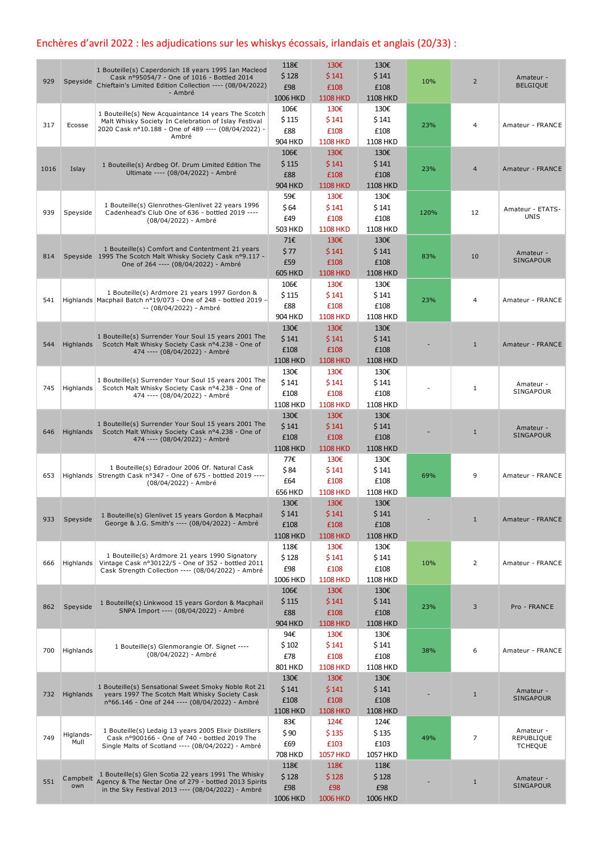## Enchères d'avril 2022 : les adjudications sur les whiskys écossais, irlandais et anglais (20/33) :

| 929  | Speyside          | 1 Bouteille(s) Caperdonich 18 years 1995 Ian Macleod<br>Cask nº95054/7 - One of 1016 - Bottled 2014<br>Chieftain's Limited Edition Collection ---- (08/04/2022)<br>- Ambré  | 118€<br>\$128<br>£98<br>1006 HKD         | 130€<br>\$141<br>£108<br><b>1108 HKD</b> | 130€<br>\$141<br>£108<br><b>1108 HKD</b> | 10%  | $\overline{2}$ | Amateur -<br><b>BELGIQUE</b>              |
|------|-------------------|-----------------------------------------------------------------------------------------------------------------------------------------------------------------------------|------------------------------------------|------------------------------------------|------------------------------------------|------|----------------|-------------------------------------------|
| 317  | Ecosse            | 1 Bouteille(s) New Acquaintance 14 years The Scotch<br>Malt Whisky Society In Celebration of Islay Festival<br>2020 Cask nº10.188 - One of 489 ---- (08/04/2022) -<br>Ambré | 106€<br>\$115<br>£88<br>904 HKD          | 130€<br>\$141<br>£108<br><b>1108 HKD</b> | 130€<br>\$141<br>£108<br><b>1108 HKD</b> | 23%  | 4              | Amateur - FRANCE                          |
| 1016 | Islay             | 1 Bouteille(s) Ardbeg Of. Drum Limited Edition The<br>Ultimate ---- (08/04/2022) - Ambré                                                                                    | 106€<br>\$115<br>£88<br><b>904 HKD</b>   | 130€<br>\$141<br>£108<br><b>1108 HKD</b> | 130€<br>\$141<br>£108<br><b>1108 HKD</b> | 23%  | $\overline{4}$ | Amateur - FRANCE                          |
| 939  | Speyside          | 1 Bouteille(s) Glenrothes-Glenlivet 22 years 1996<br>Cadenhead's Club One of 636 - bottled 2019 ----<br>(08/04/2022) - Ambré                                                | 59€<br>\$64<br>£49<br><b>503 HKD</b>     | 130€<br>\$141<br>£108<br><b>1108 HKD</b> | 130€<br>\$141<br>£108<br><b>1108 HKD</b> | 120% | 12             | Amateur - ETATS-<br><b>UNIS</b>           |
| 814  |                   | 1 Bouteille(s) Comfort and Contentment 21 years<br>Speyside 1995 The Scotch Malt Whisky Society Cask nº9.117 -<br>One of 264 ---- (08/04/2022) - Ambré                      | 71€<br>\$77<br>£59<br><b>605 HKD</b>     | 130€<br>\$141<br>£108<br><b>1108 HKD</b> | 130€<br>\$141<br>£108<br><b>1108 HKD</b> | 83%  | 10             | Amateur -<br>SINGAPOUR                    |
| 541  |                   | 1 Bouteille(s) Ardmore 21 years 1997 Gordon &<br>Highlands Macphail Batch nº19/073 - One of 248 - bottled 2019 -<br>-- (08/04/2022) - Ambré                                 | 106€<br>\$115<br>£88<br>904 HKD          | 130€<br>\$141<br>£108<br><b>1108 HKD</b> | 130€<br>\$141<br>£108<br><b>1108 HKD</b> | 23%  | 4              | Amateur - FRANCE                          |
| 544  | Highlands         | 1 Bouteille(s) Surrender Your Soul 15 years 2001 The<br>Scotch Malt Whisky Society Cask nº4.238 - One of<br>474 ---- (08/04/2022) - Ambré                                   | 130€<br>\$141<br>£108<br><b>1108 HKD</b> | 130€<br>\$141<br>£108<br><b>1108 HKD</b> | 130€<br>\$141<br>£108<br><b>1108 HKD</b> |      | $\mathbf{1}$   | Amateur - FRANCE                          |
| 745  | Highlands         | 1 Bouteille(s) Surrender Your Soul 15 years 2001 The<br>Scotch Malt Whisky Society Cask nº4.238 - One of<br>474 ---- (08/04/2022) - Ambré                                   | 130€<br>\$141<br>£108<br>1108 HKD        | 130€<br>\$141<br>£108<br><b>1108 HKD</b> | 130€<br>\$141<br>£108<br><b>1108 HKD</b> |      | 1              | Amateur -<br><b>SINGAPOUR</b>             |
| 646  | Highlands         | 1 Bouteille(s) Surrender Your Soul 15 years 2001 The<br>Scotch Malt Whisky Society Cask nº4.238 - One of<br>474 ---- (08/04/2022) - Ambré                                   | 130€<br>\$141<br>£108<br><b>1108 HKD</b> | 130€<br>\$141<br>£108<br><b>1108 HKD</b> | 130€<br>\$141<br>£108<br><b>1108 HKD</b> |      | $\mathbf{1}$   | Amateur -<br><b>SINGAPOUR</b>             |
| 653  |                   | 1 Bouteille(s) Edradour 2006 Of. Natural Cask<br>Highlands Strength Cask nº347 - One of 675 - bottled 2019 ----<br>(08/04/2022) - Ambré                                     | 77€<br>\$84<br>£64<br><b>656 HKD</b>     | 130€<br>\$141<br>£108<br><b>1108 HKD</b> | 130€<br>\$141<br>£108<br>1108 HKD        | 69%  | 9              | Amateur - FRANCE                          |
| 933  | Speyside          | 1 Bouteille(s) Glenlivet 15 years Gordon & Macphail<br>George & J.G. Smith's ---- (08/04/2022) - Ambré                                                                      | 130€<br>\$141<br>£108<br><b>1108 HKD</b> | 130€<br>\$141<br>£108<br><b>1108 HKD</b> | 130€<br>\$141<br>£108<br><b>1108 HKD</b> |      | $1\,$          | Amateur - FRANCE                          |
| 666  | Highlands         | 1 Bouteille(s) Ardmore 21 years 1990 Signatory<br>Vintage Cask nº30122/5 - One of 352 - bottled 2011<br>Cask Strength Collection ---- (08/04/2022) - Ambré                  | 118€<br>\$128<br>£98<br>1006 HKD         | 130€<br>\$141<br>£108<br><b>1108 HKD</b> | 130€<br>\$141<br>£108<br>1108 HKD        | 10%  | 2              | Amateur - FRANCE                          |
| 862  | Speyside          | 1 Bouteille(s) Linkwood 15 years Gordon & Macphail<br>SNPA Import ---- (08/04/2022) - Ambré                                                                                 | 106€<br>\$115<br>£88<br><b>904 HKD</b>   | 130€<br>\$141<br>£108<br><b>1108 HKD</b> | 130€<br>\$141<br>£108<br><b>1108 HKD</b> | 23%  | 3              | Pro - FRANCE                              |
| 700  | Highlands         | 1 Bouteille(s) Glenmorangie Of. Signet ----<br>(08/04/2022) - Ambré                                                                                                         | 94€<br>\$102<br>£78<br>801 HKD           | 130€<br>\$141<br>£108<br><b>1108 HKD</b> | 130€<br>\$141<br>£108<br>1108 HKD        | 38%  | 6              | Amateur - FRANCE                          |
| 732  | Highlands         | 1 Bouteille(s) Sensational Sweet Smoky Noble Rot 21<br>years 1997 The Scotch Malt Whisky Society Cask<br>nº66.146 - One of 244 ---- (08/04/2022) - Ambré                    | 130€<br>\$141<br>£108<br><b>1108 HKD</b> | 130€<br>\$141<br>£108<br><b>1108 HKD</b> | 130€<br>\$141<br>£108<br><b>1108 HKD</b> |      | $\mathbf{1}$   | Amateur -<br><b>SINGAPOUR</b>             |
| 749  | Higlands-<br>Mull | 1 Bouteille(s) Ledaig 13 years 2005 Elixir Distillers<br>Cask nº900166 - One of 740 - bottled 2019 The<br>Single Malts of Scotland ---- (08/04/2022) - Ambré                | 83€<br>\$90<br>£69<br>708 HKD            | 124€<br>\$135<br>£103<br><b>1057 HKD</b> | 124€<br>\$135<br>£103<br>1057 HKD        | 49%  | 7              | Amateur -<br>REPUBLIQUE<br><b>TCHEQUE</b> |
| 551  | Campbelt<br>own   | 1 Bouteille(s) Glen Scotia 22 years 1991 The Whisky<br>Agency & The Nectar One of 279 - bottled 2013 Spirits<br>in the Sky Festival 2013 ---- (08/04/2022) - Ambré          | 118€<br>\$128<br>£98<br>1006 HKD         | 118€<br>\$128<br>£98<br><b>1006 HKD</b>  | 118€<br>\$128<br>£98<br>1006 HKD         |      | $\mathbf{1}$   | Amateur -<br>SINGAPOUR                    |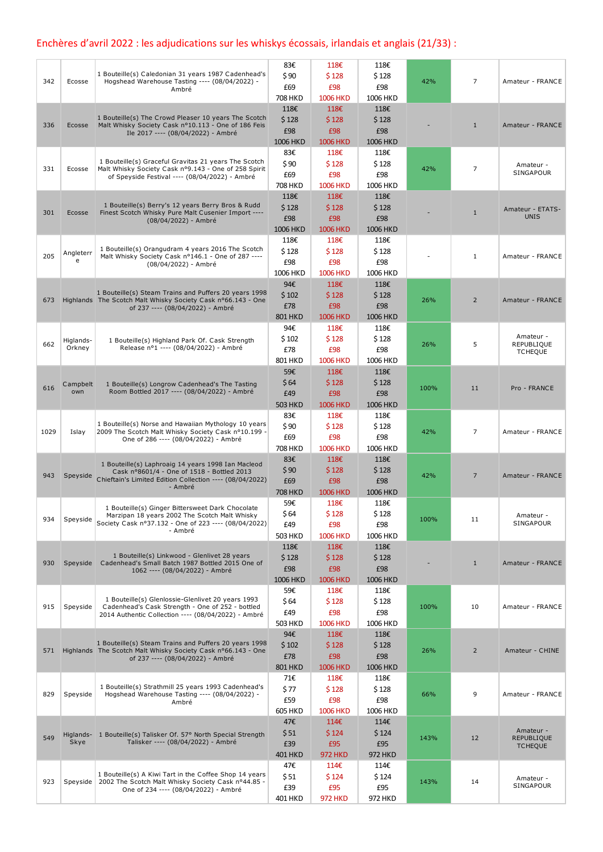## Enchères d'avril 2022 : les adjudications sur les whiskys écossais, irlandais et anglais (21/33) :

|      |           |                                                                                                                       | 83€             | 118€            | 118€     |      |                |                                 |
|------|-----------|-----------------------------------------------------------------------------------------------------------------------|-----------------|-----------------|----------|------|----------------|---------------------------------|
|      |           | 1 Bouteille(s) Caledonian 31 years 1987 Cadenhead's                                                                   | \$90            | \$128           | \$128    |      |                |                                 |
| 342  | Ecosse    | Hogshead Warehouse Tasting ---- (08/04/2022) -<br>Ambré                                                               | £69             | £98             | £98      | 42%  | $\overline{7}$ | Amateur - FRANCE                |
|      |           |                                                                                                                       | <b>708 HKD</b>  | <b>1006 HKD</b> | 1006 HKD |      |                |                                 |
|      |           |                                                                                                                       | 118€            | 118€            | 118€     |      |                |                                 |
|      |           | 1 Bouteille(s) The Crowd Pleaser 10 years The Scotch                                                                  | \$128           | \$128           | \$128    |      |                |                                 |
| 336  | Ecosse    | Malt Whisky Society Cask nº10.113 - One of 186 Feis                                                                   | £98             | £98             | £98      |      | $\mathbf{1}$   | Amateur - FRANCE                |
|      |           | Ile 2017 ---- (08/04/2022) - Ambré                                                                                    | <b>1006 HKD</b> | <b>1006 HKD</b> | 1006 HKD |      |                |                                 |
|      |           |                                                                                                                       | 83€             | 118€            | 118€     |      |                |                                 |
|      |           | 1 Bouteille(s) Graceful Gravitas 21 years The Scotch                                                                  | \$90            | \$128           | \$128    |      |                |                                 |
| 331  | Ecosse    | Malt Whisky Society Cask nº9.143 - One of 258 Spirit                                                                  | £69             | £98             | £98      | 42%  | 7              | Amateur -<br>SINGAPOUR          |
|      |           | of Speyside Festival ---- (08/04/2022) - Ambré                                                                        | <b>708 HKD</b>  | <b>1006 HKD</b> | 1006 HKD |      |                |                                 |
|      |           |                                                                                                                       | 118€            | 118€            | 118€     |      |                |                                 |
|      |           | 1 Bouteille(s) Berry's 12 years Berry Bros & Rudd                                                                     | \$128           |                 |          |      |                |                                 |
| 301  | Ecosse    | Finest Scotch Whisky Pure Malt Cusenier Import ----                                                                   |                 | \$128           | \$128    |      | $\mathbf{1}$   | Amateur - ETATS-<br><b>UNIS</b> |
|      |           | (08/04/2022) - Ambré                                                                                                  | £98             | £98             | £98      |      |                |                                 |
|      |           |                                                                                                                       | 1006 HKD        | <b>1006 HKD</b> | 1006 HKD |      |                |                                 |
|      |           | 1 Bouteille(s) Orangudram 4 years 2016 The Scotch                                                                     | 118€            | 118€            | 118€     |      |                |                                 |
| 205  | Angleterr | Malt Whisky Society Cask nº146.1 - One of 287 ----                                                                    | \$128           | \$128           | \$128    |      | $\mathbf{1}$   | Amateur - FRANCE                |
|      | e         | (08/04/2022) - Ambré                                                                                                  | £98             | £98             | £98      |      |                |                                 |
|      |           |                                                                                                                       | 1006 HKD        | <b>1006 HKD</b> | 1006 HKD |      |                |                                 |
|      |           |                                                                                                                       | 94€             | 118€            | 118€     |      |                |                                 |
| 673  |           | 1 Bouteille(s) Steam Trains and Puffers 20 years 1998<br>Highlands The Scotch Malt Whisky Society Cask nº66.143 - One | \$102           | \$128           | \$128    | 26%  | $\overline{2}$ | Amateur - FRANCE                |
|      |           | of 237 ---- (08/04/2022) - Ambré                                                                                      | £78             | £98             | £98      |      |                |                                 |
|      |           |                                                                                                                       | <b>801 HKD</b>  | <b>1006 HKD</b> | 1006 HKD |      |                |                                 |
|      |           |                                                                                                                       | 94€             | 118€            | 118€     |      |                |                                 |
| 662  | Higlands- | 1 Bouteille(s) Highland Park Of. Cask Strength                                                                        | \$102           | \$128           | \$128    | 26%  | 5              | Amateur -<br>REPUBLIQUE         |
|      | Orkney    | Release nº1 ---- (08/04/2022) - Ambré                                                                                 | £78             | £98             | £98      |      |                | <b>TCHEQUE</b>                  |
|      |           |                                                                                                                       | 801 HKD         | <b>1006 HKD</b> | 1006 HKD |      |                |                                 |
|      |           |                                                                                                                       | 59€             | 118€            | 118€     |      |                |                                 |
|      | Campbelt  | 1 Bouteille(s) Longrow Cadenhead's The Tasting                                                                        | \$64            | \$128           | \$128    |      |                |                                 |
| 616  | own       | Room Bottled 2017 ---- (08/04/2022) - Ambré                                                                           | £49             | £98             | £98      | 100% | 11             | Pro - FRANCE                    |
|      |           |                                                                                                                       | <b>503 HKD</b>  | <b>1006 HKD</b> | 1006 HKD |      |                |                                 |
|      |           |                                                                                                                       | 83€             | 118€            | 118€     |      |                |                                 |
|      |           | 1 Bouteille(s) Norse and Hawaiian Mythology 10 years                                                                  | \$90            | \$128           | \$128    |      |                |                                 |
| 1029 | Islay     | 2009 The Scotch Malt Whisky Society Cask nº10.199 -<br>One of 286 ---- (08/04/2022) - Ambré                           | £69             | £98             | £98      | 42%  | $\overline{7}$ | Amateur - FRANCE                |
|      |           |                                                                                                                       | <b>708 HKD</b>  | <b>1006 HKD</b> | 1006 HKD |      |                |                                 |
|      |           |                                                                                                                       | 83€             | 118€            | 118€     |      |                |                                 |
|      |           | 1 Bouteille(s) Laphroaig 14 years 1998 Ian Macleod<br>Cask nº8601/4 - One of 1518 - Bottled 2013                      | \$90            | \$128           | \$128    |      |                |                                 |
| 943  | Speyside  | Chieftain's Limited Edition Collection ---- (08/04/2022)                                                              | £69             | £98             | £98      | 42%  | $\overline{7}$ | Amateur - FRANCE                |
|      |           | - Ambré                                                                                                               | <b>708 HKD</b>  | <b>1006 HKD</b> | 1006 HKD |      |                |                                 |
|      |           |                                                                                                                       | 59€             | 118€            | 118€     |      |                |                                 |
|      |           | 1 Bouteille(s) Ginger Bittersweet Dark Chocolate<br>Marzipan 18 years 2002 The Scotch Malt Whisky                     | \$64            | \$128           | \$128    |      |                | Amateur -                       |
| 934  | Speyside  | Society Cask nº37.132 - One of 223 ---- (08/04/2022)                                                                  | £49             | £98             | £98      | 100% | 11             | SINGAPOUR                       |
|      |           | - Ambré                                                                                                               | <b>503 HKD</b>  | <b>1006 HKD</b> | 1006 HKD |      |                |                                 |
|      |           |                                                                                                                       | 118€            | 118€            | 118€     |      |                |                                 |
|      |           | 1 Bouteille(s) Linkwood - Glenlivet 28 years                                                                          | \$128           | \$128           | \$128    |      |                |                                 |
| 930  | Speyside  | Cadenhead's Small Batch 1987 Bottled 2015 One of                                                                      | £98             | £98             | £98      |      | $\mathbf{1}$   | Amateur - FRANCE                |
|      |           | 1062 ---- (08/04/2022) - Ambré                                                                                        |                 |                 | 1006 HKD |      |                |                                 |
|      |           |                                                                                                                       | 1006 HKD        | <b>1006 HKD</b> |          |      |                |                                 |
|      |           | 1 Bouteille(s) Glenlossie-Glenlivet 20 years 1993                                                                     | 59€             | 118€            | 118€     |      |                |                                 |
| 915  | Speyside  | Cadenhead's Cask Strength - One of 252 - bottled                                                                      | \$64            | \$128           | \$128    | 100% | 10             | Amateur - FRANCE                |
|      |           | 2014 Authentic Collection ---- (08/04/2022) - Ambré                                                                   | £49             | £98             | £98      |      |                |                                 |
|      |           |                                                                                                                       | 503 HKD         | <b>1006 HKD</b> | 1006 HKD |      |                |                                 |
|      |           | 1 Bouteille(s) Steam Trains and Puffers 20 years 1998                                                                 | 94€             | 118€            | 118€     |      |                |                                 |
| 571  |           | Highlands The Scotch Malt Whisky Society Cask nº66.143 - One                                                          | \$102           | \$128           | \$128    | 26%  | $\overline{2}$ | Amateur - CHINE                 |
|      |           | of 237 ---- (08/04/2022) - Ambré                                                                                      | £78             | £98             | £98      |      |                |                                 |
|      |           |                                                                                                                       | <b>801 HKD</b>  | <b>1006 HKD</b> | 1006 HKD |      |                |                                 |
|      |           |                                                                                                                       | 71€             | 118€            | 118€     |      |                |                                 |
| 829  | Speyside  | 1 Bouteille(s) Strathmill 25 years 1993 Cadenhead's<br>Hogshead Warehouse Tasting ---- (08/04/2022) -                 | \$77            | \$128           | \$128    | 66%  | 9              | Amateur - FRANCE                |
|      |           | Ambré                                                                                                                 | £59             | £98             | £98      |      |                |                                 |
|      |           |                                                                                                                       | <b>605 HKD</b>  | <b>1006 HKD</b> | 1006 HKD |      |                |                                 |
|      |           |                                                                                                                       | 47€             | 114€            | 114€     |      |                |                                 |
| 549  |           | Higlands- 1 Bouteille(s) Talisker Of. 57° North Special Strength                                                      | \$51            | \$124           | \$124    | 143% | 12             | Amateur -<br><b>REPUBLIQUE</b>  |
|      | Skye      | Talisker ---- (08/04/2022) - Ambré                                                                                    | £39             | £95             | £95      |      |                | <b>TCHEQUE</b>                  |
|      |           |                                                                                                                       | 401 HKD         | <b>972 HKD</b>  | 972 HKD  |      |                |                                 |
|      |           |                                                                                                                       | 47€             | 114€            | 114€     |      |                |                                 |
| 923  | Speyside  | 1 Bouteille(s) A Kiwi Tart in the Coffee Shop 14 years<br>2002 The Scotch Malt Whisky Society Cask nº44.85 -          | \$51            | \$124           | \$124    | 143% | 14             | Amateur -                       |
|      |           | One of 234 ---- (08/04/2022) - Ambré                                                                                  | £39             | £95             | £95      |      |                | SINGAPOUR                       |
|      |           |                                                                                                                       | 401 HKD         | <b>972 HKD</b>  | 972 HKD  |      |                |                                 |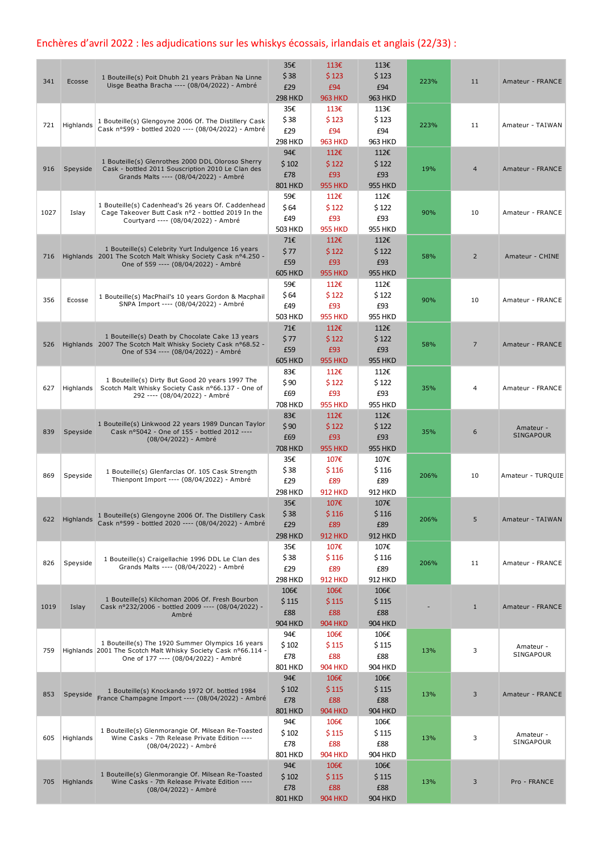## Enchères d'avril 2022 : les adjudications sur les whiskys écossais, irlandais et anglais (22/33) :

| 341  | Ecosse        | 1 Bouteille(s) Poit Dhubh 21 years Pràban Na Linne<br>Uisge Beatha Bracha ---- (08/04/2022) - Ambré                                                       | 35€<br>\$38<br>£29<br><b>298 HKD</b>   | 113E<br>\$123<br>£94<br><b>963 HKD</b>             | 113€<br>\$123<br>£94<br><b>963 HKD</b> | 223% | 11             | Amateur - FRANCE              |
|------|---------------|-----------------------------------------------------------------------------------------------------------------------------------------------------------|----------------------------------------|----------------------------------------------------|----------------------------------------|------|----------------|-------------------------------|
| 721  | Highlands     | 1 Bouteille(s) Glengoyne 2006 Of. The Distillery Cask<br>Cask nº599 - bottled 2020 ---- (08/04/2022) - Ambré                                              | 35€<br>\$38<br>£29<br><b>298 HKD</b>   | 113€<br>\$123<br>£94<br><b>963 HKD</b>             | 113€<br>\$123<br>£94<br>963 HKD        | 223% | 11             | Amateur - TAIWAN              |
| 916  | Speyside      | 1 Bouteille(s) Glenrothes 2000 DDL Oloroso Sherry<br>Cask - bottled 2011 Souscription 2010 Le Clan des<br>Grands Malts ---- (08/04/2022) - Ambré          | 94€<br>\$102<br>£78<br><b>801 HKD</b>  | 112€<br>\$122<br>£93<br><b>955 HKD</b>             | 112€<br>\$122<br>£93<br><b>955 HKD</b> | 19%  | $\overline{4}$ | Amateur - FRANCE              |
| 1027 | Islay         | 1 Bouteille(s) Cadenhead's 26 years Of. Caddenhead<br>Cage Takeover Butt Cask nº2 - bottled 2019 In the<br>Courtyard ---- (08/04/2022) - Ambré            | 59€<br>\$64<br>£49<br><b>503 HKD</b>   | 112€<br>\$122<br>£93<br><b>955 HKD</b>             | 112€<br>\$122<br>£93<br><b>955 HKD</b> | 90%  | 10             | Amateur - FRANCE              |
| 716  |               | 1 Bouteille(s) Celebrity Yurt Indulgence 16 years<br>Highlands 2001 The Scotch Malt Whisky Society Cask nº4.250 -<br>One of 559 ---- (08/04/2022) - Ambré | 71€<br>\$77<br>£59<br><b>605 HKD</b>   | $112\varepsilon$<br>\$122<br>£93<br><b>955 HKD</b> | 112€<br>\$122<br>£93<br><b>955 HKD</b> | 58%  | $\overline{2}$ | Amateur - CHINE               |
| 356  | Ecosse        | 1 Bouteille(s) MacPhail's 10 years Gordon & Macphail<br>SNPA Import ---- (08/04/2022) - Ambré                                                             | 59€<br>\$64<br>£49<br>503 HKD          | 112€<br>\$122<br>£93<br><b>955 HKD</b>             | 112€<br>\$122<br>£93<br>955 HKD        | 90%  | 10             | Amateur - FRANCE              |
| 526  |               | 1 Bouteille(s) Death by Chocolate Cake 13 years<br>Highlands 2007 The Scotch Malt Whisky Society Cask nº68.52 -<br>One of 534 ---- (08/04/2022) - Ambré   | 71€<br>\$77<br>£59<br><b>605 HKD</b>   | 112€<br>\$122<br>£93<br><b>955 HKD</b>             | 112€<br>\$122<br>£93<br><b>955 HKD</b> | 58%  | $\overline{7}$ | Amateur - FRANCE              |
| 627  | Highlands     | 1 Bouteille(s) Dirty But Good 20 years 1997 The<br>Scotch Malt Whisky Society Cask nº66.137 - One of<br>292 ---- (08/04/2022) - Ambré                     | 83€<br>\$90<br>£69<br><b>708 HKD</b>   | 112€<br>\$122<br>£93<br><b>955 HKD</b>             | 112€<br>\$122<br>£93<br><b>955 HKD</b> | 35%  | 4              | Amateur - FRANCE              |
| 839  | Speyside      | 1 Bouteille(s) Linkwood 22 years 1989 Duncan Taylor<br>Cask nº5042 - One of 155 - bottled 2012 ----<br>(08/04/2022) - Ambré                               | 83€<br>\$90<br>£69<br><b>708 HKD</b>   | 112€<br>\$122<br>£93<br><b>955 HKD</b>             | 112€<br>\$122<br>£93<br><b>955 HKD</b> | 35%  | 6              | Amateur -<br><b>SINGAPOUR</b> |
| 869  | Speyside      | 1 Bouteille(s) Glenfarclas Of. 105 Cask Strength<br>Thienpont Import ---- (08/04/2022) - Ambré                                                            | 35€<br>\$38<br>£29<br><b>298 HKD</b>   | 107€<br>\$116<br>£89<br><b>912 HKD</b>             | 107€<br>\$116<br>£89<br>912 HKD        | 206% | 10             | Amateur - TURQUIE             |
|      | 622 Highlands | 1 Boutenle(s) Glengoyne 2006 Of. The Distillery Cask<br>Cask nº599 - bottled 2020 ---- (08/04/2022) - Ambré                                               | 35€<br>\$38<br>£29<br><b>298 HKD</b>   | 107€<br>\$116<br>£89<br><b>912 HKD</b>             | 107€<br>\$116<br>£89<br><b>912 HKD</b> | 206% | 5              | Amateur - TAIWAN              |
| 826  | Speyside      | 1 Bouteille(s) Craigellachie 1996 DDL Le Clan des<br>Grands Malts ---- (08/04/2022) - Ambré                                                               | 35€<br>\$38<br>£29<br><b>298 HKD</b>   | 107€<br>\$116<br>£89<br><b>912 HKD</b>             | 107€<br>\$116<br>£89<br>912 HKD        | 206% | 11             | Amateur - FRANCE              |
| 1019 | Islay         | 1 Bouteille(s) Kilchoman 2006 Of. Fresh Bourbon<br>Cask nº232/2006 - bottled 2009 ---- (08/04/2022) -<br>Ambré                                            | 106€<br>\$115<br>£88<br><b>904 HKD</b> | 106€<br>\$115<br>£88<br><b>904 HKD</b>             | 106€<br>\$115<br>£88<br><b>904 HKD</b> |      | $\mathbf{1}$   | Amateur - FRANCE              |
| 759  |               | 1 Bouteille(s) The 1920 Summer Olympics 16 years<br>Highlands 2001 The Scotch Malt Whisky Society Cask nº66.114 -<br>One of 177 ---- (08/04/2022) - Ambré | 94€<br>\$102<br>£78<br>801 HKD         | 106€<br>\$115<br>£88<br><b>904 HKD</b>             | 106€<br>\$115<br>£88<br><b>904 HKD</b> | 13%  | 3              | Amateur -<br>SINGAPOUR        |
| 853  | Speyside      | 1 Bouteille(s) Knockando 1972 Of. bottled 1984<br>France Champagne Import ---- (08/04/2022) - Ambré                                                       | 94€<br>\$102<br>£78<br><b>801 HKD</b>  | 106€<br>\$115<br>£88<br><b>904 HKD</b>             | 106€<br>\$115<br>£88<br><b>904 HKD</b> | 13%  | 3              | Amateur - FRANCE              |
| 605  | Highlands     | 1 Bouteille(s) Glenmorangie Of. Milsean Re-Toasted<br>Wine Casks - 7th Release Private Edition ----<br>(08/04/2022) - Ambré                               | 94€<br>\$102<br>£78<br>801 HKD         | 106€<br>\$115<br>£88<br><b>904 HKD</b>             | 106€<br>\$115<br>£88<br>904 HKD        | 13%  | 3              | Amateur -<br>SINGAPOUR        |
| 705  | Highlands     | 1 Bouteille(s) Glenmorangie Of. Milsean Re-Toasted<br>Wine Casks - 7th Release Private Edition ----<br>(08/04/2022) - Ambré                               | 94€<br>\$102<br>£78<br><b>801 HKD</b>  | 106€<br>\$115<br>£88<br><b>904 HKD</b>             | 106€<br>\$115<br>£88<br><b>904 HKD</b> | 13%  | 3              | Pro - FRANCE                  |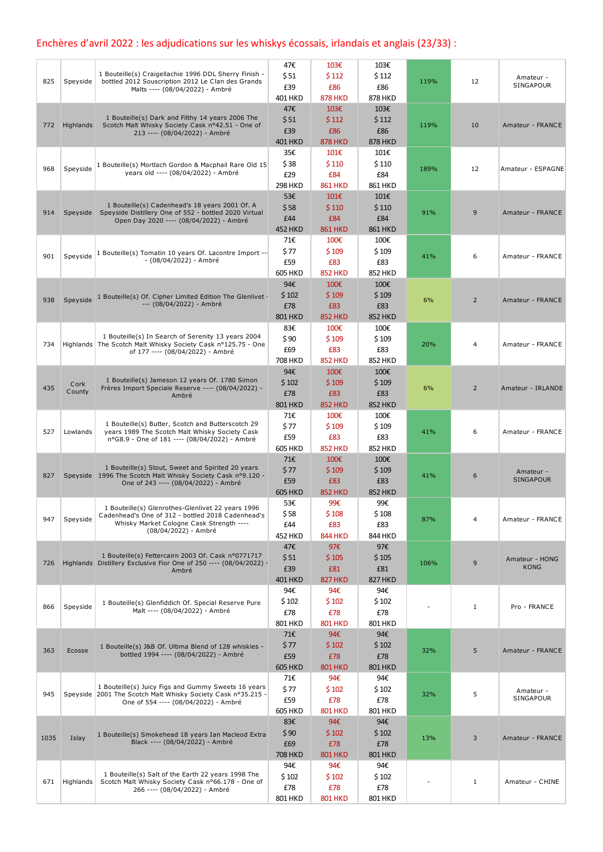## Enchères d'avril 2022 : les adjudications sur les whiskys écossais, irlandais et anglais (23/33) :

|      |           |                                                                                                        | 47€                   | 103€                  | 103€                  |      |                                                                                     |                        |
|------|-----------|--------------------------------------------------------------------------------------------------------|-----------------------|-----------------------|-----------------------|------|-------------------------------------------------------------------------------------|------------------------|
|      |           | 1 Bouteille(s) Craigellachie 1996 DDL Sherry Finish -                                                  | \$51                  | \$112                 | \$112                 |      |                                                                                     | Amateur -              |
| 825  | Speyside  | bottled 2012 Souscription 2012 Le Clan des Grands<br>Malts ---- (08/04/2022) - Ambré                   | £39                   | £86                   | £86                   | 119% | 12                                                                                  | SINGAPOUR              |
|      |           |                                                                                                        | <b>401 HKD</b>        | <b>878 HKD</b>        | <b>878 HKD</b>        |      |                                                                                     |                        |
|      |           |                                                                                                        | 47€                   | 103€                  | 103€                  |      |                                                                                     |                        |
| 772  | Highlands | 1 Bouteille(s) Dark and Filthy 14 years 2006 The<br>Scotch Malt Whisky Society Cask nº42.51 - One of   | \$51                  | \$112                 | \$112                 | 119% | 10                                                                                  | Amateur - FRANCE       |
|      |           | 213 ---- (08/04/2022) - Ambré                                                                          | £39                   | £86                   | £86                   |      |                                                                                     |                        |
|      |           |                                                                                                        | <b>401 HKD</b>        | <b>878 HKD</b>        | <b>878 HKD</b>        |      |                                                                                     |                        |
|      |           |                                                                                                        | 35€                   | 101€                  | 101€                  |      |                                                                                     |                        |
| 968  | Speyside  | 1 Bouteille(s) Mortlach Gordon & Macphail Rare Old 15                                                  | \$38                  | \$110                 | \$110                 | 189% | 12                                                                                  | Amateur - ESPAGNE      |
|      |           | years old ---- (08/04/2022) - Ambré                                                                    | £29                   | £84                   | £84                   |      |                                                                                     |                        |
|      |           |                                                                                                        | <b>298 HKD</b>        | <b>861 HKD</b>        | 861 HKD               |      |                                                                                     |                        |
|      |           | 1 Bouteille(s) Cadenhead's 18 years 2001 Of. A                                                         | 53€                   | 101€                  | 101€                  |      |                                                                                     |                        |
| 914  |           | Speyside Speyside Distillery One of 552 - bottled 2020 Virtual                                         | \$58                  | \$110                 | \$110                 | 91%  | 9                                                                                   | Amateur - FRANCE       |
|      |           | Open Day 2020 ---- (08/04/2022) - Ambré                                                                | £44<br><b>452 HKD</b> | £84<br><b>861 HKD</b> | £84<br><b>861 HKD</b> |      |                                                                                     |                        |
|      |           |                                                                                                        | 71€                   | 100€                  | 100€                  |      |                                                                                     |                        |
|      |           |                                                                                                        | \$77                  | \$109                 | \$109                 |      |                                                                                     |                        |
| 901  | Speyside  | 1 Bouteille(s) Tomatin 10 years Of. Lacontre Import --<br>- (08/04/2022) - Ambré                       | £59                   | £83                   | £83                   | 41%  | 6                                                                                   | Amateur - FRANCE       |
|      |           |                                                                                                        | <b>605 HKD</b>        | <b>852 HKD</b>        | <b>852 HKD</b>        |      |                                                                                     |                        |
|      |           |                                                                                                        | 94€                   | 100€                  | 100€                  |      |                                                                                     |                        |
|      |           | 1 Bouteille(s) Of. Cipher Limited Edition The Glenlivet -                                              | \$102                 | \$109                 | \$109                 |      |                                                                                     |                        |
| 938  | Speyside  | --- (08/04/2022) - Ambré                                                                               | £78                   | £83                   | £83                   | 6%   |                                                                                     | Amateur - FRANCE       |
|      |           |                                                                                                        | <b>801 HKD</b>        | <b>852 HKD</b>        | <b>852 HKD</b>        |      |                                                                                     |                        |
|      |           |                                                                                                        | 83€                   | 100€                  | 100€                  |      |                                                                                     |                        |
| 734  |           | 1 Bouteille(s) In Search of Serenity 13 years 2004                                                     | \$90                  | \$109                 | \$109                 | 20%  |                                                                                     | Amateur - FRANCE       |
|      |           | Highlands   The Scotch Malt Whisky Society Cask nº125.75 - One<br>of 177 ---- (08/04/2022) - Ambré     | £69                   | £83                   | £83                   |      |                                                                                     |                        |
|      |           |                                                                                                        | <b>708 HKD</b>        | <b>852 HKD</b>        | 852 HKD               |      |                                                                                     |                        |
|      |           |                                                                                                        | 94€                   | 100€                  | 100€                  |      |                                                                                     |                        |
| 435  | Cork      | 1 Bouteille(s) Jameson 12 years Of. 1780 Simon<br>Frères Import Speciale Reserve ---- (08/04/2022) -   | \$102                 | \$109                 | \$109                 | 6%   |                                                                                     | Amateur - IRLANDE      |
|      | County    | Ambré                                                                                                  | £78                   | £83                   | £83                   |      |                                                                                     |                        |
|      |           |                                                                                                        | <b>801 HKD</b>        | <b>852 HKD</b>        | <b>852 HKD</b>        |      |                                                                                     |                        |
|      |           | 1 Bouteille(s) Butter, Scotch and Butterscotch 29                                                      | 71€                   | 100€                  | 100€                  |      |                                                                                     |                        |
| 527  | Lowlands  | years 1989 The Scotch Malt Whisky Society Cask                                                         | \$77                  | \$109                 | \$109                 | 41%  | 6                                                                                   | Amateur - FRANCE       |
|      |           | nºG8.9 - One of 181 ---- (08/04/2022) - Ambré                                                          | £59                   | £83                   | £83                   |      |                                                                                     | Amateur -              |
|      |           |                                                                                                        | 605 HKD               | <b>852 HKD</b>        | 852 HKD               |      |                                                                                     |                        |
|      |           | 1 Bouteille(s) Stout, Sweet and Spirited 20 years                                                      | 71€<br>\$77           | 100€                  | 100€                  |      |                                                                                     |                        |
| 827  |           | Speyside 1996 The Scotch Malt Whisky Society Cask nº9.120 -                                            | £59                   | \$109<br>£83          | \$109<br>£83          | 41%  | 6                                                                                   | SINGAPOUR              |
|      |           | One of 243 ---- (08/04/2022) - Ambré                                                                   | <b>605 HKD</b>        | <b>852 HKD</b>        | <b>852 HKD</b>        |      |                                                                                     |                        |
|      |           |                                                                                                        | 53€                   | 99€                   | 99€                   |      |                                                                                     |                        |
|      |           | 1 Bouteille(s) Glenrothes-Glenlivet 22 years 1996<br>Cadenhead's One of 312 - bottled 2018 Cadenhead's | \$58                  | \$108                 | \$108                 |      |                                                                                     |                        |
| 947  | Speyside  | Whisky Market Cologne Cask Strength ----                                                               | £44                   | £83                   | £83                   | 87%  |                                                                                     | Amateur - FRANCE       |
|      |           | (08/04/2022) - Ambré                                                                                   | <b>452 HKD</b>        | <b>844 HKD</b>        | 844 HKD               |      |                                                                                     |                        |
|      |           |                                                                                                        | 47€                   | 97€                   | 97€                   |      |                                                                                     |                        |
|      |           | 1 Bouteille(s) Fettercairn 2003 Of. Cask n°0771717                                                     | \$51                  | \$105                 | \$105                 |      |                                                                                     | Amateur - HONG         |
| 726  |           | Highlands Distillery Exclusive Fior One of 250 ---- (08/04/2022) -<br>Ambré                            | £39                   | £81                   | £81                   | 106% |                                                                                     | <b>KONG</b>            |
|      |           |                                                                                                        | <b>401 HKD</b>        | <b>827 HKD</b>        | <b>827 HKD</b>        |      |                                                                                     |                        |
|      |           |                                                                                                        | 94€                   | 94€                   | 94€                   |      |                                                                                     |                        |
| 866  | Speyside  | 1 Bouteille(s) Glenfiddich Of. Special Reserve Pure                                                    | \$102                 | \$102                 | \$102                 |      |                                                                                     | Pro - FRANCE           |
|      |           | Malt ---- (08/04/2022) - Ambré                                                                         | £78                   | £78                   | £78                   |      | $\overline{2}$<br>4<br>$\overline{2}$<br>4<br>9<br>$\mathbf{1}$<br>5<br>5<br>3<br>1 |                        |
|      |           |                                                                                                        | 801 HKD               | <b>801 HKD</b>        | 801 HKD               |      |                                                                                     |                        |
|      |           |                                                                                                        | 71€                   | 94€                   | 94€                   |      |                                                                                     |                        |
| 363  | Ecosse    | 1 Bouteille(s) J&B Of. Ultima Blend of 128 whiskies -<br>bottled 1994 ---- (08/04/2022) - Ambré        | \$77                  | \$102                 | \$102                 | 32%  |                                                                                     | Amateur - FRANCE       |
|      |           |                                                                                                        | £59                   | £78                   | £78                   |      |                                                                                     |                        |
|      |           |                                                                                                        | <b>605 HKD</b>        | <b>801 HKD</b>        | <b>801 HKD</b>        |      |                                                                                     |                        |
|      |           | 1 Bouteille(s) Juicy Figs and Gummy Sweets 16 years                                                    | 71€<br>\$77           | 94€<br>\$102          | 94€<br>\$102          |      |                                                                                     |                        |
| 945  |           | Speyside 2001 The Scotch Malt Whisky Society Cask nº35.215 -                                           | £59                   | £78                   | £78                   | 32%  |                                                                                     | Amateur -<br>SINGAPOUR |
|      |           | One of 554 ---- (08/04/2022) - Ambré                                                                   | <b>605 HKD</b>        | <b>801 HKD</b>        | 801 HKD               |      |                                                                                     |                        |
|      |           |                                                                                                        | 83€                   | 94€                   | 94€                   |      |                                                                                     |                        |
|      |           | 1 Bouteille(s) Smokehead 18 years Ian Macleod Extra                                                    | \$90                  | \$102                 | \$102                 |      |                                                                                     |                        |
| 1035 | Islay     | Black ---- (08/04/2022) - Ambré                                                                        | £69                   | £78                   | £78                   | 13%  |                                                                                     | Amateur - FRANCE       |
|      |           |                                                                                                        | <b>708 HKD</b>        | <b>801 HKD</b>        | <b>801 HKD</b>        |      |                                                                                     |                        |
|      |           |                                                                                                        | 94€                   | 94€                   | 94€                   |      |                                                                                     |                        |
|      |           | 1 Bouteille(s) Salt of the Earth 22 years 1998 The                                                     | \$102                 | \$102                 | \$102                 |      |                                                                                     |                        |
| 671  | Highlands | Scotch Malt Whisky Society Cask nº66.178 - One of<br>266 ---- (08/04/2022) - Ambré                     | £78                   | £78                   | £78                   |      |                                                                                     | Amateur - CHINE        |
|      |           |                                                                                                        | 801 HKD               | <b>801 HKD</b>        | 801 HKD               |      |                                                                                     |                        |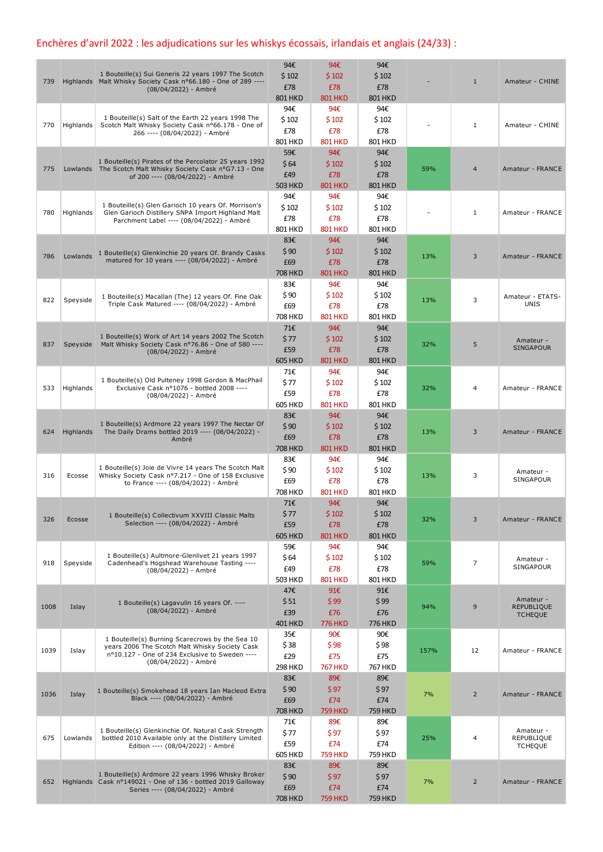## Enchères d'avril 2022 : les adjudications sur les whiskys écossais, irlandais et anglais (24/33) :

| 739  |           | 1 Bouteille(s) Sui Generis 22 years 1997 The Scotch<br>Highlands Malt Whisky Society Cask n°66.180 - One of 289 ----<br>(08/04/2022) - Ambré                                | 94€<br>\$102<br>£78<br><b>801 HKD</b> | 94€<br>\$102<br>£78<br><b>801 HKD</b> | 94€<br>\$102<br>£78<br><b>801 HKD</b> |      | $\mathbf{1}$   | Amateur - CHINE                                  |
|------|-----------|-----------------------------------------------------------------------------------------------------------------------------------------------------------------------------|---------------------------------------|---------------------------------------|---------------------------------------|------|----------------|--------------------------------------------------|
| 770  | Highlands | 1 Bouteille(s) Salt of the Earth 22 years 1998 The<br>Scotch Malt Whisky Society Cask nº66.178 - One of<br>266 ---- (08/04/2022) - Ambré                                    | 94€<br>\$102<br>£78<br>801 HKD        | 94€<br>\$102<br>£78<br><b>801 HKD</b> | 94€<br>\$102<br>£78<br>801 HKD        |      | 1              | Amateur - CHINE                                  |
| 775  |           | 1 Bouteille(s) Pirates of the Percolator 25 years 1992<br>Lowlands The Scotch Malt Whisky Society Cask nºG7.13 - One<br>of 200 ---- (08/04/2022) - Ambré                    | 59€<br>\$64<br>£49<br><b>503 HKD</b>  | 94€<br>\$102<br>£78<br><b>801 HKD</b> | 94€<br>\$102<br>£78<br><b>801 HKD</b> | 59%  | $\overline{4}$ | Amateur - FRANCE                                 |
| 780  | Highlands | 1 Bouteille(s) Glen Garioch 10 years Of. Morrison's<br>Glen Garioch Distillery SNPA Import Highland Malt<br>Parchment Label ---- (08/04/2022) - Ambré                       | 94€<br>\$102<br>£78<br>801 HKD        | 94€<br>\$102<br>£78<br><b>801 HKD</b> | 94€<br>\$102<br>£78<br>801 HKD        |      | 1              | Amateur - FRANCE                                 |
| 786  | Lowlands  | 1 Bouteille(s) Glenkinchie 20 years Of. Brandy Casks<br>matured for 10 years ---- (08/04/2022) - Ambré                                                                      | 83€<br>\$90<br>£69<br><b>708 HKD</b>  | 94€<br>\$102<br>£78<br><b>801 HKD</b> | 94€<br>\$102<br>£78<br><b>801 HKD</b> | 13%  | 3              | Amateur - FRANCE                                 |
| 822  | Speyside  | 1 Bouteille(s) Macallan (The) 12 years Of. Fine Oak<br>Triple Cask Matured ---- (08/04/2022) - Ambré                                                                        | 83€<br>\$90<br>£69<br><b>708 HKD</b>  | 94€<br>\$102<br>£78<br><b>801 HKD</b> | 94€<br>\$102<br>£78<br>801 HKD        | 13%  | 3              | Amateur - ETATS-<br>UNIS                         |
| 837  |           | 1 Bouteille(s) Work of Art 14 years 2002 The Scotch<br>Speyside Malt Whisky Society Cask nº76.86 - One of 580 ----<br>(08/04/2022) - Ambré                                  | 71€<br>\$77<br>£59<br><b>605 HKD</b>  | 94€<br>\$102<br>£78<br><b>801 HKD</b> | 94€<br>\$102<br>£78<br><b>801 HKD</b> | 32%  | 5              | Amateur -<br>SINGAPOUR                           |
| 533  | Highlands | 1 Bouteille(s) Old Pulteney 1998 Gordon & MacPhail<br>Exclusive Cask nº1076 - bottled 2008 ----<br>(08/04/2022) - Ambré                                                     | 71€<br>\$77<br>£59<br><b>605 HKD</b>  | 94€<br>\$102<br>£78<br><b>801 HKD</b> | 94€<br>\$102<br>£78<br>801 HKD        | 32%  | 4              | Amateur - FRANCE                                 |
| 624  | Highlands | 1 Bouteille(s) Ardmore 22 years 1997 The Nectar Of<br>The Daily Drams bottled 2019 ---- (08/04/2022) -<br>Ambré                                                             | 83€<br>\$90<br>£69<br><b>708 HKD</b>  | 94€<br>\$102<br>£78<br><b>801 HKD</b> | 94€<br>\$102<br>£78<br><b>801 HKD</b> | 13%  | 3              | Amateur - FRANCE                                 |
| 316  | Ecosse    | 1 Bouteille(s) Joie de Vivre 14 years The Scotch Malt<br>Whisky Society Cask nº7.217 - One of 158 Exclusive<br>to France ---- (08/04/2022) - Ambré                          | 83€<br>\$90<br>£69<br><b>708 HKD</b>  | 94€<br>\$102<br>£78<br><b>801 HKD</b> | 94€<br>\$102<br>£78<br>801 HKD        | 13%  | 3              | Amateur -<br>SINGAPOUR                           |
| 326  | Ecosse    | 1 Bouteille(s) Collectivum XXVIII Classic Malts<br>Selection ---- (08/04/2022) - Ambré                                                                                      | 71€<br>\$77<br>£59<br><b>605 HKD</b>  | 94€<br>\$102<br>£78<br><b>801 HKD</b> | 94€<br>\$102<br>£78<br><b>801 HKD</b> | 32%  | 3              | Amateur - FRANCE                                 |
| 918  | Speyside  | 1 Bouteille(s) Aultmore-Glenlivet 21 years 1997<br>Cadenhead's Hogshead Warehouse Tasting ----<br>(08/04/2022) - Ambré                                                      | 59€<br>\$64<br>£49<br><b>503 HKD</b>  | 94€<br>\$102<br>£78<br><b>801 HKD</b> | 94€<br>\$102<br>£78<br>801 HKD        | 59%  | 7              | Amateur -<br>SINGAPOUR                           |
| 1008 | Islay     | 1 Bouteille(s) Lagavulin 16 years Of. ----<br>(08/04/2022) - Ambré                                                                                                          | 47€<br>\$51<br>£39<br><b>401 HKD</b>  | 91€<br>\$99<br>£76<br><b>776 HKD</b>  | 91€<br>\$99<br>£76<br><b>776 HKD</b>  | 94%  | 9              | Amateur -<br><b>REPUBLIQUE</b><br><b>TCHEQUE</b> |
| 1039 | Islay     | 1 Bouteille(s) Burning Scarecrows by the Sea 10<br>years 2006 The Scotch Malt Whisky Society Cask<br>nº10.127 - One of 234 Exclusive to Sweden ----<br>(08/04/2022) - Ambré | 35€<br>\$38<br>£29<br><b>298 HKD</b>  | 90€<br>\$98<br>£75<br><b>767 HKD</b>  | 90€<br>\$98<br>£75<br><b>767 HKD</b>  | 157% | 12             | Amateur - FRANCE                                 |
| 1036 | Islay     | 1 Bouteille(s) Smokehead 18 years Ian Macleod Extra<br>Black ---- (08/04/2022) - Ambré                                                                                      | 83€<br>\$90<br>£69<br><b>708 HKD</b>  | 89€<br>\$97<br>£74<br><b>759 HKD</b>  | 89€<br>\$97<br>£74<br><b>759 HKD</b>  | 7%   | $\overline{2}$ | Amateur - FRANCE                                 |
| 675  | Lowlands  | 1 Bouteille(s) Glenkinchie Of. Natural Cask Strength<br>bottled 2010 Available only at the Distillery Limited<br>Edition ---- (08/04/2022) - Ambré                          | 71€<br>\$77<br>£59<br>605 HKD         | 89€<br>\$97<br>£74<br><b>759 HKD</b>  | 89€<br>\$97<br>£74<br>759 HKD         | 25%  | 4              | Amateur -<br>REPUBLIQUE<br><b>TCHEQUE</b>        |
| 652  |           | 1 Bouteille(s) Ardmore 22 years 1996 Whisky Broker<br>Highlands Cask nº149021 - One of 136 - bottled 2019 Galloway<br>Series ---- (08/04/2022) - Ambré                      | 83€<br>\$90<br>£69<br><b>708 HKD</b>  | 89€<br>\$97<br>£74<br><b>759 HKD</b>  | 89€<br>\$97<br>£74<br><b>759 HKD</b>  | 7%   | $\overline{2}$ | Amateur - FRANCE                                 |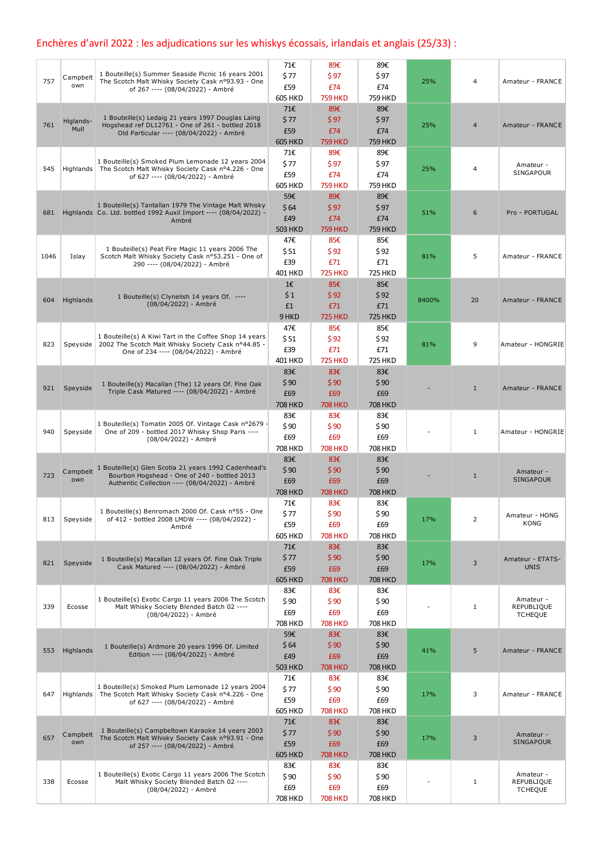## Enchères d'avril 2022 : les adjudications sur les whiskys écossais, irlandais et anglais (25/33) :

|      |                   |                                                                                                                           | 71€            | 89€                   | 89€                   |       |                |                         |
|------|-------------------|---------------------------------------------------------------------------------------------------------------------------|----------------|-----------------------|-----------------------|-------|----------------|-------------------------|
| 757  | Campbelt          | 1 Bouteille(s) Summer Seaside Picnic 16 years 2001<br>The Scotch Malt Whisky Society Cask nº93.93 - One                   | \$ 77          | \$97                  | \$97                  | 25%   | 4              | Amateur - FRANCE        |
|      | own               | of 267 ---- (08/04/2022) - Ambré                                                                                          | £59            | £74                   | £74                   |       |                |                         |
|      |                   |                                                                                                                           | <b>605 HKD</b> | <b>759 HKD</b>        | <b>759 HKD</b>        |       |                |                         |
|      |                   | 1 Bouteille(s) Ledaig 21 years 1997 Douglas Laing                                                                         | 71€<br>\$77    | 89€<br>\$97           | 89€                   |       |                |                         |
| 761  | Higlands-<br>Mull | Hogshead ref DL12761 - One of 261 - bottled 2018                                                                          | £59            | £74                   | \$97<br>£74           | 25%   | $\overline{4}$ | Amateur - FRANCE        |
|      |                   | Old Particular ---- (08/04/2022) - Ambré                                                                                  | <b>605 HKD</b> | <b>759 HKD</b>        | <b>759 HKD</b>        |       |                |                         |
|      |                   |                                                                                                                           | 71€            | 89€                   | 89€                   |       |                |                         |
|      |                   | 1 Bouteille(s) Smoked Plum Lemonade 12 years 2004                                                                         | \$77           | \$97                  | \$97                  |       |                | Amateur -               |
| 545  | <b>Highlands</b>  | The Scotch Malt Whisky Society Cask nº4.226 - One<br>of 627 ---- (08/04/2022) - Ambré                                     | £59            | £74                   | £74                   | 25%   | 4              | SINGAPOUR               |
|      |                   |                                                                                                                           | <b>605 HKD</b> | <b>759 HKD</b>        | <b>759 HKD</b>        |       |                |                         |
|      |                   |                                                                                                                           | 59€            | 89€                   | 89€                   |       |                |                         |
| 681  |                   | 1 Bouteille(s) Tantallan 1979 The Vintage Malt Whisky<br>Highlands Co. Ltd. bottled 1992 Auxil Import ---- (08/04/2022) - | \$64           | \$97                  | \$97                  | 51%   | 6              | Pro - PORTUGAL          |
|      |                   | Ambré                                                                                                                     | £49            | £74                   | £74                   |       |                |                         |
|      |                   |                                                                                                                           | <b>503 HKD</b> | <b>759 HKD</b>        | <b>759 HKD</b>        |       |                |                         |
|      |                   |                                                                                                                           | 47€            | 85€                   | 85€                   |       |                |                         |
| 1046 | Islay             | 1 Bouteille(s) Peat Fire Magic 11 years 2006 The<br>Scotch Malt Whisky Society Cask nº53.251 - One of                     | \$51           | \$92                  | \$92                  | 81%   | 5              | Amateur - FRANCE        |
|      |                   | 290 ---- (08/04/2022) - Ambré                                                                                             | £39            | £71                   | £71                   |       |                |                         |
|      |                   |                                                                                                                           | 401 HKD        | <b>725 HKD</b>        | <b>725 HKD</b>        |       |                |                         |
|      |                   |                                                                                                                           | 1€             | 85€                   | 85€                   |       |                |                         |
| 604  | Highlands         | 1 Bouteille(s) Clynelish 14 years Of. ----<br>(08/04/2022) - Ambré                                                        | \$1            | \$92                  | \$92                  | 8400% | 20             | Amateur - FRANCE        |
|      |                   |                                                                                                                           | £1             | £71                   | £71                   |       |                |                         |
|      |                   |                                                                                                                           | 9 HKD          | <b>725 HKD</b>        | <b>725 HKD</b>        |       |                |                         |
|      |                   | 1 Bouteille(s) A Kiwi Tart in the Coffee Shop 14 years                                                                    | 47€            | 85€                   | 85€                   |       |                |                         |
| 823  | Speyside          | 2002 The Scotch Malt Whisky Society Cask nº44.85 -                                                                        | \$51           | \$92                  | \$92                  | 81%   | 9              | Amateur - HONGRIE       |
|      |                   | One of 234 ---- (08/04/2022) - Ambré                                                                                      | £39            | £71                   | £71<br><b>725 HKD</b> |       |                |                         |
|      |                   |                                                                                                                           | 401 HKD<br>83€ | <b>725 HKD</b><br>83€ | 83€                   |       |                |                         |
|      |                   |                                                                                                                           | \$90           | \$90                  | \$90                  |       |                |                         |
| 921  | Speyside          | 1 Bouteille(s) Macallan (The) 12 years Of. Fine Oak<br>Triple Cask Matured ---- (08/04/2022) - Ambré                      | £69            | £69                   | £69                   |       | $\mathbf{1}$   | Amateur - FRANCE        |
|      |                   |                                                                                                                           | <b>708 HKD</b> | <b>708 HKD</b>        | <b>708 HKD</b>        |       |                |                         |
|      |                   |                                                                                                                           | 83€            | 83€                   | 83€                   |       |                |                         |
|      |                   | 1 Bouteille(s) Tomatin 2005 Of. Vintage Cask n°2679 -                                                                     | \$90           | \$90                  | \$90                  |       |                |                         |
| 940  | Speyside          | One of 209 - bottled 2017 Whisky Shop Paris ----<br>(08/04/2022) - Ambré                                                  | £69            | £69                   | £69                   |       | $\mathbf{1}$   | Amateur - HONGRIE       |
|      |                   |                                                                                                                           | <b>708 HKD</b> | <b>708 HKD</b>        | <b>708 HKD</b>        |       |                |                         |
|      |                   |                                                                                                                           | 83€            | 83€                   | 83€                   |       |                |                         |
|      | Campbelt          | 1 Bouteille(s) Glen Scotia 21 years 1992 Cadenhead's                                                                      | \$90           | \$90                  | \$90                  |       |                | Amateur -               |
| 723  | own               | Bourbon Hogshead - One of 240 - bottled 2013<br>Authentic Collection ---- (08/04/2022) - Ambré                            | £69            | £69                   | £69                   |       | $\mathbf{1}$   | SINGAPOUR               |
|      |                   |                                                                                                                           | <b>708 HKD</b> | <b>708 HKD</b>        | <b>708 HKD</b>        |       |                |                         |
|      |                   |                                                                                                                           | 71€            | 83€                   | 83€                   |       |                |                         |
| 813  | Speyside          | 1 Bouteille(s) Benromach 2000 Of. Cask n°55 - One<br>of 412 - bottled 2008 LMDW ---- (08/04/2022) -                       | \$77           | \$90                  | \$90                  | 17%   | 2              | Amateur - HONG          |
|      |                   | Ambré                                                                                                                     | £59            | £69                   | £69                   |       |                | KONG                    |
|      |                   |                                                                                                                           | <b>605 HKD</b> | <b>708 HKD</b>        | <b>708 HKD</b>        |       |                |                         |
|      |                   |                                                                                                                           | 71€            | 83€                   | 83€                   |       |                |                         |
| 821  | Speyside          | 1 Bouteille(s) Macallan 12 years Of. Fine Oak Triple                                                                      | \$77           | \$90                  | \$90                  | 17%   | 3              | Amateur - ETATS-        |
|      |                   | Cask Matured ---- (08/04/2022) - Ambré                                                                                    | £59            | £69                   | £69                   |       |                | <b>UNIS</b>             |
|      |                   |                                                                                                                           | <b>605 HKD</b> | <b>708 HKD</b>        | <b>708 HKD</b>        |       |                |                         |
|      |                   | 1 Bouteille(s) Exotic Cargo 11 years 2006 The Scotch                                                                      | 83€            | 83€                   | 83€                   |       |                | Amateur -               |
| 339  | Ecosse            | Malt Whisky Society Blended Batch 02 ----                                                                                 | \$90           | \$90                  | \$90                  |       | $\mathbf{1}$   | REPUBLIQUE              |
|      |                   | (08/04/2022) - Ambré                                                                                                      | £69            | £69                   | £69                   |       |                | <b>TCHEQUE</b>          |
|      |                   |                                                                                                                           | 708 HKD<br>59€ | <b>708 HKD</b><br>83€ | 708 HKD<br>83€        |       |                |                         |
|      |                   | 1 Bouteille(s) Ardmore 20 years 1996 Of. Limited                                                                          | \$64           | \$90                  | \$90                  |       |                |                         |
| 553  | Highlands         | Edition ---- (08/04/2022) - Ambré                                                                                         | £49            | £69                   | £69                   | 41%   | 5              | Amateur - FRANCE        |
|      |                   |                                                                                                                           | <b>503 HKD</b> | <b>708 HKD</b>        | <b>708 HKD</b>        |       |                |                         |
|      |                   |                                                                                                                           | 71€            | 83€                   | 83€                   |       |                |                         |
|      |                   | 1 Bouteille(s) Smoked Plum Lemonade 12 years 2004                                                                         | \$77           | \$90                  | \$90                  |       |                |                         |
| 647  |                   | Highlands   The Scotch Malt Whisky Society Cask nº4.226 - One<br>of 627 ---- (08/04/2022) - Ambré                         | £59            | £69                   | £69                   | 17%   | 3              | Amateur - FRANCE        |
|      |                   |                                                                                                                           | <b>605 HKD</b> | <b>708 HKD</b>        | <b>708 HKD</b>        |       |                |                         |
|      |                   |                                                                                                                           | 71€            | 83€                   | 83€                   |       |                |                         |
|      | Campbelt          | 1 Bouteille(s) Campbeltown Karaoke 14 years 2003                                                                          | \$77           | \$90                  | \$90                  |       |                | Amateur -               |
| 657  | own               | The Scotch Malt Whisky Society Cask nº93.91 - One<br>of 257 ---- (08/04/2022) - Ambré                                     | £59            | £69                   | £69                   | 17%   | 3              | <b>SINGAPOUR</b>        |
|      |                   |                                                                                                                           | <b>605 HKD</b> | <b>708 HKD</b>        | <b>708 HKD</b>        |       |                |                         |
|      |                   |                                                                                                                           | 83€            | 83€                   | 83€                   |       |                |                         |
| 338  | Ecosse            | 1 Bouteille(s) Exotic Cargo 11 years 2006 The Scotch<br>Malt Whisky Society Blended Batch 02 ----                         | \$90           | \$90                  | \$90                  |       | $\mathbf{1}$   | Amateur -<br>REPUBLIQUE |
|      |                   | (08/04/2022) - Ambré                                                                                                      | £69            | £69                   | £69                   |       |                | <b>TCHEQUE</b>          |
|      |                   |                                                                                                                           | 708 HKD        | <b>708 HKD</b>        | 708 HKD               |       |                |                         |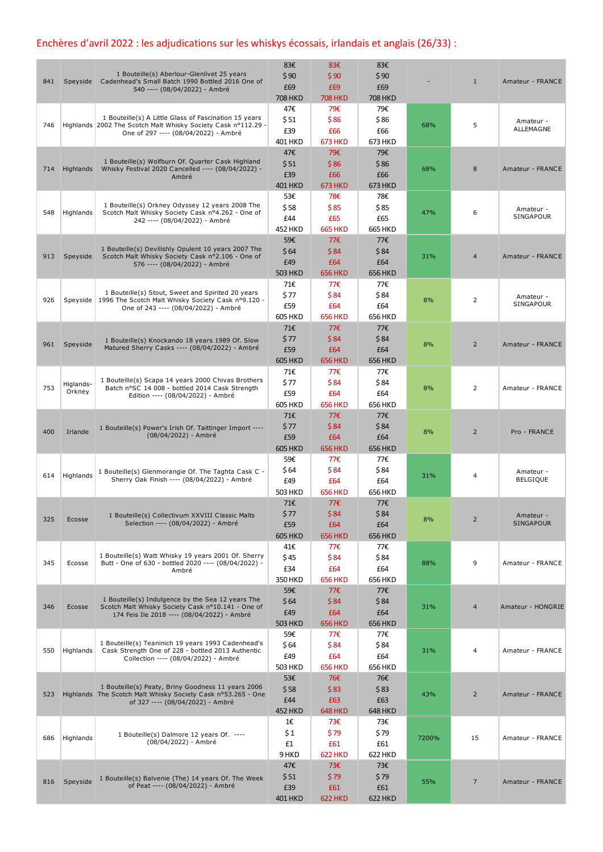## Enchères d'avril 2022 : les adjudications sur les whiskys écossais, irlandais et anglais (26/33) :

| 841 |                     | 1 Bouteille(s) Aberlour-Glenlivet 25 years<br>Speyside Cadenhead's Small Batch 1990 Bottled 2016 One of<br>540 ---- (08/04/2022) - Ambré                       | 83€<br>\$90<br>£69<br><b>708 HKD</b> | 83€<br>\$90<br>£69<br><b>708 HKD</b> | 83€<br>\$90<br>£69<br><b>708 HKD</b> |       | $\mathbf{1}$   | Amateur - FRANCE              |
|-----|---------------------|----------------------------------------------------------------------------------------------------------------------------------------------------------------|--------------------------------------|--------------------------------------|--------------------------------------|-------|----------------|-------------------------------|
| 746 |                     | 1 Bouteille(s) A Little Glass of Fascination 15 years<br>Highlands 2002 The Scotch Malt Whisky Society Cask nº112.29 -<br>One of 297 ---- (08/04/2022) - Ambré | 47€<br>\$51<br>£39<br><b>401 HKD</b> | 79€<br>\$86<br>£66<br><b>673 HKD</b> | 79€<br>\$86<br>£66<br>673 HKD        | 68%   | 5              | Amateur -<br>ALLEMAGNE        |
| 714 | Highlands           | 1 Bouteille(s) Wolfburn Of. Quarter Cask Highland<br>Whisky Festival 2020 Cancelled ---- (08/04/2022) -<br>Ambré                                               | 47€<br>\$51<br>£39<br><b>401 HKD</b> | 79€<br>\$86<br>£66<br><b>673 HKD</b> | 79€<br>\$86<br>£66<br><b>673 HKD</b> | 68%   | 8              | Amateur - FRANCE              |
| 548 | Highlands           | 1 Bouteille(s) Orkney Odyssey 12 years 2008 The<br>Scotch Malt Whisky Society Cask nº4.262 - One of<br>242 ---- (08/04/2022) - Ambré                           | 53€<br>\$58<br>£44<br><b>452 HKD</b> | 78€<br>\$85<br>£65<br><b>665 HKD</b> | 78€<br>\$85<br>£65<br><b>665 HKD</b> | 47%   | 6              | Amateur -<br>SINGAPOUR        |
| 913 | Speyside            | 1 Bouteille(s) Devilishly Opulent 10 years 2007 The<br>Scotch Malt Whisky Society Cask nº2.106 - One of<br>576 ---- (08/04/2022) - Ambré                       | 59€<br>\$64<br>£49<br><b>503 HKD</b> | 77€<br>\$84<br>£64<br><b>656 HKD</b> | 77€<br>\$84<br>£64<br><b>656 HKD</b> | 31%   | $\overline{4}$ | Amateur - FRANCE              |
| 926 |                     | 1 Bouteille(s) Stout, Sweet and Spirited 20 years<br>Speyside   1996 The Scotch Malt Whisky Society Cask nº9.120 -<br>One of 243 ---- (08/04/2022) - Ambré     | 71€<br>\$77<br>£59<br>605 HKD        | 77€<br>\$84<br>£64<br><b>656 HKD</b> | 77€<br>\$84<br>£64<br>656 HKD        | 8%    | 2              | Amateur -<br>SINGAPOUR        |
| 961 | Speyside            | 1 Bouteille(s) Knockando 18 years 1989 Of. Slow<br>Matured Sherry Casks ---- (08/04/2022) - Ambré                                                              | 71€<br>\$77<br>£59<br><b>605 HKD</b> | 77€<br>\$84<br>£64<br><b>656 HKD</b> | 77€<br>\$84<br>£64<br><b>656 HKD</b> | 8%    | $\overline{2}$ | Amateur - FRANCE              |
| 753 | Higlands-<br>Orkney | 1 Bouteille(s) Scapa 14 years 2000 Chivas Brothers<br>Batch n°SC 14 008 - bottled 2014 Cask Strength<br>Edition ---- (08/04/2022) - Ambré                      | 71€<br>\$77<br>£59<br><b>605 HKD</b> | 77€<br>\$84<br>£64<br><b>656 HKD</b> | 77€<br>\$84<br>£64<br>656 HKD        | 8%    | 2              | Amateur - FRANCE              |
| 400 | Irlande             | 1 Bouteille(s) Power's Irish Of. Taittinger Import ----<br>(08/04/2022) - Ambré                                                                                | 71€<br>\$77<br>£59<br><b>605 HKD</b> | 77€<br>\$84<br>£64<br><b>656 HKD</b> | 77€<br>\$84<br>£64<br><b>656 HKD</b> | 8%    | $\overline{2}$ | Pro - FRANCE                  |
| 614 | Highlands           | 1 Bouteille(s) Glenmorangie Of. The Taghta Cask C -<br>Sherry Oak Finish ---- (08/04/2022) - Ambré                                                             | 59€<br>\$64<br>£49<br><b>503 HKD</b> | 77€<br>\$84<br>£64<br><b>656 HKD</b> | 77€<br>\$84<br>£64<br><b>656 HKD</b> | 31%   | 4              | Amateur -<br><b>BELGIQUE</b>  |
| 325 | Ecosse              | 1 Bouteille(s) Collectivum XXVIII Classic Malts<br>Selection ---- (08/04/2022) - Ambré                                                                         | 71€<br>\$77<br>£59<br><b>605 HKD</b> | 77€<br>\$84<br>£64<br><b>656 HKD</b> | 77€<br>\$84<br>£64<br><b>656 HKD</b> | 8%    | $\overline{2}$ | Amateur -<br><b>SINGAPOUR</b> |
| 345 | Ecosse              | 1 Bouteille(s) Watt Whisky 19 years 2001 Of. Sherry<br>Butt - One of 630 - bottled 2020 ---- (08/04/2022) -<br>Ambré                                           | 41€<br>\$45<br>£34<br><b>350 HKD</b> | 77€<br>\$84<br>£64<br><b>656 HKD</b> | 77€<br>\$84<br>£64<br><b>656 HKD</b> | 88%   | 9              | Amateur - FRANCE              |
| 346 | Ecosse              | 1 Bouteille(s) Indulgence by the Sea 12 years The<br>Scotch Malt Whisky Society Cask nº10.141 - One of<br>174 Feis Ile 2018 ---- (08/04/2022) - Ambré          | 59€<br>\$64<br>£49<br><b>503 HKD</b> | 77€<br>\$84<br>£64<br><b>656 HKD</b> | 77€<br>\$84<br>£64<br><b>656 HKD</b> | 31%   | 4              | Amateur - HONGRIE             |
| 550 | Highlands           | 1 Bouteille(s) Teaninich 19 years 1993 Cadenhead's<br>Cask Strength One of 228 - bottled 2013 Authentic<br>Collection ---- (08/04/2022) - Ambré                | 59€<br>\$64<br>£49<br><b>503 HKD</b> | 77€<br>\$84<br>£64<br><b>656 HKD</b> | 77€<br>\$84<br>£64<br><b>656 HKD</b> | 31%   | 4              | Amateur - FRANCE              |
| 523 |                     | 1 Bouteille(s) Peaty, Briny Goodness 11 years 2006<br>Highlands The Scotch Malt Whisky Society Cask nº53.265 - One<br>of 327 ---- (08/04/2022) - Ambré         | 53€<br>\$58<br>£44<br><b>452 HKD</b> | 76€<br>\$83<br>£63<br><b>648 HKD</b> | 76€<br>\$83<br>£63<br><b>648 HKD</b> | 43%   | $\overline{2}$ | Amateur - FRANCE              |
| 686 | Highlands           | 1 Bouteille(s) Dalmore 12 years Of. ----<br>(08/04/2022) - Ambré                                                                                               | 1€<br>\$1<br>£1<br>9 HKD             | 73€<br>\$79<br>£61<br><b>622 HKD</b> | 73€<br>\$79<br>£61<br>622 HKD        | 7200% | 15             | Amateur - FRANCE              |
| 816 | Speyside            | 1 Bouteille(s) Balvenie (The) 14 years Of. The Week<br>of Peat ---- (08/04/2022) - Ambré                                                                       | 47€<br>\$51<br>£39<br>401 HKD        | 73€<br>\$79<br>£61<br><b>622 HKD</b> | 73€<br>\$79<br>£61<br><b>622 HKD</b> | 55%   | 7              | Amateur - FRANCE              |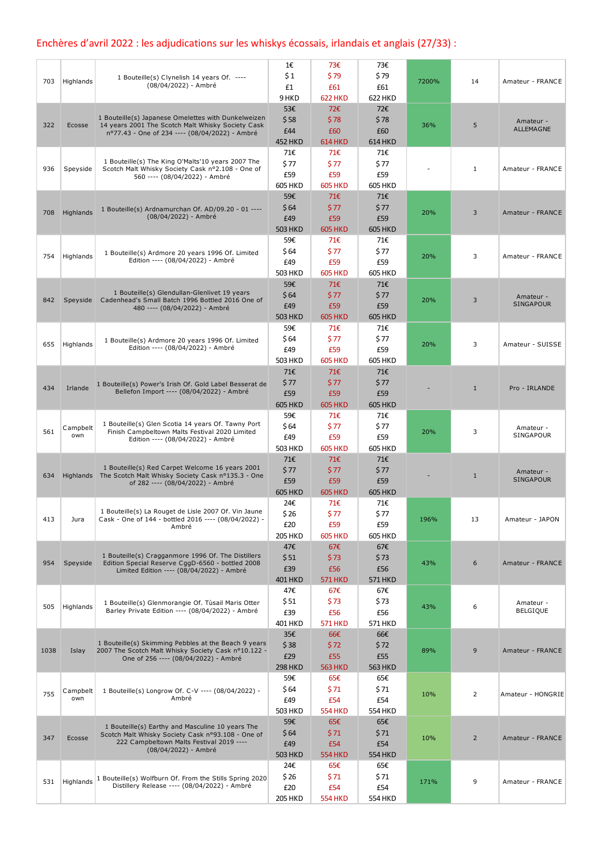## Enchères d'avril 2022 : les adjudications sur les whiskys écossais, irlandais et anglais (27/33) :

|      |           |                                                                                                                | 1€             | 73€                   | 73€            |       |                |                               |
|------|-----------|----------------------------------------------------------------------------------------------------------------|----------------|-----------------------|----------------|-------|----------------|-------------------------------|
|      |           | 1 Bouteille(s) Clynelish 14 years Of. ----                                                                     | \$1            | \$79                  | \$79           |       |                |                               |
| 703  | Highlands | (08/04/2022) - Ambré                                                                                           | £1             | £61                   | £61            | 7200% | 14             | Amateur - FRANCE              |
|      |           |                                                                                                                | 9 HKD          | <b>622 HKD</b>        | <b>622 HKD</b> |       |                |                               |
|      |           |                                                                                                                | 53€            | 72€                   | 72€            |       |                |                               |
| 322  | Ecosse    | 1 Bouteille(s) Japanese Omelettes with Dunkelweizen<br>14 years 2001 The Scotch Malt Whisky Society Cask       | \$58           | \$78                  | \$78           | 36%   | 5              | Amateur -                     |
|      |           | nº77.43 - One of 234 ---- (08/04/2022) - Ambré                                                                 | £44            | £60                   | £60            |       |                | <b>ALLEMAGNE</b>              |
|      |           |                                                                                                                | <b>452 HKD</b> | <b>614 HKD</b>        | <b>614 HKD</b> |       |                |                               |
|      |           |                                                                                                                | 71€            | 71€                   | 71€            |       |                |                               |
| 936  | Speyside  | 1 Bouteille(s) The King O'Malts'10 years 2007 The<br>Scotch Malt Whisky Society Cask nº2.108 - One of          | \$77           | \$77                  | \$77           |       | $\mathbf{1}$   | Amateur - FRANCE              |
|      |           | 560 ---- (08/04/2022) - Ambré                                                                                  | £59            | £59                   | £59            |       |                |                               |
|      |           |                                                                                                                | <b>605 HKD</b> | <b>605 HKD</b>        | <b>605 HKD</b> |       |                |                               |
|      |           |                                                                                                                | 59€            | 71E                   | 71€            |       |                |                               |
| 708  | Highlands | 1 Bouteille(s) Ardnamurchan Of. AD/09.20 - 01 ----<br>(08/04/2022) - Ambré                                     | \$64           | \$77                  | \$77           | 20%   | 3              | Amateur - FRANCE              |
|      |           |                                                                                                                | £49            | £59                   | £59            |       |                |                               |
|      |           |                                                                                                                | <b>503 HKD</b> | <b>605 HKD</b>        | <b>605 HKD</b> |       |                |                               |
|      |           |                                                                                                                | 59€            | 71€                   | 71€            |       |                |                               |
| 754  | Highlands | 1 Bouteille(s) Ardmore 20 years 1996 Of. Limited<br>Edition ---- (08/04/2022) - Ambré                          | \$64<br>£49    | \$77<br>£59           | \$77<br>£59    | 20%   | 3              | Amateur - FRANCE              |
|      |           |                                                                                                                | <b>503 HKD</b> | <b>605 HKD</b>        | <b>605 HKD</b> |       |                |                               |
|      |           |                                                                                                                | 59€            | 71E                   | 71€            |       |                |                               |
|      |           | 1 Bouteille(s) Glendullan-Glenlivet 19 years                                                                   | \$64           | \$77                  | \$77           |       |                |                               |
| 842  | Speyside  | Cadenhead's Small Batch 1996 Bottled 2016 One of                                                               | £49            | £59                   | £59            | 20%   | 3              | Amateur -<br><b>SINGAPOUR</b> |
|      |           | 480 ---- (08/04/2022) - Ambré                                                                                  | <b>503 HKD</b> | <b>605 HKD</b>        | <b>605 HKD</b> |       |                |                               |
|      |           |                                                                                                                | 59€            | 71€                   | 71€            |       |                |                               |
|      |           |                                                                                                                | \$64           | \$77                  | \$77           |       |                |                               |
| 655  | Highlands | 1 Bouteille(s) Ardmore 20 years 1996 Of. Limited<br>Edition ---- (08/04/2022) - Ambré                          | £49            | £59                   | £59            | 20%   | 3              | Amateur - SUISSE              |
|      |           |                                                                                                                | <b>503 HKD</b> | <b>605 HKD</b>        | <b>605 HKD</b> |       |                |                               |
|      |           |                                                                                                                | 71€            | 71E                   | 71€            |       |                |                               |
|      |           | 1 Bouteille(s) Power's Irish Of. Gold Label Besserat de                                                        | \$77           | \$77                  | \$77           |       |                |                               |
| 434  | Irlande   | Bellefon Import ---- (08/04/2022) - Ambré                                                                      | £59            | £59                   | £59            |       | $\mathbf{1}$   | Pro - IRLANDE                 |
|      |           |                                                                                                                | <b>605 HKD</b> | <b>605 HKD</b>        | <b>605 HKD</b> |       |                |                               |
|      |           |                                                                                                                | 59€            | 71€                   | 71€            |       |                |                               |
|      | Campbelt  | 1 Bouteille(s) Glen Scotia 14 years Of. Tawny Port                                                             | \$64           | \$77                  | \$77           |       |                |                               |
| 561  | own       | Finish Campbeltown Malts Festival 2020 Limited<br>Edition ---- (08/04/2022) - Ambré                            | £49            | £59                   | £59            | 20%   | 3              | SINGAPOUR                     |
|      |           |                                                                                                                | 503 HKD        | <b>605 HKD</b>        | <b>605 HKD</b> |       |                | Amateur -<br>Amateur -        |
|      |           |                                                                                                                | 71€            | 71€                   | 71€            |       |                |                               |
| 634  |           | 1 Bouteille(s) Red Carpet Welcome 16 years 2001<br>Highlands The Scotch Malt Whisky Society Cask nº135.3 - One | \$77           | \$77                  | \$77           |       | $\mathbf{1}$   |                               |
|      |           | of 282 ---- (08/04/2022) - Ambré                                                                               | £59            | £59                   | £59            |       |                | SINGAPOUR                     |
|      |           |                                                                                                                | <b>605 HKD</b> | <b>605 HKD</b>        | <b>605 HKD</b> |       |                |                               |
|      |           |                                                                                                                | 24€            | 71€                   | 71€            |       |                |                               |
| 413  | Jura      | 1 Bouteille(s) La Rouget de Lisle 2007 Of. Vin Jaune<br>Cask - One of 144 - bottled 2016 ---- (08/04/2022) -   | \$ 26          | \$77                  | \$77           | 196%  | 13             | Amateur - JAPON               |
|      |           | Ambré                                                                                                          | £20            | £59                   | £59            |       |                |                               |
|      |           |                                                                                                                | <b>205 HKD</b> | <b>605 HKD</b>        | <b>605 HKD</b> |       |                |                               |
|      |           |                                                                                                                | 47€            | 67€                   | 67€            |       |                |                               |
| 954  | Speyside  | 1 Bouteille(s) Cragganmore 1996 Of. The Distillers<br>Edition Special Reserve CggD-6560 - bottled 2008         | \$51           | \$73                  | \$73           | 43%   | 6              | Amateur - FRANCE              |
|      |           | Limited Edition ---- (08/04/2022) - Ambré                                                                      | £39            | £56                   | £56            |       |                |                               |
|      |           |                                                                                                                | <b>401 HKD</b> | <b>571 HKD</b>        | 571 HKD        |       |                |                               |
|      |           |                                                                                                                | 47€            | 67€                   | 67€            |       |                |                               |
| 505  | Highlands | 1 Bouteille(s) Glenmorangie Of. Tùsail Maris Otter<br>Barley Private Edition ---- (08/04/2022) - Ambré         | \$51           | \$73                  | \$73           | 43%   | 6              | Amateur -<br><b>BELGIQUE</b>  |
|      |           |                                                                                                                | £39            | £56                   | £56            |       |                |                               |
|      |           |                                                                                                                | 401 HKD<br>35€ | <b>571 HKD</b><br>66€ | 571 HKD<br>66€ |       |                |                               |
|      |           | 1 Bouteille(s) Skimming Pebbles at the Beach 9 years                                                           | \$38           | \$72                  | \$72           |       |                |                               |
| 1038 | Islay     | 2007 The Scotch Malt Whisky Society Cask nº10.122 -                                                            | £29            | £55                   | £55            | 89%   | 9              | Amateur - FRANCE              |
|      |           | One of 256 ---- (08/04/2022) - Ambré                                                                           | <b>298 HKD</b> | <b>563 HKD</b>        | <b>563 HKD</b> |       |                |                               |
|      |           |                                                                                                                | 59€            | 65€                   | 65€            |       |                |                               |
|      | Campbelt  | 1 Bouteille(s) Longrow Of. C-V ---- (08/04/2022) -                                                             | \$64           | \$71                  | \$71           |       |                |                               |
| 755  | own       | Ambré                                                                                                          | £49            | £54                   | £54            | 10%   | 2              | Amateur - HONGRIE             |
|      |           |                                                                                                                | 503 HKD        | <b>554 HKD</b>        | <b>554 HKD</b> |       |                |                               |
|      |           |                                                                                                                | 59€            | 65€                   | 65E            |       |                |                               |
|      |           | 1 Bouteille(s) Earthy and Masculine 10 years The<br>Scotch Malt Whisky Society Cask nº93.108 - One of          | \$64           | \$71                  | \$71           |       |                |                               |
| 347  | Ecosse    | 222 Campbeltown Malts Festival 2019 ----                                                                       | £49            | £54                   | £54            | 10%   | $\overline{2}$ | Amateur - FRANCE              |
|      |           | (08/04/2022) - Ambré                                                                                           | <b>503 HKD</b> | <b>554 HKD</b>        | <b>554 HKD</b> |       |                |                               |
|      |           |                                                                                                                | 24€            | 65€                   | 65€            |       |                |                               |
|      |           | 1 Bouteille(s) Wolfburn Of. From the Stills Spring 2020                                                        | \$26           | \$71                  | \$71           |       |                |                               |
| 531  | Highlands | Distillery Release ---- (08/04/2022) - Ambré                                                                   | £20            | £54                   | £54            | 171%  | 9              | Amateur - FRANCE              |
|      |           |                                                                                                                | <b>205 HKD</b> | <b>554 HKD</b>        | 554 HKD        |       |                |                               |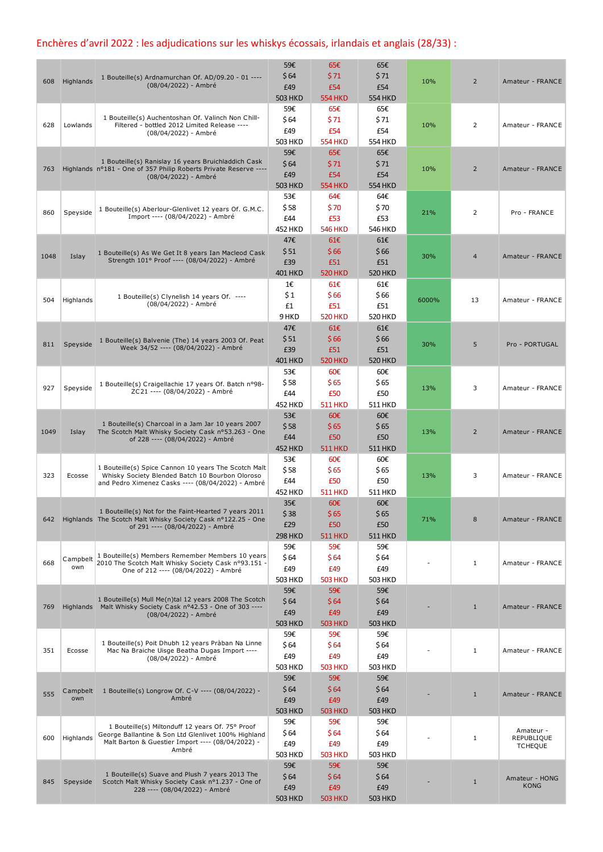## Enchères d'avril 2022 : les adjudications sur les whiskys écossais, irlandais et anglais (28/33) :

| 608  | Highlands       | 1 Bouteille(s) Ardnamurchan Of. AD/09.20 - 01 ----<br>(08/04/2022) - Ambré                                                                                            | 59€<br>\$64<br>£49<br><b>503 HKD</b> | 65€<br>\$71<br>£54<br><b>554 HKD</b>          | 65€<br>\$71<br>£54<br><b>554 HKD</b> | 10%   | $\overline{2}$ | Amateur - FRANCE                          |
|------|-----------------|-----------------------------------------------------------------------------------------------------------------------------------------------------------------------|--------------------------------------|-----------------------------------------------|--------------------------------------|-------|----------------|-------------------------------------------|
| 628  | Lowlands        | 1 Bouteille(s) Auchentoshan Of. Valinch Non Chill-<br>Filtered - bottled 2012 Limited Release ----<br>(08/04/2022) - Ambré                                            | 59€<br>\$64<br>£49<br>503 HKD        | 65€<br>\$71<br>£54<br><b>554 HKD</b>          | 65€<br>\$71<br>£54<br><b>554 HKD</b> | 10%   | 2              | Amateur - FRANCE                          |
| 763  |                 | 1 Bouteille(s) Ranislay 16 years Bruichladdich Cask<br>Highlands n°181 - One of 357 Philip Roberts Private Reserve ----<br>(08/04/2022) - Ambré                       | 59€<br>\$64<br>£49<br><b>503 HKD</b> | 65€<br>\$71<br>£54<br><b>554 HKD</b>          | 65€<br>\$71<br>£54<br><b>554 HKD</b> | 10%   | $\overline{2}$ | Amateur - FRANCE                          |
| 860  | Speyside        | 1 Bouteille(s) Aberlour-Glenlivet 12 years Of. G.M.C.<br>Import ---- (08/04/2022) - Ambré                                                                             | 53€<br>\$58<br>£44<br><b>452 HKD</b> | 64€<br>\$70<br>£53<br><b>546 HKD</b>          | 64€<br>\$70<br>£53<br><b>546 HKD</b> | 21%   | 2              | Pro - FRANCE                              |
| 1048 | Islay           | 1 Bouteille(s) As We Get It 8 years Ian Macleod Cask<br>Strength 101° Proof ---- (08/04/2022) - Ambré                                                                 | 47€<br>\$51<br>£39<br>401 HKD        | 61E<br>\$66<br>£51<br><b>520 HKD</b>          | 61E<br>\$66<br>£51<br>520 HKD        | 30%   | $\overline{4}$ | Amateur - FRANCE                          |
| 504  | Highlands       | 1 Bouteille(s) Clynelish 14 years Of. ----<br>(08/04/2022) - Ambré                                                                                                    | 1€<br>\$1<br>£1<br>9 HKD             | 61€<br>\$66<br>£51<br><b>520 HKD</b>          | 61€<br>\$66<br>£51<br>520 HKD        | 6000% | 13             | Amateur - FRANCE                          |
| 811  | Speyside        | 1 Bouteille(s) Balvenie (The) 14 years 2003 Of. Peat<br>Week 34/52 ---- (08/04/2022) - Ambré                                                                          | 47€<br>\$51<br>£39<br><b>401 HKD</b> | 61E<br>\$66<br>£51<br><b>520 HKD</b>          | 61€<br>\$66<br>£51<br><b>520 HKD</b> | 30%   | 5              | Pro - PORTUGAL                            |
| 927  | Speyside        | 1 Bouteille(s) Craigellachie 17 years Of. Batch nº98-<br>ZC21 ---- (08/04/2022) - Ambré                                                                               | 53€<br>\$58<br>£44<br><b>452 HKD</b> | 60€<br>\$65<br>£50<br><b>511 HKD</b>          | 60€<br>\$65<br>£50<br>511 HKD        | 13%   | 3              | Amateur - FRANCE                          |
| 1049 | Islay           | 1 Bouteille(s) Charcoal in a Jam Jar 10 years 2007<br>The Scotch Malt Whisky Society Cask nº53.263 - One<br>of 228 ---- (08/04/2022) - Ambré                          | 53€<br>\$58<br>£44<br><b>452 HKD</b> | $60\epsilon$<br>\$65<br>£50<br><b>511 HKD</b> | 60€<br>\$65<br>£50<br><b>511 HKD</b> | 13%   | $\overline{2}$ | Amateur - FRANCE                          |
| 323  | Ecosse          | 1 Bouteille(s) Spice Cannon 10 years The Scotch Malt<br>Whisky Society Blended Batch 10 Bourbon Oloroso<br>and Pedro Ximenez Casks ---- (08/04/2022) - Ambré          | 53€<br>\$58<br>£44<br><b>452 HKD</b> | 60€<br>\$65<br>£50<br><b>511 HKD</b>          | 60€<br>\$65<br>£50<br><b>511 HKD</b> | 13%   | 3              | Amateur - FRANCE                          |
|      |                 | 1 Bouteille(s) Not for the Faint-Hearted 7 years 2011<br>642 Highlands The Scotch Malt Whisky Society Cask n°122.25 - One<br>of 291 ---- (08/04/2022) - Ambré         | 35€<br>\$38<br>£29<br><b>298 HKD</b> | 60€<br>\$65<br>£50<br><b>511 HKD</b>          | 60€<br>\$65<br>£50<br><b>511 HKD</b> | 71%   | 8              | Amateur - FRANCE                          |
| 668  | Campbelt<br>own | 1 Bouteille(s) Members Remember Members 10 years<br>2010 The Scotch Malt Whisky Society Cask nº93.151 -<br>One of 212 ---- (08/04/2022) - Ambré                       | 59€<br>\$64<br>£49<br>503 HKD        | 59€<br>\$64<br>£49<br><b>503 HKD</b>          | 59€<br>\$64<br>£49<br><b>503 HKD</b> |       | $\mathbf{1}$   | Amateur - FRANCE                          |
| 769  |                 | 1 Bouteille(s) Mull Me(n)tal 12 years 2008 The Scotch<br>Highlands Malt Whisky Society Cask nº42.53 - One of 303 ----<br>(08/04/2022) - Ambré                         | 59€<br>\$64<br>£49<br><b>503 HKD</b> | 59€<br>\$64<br>£49<br><b>503 HKD</b>          | 59€<br>\$64<br>£49<br><b>503 HKD</b> |       | $\mathbf{1}$   | Amateur - FRANCE                          |
| 351  | Ecosse          | 1 Bouteille(s) Poit Dhubh 12 years Pràban Na Linne<br>Mac Na Braiche Uisge Beatha Dugas Import ----<br>(08/04/2022) - Ambré                                           | 59€<br>\$64<br>£49<br>503 HKD        | 59€<br>\$64<br>£49<br><b>503 HKD</b>          | 59€<br>\$64<br>£49<br><b>503 HKD</b> |       | $\mathbf{1}$   | Amateur - FRANCE                          |
| 555  | Campbelt<br>own | 1 Bouteille(s) Longrow Of. C-V ---- (08/04/2022) -<br>Ambré                                                                                                           | 59€<br>\$64<br>£49<br><b>503 HKD</b> | 59€<br>\$64<br>£49<br><b>503 HKD</b>          | 59€<br>\$64<br>£49<br><b>503 HKD</b> |       | $\mathbf{1}$   | Amateur - FRANCE                          |
| 600  | Highlands       | 1 Bouteille(s) Miltonduff 12 years Of. 75° Proof<br>George Ballantine & Son Ltd Glenlivet 100% Highland<br>Malt Barton & Guestier Import ---- (08/04/2022) -<br>Ambré | 59€<br>\$64<br>£49<br>503 HKD        | 59€<br>\$64<br>£49<br><b>503 HKD</b>          | 59€<br>\$64<br>£49<br>503 HKD        |       | $\mathbf{1}$   | Amateur -<br>REPUBLIQUE<br><b>TCHEQUE</b> |
| 845  | Speyside        | 1 Bouteille(s) Suave and Plush 7 years 2013 The<br>Scotch Malt Whisky Society Cask nº1.237 - One of<br>228 ---- (08/04/2022) - Ambré                                  | 59€<br>\$64<br>£49<br><b>503 HKD</b> | 59€<br>\$64<br>£49<br><b>503 HKD</b>          | 59€<br>\$64<br>£49<br><b>503 HKD</b> |       | $\mathbf{1}$   | Amateur - HONG<br><b>KONG</b>             |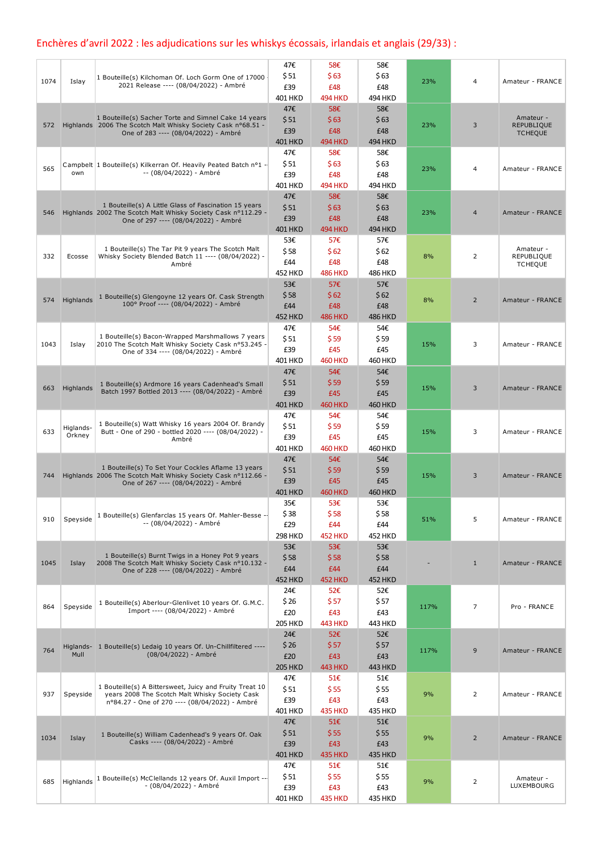## Enchères d'avril 2022 : les adjudications sur les whiskys écossais, irlandais et anglais (29/33) :

|      |           |                                                                                                                      | 47€                   | 58€            | 58€            |      |                |                                |
|------|-----------|----------------------------------------------------------------------------------------------------------------------|-----------------------|----------------|----------------|------|----------------|--------------------------------|
| 1074 | Islay     | 1 Bouteille(s) Kilchoman Of. Loch Gorm One of 17000                                                                  | \$51                  | \$63           | \$63           | 23%  | $\overline{4}$ | Amateur - FRANCE               |
|      |           | 2021 Release ---- (08/04/2022) - Ambré                                                                               | £39                   | £48            | £48            |      |                |                                |
|      |           |                                                                                                                      | <b>401 HKD</b>        | <b>494 HKD</b> | 494 HKD        |      |                |                                |
|      |           |                                                                                                                      | 47€                   | 58€            | 58€            |      |                |                                |
| 572  |           | 1 Bouteille(s) Sacher Torte and Simnel Cake 14 years<br>Highlands 2006 The Scotch Malt Whisky Society Cask nº68.51 - | \$51                  | \$63           | \$63           | 23%  | 3              | Amateur -<br><b>REPUBLIQUE</b> |
|      |           | One of 283 ---- (08/04/2022) - Ambré                                                                                 | £39                   | £48            | £48            |      |                | <b>TCHEQUE</b>                 |
|      |           |                                                                                                                      | <b>401 HKD</b>        | <b>494 HKD</b> | 494 HKD        |      |                |                                |
|      |           |                                                                                                                      | 47€                   | 58€            | 58€            |      |                |                                |
| 565  |           | Campbelt 1 Bouteille(s) Kilkerran Of. Heavily Peated Batch nº1 -                                                     | \$51                  | \$63           | \$63           | 23%  | 4              | Amateur - FRANCE               |
|      | own       | -- (08/04/2022) - Ambré                                                                                              | £39                   | £48            | £48            |      |                |                                |
|      |           |                                                                                                                      | <b>401 HKD</b>        | <b>494 HKD</b> | 494 HKD        |      |                |                                |
|      |           | 1 Bouteille(s) A Little Glass of Fascination 15 years                                                                | 47€                   | 58€            | 58€            |      |                |                                |
| 546  |           | Highlands 2002 The Scotch Malt Whisky Society Cask nº112.29 -                                                        | \$51                  | \$63           | \$63           | 23%  | $\overline{4}$ | Amateur - FRANCE               |
|      |           | One of 297 ---- (08/04/2022) - Ambré                                                                                 | £39                   | £48            | £48            |      |                |                                |
|      |           |                                                                                                                      | <b>401 HKD</b>        | <b>494 HKD</b> | <b>494 HKD</b> |      |                |                                |
|      |           | 1 Bouteille(s) The Tar Pit 9 years The Scotch Malt                                                                   | 53€<br>\$58           | 57€<br>\$62    | 57€<br>\$62    |      |                | Amateur -                      |
| 332  | Ecosse    | Whisky Society Blended Batch 11 ---- (08/04/2022) -                                                                  | £44                   | £48            | £48            | 8%   | $\overline{2}$ | REPUBLIQUE                     |
|      |           | Ambré                                                                                                                | <b>452 HKD</b>        | <b>486 HKD</b> | <b>486 HKD</b> |      |                | <b>TCHEQUE</b>                 |
|      |           |                                                                                                                      | 53€                   | 57€            | 57€            |      |                |                                |
|      |           |                                                                                                                      | \$58                  | \$62           | \$62           |      |                |                                |
| 574  | Highlands | 1 Bouteille(s) Glengoyne 12 years Of. Cask Strength<br>100° Proof ---- (08/04/2022) - Ambré                          | £44                   | £48            | £48            | 8%   | $\overline{2}$ | Amateur - FRANCE               |
|      |           |                                                                                                                      | <b>452 HKD</b>        | <b>486 HKD</b> | <b>486 HKD</b> |      |                |                                |
|      |           |                                                                                                                      | 47€                   | 54€            | 54€            |      |                |                                |
|      |           | 1 Bouteille(s) Bacon-Wrapped Marshmallows 7 years                                                                    | \$51                  | \$59           | \$59           |      |                |                                |
| 1043 | Islay     | 2010 The Scotch Malt Whisky Society Cask nº53.245 -                                                                  | £39                   | £45            | £45            | 15%  | 3              | Amateur - FRANCE               |
|      |           | One of 334 ---- (08/04/2022) - Ambré                                                                                 | 401 HKD               | <b>460 HKD</b> | <b>460 HKD</b> |      |                |                                |
|      |           |                                                                                                                      | 47€                   | 54€            | 54€            |      |                |                                |
|      |           | 1 Bouteille(s) Ardmore 16 years Cadenhead's Small                                                                    | \$51                  | \$59           | \$59           |      |                |                                |
| 663  | Highlands | Batch 1997 Bottled 2013 ---- (08/04/2022) - Ambré                                                                    | £39                   | £45            | £45            | 15%  | 3              | Amateur - FRANCE               |
|      |           |                                                                                                                      | <b>401 HKD</b>        | <b>460 HKD</b> | <b>460 HKD</b> |      |                |                                |
|      |           |                                                                                                                      | 47€                   | 54€            | 54€            |      |                |                                |
|      | Higlands- | 1 Bouteille(s) Watt Whisky 16 years 2004 Of. Brandy                                                                  | \$ 51                 | \$59           | \$59           |      |                |                                |
| 633  | Orkney    | Butt - One of 290 - bottled 2020 ---- (08/04/2022) -<br>Ambré                                                        | £39                   | £45            | £45            | 15%  | 3              | Amateur - FRANCE               |
|      |           |                                                                                                                      | <b>401 HKD</b>        | <b>460 HKD</b> | <b>460 HKD</b> |      |                |                                |
|      |           |                                                                                                                      | 47€                   | 54€            | 54€            |      |                |                                |
| 744  |           | 1 Bouteille(s) To Set Your Cockles Aflame 13 years<br>Highlands 2006 The Scotch Malt Whisky Society Cask nº112.66 -  | \$51                  | \$59           | \$59           | 15%  | 3              | Amateur - FRANCE               |
|      |           | One of 267 ---- (08/04/2022) - Ambré                                                                                 | £39                   | £45            | £45            |      |                |                                |
|      |           |                                                                                                                      | <b>401 HKD</b>        | <b>460 HKD</b> | <b>460 HKD</b> |      |                |                                |
|      |           |                                                                                                                      | 35€                   | 53€            | 53€            |      |                |                                |
| 910  | Speyside  | 1 Bouteille(s) Glenfarclas 15 years Of. Mahler-Besse --                                                              | Ş 38                  | Ş 58           | \$58           | 51%  | 5              | Amateur - FRANCE               |
|      |           | -- (08/04/2022) - Ambré                                                                                              | £29                   | £44            | £44            |      |                |                                |
|      |           |                                                                                                                      | <b>298 HKD</b>        | <b>452 HKD</b> | <b>452 HKD</b> |      |                |                                |
|      |           | 1 Bouteille(s) Burnt Twigs in a Honey Pot 9 years                                                                    | 53€                   | 53€            | 53€            |      |                |                                |
| 1045 | Islay     | 2008 The Scotch Malt Whisky Society Cask nº10.132 -                                                                  | \$58                  | \$58           | \$58           |      | $\mathbf{1}$   | Amateur - FRANCE               |
|      |           | One of 228 ---- (08/04/2022) - Ambré                                                                                 | £44                   | £44            | £44            |      |                |                                |
|      |           |                                                                                                                      | <b>452 HKD</b>        | <b>452 HKD</b> | <b>452 HKD</b> |      |                |                                |
|      |           |                                                                                                                      | 24€                   | 52€            | 52€            |      |                |                                |
| 864  | Speyside  | 1 Bouteille(s) Aberlour-Glenlivet 10 years Of. G.M.C.<br>Import ---- (08/04/2022) - Ambré                            | \$ 26                 | \$57           | \$57           | 117% | $\overline{7}$ | Pro - FRANCE                   |
|      |           |                                                                                                                      | £20                   | £43            | £43            |      |                |                                |
|      |           |                                                                                                                      | <b>205 HKD</b><br>24€ | <b>443 HKD</b> | 443 HKD        |      |                |                                |
|      |           |                                                                                                                      | \$26                  | 52€<br>\$57    | 52€<br>\$57    |      |                |                                |
| 764  | Mull      | Higlands- 1 Bouteille(s) Ledaig 10 years Of. Un-Chillfiltered ----<br>(08/04/2022) - Ambré                           | £20                   | £43            | £43            | 117% | 9              | Amateur - FRANCE               |
|      |           |                                                                                                                      | <b>205 HKD</b>        | <b>443 HKD</b> | <b>443 HKD</b> |      |                |                                |
|      |           |                                                                                                                      | 47€                   | 51€            | 51€            |      |                |                                |
|      |           | 1 Bouteille(s) A Bittersweet, Juicy and Fruity Treat 10                                                              | \$51                  | \$55           | \$55           |      |                |                                |
| 937  | Speyside  | years 2008 The Scotch Malt Whisky Society Cask                                                                       | £39                   | £43            | £43            | 9%   | 2              | Amateur - FRANCE               |
|      |           | nº84.27 - One of 270 ---- (08/04/2022) - Ambré                                                                       | 401 HKD               | <b>435 HKD</b> | <b>435 HKD</b> |      |                |                                |
|      |           |                                                                                                                      | 47€                   | 51€            | 51€            |      |                |                                |
|      |           | 1 Bouteille(s) William Cadenhead's 9 years Of. Oak                                                                   | \$51                  | \$55           | \$55           |      |                |                                |
| 1034 | Islay     | Casks ---- (08/04/2022) - Ambré                                                                                      | £39                   | £43            | £43            | 9%   | $\overline{2}$ | Amateur - FRANCE               |
|      |           |                                                                                                                      | 401 HKD               | <b>435 HKD</b> | <b>435 HKD</b> |      |                |                                |
|      |           |                                                                                                                      | 47€                   | 51€            | 51€            |      |                |                                |
|      |           | 1 Bouteille(s) McClellands 12 years Of. Auxil Import ---                                                             | \$51                  | \$55           | \$55           |      |                | Amateur -                      |
| 685  | Highlands | - (08/04/2022) - Ambré                                                                                               | £39                   | £43            | £43            | 9%   | 2              | LUXEMBOURG                     |
|      |           |                                                                                                                      | 401 HKD               | <b>435 HKD</b> | <b>435 HKD</b> |      |                |                                |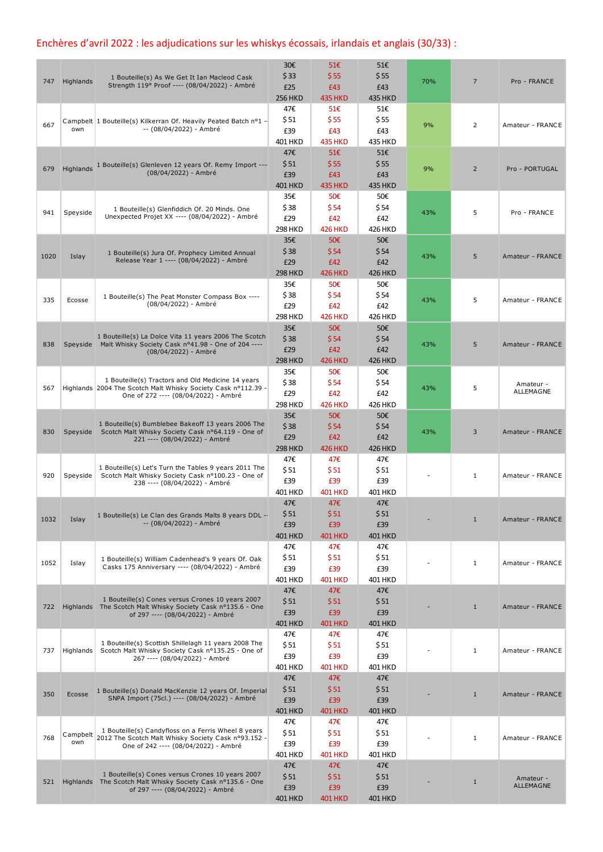## Enchères d'avril 2022 : les adjudications sur les whiskys écossais, irlandais et anglais (30/33) :

| 747  | Highlands       | 1 Bouteille(s) As We Get It Ian Macleod Cask<br>Strength 119° Proof ---- (08/04/2022) - Ambré                                                              | 30€<br>\$33<br>£25<br><b>256 HKD</b>  | 51€<br>\$55<br>£43<br><b>435 HKD</b> | 51€<br>\$55<br>£43<br><b>435 HKD</b> | 70% | $\overline{7}$ | Pro - FRANCE           |
|------|-----------------|------------------------------------------------------------------------------------------------------------------------------------------------------------|---------------------------------------|--------------------------------------|--------------------------------------|-----|----------------|------------------------|
| 667  | own             | Campbelt 1 Bouteille(s) Kilkerran Of. Heavily Peated Batch nº1 -<br>-- (08/04/2022) - Ambré                                                                | 47€<br>\$51<br>£39<br>401 HKD         | 51€<br>\$55<br>£43<br><b>435 HKD</b> | 51€<br>\$55<br>£43<br>435 HKD        | 9%  | $\overline{2}$ | Amateur - FRANCE       |
| 679  | Highlands       | 1 Bouteille(s) Glenleven 12 years Of. Remy Import ---<br>(08/04/2022) - Ambré                                                                              | 47€<br>\$51<br>£39<br><b>401 HKD</b>  | 51€<br>\$55<br>£43<br><b>435 HKD</b> | 51€<br>\$55<br>£43<br><b>435 HKD</b> | 9%  | $\overline{2}$ | Pro - PORTUGAL         |
| 941  | Speyside        | 1 Bouteille(s) Glenfiddich Of. 20 Minds. One<br>Unexpected Projet XX ---- (08/04/2022) - Ambré                                                             | 35€<br>\$38<br>£29<br><b>298 HKD</b>  | 50€<br>\$54<br>£42<br><b>426 HKD</b> | 50€<br>\$54<br>£42<br>426 HKD        | 43% | 5              | Pro - FRANCE           |
| 1020 | Islay           | 1 Bouteille(s) Jura Of. Prophecy Limited Annual<br>Release Year 1 ---- (08/04/2022) - Ambré                                                                | 35€<br>\$38<br>£29<br><b>298 HKD</b>  | 50€<br>\$54<br>£42<br><b>426 HKD</b> | 50€<br>\$54<br>£42<br>426 HKD        | 43% | 5              | Amateur - FRANCE       |
| 335  | Ecosse          | 1 Bouteille(s) The Peat Monster Compass Box ----<br>(08/04/2022) - Ambré                                                                                   | 35€<br>\$38<br>£29<br><b>298 HKD</b>  | 50€<br>\$54<br>£42<br><b>426 HKD</b> | 50€<br>\$54<br>£42<br>426 HKD        | 43% | 5              | Amateur - FRANCE       |
| 838  |                 | 1 Bouteille(s) La Dolce Vita 11 years 2006 The Scotch<br>Speyside Malt Whisky Society Cask nº41.98 - One of 204 ----<br>(08/04/2022) - Ambré               | 35€<br>\$38<br>£29<br><b>298 HKD</b>  | 50€<br>\$54<br>£42<br><b>426 HKD</b> | 50€<br>\$54<br>£42<br><b>426 HKD</b> | 43% | 5              | Amateur - FRANCE       |
| 567  |                 | 1 Bouteille(s) Tractors and Old Medicine 14 years<br>Highlands 2004 The Scotch Malt Whisky Society Cask n°112.39 -<br>One of 272 ---- (08/04/2022) - Ambré | 35€<br>\$38<br>£29<br><b>298 HKD</b>  | 50€<br>\$54<br>£42<br><b>426 HKD</b> | 50€<br>\$54<br>£42<br>426 HKD        | 43% | 5              | Amateur -<br>ALLEMAGNE |
| 830  | Speyside        | 1 Bouteille(s) Bumblebee Bakeoff 13 years 2006 The<br>Scotch Malt Whisky Society Cask nº64.119 - One of<br>221 ---- (08/04/2022) - Ambré                   | 35€<br>\$38<br>£29<br><b>298 HKD</b>  | 50€<br>\$54<br>£42<br><b>426 HKD</b> | 50€<br>\$54<br>£42<br><b>426 HKD</b> | 43% | 3              | Amateur - FRANCE       |
| 920  | Speyside        | 1 Bouteille(s) Let's Turn the Tables 9 years 2011 The<br>Scotch Malt Whisky Society Cask nº100.23 - One of<br>238 ---- (08/04/2022) - Ambré                | 47€<br>\$ 51<br>£39<br><b>401 HKD</b> | 47€<br>\$51<br>£39<br><b>401 HKD</b> | 47€<br>\$51<br>£39<br><b>401 HKD</b> |     | 1              | Amateur - FRANCE       |
| 1032 | Islay           | 1 Bouteille(s) Le Clan des Grands Malts 8 years DDL --<br>-- (08/04/2022) - Ambré                                                                          | 47€<br>\$51<br>£39<br>401 HKD         | 47€<br>\$51<br>£39<br><b>401 HKD</b> | 47€<br>\$51<br>£39<br><b>401 HKD</b> |     | $\mathbf{1}$   | Amateur - FRANCE       |
| 1052 | Islay           | 1 Bouteille(s) William Cadenhead's 9 years Of. Oak<br>Casks 175 Anniversary ---- (08/04/2022) - Ambré                                                      | 47€<br>\$ 51<br>£39<br>401 HKD        | 47€<br>\$51<br>£39<br><b>401 HKD</b> | 47€<br>\$51<br>£39<br>401 HKD        |     | $\mathbf{1}$   | Amateur - FRANCE       |
| 722  |                 | 1 Bouteille(s) Cones versus Crones 10 years 2007<br>Highlands The Scotch Malt Whisky Society Cask nº135.6 - One<br>of 297 ---- (08/04/2022) - Ambré        | 47€<br>\$51<br>£39<br><b>401 HKD</b>  | 47€<br>\$51<br>£39<br><b>401 HKD</b> | 47€<br>\$51<br>£39<br>401 HKD        |     | $\mathbf{1}$   | Amateur - FRANCE       |
| 737  | Highlands       | 1 Bouteille(s) Scottish Shillelagh 11 years 2008 The<br>Scotch Malt Whisky Society Cask nº135.25 - One of<br>267 ---- (08/04/2022) - Ambré                 | 47€<br>\$51<br>£39<br>401 HKD         | 47€<br>\$51<br>£39<br><b>401 HKD</b> | 47€<br>\$51<br>£39<br>401 HKD        |     | $\mathbf{1}$   | Amateur - FRANCE       |
| 350  | Ecosse          | 1 Bouteille(s) Donald MacKenzie 12 years Of. Imperial<br>SNPA Import (75cl.) ---- (08/04/2022) - Ambré                                                     | 47€<br>\$51<br>£39<br><b>401 HKD</b>  | 47€<br>\$51<br>£39<br><b>401 HKD</b> | 47€<br>\$51<br>£39<br><b>401 HKD</b> |     | $\mathbf{1}$   | Amateur - FRANCE       |
| 768  | Campbelt<br>own | 1 Bouteille(s) Candyfloss on a Ferris Wheel 8 years<br>2012 The Scotch Malt Whisky Society Cask nº93.152 -<br>One of 242 ---- (08/04/2022) - Ambré         | 47€<br>\$ 51<br>£39<br>401 HKD        | 47€<br>\$51<br>£39<br><b>401 HKD</b> | 47€<br>\$51<br>£39<br><b>401 HKD</b> |     | $\mathbf{1}$   | Amateur - FRANCE       |
| 521  |                 | 1 Bouteille(s) Cones versus Crones 10 years 2007<br>Highlands The Scotch Malt Whisky Society Cask nº135.6 - One<br>of 297 ---- (08/04/2022) - Ambré        | 47€<br>\$51<br>£39<br><b>401 HKD</b>  | 47€<br>\$51<br>£39<br><b>401 HKD</b> | 47€<br>\$51<br>£39<br><b>401 HKD</b> |     | $\mathbf{1}$   | Amateur -<br>ALLEMAGNE |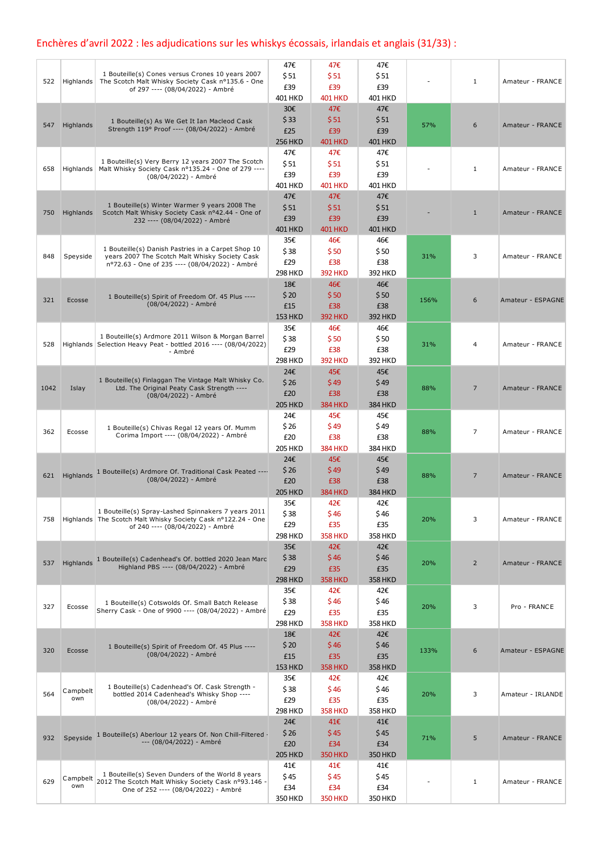## Enchères d'avril 2022 : les adjudications sur les whiskys écossais, irlandais et anglais (31/33) :

| 522  | Highlands       | 1 Bouteille(s) Cones versus Crones 10 years 2007<br>The Scotch Malt Whisky Society Cask nº135.6 - One<br>of 297 ---- (08/04/2022) - Ambré               | 47€<br>\$51<br>£39                              | 47€<br>\$51<br>£39                                     | 47€<br>\$51<br>£39                                     |      | 1              | Amateur - FRANCE  |
|------|-----------------|---------------------------------------------------------------------------------------------------------------------------------------------------------|-------------------------------------------------|--------------------------------------------------------|--------------------------------------------------------|------|----------------|-------------------|
| 547  | Highlands       | 1 Bouteille(s) As We Get It Ian Macleod Cask<br>Strength 119° Proof ---- (08/04/2022) - Ambré                                                           | 401 HKD<br>30€<br>\$33<br>£25<br><b>256 HKD</b> | <b>401 HKD</b><br>47€<br>\$51<br>£39<br><b>401 HKD</b> | <b>401 HKD</b><br>47€<br>\$51<br>£39<br><b>401 HKD</b> | 57%  | 6              | Amateur - FRANCE  |
| 658  | Highlands       | 1 Bouteille(s) Very Berry 12 years 2007 The Scotch<br>Malt Whisky Society Cask nº135.24 - One of 279 ----<br>(08/04/2022) - Ambré                       | 47€<br>\$51<br>£39<br><b>401 HKD</b>            | 47€<br>\$51<br>£39<br><b>401 HKD</b>                   | 47€<br>\$51<br>£39<br><b>401 HKD</b>                   |      | $\mathbf{1}$   | Amateur - FRANCE  |
| 750  | Highlands       | 1 Bouteille(s) Winter Warmer 9 years 2008 The<br>Scotch Malt Whisky Society Cask nº42.44 - One of<br>232 ---- (08/04/2022) - Ambré                      | 47€<br>\$51<br>£39<br><b>401 HKD</b>            | 47€<br>\$51<br>£39<br><b>401 HKD</b>                   | 47€<br>\$51<br>£39<br><b>401 HKD</b>                   |      | $\mathbf{1}$   | Amateur - FRANCE  |
| 848  | Speyside        | 1 Bouteille(s) Danish Pastries in a Carpet Shop 10<br>years 2007 The Scotch Malt Whisky Society Cask<br>nº72.63 - One of 235 ---- (08/04/2022) - Ambré  | 35€<br>\$38<br>£29<br><b>298 HKD</b>            | 46€<br>\$50<br>£38<br><b>392 HKD</b>                   | 46€<br>\$50<br>£38<br>392 HKD                          | 31%  | 3              | Amateur - FRANCE  |
| 321  | Ecosse          | 1 Bouteille(s) Spirit of Freedom Of. 45 Plus ----<br>(08/04/2022) - Ambré                                                                               | 18€<br>\$20<br>£15<br><b>153 HKD</b>            | 46€<br>\$50<br>£38<br><b>392 HKD</b>                   | 46€<br>\$50<br>£38<br>392 HKD                          | 156% | 6              | Amateur - ESPAGNE |
| 528  |                 | 1 Bouteille(s) Ardmore 2011 Wilson & Morgan Barrel<br>Highlands Selection Heavy Peat - bottled 2016 ---- (08/04/2022)<br>- Ambré                        | 35€<br>\$38<br>£29<br><b>298 HKD</b>            | 46€<br>\$50<br>£38<br><b>392 HKD</b>                   | 46€<br>\$50<br>£38<br>392 HKD                          | 31%  | 4              | Amateur - FRANCE  |
| 1042 | Islay           | 1 Bouteille(s) Finlaggan The Vintage Malt Whisky Co.<br>Ltd. The Original Peaty Cask Strength ----<br>(08/04/2022) - Ambré                              | 24€<br>\$26<br>£20<br><b>205 HKD</b>            | 45€<br>\$49<br>£38<br><b>384 HKD</b>                   | 45€<br>\$49<br>£38<br><b>384 HKD</b>                   | 88%  | 7              | Amateur - FRANCE  |
| 362  | Ecosse          | 1 Bouteille(s) Chivas Regal 12 years Of. Mumm<br>Corima Import ---- (08/04/2022) - Ambré                                                                | 24€<br>\$26<br>£20<br><b>205 HKD</b>            | 45€<br>\$49<br>£38<br><b>384 HKD</b>                   | 45€<br>\$49<br>£38<br>384 HKD                          | 88%  | $\overline{7}$ | Amateur - FRANCE  |
| 621  | Highlands       | 1 Bouteille(s) Ardmore Of. Traditional Cask Peated ----<br>(08/04/2022) - Ambré                                                                         | 24€<br>\$26<br>£20<br><b>205 HKD</b>            | 45€<br>\$49<br>£38<br><b>384 HKD</b>                   | 45€<br>\$49<br>£38<br><b>384 HKD</b>                   | 88%  | $\overline{7}$ | Amateur - FRANCE  |
| 758  |                 | 1 Bouteille(s) Spray-Lashed Spinnakers 7 years 2011<br>Highlands The Scotch Malt Whisky Society Cask nº122.24 - One<br>of 240 ---- (08/04/2022) - Ambré | 35€<br>\$38<br>£29<br><b>298 HKD</b>            | 42€<br>\$46<br>£35<br><b>358 HKD</b>                   | 42€<br>\$46<br>£35<br><b>358 HKD</b>                   | 20%  | 3              | Amateur - FRANCE  |
| 537  | Highlands       | 1 Bouteille(s) Cadenhead's Of. bottled 2020 Jean Marc<br>Highland PBS ---- (08/04/2022) - Ambré                                                         | 35€<br>\$38<br>£29<br><b>298 HKD</b>            | 42€<br>\$46<br>£35<br><b>358 HKD</b>                   | 42€<br>\$46<br>£35<br><b>358 HKD</b>                   | 20%  | $\overline{2}$ | Amateur - FRANCE  |
| 327  | Ecosse          | 1 Bouteille(s) Cotswolds Of. Small Batch Release<br>Sherry Cask - One of 9900 ---- (08/04/2022) - Ambré                                                 | 35€<br>\$38<br>£29<br><b>298 HKD</b>            | 42€<br>\$46<br>£35<br><b>358 HKD</b>                   | 42€<br>\$46<br>£35<br>358 HKD                          | 20%  | 3              | Pro - FRANCE      |
| 320  | Ecosse          | 1 Bouteille(s) Spirit of Freedom Of. 45 Plus ----<br>(08/04/2022) - Ambré                                                                               | 18€<br>\$20<br>£15<br><b>153 HKD</b>            | 42€<br>\$46<br>£35<br><b>358 HKD</b>                   | 42€<br>\$46<br>£35<br><b>358 HKD</b>                   | 133% | 6              | Amateur - ESPAGNE |
| 564  | Campbelt<br>own | 1 Bouteille(s) Cadenhead's Of. Cask Strength -<br>bottled 2014 Cadenhead's Whisky Shop ----<br>(08/04/2022) - Ambré                                     | 35€<br>\$38<br>£29<br><b>298 HKD</b>            | 42€<br>\$46<br>£35<br><b>358 HKD</b>                   | 42€<br>\$46<br>£35<br><b>358 HKD</b>                   | 20%  | 3              | Amateur - IRLANDE |
| 932  | Speyside        | 1 Bouteille(s) Aberlour 12 years Of. Non Chill-Filtered -<br>--- (08/04/2022) - Ambré                                                                   | 24€<br>\$26<br>£20<br><b>205 HKD</b>            | 41€<br>\$45<br>£34<br><b>350 HKD</b>                   | 41€<br>\$45<br>£34<br><b>350 HKD</b>                   | 71%  | 5              | Amateur - FRANCE  |
| 629  | Campbelt<br>own | 1 Bouteille(s) Seven Dunders of the World 8 years<br>2012 The Scotch Malt Whisky Society Cask nº93.146 -<br>One of 252 ---- (08/04/2022) - Ambré        | 41€<br>\$45<br>£34<br>350 HKD                   | 41€<br>\$45<br>£34<br><b>350 HKD</b>                   | 41€<br>\$45<br>£34<br>350 HKD                          |      | 1              | Amateur - FRANCE  |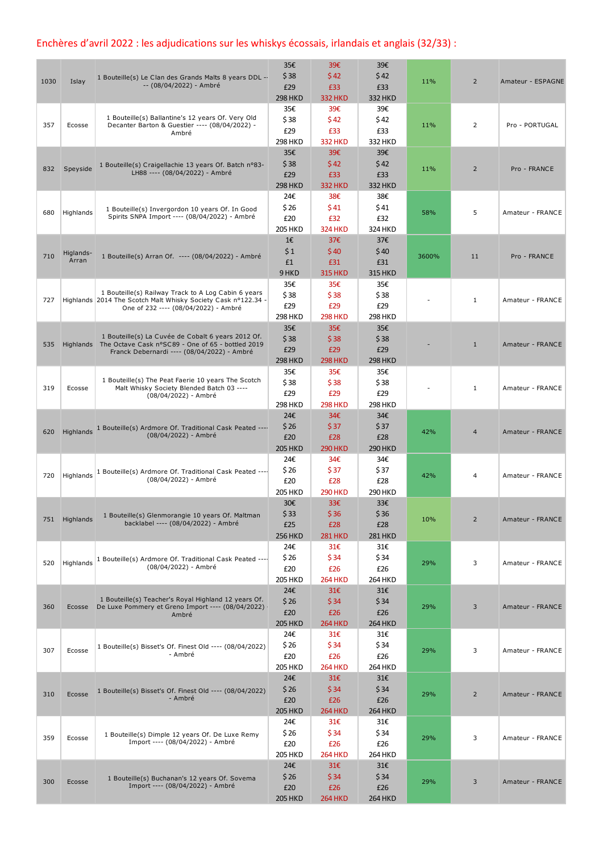## Enchères d'avril 2022 : les adjudications sur les whiskys écossais, irlandais et anglais (32/33) :

| 1030 | Islay              | 1 Bouteille(s) Le Clan des Grands Malts 8 years DDL --<br>-- (08/04/2022) - Ambré                                                                                | 35€<br>\$38<br>£29<br><b>298 HKD</b> | 39€<br>\$42<br>£33<br><b>332 HKD</b> | 39€<br>\$42<br>£33<br>332 HKD        | 11%   | $\overline{2}$ | Amateur - ESPAGNE |
|------|--------------------|------------------------------------------------------------------------------------------------------------------------------------------------------------------|--------------------------------------|--------------------------------------|--------------------------------------|-------|----------------|-------------------|
| 357  | Ecosse             | 1 Bouteille(s) Ballantine's 12 years Of. Very Old<br>Decanter Barton & Guestier ---- (08/04/2022) -<br>Ambré                                                     | 35€<br>\$38<br>£29<br>298 HKD        | 39€<br>\$42<br>£33<br><b>332 HKD</b> | 39€<br>\$42<br>£33<br>332 HKD        | 11%   | 2              | Pro - PORTUGAL    |
| 832  | Speyside           | 1 Bouteille(s) Craigellachie 13 years Of. Batch n°83-<br>LH88 ---- (08/04/2022) - Ambré                                                                          | 35€<br>\$38<br>£29<br><b>298 HKD</b> | 39€<br>\$42<br>£33<br><b>332 HKD</b> | 39€<br>\$42<br>£33<br><b>332 HKD</b> | 11%   | $\overline{2}$ | Pro - FRANCE      |
| 680  | Highlands          | 1 Bouteille(s) Invergordon 10 years Of. In Good<br>Spirits SNPA Import ---- (08/04/2022) - Ambré                                                                 | 24€<br>\$26<br>£20<br><b>205 HKD</b> | 38€<br>\$41<br>£32<br><b>324 HKD</b> | 38€<br>\$41<br>£32<br>324 HKD        | 58%   | 5              | Amateur - FRANCE  |
| 710  | Higlands-<br>Arran | 1 Bouteille(s) Arran Of. ---- (08/04/2022) - Ambré                                                                                                               | 1€<br>\$1<br>£1<br>9 HKD             | 37€<br>\$40<br>£31<br><b>315 HKD</b> | 37€<br>\$40<br>£31<br><b>315 HKD</b> | 3600% | 11             | Pro - FRANCE      |
| 727  |                    | 1 Bouteille(s) Railway Track to A Log Cabin 6 years<br>Highlands 2014 The Scotch Malt Whisky Society Cask nº122.34<br>One of 232 ---- (08/04/2022) - Ambré       | 35€<br>\$38<br>£29<br><b>298 HKD</b> | 35€<br>\$38<br>£29<br><b>298 HKD</b> | 35€<br>\$38<br>£29<br><b>298 HKD</b> |       | $\mathbf{1}$   | Amateur - FRANCE  |
| 535  |                    | 1 Bouteille(s) La Cuvée de Cobalt 6 years 2012 Of.<br>Highlands The Octave Cask n°SC89 - One of 65 - bottled 2019<br>Franck Debernardi ---- (08/04/2022) - Ambré | 35€<br>\$38<br>£29<br><b>298 HKD</b> | 35€<br>\$38<br>£29<br><b>298 HKD</b> | 35€<br>\$38<br>£29<br><b>298 HKD</b> |       | $\mathbf{1}$   | Amateur - FRANCE  |
| 319  | Ecosse             | 1 Bouteille(s) The Peat Faerie 10 years The Scotch<br>Malt Whisky Society Blended Batch 03 ----<br>(08/04/2022) - Ambré                                          | 35€<br>\$38<br>£29<br><b>298 HKD</b> | 35€<br>\$38<br>£29<br><b>298 HKD</b> | 35€<br>\$38<br>£29<br><b>298 HKD</b> |       | $\mathbf{1}$   | Amateur - FRANCE  |
| 620  |                    | Highlands 1 Bouteille(s) Ardmore Of. Traditional Cask Peated ----<br>(08/04/2022) - Ambré                                                                        | 24€<br>\$26<br>£20<br><b>205 HKD</b> | 34€<br>\$37<br>£28<br><b>290 HKD</b> | 34€<br>\$37<br>£28<br><b>290 HKD</b> | 42%   | $\overline{4}$ | Amateur - FRANCE  |
| 720  | Highlands          | 1 Bouteille(s) Ardmore Of. Traditional Cask Peated ----<br>(08/04/2022) - Ambré                                                                                  | 24€<br>\$26<br>£20<br><b>205 HKD</b> | 34€<br>\$37<br>£28<br><b>290 HKD</b> | 34€<br>\$37<br>£28<br><b>290 HKD</b> | 42%   | 4              | Amateur - FRANCE  |
|      | 751 Highlands      | 1 Bouteille(s) Glenmorangie 10 years Of. Maltman<br>backlabel ---- (08/04/2022) - Ambré                                                                          | 30€<br>\$33<br>£25<br><b>256 HKD</b> | 33€<br>\$36<br>£28<br><b>281 HKD</b> | 33€<br>\$36<br>£28<br><b>281 HKD</b> | 10%   | $\overline{2}$ | Amateur - FRANCE  |
| 520  | Highlands          | 1 Bouteille(s) Ardmore Of. Traditional Cask Peated ----<br>(08/04/2022) - Ambré                                                                                  | 24€<br>\$26<br>£20<br><b>205 HKD</b> | 31€<br>\$34<br>£26<br><b>264 HKD</b> | 31€<br>\$34<br>£26<br><b>264 HKD</b> | 29%   | 3              | Amateur - FRANCE  |
| 360  | Ecosse             | 1 Bouteille(s) Teacher's Royal Highland 12 years Of.<br>De Luxe Pommery et Greno Import ---- (08/04/2022) ·<br>Ambré                                             | 24€<br>\$26<br>£20<br><b>205 HKD</b> | 31€<br>\$34<br>£26<br><b>264 HKD</b> | 31€<br>\$34<br>£26<br><b>264 HKD</b> | 29%   | 3              | Amateur - FRANCE  |
| 307  | Ecosse             | 1 Bouteille(s) Bisset's Of. Finest Old ---- (08/04/2022)<br>- Ambré                                                                                              | 24€<br>\$26<br>£20<br><b>205 HKD</b> | 31€<br>\$34<br>£26<br><b>264 HKD</b> | 31€<br>\$34<br>£26<br><b>264 HKD</b> | 29%   | 3              | Amateur - FRANCE  |
| 310  | Ecosse             | 1 Bouteille(s) Bisset's Of. Finest Old ---- (08/04/2022)<br>- Ambré                                                                                              | 24€<br>\$26<br>£20<br><b>205 HKD</b> | 31€<br>\$34<br>£26<br><b>264 HKD</b> | 31€<br>\$34<br>£26<br><b>264 HKD</b> | 29%   | $\overline{2}$ | Amateur - FRANCE  |
| 359  | Ecosse             | 1 Bouteille(s) Dimple 12 years Of. De Luxe Remy<br>Import ---- (08/04/2022) - Ambré                                                                              | 24€<br>\$26<br>£20<br><b>205 HKD</b> | 31E<br>\$34<br>£26<br><b>264 HKD</b> | 31€<br>\$34<br>£26<br><b>264 HKD</b> | 29%   | 3              | Amateur - FRANCE  |
| 300  | Ecosse             | 1 Bouteille(s) Buchanan's 12 years Of. Sovema<br>Import ---- (08/04/2022) - Ambré                                                                                | 24€<br>\$26<br>£20<br><b>205 HKD</b> | 31€<br>\$34<br>£26<br><b>264 HKD</b> | 31€<br>\$34<br>£26<br><b>264 HKD</b> | 29%   | 3              | Amateur - FRANCE  |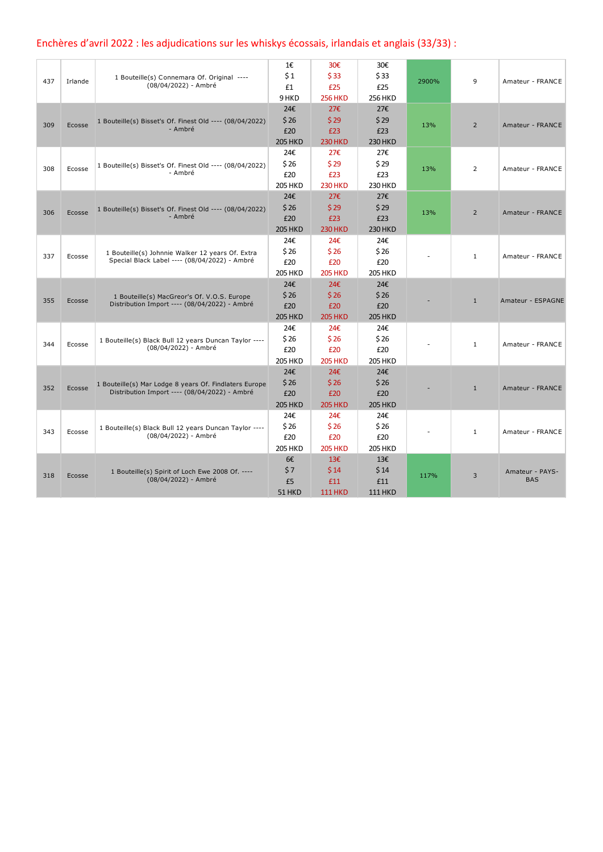## Enchères d'avril 2022 : les adjudications sur les whiskys écossais, irlandais et anglais (33/33) :

|     |         |                                                          | 1€             | 30€            | 30€            |       |                |                   |
|-----|---------|----------------------------------------------------------|----------------|----------------|----------------|-------|----------------|-------------------|
|     |         | 1 Bouteille(s) Connemara Of. Original ----               | \$1            | \$33           | \$33           |       | 9              |                   |
| 437 | Irlande | (08/04/2022) - Ambré                                     | £1             | £25            | £25            | 2900% |                | Amateur - FRANCE  |
|     |         |                                                          | 9 HKD          | <b>256 HKD</b> | <b>256 HKD</b> |       |                |                   |
|     |         |                                                          | 24€            | 27€            | 27€            |       |                |                   |
|     |         | 1 Bouteille(s) Bisset's Of. Finest Old ---- (08/04/2022) | \$26           | \$29           | \$29           |       |                |                   |
| 309 | Ecosse  | - Ambré                                                  | £20            | £23            | £23            | 13%   | $\overline{2}$ | Amateur - FRANCE  |
|     |         |                                                          | <b>205 HKD</b> | <b>230 HKD</b> | <b>230 HKD</b> |       |                |                   |
|     |         |                                                          | 24€            | 27€            | 27€            |       |                |                   |
|     |         | 1 Bouteille(s) Bisset's Of. Finest Old ---- (08/04/2022) | \$26           | \$29           | \$29           |       | $\overline{2}$ |                   |
| 308 | Ecosse  | - Ambré                                                  | £20            | £23            | £23            | 13%   |                | Amateur - FRANCE  |
|     |         |                                                          | <b>205 HKD</b> | <b>230 HKD</b> | 230 HKD        |       |                |                   |
|     |         |                                                          | 24€            | 27€            | 27€            |       |                |                   |
| 306 | Ecosse  | 1 Bouteille(s) Bisset's Of. Finest Old ---- (08/04/2022) | \$26           | \$29           | \$29           | 13%   | $\overline{2}$ | Amateur - FRANCE  |
|     |         | - Ambré                                                  | £20            | £23            | £23            |       |                |                   |
|     |         |                                                          | <b>205 HKD</b> | <b>230 HKD</b> | <b>230 HKD</b> |       |                |                   |
|     |         |                                                          | 24€            | 24€            | 24€            |       |                |                   |
| 337 |         | 1 Bouteille(s) Johnnie Walker 12 years Of. Extra         | \$26           | \$26           | \$26           |       | $\mathbf{1}$   | Amateur - FRANCE  |
|     | Ecosse  | Special Black Label ---- (08/04/2022) - Ambré            | £20            | £20            | £20            |       |                |                   |
|     |         |                                                          | <b>205 HKD</b> | <b>205 HKD</b> | <b>205 HKD</b> |       |                |                   |
|     |         |                                                          | 24€            | 24€            | 24€            |       |                |                   |
| 355 | Ecosse  | 1 Bouteille(s) MacGreor's Of. V.O.S. Europe              | \$26           | \$26           | \$26           |       | $\mathbf{1}$   | Amateur - ESPAGNE |
|     |         | Distribution Import ---- (08/04/2022) - Ambré            | £20            | £20            | £20            |       |                |                   |
|     |         |                                                          | <b>205 HKD</b> | <b>205 HKD</b> | <b>205 HKD</b> |       |                |                   |
|     |         |                                                          | 24€            | 24€            | 24€            |       |                |                   |
| 344 | Ecosse  | 1 Bouteille(s) Black Bull 12 years Duncan Taylor ----    | \$26           | \$26           | \$26           |       | $\mathbf{1}$   | Amateur - FRANCE  |
|     |         | (08/04/2022) - Ambré                                     | £20            | £20            | £20            |       |                |                   |
|     |         |                                                          | <b>205 HKD</b> | <b>205 HKD</b> | <b>205 HKD</b> |       |                |                   |
|     |         |                                                          | 24€            | 24€            | 24€            |       |                |                   |
| 352 | Ecosse  | 1 Bouteille(s) Mar Lodge 8 years Of. Findlaters Europe   | \$26           | \$26           | \$26           |       | $\mathbf{1}$   | Amateur - FRANCE  |
|     |         | Distribution Import ---- (08/04/2022) - Ambré            | £20            | £20            | £20            |       |                |                   |
|     |         |                                                          | <b>205 HKD</b> | <b>205 HKD</b> | <b>205 HKD</b> |       |                |                   |
|     |         |                                                          | 24€            | 24€            | 24€            |       |                |                   |
| 343 | Ecosse  | 1 Bouteille(s) Black Bull 12 years Duncan Taylor ----    | \$26           | \$26           | \$26           |       | $\mathbf{1}$   | Amateur - FRANCE  |
|     |         | (08/04/2022) - Ambré                                     | £20            | £20            | £20            |       |                |                   |
|     |         |                                                          | <b>205 HKD</b> | <b>205 HKD</b> | <b>205 HKD</b> |       |                |                   |
|     |         |                                                          | 6€             | 13€            | 13€            |       |                |                   |
| 318 | Ecosse  | 1 Bouteille(s) Spirit of Loch Ewe 2008 Of. ----          | \$7            | \$14           | \$14           | 117%  | 3              | Amateur - PAYS-   |
|     |         | (08/04/2022) - Ambré                                     | £5             | £11            | £11            |       |                | <b>BAS</b>        |
|     |         |                                                          | 51 HKD         | <b>111 HKD</b> | <b>111 HKD</b> |       |                |                   |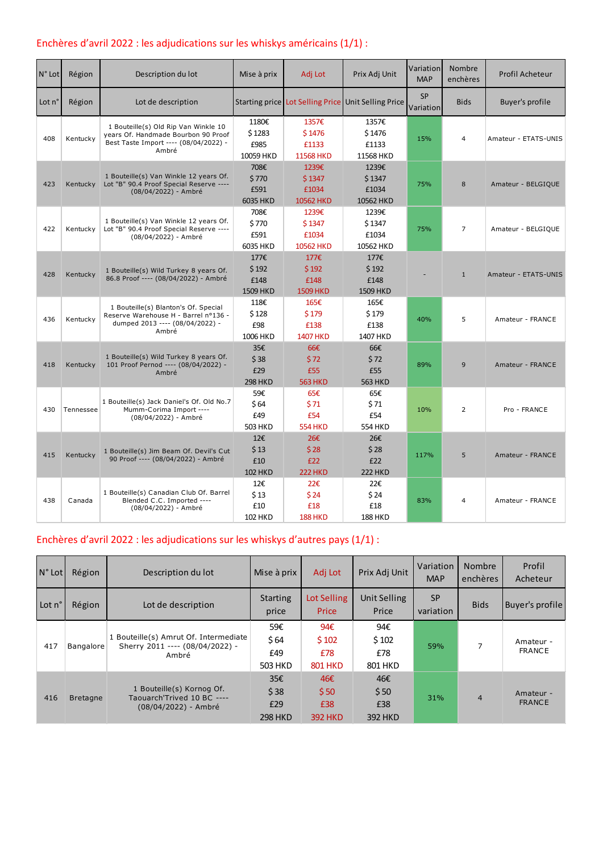### Enchères d'avril 2022 : les adjudications sur les whiskys américains (1/1) :

| N° Lot | Région    | Description du lot                                                                                                            | Mise à prix                          | Adj Lot                                  | Prix Adj Unit                            | Variation<br><b>MAP</b> | Nombre<br>enchères | Profil Acheteur        |
|--------|-----------|-------------------------------------------------------------------------------------------------------------------------------|--------------------------------------|------------------------------------------|------------------------------------------|-------------------------|--------------------|------------------------|
| Lot n° | Région    | Lot de description                                                                                                            |                                      | Starting price   Lot Selling Price       | <b>Unit Selling Price</b>                | <b>SP</b><br>Variation  | <b>Bids</b>        | <b>Buyer's profile</b> |
| 408    | Kentucky  | 1 Bouteille(s) Old Rip Van Winkle 10<br>years Of. Handmade Bourbon 90 Proof<br>Best Taste Import ---- (08/04/2022) -<br>Ambré | 1180€<br>\$1283<br>£985<br>10059 HKD | 1357€<br>\$1476<br>£1133<br>11568 HKD    | 1357€<br>\$1476<br>£1133<br>11568 HKD    | 15%                     | 4                  | Amateur - ETATS-UNIS   |
| 423    | Kentucky  | 1 Bouteille(s) Van Winkle 12 years Of.<br>Lot "B" 90.4 Proof Special Reserve ----<br>(08/04/2022) - Ambré                     | 708€<br>\$770<br>£591<br>6035 HKD    | 1239€<br>\$1347<br>£1034<br>10562 HKD    | 1239€<br>\$1347<br>£1034<br>10562 HKD    | 75%                     | 8                  | Amateur - BELGIQUE     |
| 422    | Kentucky  | 1 Bouteille(s) Van Winkle 12 years Of.<br>Lot "B" 90.4 Proof Special Reserve ----<br>(08/04/2022) - Ambré                     | 708€<br>\$770<br>£591<br>6035 HKD    | 1239€<br>\$1347<br>£1034<br>10562 HKD    | 1239€<br>\$1347<br>£1034<br>10562 HKD    | 75%                     | $\overline{7}$     | Amateur - BELGIQUE     |
| 428    | Kentucky  | 1 Bouteille(s) Wild Turkey 8 years Of.<br>86.8 Proof ---- (08/04/2022) - Ambré                                                | 177€<br>\$192<br>£148<br>1509 HKD    | 177€<br>\$192<br>£148<br><b>1509 HKD</b> | 177€<br>\$192<br>£148<br><b>1509 HKD</b> |                         | $\mathbf{1}$       | Amateur - ETATS-UNIS   |
| 436    | Kentucky  | 1 Bouteille(s) Blanton's Of. Special<br>Reserve Warehouse H - Barrel nº136 -<br>dumped 2013 ---- (08/04/2022) -<br>Ambré      | 118€<br>\$128<br>£98<br>1006 HKD     | 165€<br>\$179<br>£138<br><b>1407 HKD</b> | 165€<br>\$179<br>£138<br>1407 HKD        | 40%                     | 5                  | Amateur - FRANCE       |
| 418    | Kentucky  | 1 Bouteille(s) Wild Turkey 8 years Of.<br>101 Proof Pernod ---- (08/04/2022) -<br>Ambré                                       | 35€<br>\$38<br>£29<br><b>298 HKD</b> | 66€<br>\$72<br>£55<br><b>563 HKD</b>     | 66€<br>\$72<br>£55<br><b>563 HKD</b>     | 89%                     | 9                  | Amateur - FRANCE       |
| 430    | Tennessee | 1 Bouteille(s) Jack Daniel's Of. Old No.7<br>Mumm-Corima Import ----<br>(08/04/2022) - Ambré                                  | 59€<br>\$64<br>£49<br>503 HKD        | 65€<br>\$71<br>£54<br><b>554 HKD</b>     | 65€<br>\$71<br>£54<br>554 HKD            | 10%                     | $\overline{2}$     | Pro - FRANCE           |
| 415    | Kentucky  | 1 Bouteille(s) Jim Beam Of. Devil's Cut<br>90 Proof ---- (08/04/2022) - Ambré                                                 | 12E<br>\$13<br>£10<br><b>102 HKD</b> | 26€<br>\$28<br>£22<br><b>222 HKD</b>     | 26€<br>\$28<br>£22<br><b>222 HKD</b>     | 117%                    | 5                  | Amateur - FRANCE       |
| 438    | Canada    | 1 Bouteille(s) Canadian Club Of. Barrel<br>Blended C.C. Imported ----<br>(08/04/2022) - Ambré                                 | 12€<br>\$13<br>£10<br><b>102 HKD</b> | 22€<br>\$24<br>£18<br><b>188 HKD</b>     | 22€<br>\$24<br>£18<br><b>188 HKD</b>     | 83%                     | 4                  | Amateur - FRANCE       |

### Enchères d'avril 2022 : les adjudications sur les whiskys d'autres pays (1/1) :

| N° Lot | Région          | Description du lot                                                                | Mise à prix                          | Adj Lot                                         | Prix Adj Unit                        | Variation<br><b>MAP</b> | <b>Nombre</b><br>enchères | Profil<br>Acheteur         |
|--------|-----------------|-----------------------------------------------------------------------------------|--------------------------------------|-------------------------------------------------|--------------------------------------|-------------------------|---------------------------|----------------------------|
| Lot n° | Région          | Lot de description                                                                | Starting<br>price                    | Lot Selling<br>Price                            | Unit Selling<br>Price                | <b>SP</b><br>variation  | <b>Bids</b>               | Buyer's profile            |
| 417    | Bangalore       | 1 Bouteille(s) Amrut Of. Intermediate<br>Sherry 2011 ---- (08/04/2022) -<br>Ambré | 59€<br>\$64<br>£49<br>503 HKD        | 94 $\epsilon$<br>\$102<br>£78<br><b>801 HKD</b> | 94€<br>\$102<br>£78<br>801 HKD       | 59%                     |                           | Amateur -<br><b>FRANCE</b> |
| 416    | <b>Bretagne</b> | 1 Bouteille(s) Kornog Of.<br>Taouarch'Trived 10 BC ----<br>(08/04/2022) - Ambré   | 35€<br>\$38<br>£29<br><b>298 HKD</b> | 46€<br>\$50<br>£38<br><b>392 HKD</b>            | 46€<br>\$50<br>£38<br><b>392 HKD</b> | 31%<br>$\overline{4}$   |                           | Amateur -<br><b>FRANCE</b> |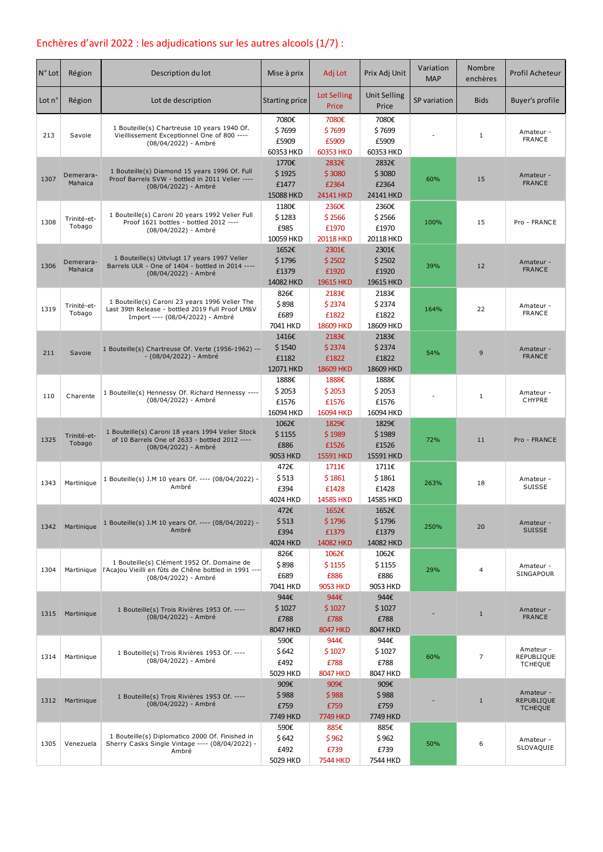## Enchères d'avril 2022 : les adjudications sur les autres alcools (1/7) :

| $N°$ Lot | Région                | Description du lot                                                                                                                     | Mise à prix                           | Adj Lot                                   | Prix Adj Unit                         | Variation<br><b>MAP</b> | Nombre<br>enchères | Profil Acheteur                                  |
|----------|-----------------------|----------------------------------------------------------------------------------------------------------------------------------------|---------------------------------------|-------------------------------------------|---------------------------------------|-------------------------|--------------------|--------------------------------------------------|
| Lot n'   | Région                | Lot de description                                                                                                                     | Starting price                        | Lot Selling<br>Price                      | <b>Unit Selling</b><br>Price          | SP variation            | <b>Bids</b>        | <b>Buyer's profile</b>                           |
| 213      | Savoie                | 1 Bouteille(s) Chartreuse 10 years 1940 Of.<br>Vieillissement Exceptionnel One of 800 ----<br>(08/04/2022) - Ambré                     | 7080€<br>\$7699<br>£5909<br>60353 HKD | 7080€<br>\$7699<br>£5909<br>60353 HKD     | 7080€<br>\$7699<br>£5909<br>60353 HKD |                         | $\mathbf{1}$       | Amateur -<br><b>FRANCE</b>                       |
| 1307     | Demerara-<br>Mahaica  | 1 Bouteille(s) Diamond 15 years 1996 Of. Full<br>Proof Barrels SVW - bottled in 2011 Velier ----<br>(08/04/2022) - Ambré               | 1770€<br>\$1925<br>£1477<br>15088 HKD | 2832€<br>\$3080<br>£2364<br>24141 HKD     | 2832€<br>\$3080<br>£2364<br>24141 HKD | 60%                     | 15                 | Amateur -<br><b>FRANCE</b>                       |
| 1308     | Trinité-et-<br>Tobago | 1 Bouteille(s) Caroni 20 years 1992 Velier Full<br>Proof 1621 bottles - bottled 2012 ----<br>(08/04/2022) - Ambré                      | 1180€<br>\$1283<br>£985<br>10059 HKD  | 2360€<br>\$2566<br>£1970<br>20118 HKD     | 2360€<br>\$2566<br>£1970<br>20118 HKD | 100%                    | 15                 | Pro - FRANCE                                     |
| 1306     | Demerara-<br>Mahaica  | 1 Bouteille(s) Uitvlugt 17 years 1997 Velier<br>Barrels ULR - One of 1404 - bottled in 2014 ----<br>(08/04/2022) - Ambré               | 1652€<br>\$1796<br>£1379<br>14082 HKD | 2301€<br>\$2502<br>£1920<br>19615 HKD     | 2301€<br>\$2502<br>£1920<br>19615 HKD | 39%                     | 12                 | Amateur -<br><b>FRANCE</b>                       |
| 1319     | Trinité-et-<br>Tobago | 1 Bouteille(s) Caroni 23 years 1996 Velier The<br>Last 39th Release - bottled 2019 Full Proof LM&V<br>Import ---- (08/04/2022) - Ambré | 826€<br>\$898<br>£689<br>7041 HKD     | 2183€<br>\$2374<br>£1822<br>18609 HKD     | 2183€<br>\$2374<br>£1822<br>18609 HKD | 164%                    | 22                 | Amateur -<br><b>FRANCE</b>                       |
| 211      | Savoie                | 1 Bouteille(s) Chartreuse Of. Verte (1956-1962) ---<br>- (08/04/2022) - Ambré                                                          | 1416€<br>\$1540<br>£1182<br>12071 HKD | 2183€<br>\$2374<br>£1822<br>18609 HKD     | 2183€<br>\$2374<br>£1822<br>18609 HKD | 54%                     | 9                  | Amateur -<br><b>FRANCE</b>                       |
| 110      | Charente              | 1 Bouteille(s) Hennessy Of. Richard Hennessy ----<br>(08/04/2022) - Ambré                                                              | 1888€<br>\$2053<br>£1576<br>16094 HKD | 1888€<br>\$2053<br>£1576<br>16094 HKD     | 1888€<br>\$2053<br>£1576<br>16094 HKD |                         | $\mathbf{1}$       | Amateur -<br><b>CHYPRE</b>                       |
| 1325     | Trinité-et-<br>Tobago | 1 Bouteille(s) Caroni 18 years 1994 Velier Stock<br>of 10 Barrels One of 2633 - bottled 2012 ----<br>(08/04/2022) - Ambré              | 1062€<br>\$1155<br>£886<br>9053 HKD   | 1829€<br>\$1989<br>£1526<br>15591 HKD     | 1829€<br>\$1989<br>£1526<br>15591 HKD | 72%                     | 11                 | Pro - FRANCE                                     |
| 1343     | Martinique            | 1 Bouteille(s) J.M 10 years Of. ---- (08/04/2022) -<br>Ambré                                                                           | 472€<br>\$513<br>£394<br>4024 HKD     | 1711€<br>\$1861<br>£1428<br>14585 HKD     | 1711€<br>\$1861<br>£1428<br>14585 HKD | 263%                    | 18                 | Amateur -<br>SUISSE                              |
| 1342     | Martinique            | 1 Bouteille(s) J.M 10 years Of. ---- (08/04/2022) -<br>Ambré                                                                           | 472€<br>\$513<br>£394<br>4024 HKD     | 1652€<br>\$1796<br>£1379<br>14082 HKD     | 1652€<br>\$1796<br>£1379<br>14082 HKD | 250%                    | 20                 | Amateur -<br><b>SUISSE</b>                       |
| 1304     | Martinique            | 1 Bouteille(s) Clément 1952 Of. Domaine de<br>l'Acajou Vieilli en fûts de Chêne bottled in 1991 ----<br>(08/04/2022) - Ambré           | 826€<br>\$898<br>£689<br>7041 HKD     | 1062€<br>\$1155<br>£886<br>9053 HKD       | 1062€<br>\$1155<br>£886<br>9053 HKD   | 29%                     | 4                  | Amateur -<br>SINGAPOUR                           |
| 1315     | Martinique            | 1 Bouteille(s) Trois Rivières 1953 Of. ----<br>(08/04/2022) - Ambré                                                                    | 944€<br>\$1027<br>£788<br>8047 HKD    | 944€<br>\$1027<br>£788<br><b>8047 HKD</b> | 944€<br>\$1027<br>£788<br>8047 HKD    |                         | $\mathbf{1}$       | Amateur -<br><b>FRANCE</b>                       |
| 1314     | Martinique            | 1 Bouteille(s) Trois Rivières 1953 Of. ----<br>(08/04/2022) - Ambré                                                                    | 590€<br>\$642<br>£492<br>5029 HKD     | 944€<br>\$1027<br>£788<br><b>8047 HKD</b> | 944€<br>\$1027<br>£788<br>8047 HKD    | 60%                     | $\overline{7}$     | Amateur -<br>REPUBLIQUE<br><b>TCHEQUE</b>        |
| 1312     | Martinique            | 1 Bouteille(s) Trois Rivières 1953 Of. ----<br>(08/04/2022) - Ambré                                                                    | 909€<br>\$988<br>£759<br>7749 HKD     | 909€<br>\$988<br>£759<br>7749 HKD         | 909€<br>\$988<br>£759<br>7749 HKD     |                         | $\mathbf{1}$       | Amateur -<br><b>REPUBLIQUE</b><br><b>TCHEQUE</b> |
| 1305     | Venezuela             | 1 Bouteille(s) Diplomatico 2000 Of. Finished in<br>Sherry Casks Single Vintage ---- (08/04/2022) -<br>Ambré                            | 590€<br>\$642<br>£492<br>5029 HKD     | 885€<br>\$962<br>£739<br><b>7544 HKD</b>  | 885€<br>\$962<br>£739<br>7544 HKD     | 50%                     | 6                  | Amateur -<br>SLOVAQUIE                           |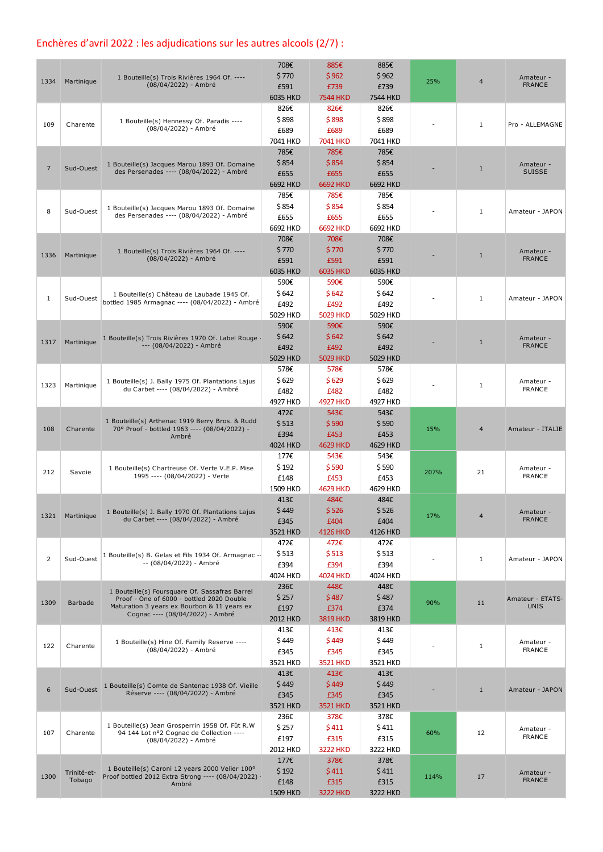## Enchères d'avril 2022 : les adjudications sur les autres alcools (2/7) :

| 1334           | Martinique            | 1 Bouteille(s) Trois Rivières 1964 Of. ----<br>(08/04/2022) - Ambré                                                                                                            | 708€<br>\$770<br>£591                         | 885€<br>\$962<br>£739                                | 885€<br>\$962<br>£739                         | 25%  | $\overline{4}$ | Amateur -<br><b>FRANCE</b>      |
|----------------|-----------------------|--------------------------------------------------------------------------------------------------------------------------------------------------------------------------------|-----------------------------------------------|------------------------------------------------------|-----------------------------------------------|------|----------------|---------------------------------|
| 109            | Charente              | 1 Bouteille(s) Hennessy Of. Paradis ----<br>(08/04/2022) - Ambré                                                                                                               | 6035 HKD<br>826€<br>\$898<br>£689<br>7041 HKD | <b>7544 HKD</b><br>826€<br>\$898<br>£689<br>7041 HKD | 7544 HKD<br>826€<br>\$898<br>£689<br>7041 HKD |      | $\mathbf{1}$   | Pro - ALLEMAGNE                 |
| 7              | Sud-Ouest             | 1 Bouteille(s) Jacques Marou 1893 Of. Domaine<br>des Persenades ---- (08/04/2022) - Ambré                                                                                      | 785€<br>\$854<br>£655<br>6692 HKD             | 785€<br>\$854<br>£655<br>6692 HKD                    | 785€<br>\$854<br>£655<br>6692 HKD             |      | $\mathbf{1}$   | Amateur -<br><b>SUISSE</b>      |
| 8              | Sud-Ouest             | 1 Bouteille(s) Jacques Marou 1893 Of. Domaine<br>des Persenades ---- (08/04/2022) - Ambré                                                                                      | 785€<br>\$854<br>£655<br>6692 HKD             | 785€<br>\$854<br>£655<br>6692 HKD                    | 785€<br>\$854<br>£655<br>6692 HKD             |      | $\mathbf{1}$   | Amateur - JAPON                 |
| 1336           | Martinique            | 1 Bouteille(s) Trois Rivières 1964 Of. ----<br>(08/04/2022) - Ambré                                                                                                            | 708€<br>\$770<br>£591<br>6035 HKD             | 708€<br>\$770<br>£591<br>6035 HKD                    | 708€<br>\$770<br>£591<br>6035 HKD             |      | $\mathbf{1}$   | Amateur -<br><b>FRANCE</b>      |
| $\mathbf{1}$   | Sud-Ouest             | 1 Bouteille(s) Château de Laubade 1945 Of.<br>bottled 1985 Armagnac ---- (08/04/2022) - Ambré                                                                                  | 590€<br>\$642<br>£492<br>5029 HKD             | 590€<br>\$642<br>£492<br>5029 HKD                    | 590€<br>\$642<br>£492<br>5029 HKD             |      | $\mathbf{1}$   | Amateur - JAPON                 |
| 1317           | Martinique            | 1 Bouteille(s) Trois Rivières 1970 Of. Label Rouge<br>--- (08/04/2022) - Ambré                                                                                                 | 590€<br>\$642<br>£492<br>5029 HKD             | 590€<br>\$642<br>£492<br><b>5029 HKD</b>             | 590€<br>\$642<br>£492<br>5029 HKD             |      | $\mathbf{1}$   | Amateur -<br><b>FRANCE</b>      |
| 1323           | Martinique            | 1 Bouteille(s) J. Bally 1975 Of. Plantations Lajus<br>du Carbet ---- (08/04/2022) - Ambré                                                                                      | 578€<br>\$629<br>£482<br>4927 HKD             | 578€<br>\$629<br>£482<br><b>4927 HKD</b>             | 578€<br>\$629<br>£482<br>4927 HKD             |      | $\mathbf{1}$   | Amateur -<br><b>FRANCE</b>      |
| 108            | Charente              | 1 Bouteille(s) Arthenac 1919 Berry Bros. & Rudd<br>70° Proof - bottled 1963 ---- (08/04/2022) -<br>Ambré                                                                       | 472€<br>\$513<br>£394<br>4024 HKD             | 543€<br>\$590<br>£453<br>4629 HKD                    | 543€<br>\$590<br>£453<br>4629 HKD             | 15%  | $\overline{4}$ | Amateur - ITALIE                |
| 212            | Savoie                | 1 Bouteille(s) Chartreuse Of. Verte V.E.P. Mise<br>1995 ---- (08/04/2022) - Verte                                                                                              | 177€<br>\$192<br>£148<br>1509 HKD             | 543€<br>\$590<br>£453<br><b>4629 HKD</b>             | 543€<br>\$590<br>£453<br>4629 HKD             | 207% | 21             | Amateur -<br><b>FRANCE</b>      |
|                | 1321 Martinique       | 1 Bouteille(s) J. Bally 1970 Of. Plantations Lajus<br>du Carbet ---- (08/04/2022) - Ambré                                                                                      | 413€<br>\$449<br>£345<br>3521 HKD             | 484€<br>\$526<br>£404<br>4126 HKD                    | 484€<br>\$526<br>£404<br>4126 HKD             | 17%  | $\overline{4}$ | Amateur ·<br><b>FRANCE</b>      |
| $\overline{2}$ | Sud-Ouest             | 1 Bouteille(s) B. Gelas et Fils 1934 Of. Armagnac -<br>-- (08/04/2022) - Ambré                                                                                                 | 472€<br>\$513<br>£394<br>4024 HKD             | 472€<br>\$513<br>£394<br>4024 HKD                    | 472€<br>\$513<br>£394<br>4024 HKD             |      | $\mathbf{1}$   | Amateur - JAPON                 |
| 1309           | <b>Barbade</b>        | 1 Bouteille(s) Foursquare Of. Sassafras Barrel<br>Proof - One of 6000 - bottled 2020 Double<br>Maturation 3 years ex Bourbon & 11 years ex<br>Cognac ---- (08/04/2022) - Ambré | 236€<br>\$257<br>£197<br>2012 HKD             | 448€<br>\$487<br>£374<br><b>3819 HKD</b>             | 448€<br>\$487<br>£374<br>3819 HKD             | 90%  | 11             | Amateur - ETATS-<br><b>UNIS</b> |
| 122            | Charente              | 1 Bouteille(s) Hine Of. Family Reserve ----<br>(08/04/2022) - Ambré                                                                                                            | 413€<br>\$449<br>£345<br>3521 HKD             | 413€<br>\$449<br>£345<br><b>3521 HKD</b>             | 413€<br>\$449<br>£345<br>3521 HKD             |      | $\mathbf{1}$   | Amateur -<br><b>FRANCE</b>      |
| 6              | Sud-Ouest             | 1 Bouteille(s) Comte de Santenac 1938 Of. Vieille<br>Réserve ---- (08/04/2022) - Ambré                                                                                         | 413€<br>\$449<br>£345<br>3521 HKD             | 413€<br>\$449<br>£345<br><b>3521 HKD</b>             | 413€<br>\$449<br>£345<br>3521 HKD             |      | $\mathbf{1}$   | Amateur - JAPON                 |
| 107            | Charente              | 1 Bouteille(s) Jean Grosperrin 1958 Of. Fût R.W<br>94 144 Lot nº2 Cognac de Collection ----<br>(08/04/2022) - Ambré                                                            | 236€<br>\$257<br>£197<br>2012 HKD             | 378€<br>\$411<br>£315<br><b>3222 HKD</b>             | 378€<br>\$411<br>£315<br>3222 HKD             | 60%  | 12             | Amateur -<br><b>FRANCE</b>      |
| 1300           | Trinité-et-<br>Tobago | 1 Bouteille(s) Caroni 12 years 2000 Velier 100°<br>Proof bottled 2012 Extra Strong ---- (08/04/2022) ·<br>Ambré                                                                | 177€<br>\$192<br>£148<br>1509 HKD             | 378€<br>\$411<br>£315<br><b>3222 HKD</b>             | 378€<br>\$411<br>£315<br>3222 HKD             | 114% | 17             | Amateur -<br><b>FRANCE</b>      |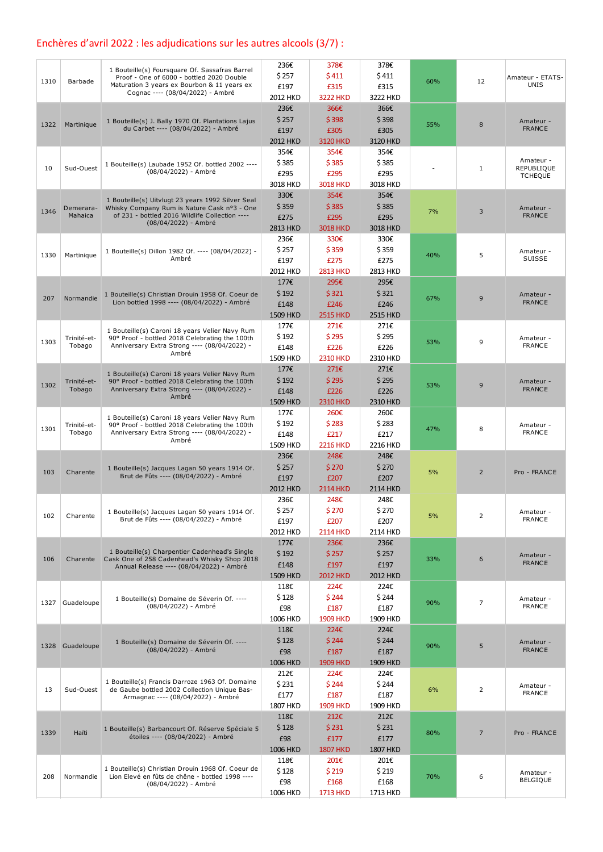### Enchères d'avril 2022 : les adjudications sur les autres alcools (3/7) :

| 1310 | Barbade               | 1 Bouteille(s) Foursquare Of. Sassafras Barrel<br>Proof - One of 6000 - bottled 2020 Double<br>Maturation 3 years ex Bourbon & 11 years ex       | 236€<br>\$257           | 378€<br>\$411           | 378€<br>\$411           | 60% | 12             | Amateur - ETATS-<br>UNIS     |
|------|-----------------------|--------------------------------------------------------------------------------------------------------------------------------------------------|-------------------------|-------------------------|-------------------------|-----|----------------|------------------------------|
|      |                       | Cognac ---- (08/04/2022) - Ambré                                                                                                                 | £197<br>2012 HKD        | £315<br><b>3222 HKD</b> | £315<br>3222 HKD        |     |                |                              |
| 1322 | Martinique            | 1 Bouteille(s) J. Bally 1970 Of. Plantations Lajus                                                                                               | 236€<br>\$257           | 366€<br>\$398           | 366€<br>\$398           | 55% | 8              | Amateur -                    |
|      |                       | du Carbet ---- (08/04/2022) - Ambré                                                                                                              | £197<br>2012 HKD        | £305<br>3120 HKD        | £305<br>3120 HKD        |     |                | <b>FRANCE</b>                |
|      |                       | 1 Bouteille(s) Laubade 1952 Of. bottled 2002 ----                                                                                                | 354€<br>\$385           | 354€<br>\$385           | 354€<br>\$385           |     |                | Amateur -                    |
| 10   | Sud-Ouest             | (08/04/2022) - Ambré                                                                                                                             | £295<br>3018 HKD        | £295<br><b>3018 HKD</b> | £295<br>3018 HKD        |     | $\mathbf{1}$   | REPUBLIQUE<br><b>TCHEQUE</b> |
|      |                       | 1 Bouteille(s) Uitvlugt 23 years 1992 Silver Seal                                                                                                | 330€                    | 354€                    | 354€                    |     |                |                              |
| 1346 | Demerara-<br>Mahaica  | Whisky Company Rum is Nature Cask nº3 - One<br>of 231 - bottled 2016 Wildlife Collection ----                                                    | \$359<br>£275           | \$385<br>£295           | \$385<br>£295           | 7%  | 3              | Amateur -<br><b>FRANCE</b>   |
|      |                       | (08/04/2022) - Ambré                                                                                                                             | <b>2813 HKD</b><br>236€ | <b>3018 HKD</b><br>330€ | 3018 HKD<br>330€        |     |                |                              |
| 1330 | Martinique            | 1 Bouteille(s) Dillon 1982 Of. ---- (08/04/2022) -<br>Ambré                                                                                      | \$257<br>£197           | \$359<br>£275           | \$359<br>£275           | 40% | 5              | Amateur -<br>SUISSE          |
|      |                       |                                                                                                                                                  | 2012 HKD                | <b>2813 HKD</b>         | 2813 HKD                |     |                |                              |
|      |                       | 1 Bouteille(s) Christian Drouin 1958 Of. Coeur de                                                                                                | 177€<br>\$192           | 295€<br>\$321           | 295€<br>\$321           |     |                | Amateur -                    |
| 207  | Normandie             | Lion bottled 1998 ---- (08/04/2022) - Ambré                                                                                                      | £148<br>1509 HKD        | £246<br><b>2515 HKD</b> | £246<br><b>2515 HKD</b> | 67% | 9              | <b>FRANCE</b>                |
|      |                       | 1 Bouteille(s) Caroni 18 years Velier Navy Rum                                                                                                   | 177€                    | 271€                    | 271€                    |     |                |                              |
| 1303 | Trinité-et-<br>Tobago | 90° Proof - bottled 2018 Celebrating the 100th<br>Anniversary Extra Strong ---- (08/04/2022) -<br>Ambré                                          | \$192<br>£148           | \$295<br>£226           | \$295<br>£226           | 53% | 9              | Amateur -<br><b>FRANCE</b>   |
|      |                       |                                                                                                                                                  | 1509 HKD<br>177€        | <b>2310 HKD</b><br>271€ | 2310 HKD<br>271€        |     |                |                              |
| 1302 | Trinité-et-<br>Tobago | 1 Bouteille(s) Caroni 18 years Velier Navy Rum<br>90° Proof - bottled 2018 Celebrating the 100th<br>Anniversary Extra Strong ---- (08/04/2022) - | \$192<br>£148           | \$295<br>£226           | \$295<br>£226           | 53% | 9              | Amateur -<br><b>FRANCE</b>   |
|      |                       | Ambré                                                                                                                                            | <b>1509 HKD</b>         | <b>2310 HKD</b>         | <b>2310 HKD</b>         |     |                |                              |
| 1301 | Trinité-et-           | 1 Bouteille(s) Caroni 18 years Velier Navy Rum<br>90° Proof - bottled 2018 Celebrating the 100th                                                 | 177€<br>\$192           | 260€<br>\$283           | 260€<br>\$283           | 47% | 8              | Amateur -                    |
|      | Tobago                | Anniversary Extra Strong ---- (08/04/2022) -<br>Ambré                                                                                            | £148<br>1509 HKD        | £217<br><b>2216 HKD</b> | £217<br>2216 HKD        |     |                | FRANCE                       |
|      |                       |                                                                                                                                                  | 236€<br>\$257           | 248€<br>\$270           | 248€<br>\$270           |     |                |                              |
| 103  | Charente              | 1 Bouteille(s) Jacques Lagan 50 years 1914 Of.<br>Brut de Fûts ---- (08/04/2022) - Ambré                                                         | £197                    | £207                    | £207                    | 5%  | $\overline{2}$ | Pro - FRANCE                 |
|      |                       |                                                                                                                                                  | 2012 HKD<br>236€        | <b>2114 HKD</b><br>248€ | <b>2114 HKD</b><br>248€ |     |                |                              |
| 102  | Charente              | 1 Bouteille(s) Jacques Lagan 50 years 1914 Of.<br>Brut de Fûts ---- (08/04/2022) - Ambré                                                         | \$257<br>£197           | \$270<br>£207           | \$270<br>£207           | 5%  | $\overline{2}$ | Amateur -<br><b>FRANCE</b>   |
|      |                       |                                                                                                                                                  | 2012 HKD<br>177€        | <b>2114 HKD</b>         | 2114 HKD                |     |                |                              |
| 106  | Charente              | 1 Bouteille(s) Charpentier Cadenhead's Single<br>Cask One of 258 Cadenhead's Whisky Shop 2018                                                    | \$192                   | 236€<br>\$257           | 236€<br>\$257           | 33% | 6              | Amateur -                    |
|      |                       | Annual Release ---- (08/04/2022) - Ambré                                                                                                         | £148<br>1509 HKD        | £197<br><b>2012 HKD</b> | £197<br>2012 HKD        |     |                | <b>FRANCE</b>                |
|      |                       | 1 Bouteille(s) Domaine de Séverin Of. ----                                                                                                       | 118€<br>\$128           | 224€<br>\$244           | 224€<br>\$244           |     |                | Amateur -                    |
| 1327 | Guadeloupe            | (08/04/2022) - Ambré                                                                                                                             | £98                     | £187                    | £187                    | 90% | $\overline{7}$ | <b>FRANCE</b>                |
|      |                       |                                                                                                                                                  | 1006 HKD<br>118€        | <b>1909 HKD</b><br>224€ | 1909 HKD<br>224€        |     |                |                              |
|      | 1328 Guadeloupe       | 1 Bouteille(s) Domaine de Séverin Of. ----<br>(08/04/2022) - Ambré                                                                               | \$128<br>£98            | \$244<br>£187           | \$244<br>£187           | 90% | 5              | Amateur -<br><b>FRANCE</b>   |
|      |                       |                                                                                                                                                  | <b>1006 HKD</b><br>212€ | <b>1909 HKD</b><br>224€ | 1909 HKD<br>224€        |     |                |                              |
| 13   | Sud-Ouest             | 1 Bouteille(s) Francis Darroze 1963 Of. Domaine<br>de Gaube bottled 2002 Collection Unique Bas-                                                  | \$231                   | \$244                   | \$244                   | 6%  | $\overline{2}$ | Amateur -<br><b>FRANCE</b>   |
|      |                       | Armagnac ---- (08/04/2022) - Ambré                                                                                                               | £177<br>1807 HKD        | £187<br><b>1909 HKD</b> | £187<br>1909 HKD        |     |                |                              |
|      |                       | 1 Bouteille(s) Barbancourt Of. Réserve Spéciale 5                                                                                                | 118€<br>\$128           | 212€<br>\$231           | 212E<br>\$231           |     |                |                              |
| 1339 | Haïti                 | étoiles ---- (08/04/2022) - Ambré                                                                                                                | £98<br><b>1006 HKD</b>  | £177<br><b>1807 HKD</b> | £177<br><b>1807 HKD</b> | 80% | $\overline{7}$ | Pro - FRANCE                 |
|      |                       |                                                                                                                                                  | 118€                    | 201€                    | 201€                    |     |                |                              |
| 208  | Normandie             | 1 Bouteille(s) Christian Drouin 1968 Of. Coeur de<br>Lion Elevé en fûts de chêne - bottled 1998 ----<br>(08/04/2022) - Ambré                     | \$128<br>£98            | \$219<br>£168           | \$219<br>£168           | 70% | 6              | Amateur -<br><b>BELGIQUE</b> |
|      |                       |                                                                                                                                                  | 1006 HKD                | <b>1713 HKD</b>         | 1713 HKD                |     |                |                              |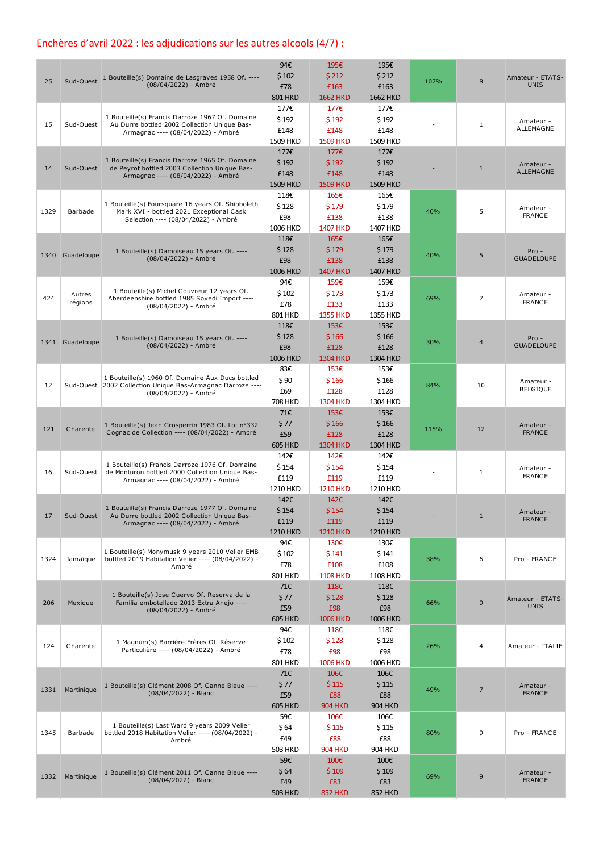### Enchères d'avril 2022 : les adjudications sur les autres alcools (4/7) :

| 25   | Sud-Ouest         | 1 Bouteille(s) Domaine de Lasgraves 1958 Of. ----<br>(08/04/2022) - Ambré                                                                | 94€<br>\$102<br>£78<br><b>801 HKD</b>   | 195€<br>\$212<br>£163<br><b>1662 HKD</b> | 195€<br>\$212<br>£163<br><b>1662 HKD</b> | 107% | 8                       | Amateur - ETATS-<br><b>UNIS</b> |
|------|-------------------|------------------------------------------------------------------------------------------------------------------------------------------|-----------------------------------------|------------------------------------------|------------------------------------------|------|-------------------------|---------------------------------|
| 15   | Sud-Ouest         | 1 Bouteille(s) Francis Darroze 1967 Of. Domaine<br>Au Durre bottled 2002 Collection Unique Bas-<br>Armagnac ---- (08/04/2022) - Ambré    | 177€<br>\$192<br>£148<br>1509 HKD       | 177€<br>\$192<br>£148<br><b>1509 HKD</b> | 177€<br>\$192<br>£148<br>1509 HKD        |      | $\mathbf{1}$            | Amateur -<br>ALLEMAGNE          |
| 14   | Sud-Ouest         | 1 Bouteille(s) Francis Darroze 1965 Of. Domaine<br>de Peyrot bottled 2003 Collection Unique Bas-<br>Armagnac ---- (08/04/2022) - Ambré   | 177€<br>\$192<br>£148<br>1509 HKD       | 177€<br>\$192<br>£148<br><b>1509 HKD</b> | 177€<br>\$192<br>£148<br>1509 HKD        |      | $\mathbf{1}$            | Amateur -<br><b>ALLEMAGNE</b>   |
| 1329 | Barbade           | 1 Bouteille(s) Foursquare 16 years Of. Shibboleth<br>Mark XVI - bottled 2021 Exceptional Cask<br>Selection ---- (08/04/2022) - Ambré     | 118€<br>\$128<br>£98<br>1006 HKD        | 165€<br>\$179<br>£138<br><b>1407 HKD</b> | 165€<br>\$179<br>£138<br>1407 HKD        | 40%  | 5                       | Amateur -<br><b>FRANCE</b>      |
|      | 1340 Guadeloupe   | 1 Bouteille(s) Damoiseau 15 years Of. ----<br>(08/04/2022) - Ambré                                                                       | 118€<br>\$128<br>£98<br><b>1006 HKD</b> | 165€<br>\$179<br>£138<br><b>1407 HKD</b> | 165€<br>\$179<br>£138<br>1407 HKD        | 40%  | 5                       | $Pro -$<br><b>GUADELOUPE</b>    |
| 424  | Autres<br>régions | 1 Bouteille(s) Michel Couvreur 12 years Of.<br>Aberdeenshire bottled 1985 Sovedi Import ----<br>(08/04/2022) - Ambré                     | 94€<br>\$102<br>£78<br>801 HKD          | 159€<br>\$173<br>£133<br><b>1355 HKD</b> | 159€<br>\$173<br>£133<br>1355 HKD        | 69%  | $\overline{7}$          | Amateur -<br><b>FRANCE</b>      |
|      | 1341 Guadeloupe   | 1 Bouteille(s) Damoiseau 15 years Of. ----<br>(08/04/2022) - Ambré                                                                       | 118€<br>\$128<br>£98<br><b>1006 HKD</b> | 153€<br>\$166<br>£128<br><b>1304 HKD</b> | 153€<br>\$166<br>£128<br>1304 HKD        | 30%  | $\overline{\mathbf{4}}$ | $Pro -$<br><b>GUADELOUPE</b>    |
| 12   |                   | 1 Bouteille(s) 1960 Of. Domaine Aux Ducs bottled<br>Sud-Ouest 2002 Collection Unique Bas-Armagnac Darroze ----<br>(08/04/2022) - Ambré   | 83€<br>\$90<br>£69<br>708 HKD           | 153€<br>\$166<br>£128<br><b>1304 HKD</b> | 153€<br>\$166<br>£128<br>1304 HKD        | 84%  | 10                      | Amateur -<br><b>BELGIQUE</b>    |
| 121  | Charente          | 1 Bouteille(s) Jean Grosperrin 1983 Of. Lot nº332<br>Cognac de Collection ---- (08/04/2022) - Ambré                                      | 71€<br>\$77<br>£59<br><b>605 HKD</b>    | 153€<br>\$166<br>£128<br><b>1304 HKD</b> | 153€<br>\$166<br>£128<br>1304 HKD        | 115% | 12                      | Amateur -<br><b>FRANCE</b>      |
| 16   | Sud-Ouest         | 1 Bouteille(s) Francis Darroze 1976 Of. Domaine<br>de Monturon bottled 2000 Collection Unique Bas-<br>Armagnac ---- (08/04/2022) - Ambré | 142€<br>\$154<br>£119<br>1210 HKD       | 142€<br>\$154<br>£119<br><b>1210 HKD</b> | 142€<br>\$154<br>£119<br>1210 HKD        |      | $\mathbf{1}$            | Amateur -<br><b>FRANCE</b>      |
| 17   | Sud-Ouest         | 1 Bouteille(s) Francis Darroze 1977 Of. Domaine<br>Au Durre bottled 2002 Collection Unique Bas-<br>Armagnac ---- (08/04/2022) - Ambré    | 142€<br>\$154<br>£119<br>1210 HKD       | 142€<br>\$154<br>£119<br><b>1210 HKD</b> | 142€<br>\$154<br>£119<br>1210 HKD        |      | 1                       | Amateur -<br><b>FRANCE</b>      |
| 1324 | Jamaïque          | 1 Bouteille(s) Monymusk 9 years 2010 Velier EMB<br>bottled 2019 Habitation Velier ---- (08/04/2022) -<br>Ambré                           | 94€<br>\$102<br>£78<br>801 HKD          | 130€<br>\$141<br>£108<br><b>1108 HKD</b> | 130€<br>\$141<br>£108<br>1108 HKD        | 38%  | 6                       | Pro - FRANCE                    |
| 206  | Mexique           | 1 Bouteille(s) Jose Cuervo Of. Reserva de la<br>Familia embotellado 2013 Extra Anejo ----<br>(08/04/2022) - Ambré                        | 71€<br>\$77<br>£59<br><b>605 HKD</b>    | 118€<br>\$128<br>£98<br><b>1006 HKD</b>  | 118€<br>\$128<br>£98<br>1006 HKD         | 66%  | 9                       | Amateur - ETATS-<br><b>UNIS</b> |
| 124  | Charente          | 1 Magnum(s) Barrière Frères Of. Réserve<br>Particulière ---- (08/04/2022) - Ambré                                                        | 94€<br>\$102<br>£78<br>801 HKD          | 118€<br>\$128<br>£98<br><b>1006 HKD</b>  | 118€<br>\$128<br>£98<br>1006 HKD         | 26%  | 4                       | Amateur - ITALIE                |
| 1331 | Martinique        | 1 Bouteille(s) Clément 2008 Of. Canne Bleue ----<br>(08/04/2022) - Blanc                                                                 | 71€<br>\$77<br>£59<br><b>605 HKD</b>    | 106€<br>\$115<br>£88<br><b>904 HKD</b>   | 106€<br>\$115<br>£88<br><b>904 HKD</b>   | 49%  | $\overline{7}$          | Amateur -<br><b>FRANCE</b>      |
| 1345 | Barbade           | 1 Bouteille(s) Last Ward 9 years 2009 Velier<br>bottled 2018 Habitation Velier ---- (08/04/2022) -<br>Ambré                              | 59€<br>\$64<br>£49<br>503 HKD           | 106€<br>\$115<br>£88<br><b>904 HKD</b>   | 106€<br>\$115<br>£88<br><b>904 HKD</b>   | 80%  | 9                       | Pro - FRANCE                    |
| 1332 | Martinique        | 1 Bouteille(s) Clément 2011 Of. Canne Bleue ----<br>$(08/04/2022)$ - Blanc                                                               | 59€<br>\$64<br>£49<br><b>503 HKD</b>    | 100€<br>\$109<br>£83<br><b>852 HKD</b>   | 100€<br>\$109<br>£83<br><b>852 HKD</b>   | 69%  | 9                       | Amateur -<br><b>FRANCE</b>      |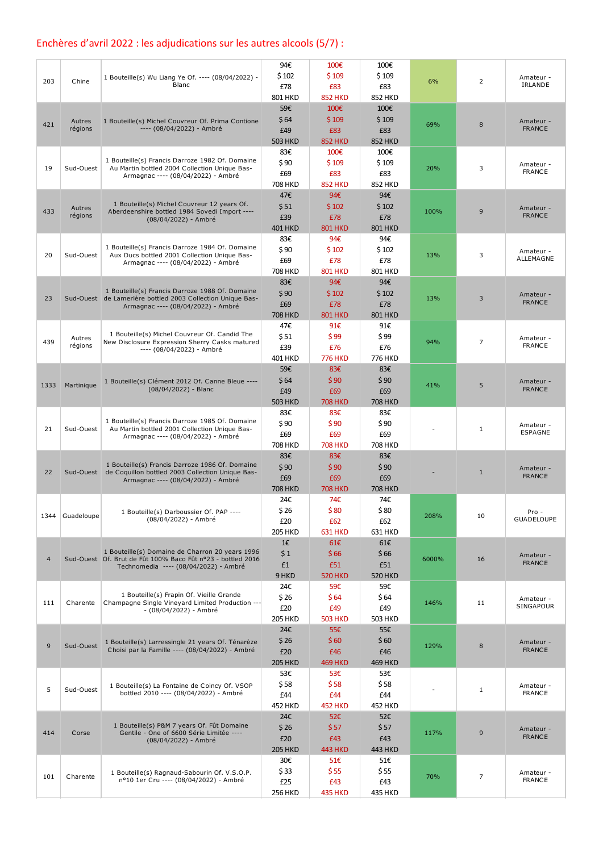### Enchères d'avril 2022 : les adjudications sur les autres alcools (5/7) :

| 203            | Chine             | 1 Bouteille(s) Wu Liang Ye Of. ---- (08/04/2022) -<br>Blanc                                                                                             | 94€<br>\$102<br>£78                             | 100€<br>\$109<br>£83                                     | 100€<br>\$109<br>£83                                     | 6%    | $\overline{2}$ | Amateur -<br>IRLANDE       |
|----------------|-------------------|---------------------------------------------------------------------------------------------------------------------------------------------------------|-------------------------------------------------|----------------------------------------------------------|----------------------------------------------------------|-------|----------------|----------------------------|
| 421            | Autres<br>régions | 1 Bouteille(s) Michel Couvreur Of. Prima Contione<br>---- (08/04/2022) - Ambré                                                                          | 801 HKD<br>59€<br>\$64<br>£49                   | <b>852 HKD</b><br>100€<br>\$109<br>£83                   | 852 HKD<br>100€<br>\$109<br>£83                          | 69%   | 8              | Amateur -<br><b>FRANCE</b> |
| 19             | Sud-Ouest         | 1 Bouteille(s) Francis Darroze 1982 Of. Domaine<br>Au Martin bottled 2004 Collection Unique Bas-<br>Armagnac ---- (08/04/2022) - Ambré                  | <b>503 HKD</b><br>83€<br>\$90<br>£69<br>708 HKD | <b>852 HKD</b><br>100€<br>\$109<br>£83<br><b>852 HKD</b> | <b>852 HKD</b><br>100€<br>\$109<br>£83<br><b>852 HKD</b> | 20%   | 3              | Amateur -<br><b>FRANCE</b> |
| 433            | Autres<br>régions | 1 Bouteille(s) Michel Couvreur 12 years Of.<br>Aberdeenshire bottled 1984 Sovedi Import ----<br>(08/04/2022) - Ambré                                    | 47€<br>\$51<br>£39<br>401 HKD                   | 94€<br>\$102<br>£78<br><b>801 HKD</b>                    | 94€<br>\$102<br>£78<br><b>801 HKD</b>                    | 100%  | 9              | Amateur -<br><b>FRANCE</b> |
| 20             | Sud-Ouest         | 1 Bouteille(s) Francis Darroze 1984 Of. Domaine<br>Aux Ducs bottled 2001 Collection Unique Bas-<br>Armagnac ---- (08/04/2022) - Ambré                   | 83€<br>\$90<br>£69<br><b>708 HKD</b>            | 94€<br>\$102<br>£78<br><b>801 HKD</b>                    | 94€<br>\$102<br>£78<br>801 HKD                           | 13%   | 3              | Amateur -<br>ALLEMAGNE     |
| 23             |                   | 1 Bouteille(s) Francis Darroze 1988 Of. Domaine<br>Sud-Ouest de Lamerlère bottled 2003 Collection Unique Bas-<br>Armagnac ---- (08/04/2022) - Ambré     | 83€<br>\$90<br>£69<br><b>708 HKD</b>            | 94€<br>\$102<br>£78<br><b>801 HKD</b>                    | 94€<br>\$102<br>£78<br><b>801 HKD</b>                    | 13%   | 3              | Amateur -<br><b>FRANCE</b> |
| 439            | Autres<br>régions | 1 Bouteille(s) Michel Couvreur Of. Candid The<br>New Disclosure Expression Sherry Casks matured<br>---- (08/04/2022) - Ambré                            | 47€<br>\$51<br>£39<br>401 HKD                   | 91€<br>\$99<br>£76<br><b>776 HKD</b>                     | 91€<br>\$99<br>£76<br>776 HKD                            | 94%   | $\overline{7}$ | Amateur -<br><b>FRANCE</b> |
| 1333           | Martinique        | 1 Bouteille(s) Clément 2012 Of. Canne Bleue ----<br>$(08/04/2022)$ - Blanc                                                                              | 59€<br>\$64<br>£49<br><b>503 HKD</b>            | 83€<br>\$90<br>£69<br><b>708 HKD</b>                     | 83€<br>\$90<br>£69<br><b>708 HKD</b>                     | 41%   | 5              | Amateur -<br><b>FRANCE</b> |
| 21             | Sud-Ouest         | 1 Bouteille(s) Francis Darroze 1985 Of. Domaine<br>Au Martin bottled 2001 Collection Unique Bas-<br>Armagnac ---- (08/04/2022) - Ambré                  | 83€<br>\$90<br>£69<br><b>708 HKD</b>            | 83€<br>\$90<br>£69<br><b>708 HKD</b>                     | 83€<br>\$90<br>£69<br><b>708 HKD</b>                     |       | $\mathbf{1}$   | Amateur -<br>ESPAGNE       |
| 22             |                   | 1 Bouteille(s) Francis Darroze 1986 Of. Domaine<br>Sud-Ouest de Coquillon bottled 2003 Collection Unique Bas-<br>Armagnac ---- (08/04/2022) - Ambré     | 83€<br>\$90<br>£69<br><b>708 HKD</b>            | 83€<br>\$90<br>£69<br><b>708 HKD</b>                     | 83€<br>\$90<br>£69<br><b>708 HKD</b>                     |       | $\mathbf{1}$   | Amateur -<br><b>FRANCE</b> |
| 1344           | Guadeloupe        | 1 Bouteille(s) Darboussier Of. PAP ----<br>(08/04/2022) - Ambré                                                                                         | 24€<br>\$26<br>£20<br><b>205 HKD</b>            | 74€<br>\$80<br>£62<br><b>631 HKD</b>                     | 74€<br>\$80<br>£62<br>631 HKD                            | 208%  | 10             | Pro -<br><b>GUADELOUPE</b> |
| $\overline{4}$ |                   | 1 Bouteille(s) Domaine de Charron 20 years 1996<br>Sud-Ouest Of. Brut de Fût 100% Baco Fût nº23 - bottled 2016<br>Technomedia ---- (08/04/2022) - Ambré | $1 \in$<br>\$1<br>£1<br>9 HKD                   | 61E<br>\$66<br>£51<br><b>520 HKD</b>                     | 61€<br>\$66<br>£51<br><b>520 HKD</b>                     | 6000% | 16             | Amateur -<br><b>FRANCE</b> |
| 111            | Charente          | 1 Bouteille(s) Frapin Of. Vieille Grande<br>Champagne Single Vineyard Limited Production ---<br>- (08/04/2022) - Ambré                                  | 24€<br>\$26<br>£20<br><b>205 HKD</b>            | 59€<br>\$64<br>£49<br><b>503 HKD</b>                     | 59€<br>\$64<br>£49<br><b>503 HKD</b>                     | 146%  | 11             | Amateur -<br>SINGAPOUR     |
| 9              | Sud-Ouest         | 1 Bouteille(s) Larressingle 21 years Of. Ténarèze<br>Choisi par la Famille ---- (08/04/2022) - Ambré                                                    | 24€<br>\$26<br>£20<br><b>205 HKD</b>            | 55€<br>\$60<br>£46<br><b>469 HKD</b>                     | 55€<br>\$60<br>£46<br><b>469 HKD</b>                     | 129%  | 8              | Amateur -<br><b>FRANCE</b> |
| 5              | Sud-Ouest         | 1 Bouteille(s) La Fontaine de Coincy Of. VSOP<br>bottled 2010 ---- (08/04/2022) - Ambré                                                                 | 53€<br>\$58<br>£44<br><b>452 HKD</b>            | 53€<br>\$58<br>£44<br><b>452 HKD</b>                     | 53€<br>\$58<br>£44<br><b>452 HKD</b>                     |       | $\mathbf{1}$   | Amateur -<br><b>FRANCE</b> |
| 414            | Corse             | 1 Bouteille(s) P&M 7 years Of. Fût Domaine<br>Gentile - One of 6600 Série Limitée ----<br>(08/04/2022) - Ambré                                          | 24€<br>\$26<br>£20<br><b>205 HKD</b>            | 52E<br>\$57<br>£43<br><b>443 HKD</b>                     | 52€<br>\$57<br>£43<br><b>443 HKD</b>                     | 117%  | 9              | Amateur -<br><b>FRANCE</b> |
| 101            | Charente          | 1 Bouteille(s) Ragnaud-Sabourin Of. V.S.O.P.<br>nº10 1er Cru ---- (08/04/2022) - Ambré                                                                  | 30€<br>\$33<br>£25<br>256 HKD                   | 51€<br>\$55<br>£43<br><b>435 HKD</b>                     | 51€<br>\$55<br>£43<br>435 HKD                            | 70%   | $\overline{7}$ | Amateur -<br><b>FRANCE</b> |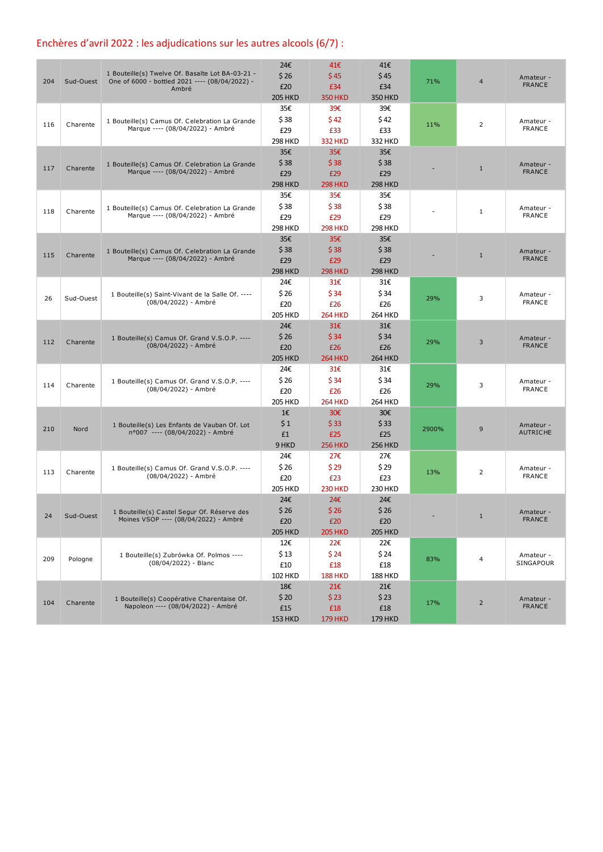### Enchères d'avril 2022 : les adjudications sur les autres alcools (6/7) :

| 204 | Sud-Ouest | 1 Bouteille(s) Twelve Of. Basalte Lot BA-03-21 -<br>One of 6000 - bottled 2021 ---- (08/04/2022) -<br>Ambré | 24€<br>\$26<br>£20<br><b>205 HKD</b> | 41€<br>\$45<br>£34<br><b>350 HKD</b> | 41€<br>\$45<br>£34<br><b>350 HKD</b> | 71%   | $\overline{4}$ | Amateur -<br><b>FRANCE</b>    |
|-----|-----------|-------------------------------------------------------------------------------------------------------------|--------------------------------------|--------------------------------------|--------------------------------------|-------|----------------|-------------------------------|
| 116 | Charente  | 1 Bouteille(s) Camus Of. Celebration La Grande<br>Marque ---- (08/04/2022) - Ambré                          | 35€<br>\$38<br>£29<br><b>298 HKD</b> | 39€<br>\$42<br>£33<br><b>332 HKD</b> | 39€<br>\$42<br>£33<br>332 HKD        | 11%   | $\overline{2}$ | Amateur -<br><b>FRANCE</b>    |
| 117 | Charente  | 1 Bouteille(s) Camus Of. Celebration La Grande<br>Marque ---- (08/04/2022) - Ambré                          | 35€<br>\$38<br>£29<br><b>298 HKD</b> | 35€<br>\$38<br>£29<br><b>298 HKD</b> | 35€<br>\$38<br>£29<br><b>298 HKD</b> |       | $\mathbf{1}$   | Amateur -<br><b>FRANCE</b>    |
| 118 | Charente  | 1 Bouteille(s) Camus Of. Celebration La Grande<br>Marque ---- (08/04/2022) - Ambré                          | 35€<br>\$38<br>£29<br><b>298 HKD</b> | 35€<br>\$38<br>£29<br><b>298 HKD</b> | 35€<br>\$38<br>£29<br><b>298 HKD</b> |       | $\mathbf{1}$   | Amateur -<br><b>FRANCE</b>    |
| 115 | Charente  | 1 Bouteille(s) Camus Of. Celebration La Grande<br>Marque ---- (08/04/2022) - Ambré                          | 35€<br>\$38<br>£29<br><b>298 HKD</b> | 35E<br>\$38<br>£29<br><b>298 HKD</b> | 35€<br>\$38<br>£29<br><b>298 HKD</b> |       | $\mathbf{1}$   | Amateur -<br><b>FRANCE</b>    |
| 26  | Sud-Ouest | 1 Bouteille(s) Saint-Vivant de la Salle Of. ----<br>(08/04/2022) - Ambré                                    | 24€<br>\$26<br>£20<br><b>205 HKD</b> | 31€<br>\$34<br>£26<br><b>264 HKD</b> | 31€<br>\$34<br>£26<br>264 HKD        | 29%   | 3              | Amateur -<br><b>FRANCE</b>    |
| 112 | Charente  | 1 Bouteille(s) Camus Of. Grand V.S.O.P. ----<br>(08/04/2022) - Ambré                                        | 24€<br>\$26<br>£20<br><b>205 HKD</b> | 31E<br>\$34<br>£26<br><b>264 HKD</b> | 31E<br>\$34<br>£26<br><b>264 HKD</b> | 29%   | 3              | Amateur -<br><b>FRANCE</b>    |
| 114 | Charente  | 1 Bouteille(s) Camus Of. Grand V.S.O.P. ----<br>(08/04/2022) - Ambré                                        | 24€<br>\$26<br>£20<br><b>205 HKD</b> | 31€<br>\$34<br>£26<br><b>264 HKD</b> | 31€<br>\$34<br>£26<br><b>264 HKD</b> | 29%   | 3              | Amateur -<br><b>FRANCE</b>    |
| 210 | Nord      | 1 Bouteille(s) Les Enfants de Vauban Of. Lot<br>n°007 ---- (08/04/2022) - Ambré                             | 1€<br>\$1<br>£1<br>9 HKD             | 30€<br>\$33<br>£25<br><b>256 HKD</b> | 30€<br>\$33<br>£25<br><b>256 HKD</b> | 2900% | 9              | Amateur -<br><b>AUTRICHE</b>  |
| 113 | Charente  | 1 Bouteille(s) Camus Of. Grand V.S.O.P. ----<br>(08/04/2022) - Ambré                                        | 24€<br>\$26<br>£20<br><b>205 HKD</b> | 27€<br>\$29<br>£23<br><b>230 HKD</b> | 27€<br>\$29<br>£23<br>230 HKD        | 13%   | $\overline{2}$ | Amateur -<br><b>FRANCE</b>    |
| 24  | Sud-Ouest | 1 Bouteille(s) Castel Segur Of. Réserve des<br>Moines VSOP ---- (08/04/2022) - Ambré                        | 24€<br>\$26<br>£20<br><b>205 HKD</b> | 24€<br>\$26<br>£20<br><b>205 HKD</b> | 24€<br>\$26<br>£20<br><b>205 HKD</b> |       | $\mathbf{1}$   | Amateur -<br><b>FRANCE</b>    |
| 209 | Pologne   | 1 Bouteille(s) Zubrówka Of. Polmos ----<br>(08/04/2022) - Blanc                                             | 12€<br>\$13<br>£10<br><b>102 HKD</b> | 22€<br>\$24<br>£18<br><b>188 HKD</b> | 22€<br>\$24<br>£18<br><b>188 HKD</b> | 83%   | 4              | Amateur -<br><b>SINGAPOUR</b> |
| 104 | Charente  | 1 Bouteille(s) Coopérative Charentaise Of.<br>Napoleon ---- (08/04/2022) - Ambré                            | 18€<br>\$20<br>£15<br><b>153 HKD</b> | 21€<br>\$23<br>£18<br><b>179 HKD</b> | 21E<br>\$23<br>£18<br><b>179 HKD</b> | 17%   | $\overline{2}$ | Amateur -<br><b>FRANCE</b>    |